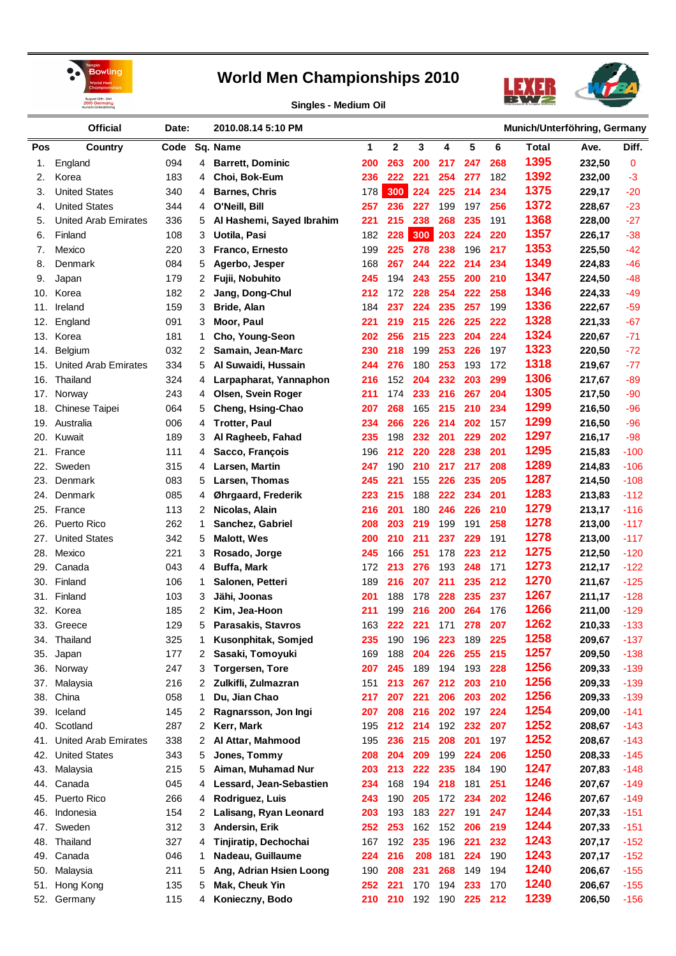



**Singles - Medium Oil**

|            | <b>Official</b>             | Date: |   | 2010.08.14 5:10 PM        | Munich/Unterföhring, Germany |             |         |     |     |     |       |        |        |
|------------|-----------------------------|-------|---|---------------------------|------------------------------|-------------|---------|-----|-----|-----|-------|--------|--------|
| <b>Pos</b> | Country                     | Code  |   | Sq. Name                  | 1                            | $\mathbf 2$ | 3       | 4   | 5   | 6   | Total | Ave.   | Diff.  |
| 1.         | England                     | 094   | 4 | <b>Barrett, Dominic</b>   | 200                          | 263         | 200     | 217 | 247 | 268 | 1395  | 232,50 | 0      |
| 2.         | Korea                       | 183   | 4 | Choi, Bok-Eum             | 236                          | 222         | 221     | 254 | 277 | 182 | 1392  | 232,00 | $-3$   |
| 3.         | <b>United States</b>        | 340   | 4 | <b>Barnes, Chris</b>      | 178                          | 300         | 224     | 225 | 214 | 234 | 1375  | 229,17 | $-20$  |
| 4.         | <b>United States</b>        | 344   | 4 | O'Neill, Bill             | 257                          | 236         | 227     | 199 | 197 | 256 | 1372  | 228,67 | $-23$  |
| 5.         | <b>United Arab Emirates</b> | 336   | 5 | Al Hashemi, Sayed Ibrahim | 221                          | 215         | 238     | 268 | 235 | 191 | 1368  | 228,00 | $-27$  |
| 6.         | Finland                     | 108   | 3 | Uotila, Pasi              | 182                          | 228         | 300     | 203 | 224 | 220 | 1357  | 226,17 | $-38$  |
| 7.         | Mexico                      | 220   | 3 | Franco, Ernesto           | 199                          | 225         | 278     | 238 | 196 | 217 | 1353  | 225,50 | $-42$  |
| 8.         | Denmark                     | 084   | 5 | Agerbo, Jesper            | 168                          | 267         | 244     | 222 | 214 | 234 | 1349  | 224,83 | -46    |
| 9.         | Japan                       | 179   | 2 | Fujii, Nobuhito           | 245                          | 194         | 243     | 255 | 200 | 210 | 1347  | 224,50 | $-48$  |
| 10.        | Korea                       | 182   | 2 | Jang, Dong-Chul           | 212                          | 172         | 228     | 254 | 222 | 258 | 1346  | 224,33 | $-49$  |
| 11.        | Ireland                     | 159   | 3 | Bride, Alan               | 184                          | 237         | 224     | 235 | 257 | 199 | 1336  | 222,67 | $-59$  |
| 12.        | England                     | 091   | 3 | Moor, Paul                | 221                          | 219         | 215     | 226 | 225 | 222 | 1328  | 221,33 | $-67$  |
| 13.        | Korea                       | 181   | 1 | Cho, Young-Seon           | 202                          | 256         | 215     | 223 | 204 | 224 | 1324  | 220,67 | $-71$  |
| 14.        | Belgium                     | 032   | 2 | Samain, Jean-Marc         | 230                          | 218         | 199     | 253 | 226 | 197 | 1323  | 220,50 | $-72$  |
| 15.        | <b>United Arab Emirates</b> | 334   | 5 | Al Suwaidi, Hussain       | 244                          | 276         | 180     | 253 | 193 | 172 | 1318  | 219,67 | $-77$  |
| 16.        | Thailand                    | 324   | 4 | Larpapharat, Yannaphon    | 216                          | 152         | 204     | 232 | 203 | 299 | 1306  | 217,67 | $-89$  |
| 17.        | Norway                      | 243   | 4 | Olsen, Svein Roger        | 211                          | 174         | 233     | 216 | 267 | 204 | 1305  | 217,50 | $-90$  |
| 18.        | <b>Chinese Taipei</b>       | 064   | 5 | Cheng, Hsing-Chao         | 207                          | 268         | 165     | 215 | 210 | 234 | 1299  | 216,50 | $-96$  |
| 19.        | Australia                   | 006   | 4 | <b>Trotter, Paul</b>      | 234                          | 266         | 226     | 214 | 202 | 157 | 1299  | 216,50 | $-96$  |
| 20.        | Kuwait                      | 189   | 3 | Al Ragheeb, Fahad         | 235                          | 198         | 232     | 201 | 229 | 202 | 1297  | 216,17 | $-98$  |
| 21.        | France                      | 111   |   |                           | 196                          | 212         | 220     | 228 | 238 | 201 | 1295  | 215,83 | $-100$ |
| 22.        | Sweden                      |       | 4 | Sacco, François           |                              | 190         | 210     | 217 | 217 | 208 | 1289  |        | $-106$ |
|            |                             | 315   | 4 | Larsen, Martin            | 247                          |             |         |     | 235 | 205 | 1287  | 214,83 |        |
| 23.        | Denmark                     | 083   | 5 | Larsen, Thomas            | 245                          | 221         | 155     | 226 |     |     | 1283  | 214,50 | $-108$ |
| 24.        | Denmark                     | 085   | 4 | Øhrgaard, Frederik        | 223                          | 215         | 188     | 222 | 234 | 201 | 1279  | 213,83 | $-112$ |
| 25.        | France                      | 113   | 2 | Nicolas, Alain            | 216                          | 201         | 180     | 246 | 226 | 210 | 1278  | 213,17 | -116   |
| 26.        | Puerto Rico                 | 262   | 1 | Sanchez, Gabriel          | 208                          | 203         | 219     | 199 | 191 | 258 | 1278  | 213,00 | $-117$ |
| 27.        | <b>United States</b>        | 342   | 5 | <b>Malott, Wes</b>        | 200                          | 210         | 211     | 237 | 229 | 191 | 1275  | 213,00 | -117   |
| 28.        | Mexico                      | 221   | 3 | Rosado, Jorge             | 245                          | 166         | 251     | 178 | 223 | 212 |       | 212,50 | -120   |
| 29.        | Canada                      | 043   | 4 | <b>Buffa, Mark</b>        | 172                          | 213         | 276     | 193 | 248 | 171 | 1273  | 212,17 | -122   |
| 30.        | Finland                     | 106   | 1 | Salonen, Petteri          | 189                          | 216         | 207     | 211 | 235 | 212 | 1270  | 211,67 | $-125$ |
| 31.        | Finland                     | 103   | 3 | Jähi, Joonas              | 201                          | 188         | 178     | 228 | 235 | 237 | 1267  | 211,17 | -128   |
| 32.        | Korea                       | 185   | 2 | Kim, Jea-Hoon             | 211                          | 199         | 216     | 200 | 264 | 176 | 1266  | 211,00 | $-129$ |
| 33.        | Greece                      | 129   | 5 | Parasakis, Stavros        | 163                          | 222         | 221     | 171 | 278 | 207 | 1262  | 210,33 | $-133$ |
| 34.        | Thailand                    | 325   | 1 | Kusonphitak, Somjed       | 235                          | 190         | 196     | 223 | 189 | 225 | 1258  | 209,67 | $-137$ |
| 35.        | Japan                       | 177   | 2 | Sasaki, Tomoyuki          | 169                          | 188         | 204     | 226 | 255 | 215 | 1257  | 209,50 | $-138$ |
| 36.        | Norway                      | 247   | 3 | <b>Torgersen, Tore</b>    | 207                          | 245         | 189     | 194 | 193 | 228 | 1256  | 209,33 | $-139$ |
| 37.        | Malaysia                    | 216   | 2 | Zulkifli, Zulmazran       | 151                          | 213         | 267     | 212 | 203 | 210 | 1256  | 209,33 | $-139$ |
| 38.        | China                       | 058   | 1 | Du, Jian Chao             | 217                          | 207         | 221     | 206 | 203 | 202 | 1256  | 209,33 | $-139$ |
| 39.        | Iceland                     | 145   | 2 | Ragnarsson, Jon Ingi      | 207                          | 208         | 216     | 202 | 197 | 224 | 1254  | 209,00 | $-141$ |
| 40.        | Scotland                    | 287   | 2 | Kerr, Mark                | 195                          | 212         | 214     | 192 | 232 | 207 | 1252  | 208,67 | $-143$ |
| 41.        | <b>United Arab Emirates</b> | 338   | 2 | Al Attar, Mahmood         | 195                          | 236         | 215     | 208 | 201 | 197 | 1252  | 208,67 | $-143$ |
| 42.        | <b>United States</b>        | 343   | 5 | Jones, Tommy              | 208                          | 204         | 209     | 199 | 224 | 206 | 1250  | 208,33 | $-145$ |
| 43.        | Malaysia                    | 215   | 5 | Aiman, Muhamad Nur        | 203                          | 213         | 222     | 235 | 184 | 190 | 1247  | 207,83 | $-148$ |
| 44.        | Canada                      | 045   | 4 | Lessard, Jean-Sebastien   | 234                          | 168         | 194     | 218 | 181 | 251 | 1246  | 207,67 | $-149$ |
| 45.        | Puerto Rico                 | 266   | 4 | Rodriguez, Luis           | 243                          | 190         | 205     | 172 | 234 | 202 | 1246  | 207,67 | $-149$ |
| 46.        | Indonesia                   | 154   | 2 | Lalisang, Ryan Leonard    | 203                          | 193         | 183     | 227 | 191 | 247 | 1244  | 207,33 | $-151$ |
| 47.        | Sweden                      | 312   | 3 | Andersin, Erik            | 252                          | 253         | 162     | 152 | 206 | 219 | 1244  | 207,33 | $-151$ |
| 48.        | Thailand                    | 327   | 4 | Tinjiratip, Dechochai     | 167                          | 192         | 235     | 196 | 221 | 232 | 1243  | 207,17 | $-152$ |
| 49.        | Canada                      | 046   | 1 | Nadeau, Guillaume         | 224                          | 216         | 208     | 181 | 224 | 190 | 1243  | 207,17 | $-152$ |
| 50.        | Malaysia                    | 211   | 5 | Ang, Adrian Hsien Loong   | 190                          | 208         | 231     | 268 | 149 | 194 | 1240  | 206,67 | $-155$ |
| 51.        | Hong Kong                   | 135   | 5 | Mak, Cheuk Yin            | 252                          | 221         | 170     | 194 | 233 | 170 | 1240  | 206,67 | $-155$ |
| 52.        | Germany                     | 115   | 4 | Konieczny, Bodo           | 210                          | 210         | 192 190 |     | 225 | 212 | 1239  | 206,50 | $-156$ |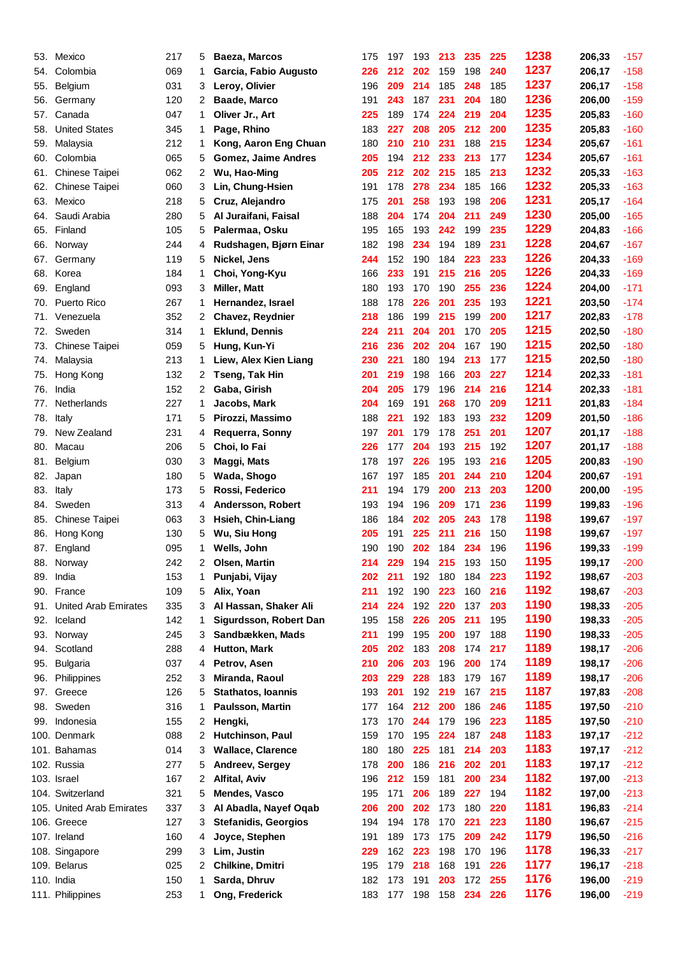| 53. | Mexico                      | 217 | 5              | Baeza, Marcos               | 175 | 197 | 193 | 213 | 235 | 225 | 1238 | 206,33 | $-157$ |
|-----|-----------------------------|-----|----------------|-----------------------------|-----|-----|-----|-----|-----|-----|------|--------|--------|
| 54. | Colombia                    | 069 | 1              | Garcia, Fabio Augusto       | 226 | 212 | 202 | 159 | 198 | 240 | 1237 | 206,17 | $-158$ |
| 55. | Belgium                     | 031 | 3              | Leroy, Olivier              | 196 | 209 | 214 | 185 | 248 | 185 | 1237 | 206,17 | $-158$ |
| 56. | Germany                     | 120 | 2              | <b>Baade, Marco</b>         | 191 | 243 | 187 | 231 | 204 | 180 | 1236 | 206,00 | $-159$ |
| 57. | Canada                      | 047 | 1              | Oliver Jr., Art             | 225 | 189 | 174 | 224 | 219 | 204 | 1235 | 205,83 | $-160$ |
| 58. | <b>United States</b>        | 345 | 1              | Page, Rhino                 | 183 | 227 | 208 | 205 | 212 | 200 | 1235 | 205,83 | $-160$ |
| 59. | Malaysia                    | 212 | 1              | Kong, Aaron Eng Chuan       | 180 | 210 | 210 | 231 | 188 | 215 | 1234 | 205,67 | $-161$ |
| 60. | Colombia                    | 065 | 5              | <b>Gomez, Jaime Andres</b>  | 205 | 194 | 212 | 233 | 213 | 177 | 1234 | 205,67 | $-161$ |
| 61. | Chinese Taipei              | 062 | 2              | Wu, Hao-Ming                | 205 | 212 | 202 | 215 | 185 | 213 | 1232 | 205,33 | $-163$ |
| 62. | Chinese Taipei              | 060 | 3              | Lin, Chung-Hsien            | 191 | 178 | 278 | 234 | 185 | 166 | 1232 | 205,33 | $-163$ |
| 63. | Mexico                      | 218 | 5              | Cruz, Alejandro             | 175 | 201 | 258 | 193 | 198 | 206 | 1231 | 205,17 | $-164$ |
| 64. | Saudi Arabia                | 280 | 5              | Al Juraifani, Faisal        | 188 | 204 | 174 | 204 | 211 | 249 | 1230 | 205,00 | $-165$ |
| 65. | Finland                     | 105 | 5              | Palermaa, Osku              | 195 | 165 | 193 | 242 | 199 | 235 | 1229 | 204,83 | $-166$ |
| 66. | Norway                      | 244 | 4              | Rudshagen, Bjørn Einar      | 182 | 198 | 234 | 194 | 189 | 231 | 1228 | 204,67 | $-167$ |
| 67. | Germany                     | 119 | 5              | Nickel, Jens                | 244 | 152 | 190 | 184 | 223 | 233 | 1226 | 204,33 | $-169$ |
| 68. | Korea                       | 184 | 1              | Choi, Yong-Kyu              | 166 | 233 | 191 | 215 | 216 | 205 | 1226 | 204,33 | $-169$ |
| 69. | England                     | 093 | 3              | <b>Miller, Matt</b>         | 180 | 193 | 170 | 190 | 255 | 236 | 1224 | 204,00 | $-171$ |
| 70. | <b>Puerto Rico</b>          | 267 | 1              | Hernandez, Israel           | 188 | 178 | 226 | 201 | 235 | 193 | 1221 | 203,50 | $-174$ |
| 71. | Venezuela                   | 352 | 2              | Chavez, Reydnier            | 218 | 186 | 199 | 215 | 199 | 200 | 1217 | 202,83 | $-178$ |
| 72. | Sweden                      | 314 | 1              | <b>Eklund, Dennis</b>       | 224 | 211 | 204 | 201 | 170 | 205 | 1215 | 202,50 | $-180$ |
| 73. | <b>Chinese Taipei</b>       | 059 | 5              | Hung, Kun-Yi                | 216 | 236 | 202 | 204 | 167 | 190 | 1215 | 202,50 | $-180$ |
|     |                             |     |                |                             |     |     |     |     |     |     | 1215 |        |        |
| 74. | Malaysia                    | 213 | 1              | Liew, Alex Kien Liang       | 230 | 221 | 180 | 194 | 213 | 177 | 1214 | 202,50 | $-180$ |
| 75. | Hong Kong                   | 132 | 2              | Tseng, Tak Hin              | 201 | 219 | 198 | 166 | 203 | 227 | 1214 | 202,33 | $-181$ |
| 76. | India                       | 152 | 2              | Gaba, Girish                | 204 | 205 | 179 | 196 | 214 | 216 |      | 202,33 | $-181$ |
| 77. | Netherlands                 | 227 | 1              | Jacobs, Mark                | 204 | 169 | 191 | 268 | 170 | 209 | 1211 | 201,83 | $-184$ |
| 78. | Italy                       | 171 | 5              | Pirozzi, Massimo            | 188 | 221 | 192 | 183 | 193 | 232 | 1209 | 201,50 | $-186$ |
| 79. | New Zealand                 | 231 | 4              | Requerra, Sonny             | 197 | 201 | 179 | 178 | 251 | 201 | 1207 | 201,17 | $-188$ |
| 80. | Macau                       | 206 | 5              | Choi, lo Fai                | 226 | 177 | 204 | 193 | 215 | 192 | 1207 | 201,17 | $-188$ |
| 81. | Belgium                     | 030 | 3              | Maggi, Mats                 | 178 | 197 | 226 | 195 | 193 | 216 | 1205 | 200,83 | $-190$ |
| 82. | Japan                       | 180 | 5              | Wada, Shogo                 | 167 | 197 | 185 | 201 | 244 | 210 | 1204 | 200,67 | $-191$ |
| 83. | Italy                       | 173 | 5              | Rossi, Federico             | 211 | 194 | 179 | 200 | 213 | 203 | 1200 | 200,00 | $-195$ |
| 84. | Sweden                      | 313 | 4              | Andersson, Robert           | 193 | 194 | 196 | 209 | 171 | 236 | 1199 | 199,83 | $-196$ |
| 85. | <b>Chinese Taipei</b>       | 063 | 3              | Hsieh, Chin-Liang           | 186 | 184 | 202 | 205 | 243 | 178 | 1198 | 199,67 | $-197$ |
| 86. | Hong Kong                   | 130 | 5              | Wu, Siu Hong                | 205 | 191 | 225 | 211 | 216 | 150 | 1198 | 199,67 | $-197$ |
|     | 87. England                 | 095 | 1              | Wells, John                 | 190 | 190 | 202 | 184 | 234 | 196 | 1196 | 199,33 | $-199$ |
| 88. | Norway                      | 242 | 2              | Olsen, Martin               | 214 | 229 | 194 | 215 | 193 | 150 | 1195 | 199,17 | $-200$ |
| 89. | India                       | 153 | 1              | Punjabi, Vijay              | 202 | 211 | 192 | 180 | 184 | 223 | 1192 | 198,67 | $-203$ |
| 90. | France                      | 109 | 5              | Alix, Yoan                  | 211 | 192 | 190 | 223 | 160 | 216 | 1192 | 198,67 | $-203$ |
| 91. | <b>United Arab Emirates</b> | 335 | 3              | Al Hassan, Shaker Ali       | 214 | 224 | 192 | 220 | 137 | 203 | 1190 | 198,33 | $-205$ |
| 92. | Iceland                     | 142 | 1              | Sigurdsson, Robert Dan      | 195 | 158 | 226 | 205 | 211 | 195 | 1190 | 198,33 | $-205$ |
| 93. | Norway                      | 245 | 3              | Sandbækken, Mads            | 211 | 199 | 195 | 200 | 197 | 188 | 1190 | 198,33 | $-205$ |
| 94. | Scotland                    | 288 | 4              | <b>Hutton, Mark</b>         | 205 | 202 | 183 | 208 | 174 | 217 | 1189 | 198,17 | $-206$ |
| 95. | <b>Bulgaria</b>             | 037 | 4              | Petrov, Asen                | 210 | 206 | 203 | 196 | 200 | 174 | 1189 | 198,17 | $-206$ |
| 96. | Philippines                 | 252 | 3              | Miranda, Raoul              | 203 | 229 | 228 | 183 | 179 | 167 | 1189 | 198,17 | $-206$ |
| 97. | Greece                      | 126 | 5              | <b>Stathatos, Ioannis</b>   | 193 | 201 | 192 | 219 | 167 | 215 | 1187 | 197,83 | $-208$ |
| 98. | Sweden                      | 316 | 1              | Paulsson, Martin            | 177 | 164 | 212 | 200 | 186 | 246 | 1185 | 197,50 | $-210$ |
| 99. | Indonesia                   | 155 | $\overline{2}$ | Hengki,                     | 173 | 170 | 244 | 179 | 196 | 223 | 1185 | 197,50 | $-210$ |
|     | 100. Denmark                | 088 | 2              | Hutchinson, Paul            | 159 | 170 | 195 | 224 | 187 | 248 | 1183 | 197,17 | $-212$ |
|     | 101. Bahamas                | 014 | 3              | <b>Wallace, Clarence</b>    | 180 | 180 | 225 | 181 | 214 | 203 | 1183 | 197,17 | $-212$ |
|     | 102. Russia                 | 277 | 5              | Andreev, Sergey             | 178 | 200 | 186 | 216 | 202 | 201 | 1183 | 197,17 | $-212$ |
|     | 103. Israel                 | 167 | 2              | <b>Alfital, Aviv</b>        | 196 | 212 | 159 | 181 | 200 | 234 | 1182 | 197,00 | $-213$ |
|     | 104. Switzerland            | 321 | 5              | Mendes, Vasco               | 195 | 171 | 206 | 189 | 227 | 194 | 1182 | 197,00 | $-213$ |
|     |                             | 337 |                |                             |     | 200 | 202 |     |     | 220 | 1181 |        | $-214$ |
|     | 105. United Arab Emirates   |     | 3              | Al Abadla, Nayef Oqab       | 206 |     |     | 173 | 180 |     | 1180 | 196,83 |        |
|     | 106. Greece                 | 127 | 3              | <b>Stefanidis, Georgios</b> | 194 | 194 | 178 | 170 | 221 | 223 | 1179 | 196,67 | $-215$ |
|     | 107. Ireland                | 160 | 4              | Joyce, Stephen              | 191 | 189 | 173 | 175 | 209 | 242 |      | 196,50 | $-216$ |
|     | 108. Singapore              | 299 | 3              | Lim, Justin                 | 229 | 162 | 223 | 198 | 170 | 196 | 1178 | 196,33 | $-217$ |
|     | 109. Belarus                | 025 | 2              | Chilkine, Dmitri            | 195 | 179 | 218 | 168 | 191 | 226 | 1177 | 196,17 | $-218$ |
|     | 110. India                  | 150 | 1              | Sarda, Dhruv                | 182 | 173 | 191 | 203 | 172 | 255 | 1176 | 196,00 | $-219$ |
|     | 111. Philippines            | 253 | $\mathbf{1}$   | Ong, Frederick              | 183 | 177 | 198 | 158 | 234 | 226 | 1176 | 196,00 | $-219$ |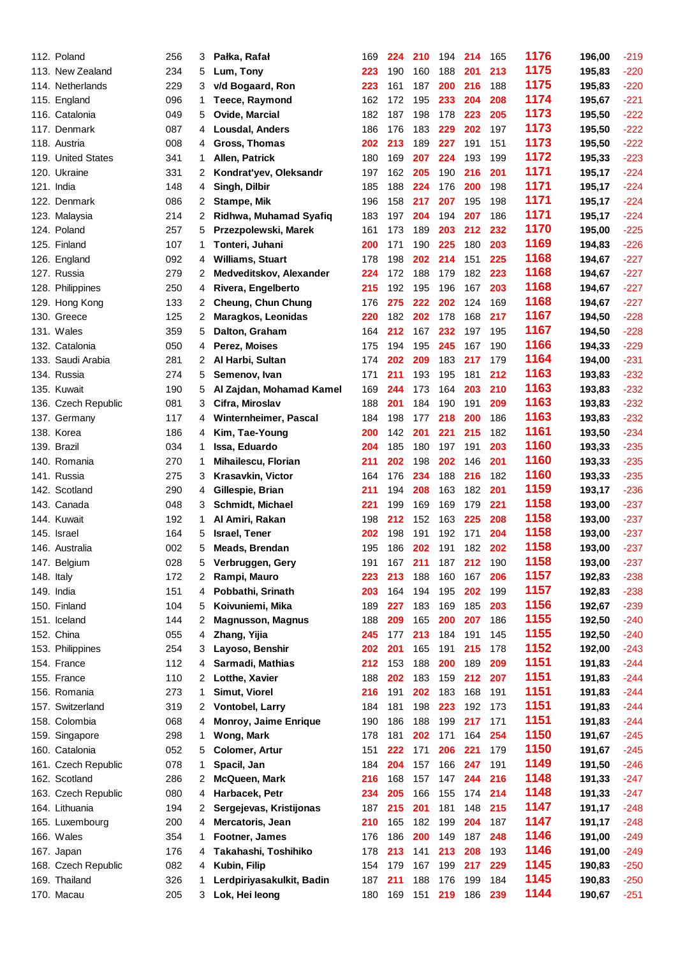| 112. Poland         | 256 | 3  | Pałka, Rafał                 | 169     | 224 | 210 | 194 | 214 | 165 | 1176 | 196,00 | $-219$ |
|---------------------|-----|----|------------------------------|---------|-----|-----|-----|-----|-----|------|--------|--------|
| 113. New Zealand    | 234 | 5  | Lum, Tony                    | 223     | 190 | 160 | 188 | 201 | 213 | 1175 | 195,83 | $-220$ |
| 114. Netherlands    | 229 | 3  | v/d Bogaard, Ron             | 223     | 161 | 187 | 200 | 216 | 188 | 1175 | 195,83 | $-220$ |
| 115. England        | 096 | 1  | <b>Teece, Raymond</b>        | 162     | 172 | 195 | 233 | 204 | 208 | 1174 | 195,67 | $-221$ |
| 116. Catalonia      | 049 | 5  | Ovide, Marcial               | 182     | 187 | 198 | 178 | 223 | 205 | 1173 | 195,50 | $-222$ |
| 117. Denmark        | 087 | 4  | Lousdal, Anders              | 186     | 176 | 183 | 229 | 202 | 197 | 1173 | 195,50 | $-222$ |
| 118. Austria        | 008 | 4  | Gross, Thomas                | 202     | 213 | 189 | 227 | 191 | 151 | 1173 | 195,50 | $-222$ |
| 119. United States  | 341 | 1  | Allen, Patrick               | 180     | 169 | 207 | 224 | 193 | 199 | 1172 | 195,33 | $-223$ |
| 120. Ukraine        | 331 | 2  | Kondrat'yev, Oleksandr       | 197     | 162 | 205 | 190 | 216 | 201 | 1171 | 195,17 | $-224$ |
| 121. India          | 148 | 4  | Singh, Dilbir                | 185     | 188 | 224 | 176 | 200 | 198 | 1171 | 195,17 | $-224$ |
| 122. Denmark        | 086 | 2  | <b>Stampe, Mik</b>           | 196     | 158 | 217 | 207 | 195 | 198 | 1171 | 195,17 | $-224$ |
| 123. Malaysia       | 214 | 2  | Ridhwa, Muhamad Syafiq       | 183     | 197 | 204 | 194 | 207 | 186 | 1171 | 195,17 | $-224$ |
| 124. Poland         | 257 | 5  | Przezpolewski, Marek         | 161     | 173 | 189 | 203 | 212 | 232 | 1170 | 195,00 | $-225$ |
| 125. Finland        | 107 | 1  | Tonteri, Juhani              | 200     | 171 | 190 | 225 | 180 | 203 | 1169 | 194,83 | $-226$ |
| 126. England        | 092 | 4  | <b>Williams, Stuart</b>      | 178     | 198 | 202 | 214 | 151 | 225 | 1168 | 194,67 | $-227$ |
| 127. Russia         | 279 | 2  | Medveditskov, Alexander      | 224     | 172 | 188 | 179 | 182 | 223 | 1168 | 194,67 | $-227$ |
| 128. Philippines    | 250 | 4  | Rivera, Engelberto           | 215     | 192 | 195 | 196 | 167 | 203 | 1168 | 194,67 | $-227$ |
| 129. Hong Kong      | 133 | 2  | <b>Cheung, Chun Chung</b>    | 176     | 275 | 222 | 202 | 124 | 169 | 1168 | 194,67 | $-227$ |
| 130. Greece         | 125 | 2  | Maragkos, Leonidas           | 220     | 182 | 202 | 178 | 168 | 217 | 1167 | 194,50 | $-228$ |
| 131. Wales          | 359 | 5  | Dalton, Graham               | 164     | 212 | 167 | 232 | 197 | 195 | 1167 | 194,50 | $-228$ |
| 132. Catalonia      | 050 | 4  | Perez, Moises                | 175     | 194 | 195 | 245 | 167 | 190 | 1166 | 194,33 | $-229$ |
| 133. Saudi Arabia   | 281 | 2  | Al Harbi, Sultan             | 174     | 202 | 209 | 183 | 217 | 179 | 1164 | 194,00 | $-231$ |
| 134. Russia         | 274 | 5  | Semenov, Ivan                | 171     | 211 | 193 | 195 | 181 | 212 | 1163 | 193,83 | $-232$ |
| 135. Kuwait         | 190 | 5  | Al Zajdan, Mohamad Kamel     | 169     | 244 | 173 | 164 | 203 | 210 | 1163 | 193,83 | $-232$ |
| 136. Czech Republic | 081 | 3  | Cifra, Miroslav              | 188     | 201 | 184 | 190 | 191 | 209 | 1163 | 193,83 | $-232$ |
| 137. Germany        | 117 | 4  | <b>Winternheimer, Pascal</b> | 184     | 198 | 177 | 218 | 200 | 186 | 1163 | 193,83 | $-232$ |
| 138. Korea          | 186 | 4  | Kim, Tae-Young               | 200     | 142 | 201 | 221 | 215 | 182 | 1161 | 193,50 | $-234$ |
| 139. Brazil         | 034 | 1  | Issa, Eduardo                | 204     | 185 | 180 | 197 | 191 | 203 | 1160 | 193,33 | $-235$ |
| 140. Romania        | 270 | 1  | Mihailescu, Florian          | 211     | 202 | 198 | 202 | 146 | 201 | 1160 | 193,33 | $-235$ |
| 141. Russia         | 275 | 3  | Krasavkin, Victor            | 164     | 176 | 234 | 188 | 216 | 182 | 1160 | 193,33 | $-235$ |
| 142. Scotland       | 290 | 4  | Gillespie, Brian             | 211     | 194 | 208 | 163 | 182 | 201 | 1159 | 193,17 | $-236$ |
| 143. Canada         | 048 | 3  | Schmidt, Michael             | 221     | 199 | 169 | 169 | 179 | 221 | 1158 | 193,00 | $-237$ |
| 144. Kuwait         | 192 | 1  | Al Amiri, Rakan              | 198     | 212 | 152 | 163 | 225 | 208 | 1158 | 193,00 | $-237$ |
| 145. Israel         | 164 | 5  | <b>Israel, Tener</b>         | 202     | 198 | 191 | 192 | 171 | 204 | 1158 | 193,00 | $-237$ |
| 146. Australia      | 002 | 5  | Meads, Brendan               | 195     | 186 | 202 | 191 | 182 | 202 | 1158 | 193,00 | $-237$ |
| 147. Belgium        | 028 | 5  | Verbruggen, Gery             | 191     | 167 | 211 | 187 | 212 | 190 | 1158 | 193,00 | $-237$ |
| 148. Italy          | 172 | 2  | Rampi, Mauro                 | 223     | 213 | 188 | 160 | 167 | 206 | 1157 | 192,83 | $-238$ |
| 149. India          | 151 | 4  | Pobbathi, Srinath            | 203     | 164 | 194 | 195 | 202 | 199 | 1157 | 192,83 | $-238$ |
| 150. Finland        | 104 | 5  | Koivuniemi, Mika             | 189     | 227 | 183 | 169 | 185 | 203 | 1156 | 192,67 | $-239$ |
| 151. Iceland        | 144 | 2  | <b>Magnusson, Magnus</b>     | 188     | 209 | 165 | 200 | 207 | 186 | 1155 | 192,50 | $-240$ |
| 152. China          | 055 | 4  | Zhang, Yijia                 | 245     | 177 | 213 | 184 | 191 | 145 | 1155 | 192,50 | $-240$ |
| 153. Philippines    | 254 | 3  | Layoso, Benshir              | 202     | 201 | 165 | 191 | 215 | 178 | 1152 | 192,00 | $-243$ |
| 154. France         | 112 | 4  | Sarmadi, Mathias             | 212     | 153 | 188 | 200 | 189 | 209 | 1151 | 191,83 | $-244$ |
| 155. France         | 110 | 2  | Lotthe, Xavier               | 188     | 202 | 183 | 159 | 212 | 207 | 1151 | 191,83 | $-244$ |
| 156. Romania        | 273 | 1  | Simut, Viorel                | 216     | 191 | 202 | 183 | 168 | 191 | 1151 | 191,83 | $-244$ |
| 157. Switzerland    | 319 | 2  | Vontobel, Larry              | 184     | 181 | 198 | 223 | 192 | 173 | 1151 | 191,83 | $-244$ |
| 158. Colombia       | 068 | 4  | Monroy, Jaime Enrique        | 190     | 186 | 188 | 199 | 217 | 171 | 1151 | 191,83 | $-244$ |
| 159. Singapore      | 298 | 1  | Wong, Mark                   | 178     | 181 | 202 | 171 | 164 | 254 | 1150 | 191,67 | $-245$ |
| 160. Catalonia      | 052 | 5  | <b>Colomer, Artur</b>        | 151     | 222 | 171 | 206 | 221 | 179 | 1150 | 191,67 | $-245$ |
| 161. Czech Republic | 078 | 1  | Spacil, Jan                  | 184     | 204 | 157 | 166 | 247 | 191 | 1149 | 191,50 | $-246$ |
| 162. Scotland       | 286 | 2  | <b>McQueen, Mark</b>         | 216     | 168 | 157 | 147 | 244 | 216 | 1148 | 191,33 | $-247$ |
| 163. Czech Republic | 080 | 4  | Harbacek, Petr               | 234     | 205 | 166 | 155 | 174 | 214 | 1148 | 191,33 | $-247$ |
| 164. Lithuania      | 194 | 2  | Sergejevas, Kristijonas      | 187     | 215 | 201 | 181 | 148 | 215 | 1147 | 191,17 | $-248$ |
| 165. Luxembourg     | 200 | 4  | Mercatoris, Jean             | 210     | 165 | 182 | 199 | 204 | 187 | 1147 | 191,17 | $-248$ |
| 166. Wales          | 354 | 1. | Footner, James               | 176     | 186 | 200 | 149 | 187 | 248 | 1146 | 191,00 | $-249$ |
| 167. Japan          | 176 | 4  | Takahashi, Toshihiko         | 178     | 213 | 141 | 213 | 208 | 193 | 1146 | 191,00 | $-249$ |
| 168. Czech Republic | 082 | 4  | Kubin, Filip                 | 154     | 179 | 167 | 199 | 217 | 229 | 1145 | 190,83 | $-250$ |
| 169. Thailand       | 326 | 1  | Lerdpiriyasakulkit, Badin    | 187     | 211 | 188 | 176 | 199 | 184 | 1145 | 190,83 | $-250$ |
| 170. Macau          | 205 |    | 3 Lok, Hei leong             | 180 169 |     | 151 | 219 | 186 | 239 | 1144 | 190,67 | $-251$ |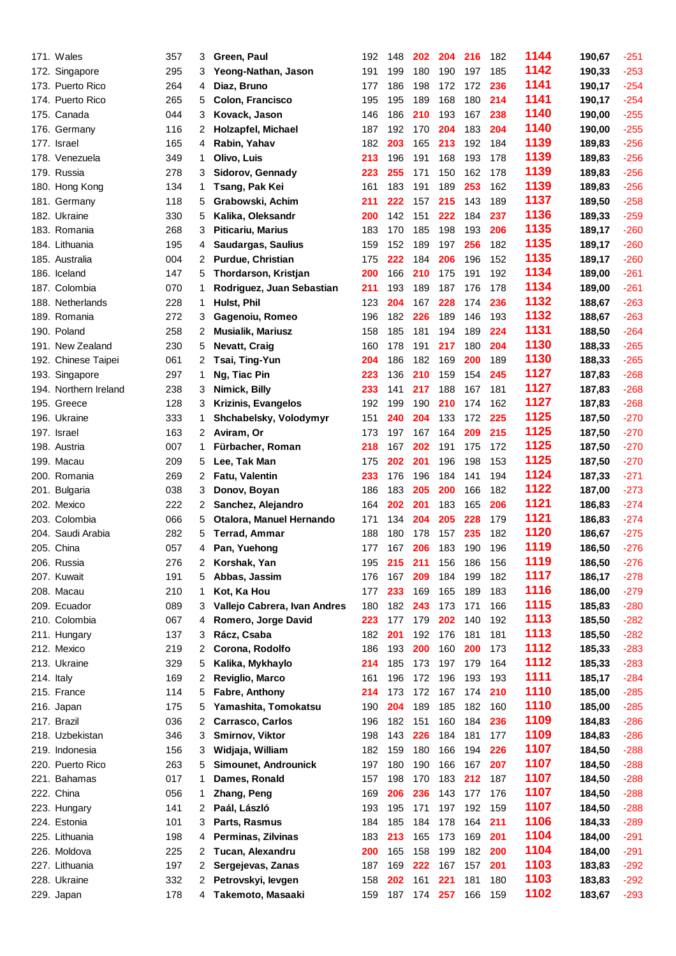| 171. Wales            | 357 | 3  | Green, Paul                  | 192 | 148 | 202     | 204 | 216 | 182 | 1144 | 190,67 | $-251$ |
|-----------------------|-----|----|------------------------------|-----|-----|---------|-----|-----|-----|------|--------|--------|
| 172. Singapore        | 295 | 3  | Yeong-Nathan, Jason          | 191 | 199 | 180     | 190 | 197 | 185 | 1142 | 190,33 | $-253$ |
| 173. Puerto Rico      | 264 | 4  | Diaz, Bruno                  | 177 | 186 | 198     | 172 | 172 | 236 | 1141 | 190,17 | $-254$ |
| 174. Puerto Rico      | 265 | 5  | Colon, Francisco             | 195 | 195 | 189     | 168 | 180 | 214 | 1141 | 190,17 | $-254$ |
| 175. Canada           | 044 | 3  | Kovack, Jason                | 146 | 186 | 210     | 193 | 167 | 238 | 1140 | 190,00 | $-255$ |
| 176. Germany          | 116 | 2  | <b>Holzapfel, Michael</b>    | 187 | 192 | 170     | 204 | 183 | 204 | 1140 | 190,00 | $-255$ |
| 177. Israel           | 165 | 4  | Rabin, Yahav                 | 182 | 203 | 165     | 213 | 192 | 184 | 1139 | 189,83 | $-256$ |
| 178. Venezuela        | 349 | 1  | Olivo, Luis                  | 213 | 196 | 191     | 168 | 193 | 178 | 1139 | 189,83 | $-256$ |
| 179. Russia           | 278 | 3  | Sidorov, Gennady             | 223 | 255 | 171     | 150 | 162 | 178 | 1139 | 189,83 | $-256$ |
| 180. Hong Kong        | 134 | 1  | Tsang, Pak Kei               | 161 | 183 | 191     | 189 | 253 | 162 | 1139 | 189,83 | $-256$ |
| 181. Germany          | 118 | 5  | Grabowski, Achim             | 211 | 222 | 157     | 215 | 143 | 189 | 1137 | 189,50 | $-258$ |
| 182. Ukraine          | 330 | 5  | Kalika, Oleksandr            | 200 | 142 | 151     | 222 | 184 | 237 | 1136 | 189,33 | $-259$ |
| 183. Romania          | 268 | 3  | <b>Piticariu, Marius</b>     | 183 | 170 | 185     | 198 | 193 | 206 | 1135 | 189,17 | $-260$ |
| 184. Lithuania        | 195 | 4  | Saudargas, Saulius           | 159 | 152 | 189     | 197 | 256 | 182 | 1135 | 189,17 | $-260$ |
| 185. Australia        | 004 | 2  | Purdue, Christian            | 175 | 222 | 184     | 206 | 196 | 152 | 1135 | 189,17 | $-260$ |
| 186. Iceland          | 147 | 5  | Thordarson, Kristjan         | 200 | 166 | 210     | 175 | 191 | 192 | 1134 | 189,00 | $-261$ |
| 187. Colombia         | 070 | 1  | Rodriguez, Juan Sebastian    | 211 | 193 | 189     | 187 | 176 | 178 | 1134 | 189,00 | $-261$ |
| 188. Netherlands      | 228 | 1  | Hulst, Phil                  | 123 | 204 | 167     | 228 | 174 | 236 | 1132 | 188,67 | $-263$ |
| 189. Romania          | 272 | 3  | Gagenoiu, Romeo              | 196 | 182 | 226     | 189 | 146 | 193 | 1132 | 188,67 | $-263$ |
| 190. Poland           | 258 | 2  | <b>Musialik, Mariusz</b>     | 158 | 185 | 181     | 194 | 189 | 224 | 1131 | 188,50 | $-264$ |
| 191. New Zealand      | 230 | 5  | <b>Nevatt, Craig</b>         | 160 | 178 | 191     | 217 | 180 | 204 | 1130 | 188,33 | $-265$ |
| 192. Chinese Taipei   | 061 | 2  | Tsai, Ting-Yun               | 204 | 186 | 182     | 169 | 200 | 189 | 1130 | 188,33 | $-265$ |
| 193. Singapore        | 297 | 1  | Ng, Tiac Pin                 | 223 | 136 | 210     | 159 | 154 | 245 | 1127 | 187,83 | $-268$ |
| 194. Northern Ireland | 238 | 3  | Nimick, Billy                | 233 | 141 | 217     | 188 | 167 | 181 | 1127 | 187,83 | $-268$ |
| 195. Greece           | 128 | 3  | <b>Krizinis, Evangelos</b>   | 192 | 199 | 190     | 210 | 174 | 162 | 1127 | 187,83 | $-268$ |
| 196. Ukraine          | 333 | 1  | Shchabelsky, Volodymyr       | 151 | 240 | 204     | 133 | 172 | 225 | 1125 | 187,50 | $-270$ |
| 197. Israel           | 163 | 2  | Aviram, Or                   | 173 | 197 | 167     | 164 | 209 | 215 | 1125 | 187,50 | $-270$ |
| 198. Austria          | 007 | 1. | Fürbacher, Roman             | 218 | 167 | 202     | 191 | 175 | 172 | 1125 | 187,50 | $-270$ |
| 199. Macau            | 209 | 5  | Lee, Tak Man                 | 175 | 202 | 201     | 196 | 198 | 153 | 1125 | 187,50 | $-270$ |
| 200. Romania          | 269 | 2  | <b>Fatu, Valentin</b>        | 233 | 176 | 196     | 184 | 141 | 194 | 1124 | 187,33 | $-271$ |
| 201. Bulgaria         | 038 | 3  | Donov, Boyan                 | 186 | 183 | 205     | 200 | 166 | 182 | 1122 | 187,00 | $-273$ |
| 202. Mexico           | 222 | 2  | Sanchez, Alejandro           | 164 | 202 | 201     | 183 | 165 | 206 | 1121 | 186,83 | $-274$ |
| 203. Colombia         | 066 | 5  | Otalora, Manuel Hernando     | 171 | 134 | 204     | 205 | 228 | 179 | 1121 | 186,83 | $-274$ |
| 204. Saudi Arabia     | 282 | 5  | <b>Terrad, Ammar</b>         | 188 | 180 | 178     | 157 | 235 | 182 | 1120 | 186,67 | $-275$ |
| 205. China            | 057 | 4  | Pan, Yuehong                 | 177 | 167 | 206     | 183 | 190 | 196 | 1119 | 186,50 | $-276$ |
| 206. Russia           | 276 | 2  | Korshak, Yan                 | 195 | 215 | 211     | 156 | 186 | 156 | 1119 | 186,50 | $-276$ |
| 207. Kuwait           | 191 | 5  | Abbas, Jassim                | 176 | 167 | 209     | 184 | 199 | 182 | 1117 | 186,17 | $-278$ |
| 208. Macau            | 210 | 1  | Kot, Ka Hou                  | 177 | 233 | 169     | 165 | 189 | 183 | 1116 | 186,00 | $-279$ |
| 209. Ecuador          | 089 | 3  | Vallejo Cabrera, Ivan Andres | 180 | 182 | 243     | 173 | 171 | 166 | 1115 | 185,83 | $-280$ |
| 210. Colombia         | 067 | 4  | Romero, Jorge David          | 223 | 177 | 179     | 202 | 140 | 192 | 1113 | 185,50 | $-282$ |
| 211. Hungary          | 137 | 3  | Rácz, Csaba                  | 182 | 201 | 192     | 176 | 181 | 181 | 1113 | 185,50 | $-282$ |
| 212. Mexico           | 219 | 2  | Corona, Rodolfo              | 186 | 193 | 200     | 160 | 200 | 173 | 1112 | 185,33 | $-283$ |
| 213. Ukraine          | 329 | 5  | Kalika, Mykhaylo             | 214 | 185 | 173     | 197 | 179 | 164 | 1112 | 185,33 | $-283$ |
| 214. Italy            | 169 | 2  | Reviglio, Marco              | 161 | 196 | 172     | 196 | 193 | 193 | 1111 | 185,17 | $-284$ |
| 215. France           | 114 | 5  | Fabre, Anthony               | 214 | 173 | 172     | 167 | 174 | 210 | 1110 | 185,00 | $-285$ |
| 216. Japan            | 175 | 5  | Yamashita, Tomokatsu         | 190 | 204 | 189     | 185 | 182 | 160 | 1110 | 185,00 | $-285$ |
| 217. Brazil           | 036 | 2  | Carrasco, Carlos             | 196 | 182 | 151     | 160 | 184 | 236 | 1109 | 184,83 | $-286$ |
| 218. Uzbekistan       | 346 | 3  | Smirnov, Viktor              | 198 | 143 | 226     | 184 | 181 | 177 | 1109 | 184,83 | $-286$ |
| 219. Indonesia        | 156 | 3  | Widjaja, William             | 182 | 159 | 180     | 166 | 194 | 226 | 1107 | 184,50 | $-288$ |
| 220. Puerto Rico      | 263 | 5  | Simounet, Androunick         | 197 | 180 | 190     | 166 | 167 | 207 | 1107 | 184,50 | $-288$ |
| 221. Bahamas          | 017 | 1  | Dames, Ronald                | 157 | 198 | 170     | 183 | 212 | 187 | 1107 | 184,50 | $-288$ |
| 222. China            | 056 | 1  | Zhang, Peng                  | 169 | 206 | 236     | 143 | 177 | 176 | 1107 | 184,50 | $-288$ |
| 223. Hungary          | 141 | 2  | Paál, László                 | 193 | 195 | 171     | 197 | 192 | 159 | 1107 | 184,50 | $-288$ |
| 224. Estonia          | 101 | 3  | Parts, Rasmus                | 184 | 185 | 184     | 178 | 164 | 211 | 1106 | 184,33 | $-289$ |
| 225. Lithuania        | 198 | 4  | Perminas, Zilvinas           | 183 | 213 | 165     | 173 | 169 | 201 | 1104 | 184,00 | $-291$ |
| 226. Moldova          | 225 | 2  | Tucan, Alexandru             | 200 | 165 | 158     | 199 | 182 | 200 | 1104 | 184,00 | $-291$ |
| 227. Lithuania        | 197 | 2  | Sergejevas, Zanas            | 187 | 169 | 222     | 167 | 157 | 201 | 1103 | 183,83 | $-292$ |
| 228. Ukraine          | 332 | 2  | Petrovskyi, levgen           | 158 | 202 | 161     | 221 | 181 | 180 | 1103 | 183,83 | $-292$ |
| 229. Japan            | 178 |    | 4 Takemoto, Masaaki          | 159 | 187 | 174 257 |     | 166 | 159 | 1102 | 183,67 | $-293$ |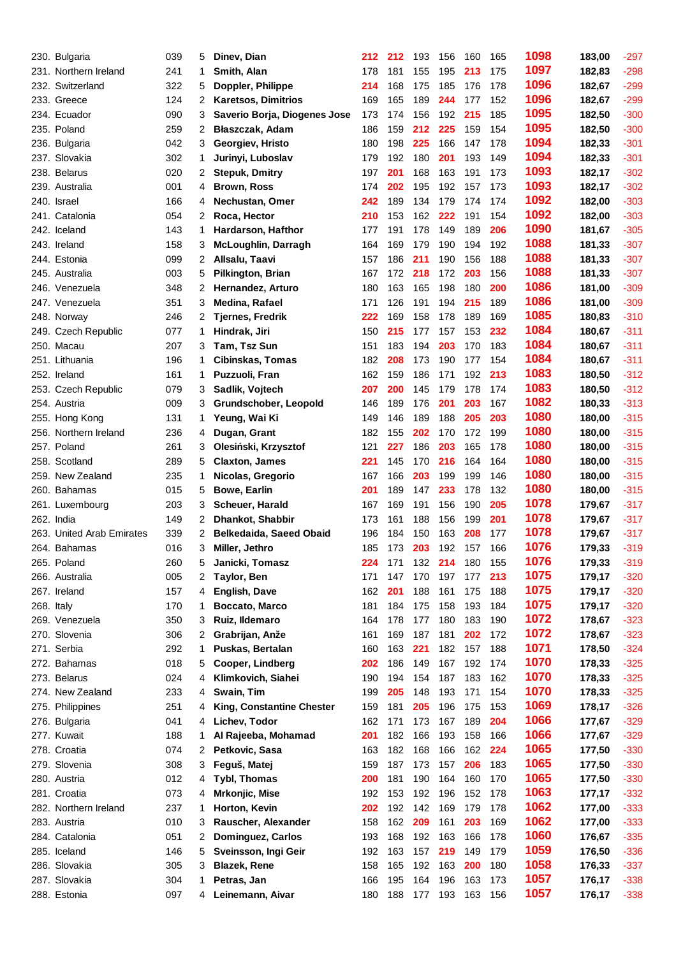|            | 230. Bulgaria             | 039 | 5  | Dinev, Dian                  | 212 | 212        | 193 | 156 | 160 | 165 | 1098 | 183,00 | $-297$           |
|------------|---------------------------|-----|----|------------------------------|-----|------------|-----|-----|-----|-----|------|--------|------------------|
|            | 231. Northern Ireland     | 241 | 1  | Smith, Alan                  | 178 | 181        | 155 | 195 | 213 | 175 | 1097 | 182,83 | $-298$           |
| 232.       | Switzerland               | 322 | 5  | Doppler, Philippe            | 214 | 168        | 175 | 185 | 176 | 178 | 1096 | 182,67 | $-299$           |
|            | 233. Greece               | 124 | 2  | <b>Karetsos, Dimitrios</b>   | 169 | 165        | 189 | 244 | 177 | 152 | 1096 | 182,67 | $-299$           |
|            | 234. Ecuador              | 090 | 3  | Saverio Borja, Diogenes Jose | 173 | 174        | 156 | 192 | 215 | 185 | 1095 | 182,50 | $-300$           |
|            | 235. Poland               | 259 | 2  | Błaszczak, Adam              | 186 | 159        | 212 | 225 | 159 | 154 | 1095 | 182,50 | $-300$           |
|            | 236. Bulgaria             | 042 | 3  | Georgiev, Hristo             | 180 | 198        | 225 | 166 | 147 | 178 | 1094 | 182,33 | $-301$           |
|            | 237. Slovakia             | 302 | 1  | Jurinyi, Luboslav            | 179 | 192        | 180 | 201 | 193 | 149 | 1094 | 182,33 | $-301$           |
| 238.       | <b>Belarus</b>            | 020 | 2  | <b>Stepuk, Dmitry</b>        | 197 | 201        | 168 | 163 | 191 | 173 | 1093 | 182,17 | $-302$           |
|            | 239. Australia            | 001 | 4  | <b>Brown, Ross</b>           | 174 | 202        | 195 | 192 | 157 | 173 | 1093 | 182,17 | $-302$           |
|            | 240. Israel               | 166 | 4  | Nechustan, Omer              | 242 | 189        | 134 | 179 | 174 | 174 | 1092 | 182,00 | $-303$           |
|            | 241. Catalonia            | 054 | 2  | Roca, Hector                 | 210 | 153        | 162 | 222 | 191 | 154 | 1092 | 182,00 | $-303$           |
|            | 242. Iceland              | 143 | 1  | Hardarson, Hafthor           | 177 | 191        | 178 | 149 | 189 | 206 | 1090 | 181,67 | $-305$           |
|            | 243. Ireland              | 158 | 3  | McLoughlin, Darragh          | 164 | 169        | 179 | 190 | 194 | 192 | 1088 | 181,33 | $-307$           |
|            | 244. Estonia              | 099 | 2  | Allsalu, Taavi               | 157 | 186        | 211 | 190 | 156 | 188 | 1088 | 181,33 | $-307$           |
|            | 245. Australia            | 003 | 5  | <b>Pilkington, Brian</b>     | 167 | 172        | 218 | 172 | 203 | 156 | 1088 | 181,33 | $-307$           |
|            | 246. Venezuela            | 348 | 2  | Hernandez, Arturo            | 180 | 163        | 165 | 198 | 180 | 200 | 1086 | 181,00 | $-309$           |
|            | 247. Venezuela            | 351 | 3  | Medina, Rafael               | 171 | 126        | 191 | 194 | 215 | 189 | 1086 | 181,00 | $-309$           |
|            | 248. Norway               | 246 | 2  | <b>Tjernes, Fredrik</b>      | 222 | 169        | 158 | 178 | 189 | 169 | 1085 | 180,83 | $-310$           |
|            | 249. Czech Republic       | 077 | 1  | Hindrak, Jiri                | 150 | 215        | 177 | 157 | 153 | 232 | 1084 | 180,67 | $-311$           |
|            | 250. Macau                | 207 | 3  | Tam, Tsz Sun                 | 151 | 183        | 194 | 203 | 170 | 183 | 1084 | 180,67 | $-311$           |
|            | 251. Lithuania            | 196 | 1  | <b>Cibinskas, Tomas</b>      | 182 | 208        | 173 | 190 | 177 | 154 | 1084 | 180,67 | $-311$           |
|            | 252. Ireland              | 161 | 1. | Puzzuoli, Fran               | 162 | 159        | 186 | 171 | 192 | 213 | 1083 | 180,50 | $-312$           |
|            | 253. Czech Republic       | 079 | 3  | Sadlik, Vojtech              | 207 | 200        | 145 | 179 | 178 | 174 | 1083 | 180,50 | $-312$           |
|            | 254. Austria              | 009 | 3  | Grundschober, Leopold        | 146 | 189        | 176 | 201 | 203 | 167 | 1082 | 180,33 | $-313$           |
|            | 255. Hong Kong            | 131 | 1  | Yeung, Wai Ki                | 149 | 146        | 189 | 188 | 205 | 203 | 1080 | 180,00 | $-315$           |
| 256.       | Northern Ireland          | 236 | 4  | Dugan, Grant                 | 182 | 155        | 202 | 170 | 172 | 199 | 1080 | 180,00 | $-315$           |
|            | 257. Poland               | 261 | 3  |                              | 121 | 227        | 186 | 203 | 165 | 178 | 1080 | 180,00 | $-315$           |
|            | 258. Scotland             | 289 |    | Olesiński, Krzysztof         | 221 |            | 170 | 216 |     | 164 | 1080 |        |                  |
|            | 259. New Zealand          | 235 | 5  | <b>Claxton, James</b>        |     | 145<br>166 | 203 | 199 | 164 |     | 1080 | 180,00 | $-315$<br>$-315$ |
|            |                           |     | 1  | Nicolas, Gregorio            | 167 |            |     |     | 199 | 146 | 1080 | 180,00 |                  |
|            | 260. Bahamas              | 015 | 5  | <b>Bowe, Earlin</b>          | 201 | 189        | 147 | 233 | 178 | 132 | 1078 | 180,00 | $-315$           |
|            | 261. Luxembourg           | 203 | 3  | Scheuer, Harald              | 167 | 169        | 191 | 156 | 190 | 205 | 1078 | 179,67 | $-317$           |
|            | 262. India                | 149 | 2  | <b>Dhankot, Shabbir</b>      | 173 | 161        | 188 | 156 | 199 | 201 | 1078 | 179,67 | $-317$           |
|            | 263. United Arab Emirates | 339 | 2  | Belkedaida, Saeed Obaid      | 196 | 184        | 150 | 163 | 208 | 177 | 1076 | 179,67 | $-317$           |
|            | 264. Bahamas              | 016 | 3  | Miller, Jethro               | 185 | 173        | 203 | 192 | 157 | 166 | 1076 | 179,33 | $-319$           |
|            | 265. Poland               | 260 | 5  | Janicki, Tomasz              | 224 | 171        | 132 | 214 | 180 | 155 | 1075 | 179,33 | $-319$           |
|            | 266. Australia            | 005 | 2  | Taylor, Ben                  | 171 | 147        | 170 | 197 | 177 | 213 |      | 179,17 | $-320$           |
|            | 267. Ireland              | 157 | 4  | English, Dave                | 162 | 201        | 188 | 161 | 175 | 188 | 1075 | 179,17 | $-320$           |
| 268. Italy |                           | 170 | 1  | Boccato, Marco               | 181 | 184        | 175 | 158 | 193 | 184 | 1075 | 179,17 | $-320$           |
|            | 269. Venezuela            | 350 | 3  | Ruiz, Ildemaro               | 164 | 178        | 177 | 180 | 183 | 190 | 1072 | 178,67 | $-323$           |
|            | 270. Slovenia             | 306 | 2  | Grabrijan, Anže              | 161 | 169        | 187 | 181 | 202 | 172 | 1072 | 178,67 | $-323$           |
|            | 271. Serbia               | 292 | 1  | Puskas, Bertalan             | 160 | 163        | 221 | 182 | 157 | 188 | 1071 | 178,50 | $-324$           |
|            | 272. Bahamas              | 018 | 5  | Cooper, Lindberg             | 202 | 186        | 149 | 167 | 192 | 174 | 1070 | 178,33 | $-325$           |
|            | 273. Belarus              | 024 | 4  | Klimkovich, Siahei           | 190 | 194        | 154 | 187 | 183 | 162 | 1070 | 178,33 | $-325$           |
|            | 274. New Zealand          | 233 | 4  | Swain, Tim                   | 199 | 205        | 148 | 193 | 171 | 154 | 1070 | 178,33 | $-325$           |
|            | 275. Philippines          | 251 | 4  | King, Constantine Chester    | 159 | 181        | 205 | 196 | 175 | 153 | 1069 | 178,17 | $-326$           |
|            | 276. Bulgaria             | 041 | 4  | Lichev, Todor                | 162 | 171        | 173 | 167 | 189 | 204 | 1066 | 177,67 | $-329$           |
|            | 277. Kuwait               | 188 | 1  | Al Rajeeba, Mohamad          | 201 | 182        | 166 | 193 | 158 | 166 | 1066 | 177,67 | $-329$           |
|            | 278. Croatia              | 074 | 2  | Petkovic, Sasa               | 163 | 182        | 168 | 166 | 162 | 224 | 1065 | 177,50 | $-330$           |
|            | 279. Slovenia             | 308 | 3  | Feguš, Matej                 | 159 | 187        | 173 | 157 | 206 | 183 | 1065 | 177,50 | $-330$           |
|            | 280. Austria              | 012 | 4  | <b>Tybl, Thomas</b>          | 200 | 181        | 190 | 164 | 160 | 170 | 1065 | 177,50 | $-330$           |
|            | 281. Croatia              | 073 | 4  | Mrkonjic, Mise               | 192 | 153        | 192 | 196 | 152 | 178 | 1063 | 177,17 | $-332$           |
|            | 282. Northern Ireland     | 237 | 1  | Horton, Kevin                | 202 | 192        | 142 | 169 | 179 | 178 | 1062 | 177,00 | $-333$           |
|            | 283. Austria              | 010 | 3  | Rauscher, Alexander          | 158 | 162        | 209 | 161 | 203 | 169 | 1062 | 177,00 | $-333$           |
|            | 284. Catalonia            | 051 | 2  | <b>Dominguez, Carlos</b>     | 193 | 168        | 192 | 163 | 166 | 178 | 1060 | 176,67 | $-335$           |
|            | 285. Iceland              | 146 | 5  | Sveinsson, Ingi Geir         | 192 | 163        | 157 | 219 | 149 | 179 | 1059 | 176,50 | $-336$           |
|            | 286. Slovakia             | 305 | 3  | <b>Blazek, Rene</b>          | 158 | 165        | 192 | 163 | 200 | 180 | 1058 | 176,33 | $-337$           |
|            | 287. Slovakia             | 304 | 1  | Petras, Jan                  | 166 | 195        | 164 | 196 | 163 | 173 | 1057 | 176,17 | $-338$           |
|            | 288. Estonia              | 097 |    | 4 Leinemann, Aivar           | 180 | 188        | 177 | 193 | 163 | 156 | 1057 | 176,17 | $-338$           |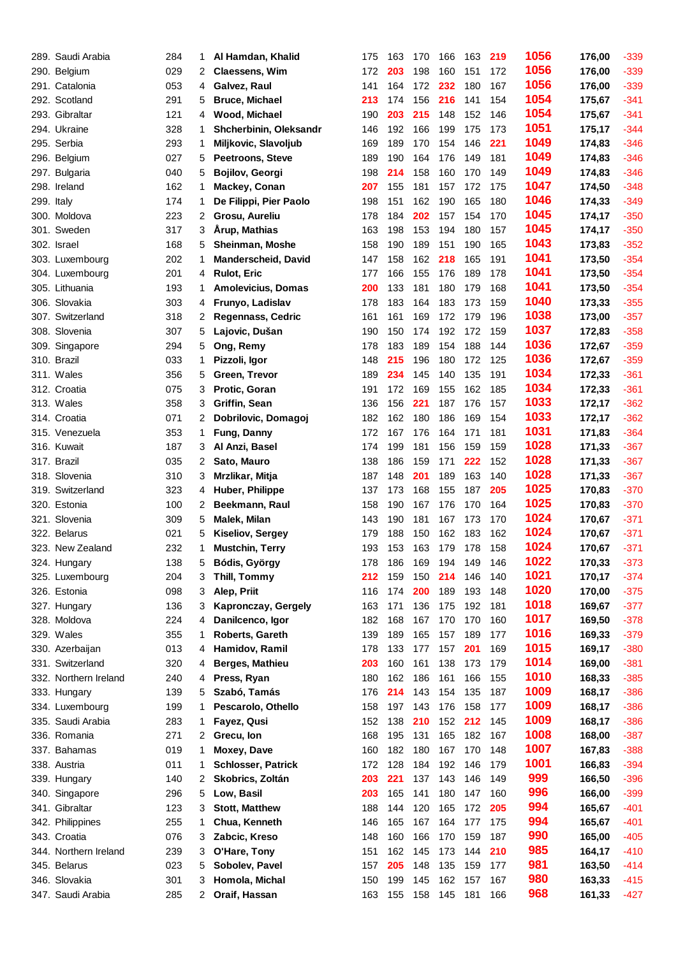|            | 289. Saudi Arabia     | 284 | 1                    | Al Hamdan, Khalid          | 175 | 163 | 170 | 166 | 163 | 219 | 1056 | 176,00 | $-339$ |
|------------|-----------------------|-----|----------------------|----------------------------|-----|-----|-----|-----|-----|-----|------|--------|--------|
|            | 290. Belgium          | 029 | 2                    | <b>Claessens, Wim</b>      | 172 | 203 | 198 | 160 | 151 | 172 | 1056 | 176,00 | $-339$ |
|            | 291. Catalonia        | 053 | 4                    | Galvez, Raul               | 141 | 164 | 172 | 232 | 180 | 167 | 1056 | 176,00 | $-339$ |
|            | 292. Scotland         | 291 | 5                    | <b>Bruce, Michael</b>      | 213 | 174 | 156 | 216 | 141 | 154 | 1054 | 175,67 | $-341$ |
|            | 293. Gibraltar        | 121 | 4                    | Wood, Michael              | 190 | 203 | 215 | 148 | 152 | 146 | 1054 | 175,67 | $-341$ |
|            | 294. Ukraine          | 328 | 1                    | Shcherbinin, Oleksandr     | 146 | 192 | 166 | 199 | 175 | 173 | 1051 | 175,17 | $-344$ |
|            | 295. Serbia           | 293 | 1                    | Miljkovic, Slavoljub       | 169 | 189 | 170 | 154 | 146 | 221 | 1049 | 174,83 | $-346$ |
|            | 296. Belgium          | 027 | 5                    | <b>Peetroons, Steve</b>    | 189 | 190 | 164 | 176 | 149 | 181 | 1049 | 174,83 | $-346$ |
|            | 297. Bulgaria         | 040 | 5                    | <b>Bojilov, Georgi</b>     | 198 | 214 | 158 | 160 | 170 | 149 | 1049 | 174,83 | $-346$ |
|            | 298. Ireland          | 162 | 1                    | Mackey, Conan              | 207 | 155 | 181 | 157 | 172 | 175 | 1047 | 174,50 | $-348$ |
| 299. Italy |                       | 174 | 1                    | De Filippi, Pier Paolo     | 198 | 151 | 162 | 190 | 165 | 180 | 1046 | 174,33 | $-349$ |
|            | 300. Moldova          | 223 | 2                    | Grosu, Aureliu             | 178 | 184 | 202 | 157 | 154 | 170 | 1045 | 174,17 | $-350$ |
|            | 301. Sweden           | 317 | 3                    | <b>Árup, Mathias</b>       | 163 | 198 | 153 | 194 | 180 | 157 | 1045 | 174,17 | $-350$ |
|            | 302. Israel           | 168 | 5                    | Sheinman, Moshe            | 158 | 190 | 189 | 151 | 190 | 165 | 1043 | 173,83 | $-352$ |
|            | 303. Luxembourg       | 202 | 1                    | <b>Manderscheid, David</b> | 147 | 158 | 162 | 218 | 165 | 191 | 1041 | 173,50 | $-354$ |
|            | 304. Luxembourg       | 201 | 4                    | <b>Rulot, Eric</b>         | 177 | 166 | 155 | 176 | 189 | 178 | 1041 | 173,50 | $-354$ |
|            | 305. Lithuania        | 193 | 1                    | <b>Amolevicius, Domas</b>  | 200 | 133 | 181 | 180 | 179 | 168 | 1041 | 173,50 | $-354$ |
|            | 306. Slovakia         | 303 | 4                    | Frunyo, Ladislav           | 178 | 183 | 164 | 183 | 173 | 159 | 1040 | 173,33 | $-355$ |
|            | 307. Switzerland      | 318 | 2                    | <b>Regennass, Cedric</b>   | 161 | 161 | 169 | 172 | 179 | 196 | 1038 | 173,00 | $-357$ |
|            | 308. Slovenia         | 307 | 5                    | Lajovic, Dušan             | 190 | 150 | 174 | 192 | 172 | 159 | 1037 | 172,83 | $-358$ |
|            | 309. Singapore        | 294 | 5                    | Ong, Remy                  | 178 | 183 | 189 | 154 | 188 | 144 | 1036 | 172,67 | $-359$ |
|            | 310. Brazil           | 033 | 1                    | Pizzoli, Igor              | 148 | 215 | 196 | 180 | 172 | 125 | 1036 | 172,67 | $-359$ |
|            | 311. Wales            | 356 | 5                    | Green, Trevor              | 189 | 234 | 145 | 140 | 135 | 191 | 1034 | 172,33 | $-361$ |
|            | 312. Croatia          | 075 | 3                    | Protic, Goran              | 191 | 172 | 169 | 155 | 162 | 185 | 1034 | 172,33 | $-361$ |
|            | 313. Wales            | 358 | 3                    | Griffin, Sean              | 136 | 156 | 221 | 187 | 176 | 157 | 1033 | 172,17 | $-362$ |
|            | 314. Croatia          | 071 | 2                    | Dobrilovic, Domagoj        | 182 | 162 | 180 | 186 | 169 | 154 | 1033 | 172,17 | $-362$ |
|            | 315. Venezuela        | 353 | 1                    | Fung, Danny                | 172 | 167 | 176 | 164 | 171 | 181 | 1031 | 171,83 | $-364$ |
|            | 316. Kuwait           | 187 | 3                    | Al Anzi, Basel             | 174 | 199 | 181 | 156 | 159 | 159 | 1028 | 171,33 | $-367$ |
|            | 317. Brazil           | 035 | 2                    | Sato, Mauro                | 138 | 186 | 159 | 171 | 222 | 152 | 1028 | 171,33 | $-367$ |
|            | 318. Slovenia         | 310 | 3                    | Mrzlikar, Mitja            | 187 | 148 | 201 | 189 | 163 | 140 | 1028 | 171,33 | $-367$ |
|            | 319. Switzerland      | 323 | 4                    | Huber, Philippe            | 137 | 173 | 168 | 155 | 187 | 205 | 1025 | 170,83 | $-370$ |
|            | 320. Estonia          | 100 | 2                    | Beekmann, Raul             | 158 | 190 | 167 | 176 | 170 | 164 | 1025 | 170,83 | $-370$ |
|            | 321. Slovenia         | 309 | 5                    | Malek, Milan               | 143 | 190 | 181 | 167 | 173 | 170 | 1024 | 170,67 | $-371$ |
|            | 322. Belarus          | 021 | 5                    | <b>Kiseliov, Sergey</b>    | 179 | 188 | 150 | 162 | 183 | 162 | 1024 | 170,67 | $-371$ |
|            | 323. New Zealand      | 232 | 1                    | <b>Mustchin, Terry</b>     | 193 | 153 | 163 | 179 | 178 | 158 | 1024 | 170,67 | $-371$ |
|            | 324. Hungary          | 138 | 5                    | Bódis, György              | 178 | 186 | 169 | 194 | 149 | 146 | 1022 | 170,33 | $-373$ |
|            | 325. Luxembourg       | 204 | 3                    | Thill, Tommy               | 212 | 159 | 150 | 214 | 146 | 140 | 1021 | 170,17 | $-374$ |
|            | 326. Estonia          | 098 | 3                    | Alep, Priit                | 116 | 174 | 200 | 189 | 193 | 148 | 1020 | 170,00 | $-375$ |
|            | 327. Hungary          | 136 | 3                    | Kapronczay, Gergely        | 163 | 171 | 136 | 175 | 192 | 181 | 1018 | 169,67 | $-377$ |
|            | 328. Moldova          | 224 | 4                    | Danilcenco, Igor           | 182 | 168 | 167 | 170 | 170 | 160 | 1017 | 169,50 | $-378$ |
|            | 329. Wales            | 355 | 1                    | Roberts, Gareth            | 139 | 189 | 165 | 157 | 189 | 177 | 1016 | 169,33 | $-379$ |
|            | 330. Azerbaijan       | 013 | 4                    | Hamidov, Ramil             | 178 | 133 | 177 | 157 | 201 | 169 | 1015 | 169,17 | $-380$ |
|            | 331. Switzerland      | 320 | 4                    | Berges, Mathieu            | 203 | 160 | 161 | 138 | 173 | 179 | 1014 | 169,00 | $-381$ |
|            | 332. Northern Ireland | 240 | 4                    | Press, Ryan                | 180 | 162 | 186 | 161 | 166 | 155 | 1010 | 168,33 | $-385$ |
|            | 333. Hungary          | 139 | 5                    | Szabó, Tamás               | 176 | 214 | 143 | 154 | 135 | 187 | 1009 | 168,17 | $-386$ |
|            | 334. Luxembourg       | 199 | 1.                   | Pescarolo, Othello         | 158 | 197 | 143 | 176 | 158 | 177 | 1009 | 168,17 | $-386$ |
|            | 335. Saudi Arabia     | 283 | 1                    | Fayez, Qusi                | 152 | 138 | 210 | 152 | 212 | 145 | 1009 | 168,17 | $-386$ |
|            | 336. Romania          | 271 | $\mathbf{2}^{\circ}$ | Grecu, Ion                 | 168 | 195 | 131 | 165 | 182 | 167 | 1008 | 168,00 | $-387$ |
|            | 337. Bahamas          | 019 | 1                    | Moxey, Dave                | 160 | 182 | 180 | 167 | 170 | 148 | 1007 | 167,83 | $-388$ |
|            | 338. Austria          | 011 | 1                    | <b>Schlosser, Patrick</b>  | 172 | 128 | 184 | 192 | 146 | 179 | 1001 | 166,83 | $-394$ |
|            | 339. Hungary          | 140 | 2                    | Skobrics, Zoltán           | 203 | 221 | 137 | 143 | 146 | 149 | 999  | 166,50 | $-396$ |
|            | 340. Singapore        | 296 | 5                    | Low, Basil                 | 203 | 165 | 141 | 180 | 147 | 160 | 996  | 166,00 | $-399$ |
|            | 341. Gibraltar        | 123 | 3                    | <b>Stott, Matthew</b>      | 188 | 144 | 120 | 165 | 172 | 205 | 994  | 165,67 | $-401$ |
|            | 342. Philippines      | 255 | 1                    | Chua, Kenneth              | 146 | 165 | 167 | 164 | 177 | 175 | 994  | 165,67 | $-401$ |
|            | 343. Croatia          | 076 | 3                    | Zabcic, Kreso              | 148 | 160 | 166 | 170 | 159 | 187 | 990  | 165,00 | $-405$ |
|            | 344. Northern Ireland | 239 | 3                    | O'Hare, Tony               | 151 | 162 | 145 | 173 | 144 | 210 | 985  | 164,17 | $-410$ |
|            | 345. Belarus          | 023 | 5                    | Sobolev, Pavel             | 157 | 205 | 148 | 135 | 159 | 177 | 981  | 163,50 | $-414$ |
|            | 346. Slovakia         | 301 | 3                    | Homola, Michal             | 150 | 199 | 145 | 162 | 157 | 167 | 980  | 163,33 | $-415$ |
|            | 347. Saudi Arabia     | 285 |                      | 2 Oraif, Hassan            | 163 | 155 | 158 | 145 | 181 | 166 | 968  | 161,33 | $-427$ |
|            |                       |     |                      |                            |     |     |     |     |     |     |      |        |        |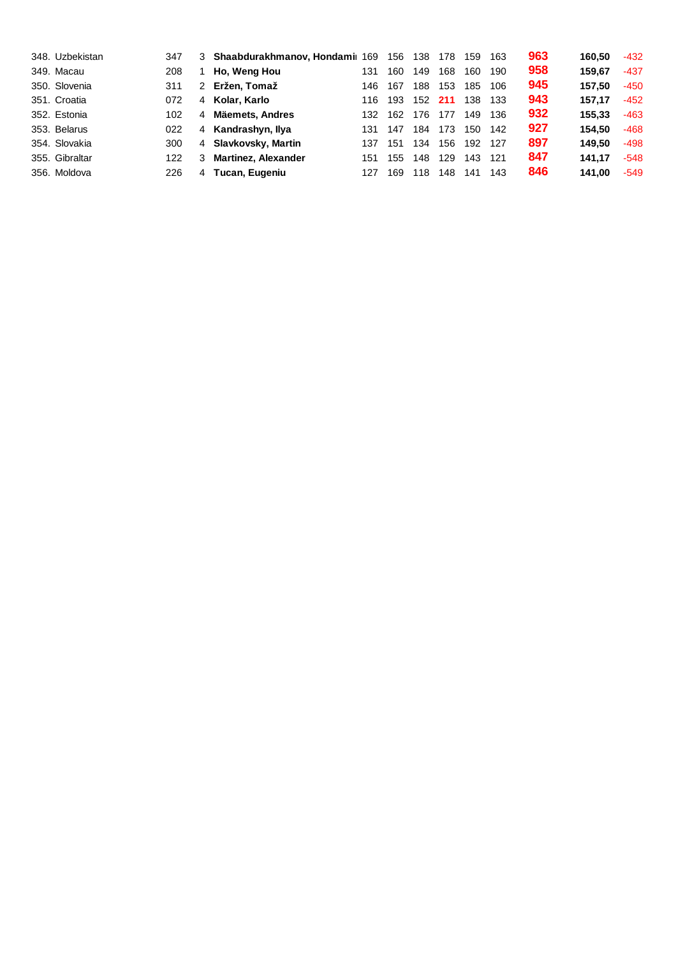| 348. Uzbekistan | 347 |                | 3 Shaabdurakhmanov, Hondamil 169 |     | 156 | 138 | 178 | 159 | 163 | 963 | 160.50 | $-432$ |
|-----------------|-----|----------------|----------------------------------|-----|-----|-----|-----|-----|-----|-----|--------|--------|
| 349. Macau      | 208 |                | Ho, Weng Hou                     | 131 | 160 | 149 | 168 | 160 | 190 | 958 | 159.67 | $-437$ |
| 350. Slovenia   | 311 | $\mathcal{P}$  | Eržen. Tomaž                     | 146 | 167 | 188 | 153 | 185 | 106 | 945 | 157.50 | $-450$ |
| 351. Croatia    | 072 | $\overline{4}$ | Kolar, Karlo                     | 116 | 193 | 152 | 211 | 138 | 133 | 943 | 157.17 | $-452$ |
| 352. Estonia    | 102 | 4              | Mäemets, Andres                  | 132 | 162 | 176 | 177 | 149 | 136 | 932 | 155.33 | $-463$ |
| 353. Belarus    | 022 | $\overline{4}$ | Kandrashyn, Ilya                 | 131 | 147 | 184 | 173 | 150 | 142 | 927 | 154.50 | $-468$ |
| 354. Slovakia   | 300 |                | 4 Slavkovsky, Martin             | 137 | 151 | 134 | 156 | 192 | 127 | 897 | 149.50 | $-498$ |
| 355. Gibraltar  | 122 | 3              | <b>Martinez, Alexander</b>       | 151 | 155 | 148 | 129 | 143 | 121 | 847 | 141.17 | $-548$ |
| 356. Moldova    | 226 | 4              | Tucan, Eugeniu                   | 127 | 169 | 118 | 148 | 141 | 143 | 846 | 141.00 | $-549$ |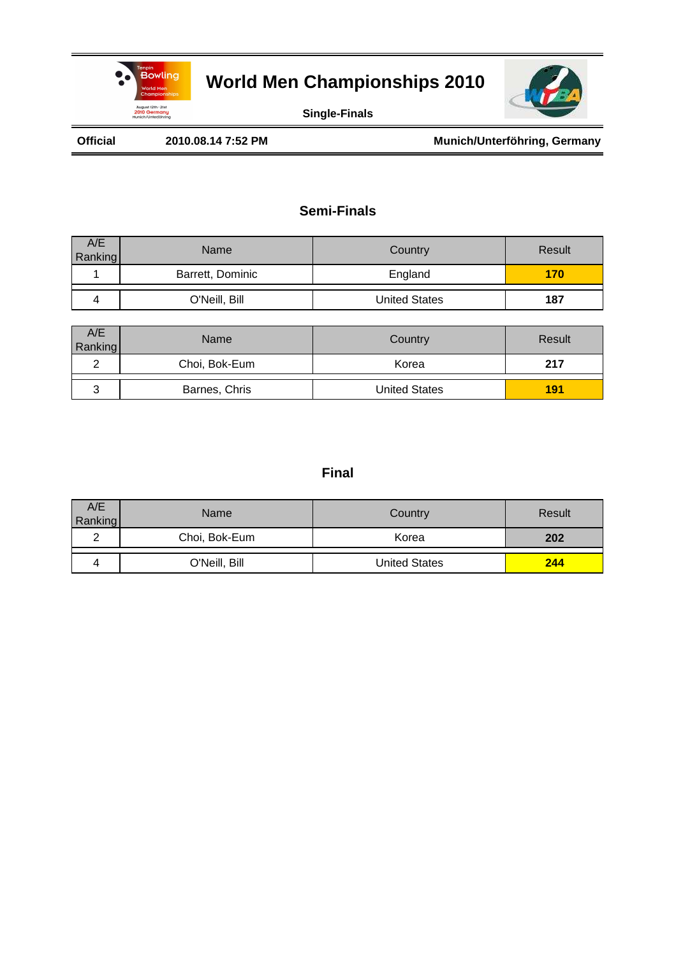



**Single-Finals**

Official 2010.08.14 7:52 PM Munich/Unterföhring, Germany

### **Semi-Finals**

| A/E<br>Ranking | Name             | Country              | Result |
|----------------|------------------|----------------------|--------|
|                | Barrett, Dominic | England              | 170    |
|                | O'Neill, Bill    | <b>United States</b> | 187    |

| A/E<br>Ranking | Name          | Country              | Result |
|----------------|---------------|----------------------|--------|
|                | Choi, Bok-Eum | Korea                | 217    |
| J              | Barnes, Chris | <b>United States</b> | 191    |

| A/E<br>Ranking | <b>Name</b>   | Country              | Result |
|----------------|---------------|----------------------|--------|
|                | Choi, Bok-Eum | Korea                | 202    |
|                | O'Neill, Bill | <b>United States</b> | 244    |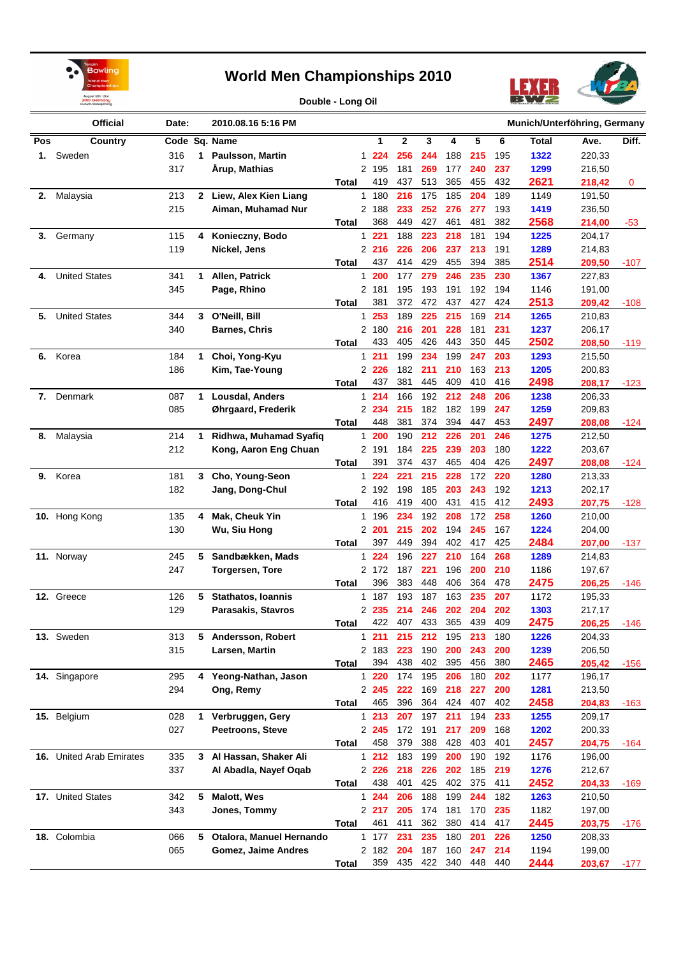



**Double - Long Oil**

|     | <b>Official</b>          | Date:      |              | 2010.08.16 5:16 PM                          |              |              |                |            |            |            |            |            | Munich/Unterföhring, Germany |                  |        |
|-----|--------------------------|------------|--------------|---------------------------------------------|--------------|--------------|----------------|------------|------------|------------|------------|------------|------------------------------|------------------|--------|
| Pos | Country                  |            |              | Code Sq. Name                               |              |              | 1              | 2          | 3          | 4          | 5          | 6          | Total                        | Ave.             | Diff.  |
|     | 1. Sweden                | 316        | 1            | <b>Paulsson, Martin</b>                     |              |              | 1 224          | 256        | 244        | 188        | 215        | 195        | 1322                         | 220,33           |        |
|     |                          | 317        |              | <b>Arup, Mathias</b>                        |              |              | 2 195          | 181        | 269        | 177        | 240        | 237        | 1299                         | 216,50           |        |
|     |                          |            |              |                                             | Total        |              | 419            | 437        | 513        | 365        | 455        | 432        | 2621                         | 218,42           | 0      |
| 2.  | Malaysia                 | 213        | $\mathbf{2}$ | Liew, Alex Kien Liang                       |              | $\mathbf{1}$ | 180            | 216        | 175        | 185        | 204        | 189        | 1149                         | 191,50           |        |
|     |                          | 215        |              | Aiman, Muhamad Nur                          |              |              | 2 188          | 233        | 252        | 276        | 277        | 193        | 1419                         | 236,50           |        |
|     |                          |            |              |                                             | Total        |              | 368            | 449        | 427        | 461        | 481        | 382        | 2568                         | 214,00           | $-53$  |
| 3.  | Germany                  | 115        | 4            | Konieczny, Bodo                             |              | 1            | 221            | 188        | 223        | 218        | 181        | 194        | 1225                         | 204,17           |        |
|     |                          | 119        |              | Nickel, Jens                                |              |              | 2 216          | 226        | 206        | 237        | 213        | 191        | 1289                         | 214,83           |        |
|     |                          |            |              |                                             | Total        |              | 437            | 414        | 429        | 455        | 394        | 385        | 2514                         | 209,50           | $-107$ |
| 4.  | <b>United States</b>     | 341        | 1            | Allen, Patrick                              |              | $\mathbf{1}$ | 200            | 177        | 279        | 246        | 235        | 230        | 1367                         | 227,83           |        |
|     |                          | 345        |              | Page, Rhino                                 |              |              | 2 181          | 195        | 193        | 191        | 192        | 194        | 1146                         | 191,00           |        |
|     |                          |            |              |                                             | Total        |              | 381            | 372        | 472        | 437        | 427        | 424        | 2513                         | 209,42           | $-108$ |
| 5.  | <b>United States</b>     | 344        | 3            | O'Neill, Bill                               |              | $\mathbf{1}$ | 253            | 189        | 225        | 215        | 169        | 214        | 1265                         | 210,83           |        |
|     |                          | 340        |              | <b>Barnes, Chris</b>                        |              |              | 2 180          | 216        | 201        | 228        | 181        | 231        | 1237                         | 206,17           |        |
|     |                          |            |              |                                             | Total        |              | 433            | 405        | 426        | 443        | 350        | 445        | 2502                         | 208,50           | $-119$ |
| 6.  | Korea                    | 184        | $\mathbf 1$  | Choi, Yong-Kyu                              |              |              | 1211           | 199        | 234        | 199        | 247        | 203        | 1293                         | 215,50           |        |
|     |                          | 186        |              | Kim, Tae-Young                              | Total        |              | 2 2 2 6<br>437 | 182<br>381 | 211<br>445 | 210<br>409 | 163<br>410 | 213<br>416 | 1205<br>2498                 | 200,83           |        |
| 7.  | Denmark                  | 087        | $\mathbf 1$  | Lousdal, Anders                             |              | $\mathbf{1}$ | 214            | 166        | 192        | 212        | 248        | 206        | 1238                         | 208,17           | $-123$ |
|     |                          | 085        |              | Øhrgaard, Frederik                          |              |              | 2 234          | 215        | 182        | 182        | 199        | 247        | 1259                         | 206,33<br>209,83 |        |
|     |                          |            |              |                                             | Total        |              | 448            | 381        | 374        | 394        | 447        | 453        | 2497                         | 208,08           | $-124$ |
| 8.  | Malaysia                 | 214        | $\mathbf 1$  | Ridhwa, Muhamad Syafiq                      |              | $\mathbf{1}$ | 200            | 190        | 212        | 226        | 201        | 246        | 1275                         | 212,50           |        |
|     |                          | 212        |              | Kong, Aaron Eng Chuan                       |              |              | 2 191          | 184        | 225        | 239        | 203        | 180        | 1222                         | 203,67           |        |
|     |                          |            |              |                                             | <b>Total</b> |              | 391            | 374        | 437        | 465        | 404        | 426        | 2497                         | 208,08           | $-124$ |
|     | 9. Korea                 | 181        | 3            | Cho, Young-Seon                             |              |              | 1224           | 221        | 215        | 228        | 172        | 220        | 1280                         | 213,33           |        |
|     |                          | 182        |              | Jang, Dong-Chul                             |              |              | 2 192          | 198        | 185        | 203        | 243        | 192        | 1213                         | 202,17           |        |
|     |                          |            |              |                                             | Total        |              | 416            | 419        | 400        | 431        | 415        | 412        | 2493                         | 207,75           | $-128$ |
|     | 10. Hong Kong            | 135        | 4            | Mak, Cheuk Yin                              |              |              | 1 196          | 234        | 192        | 208        | 172        | 258        | 1260                         | 210,00           |        |
|     |                          | 130        |              | Wu, Siu Hong                                |              |              | 2 201          | 215        | 202        | 194        | 245        | 167        | 1224                         | 204,00           |        |
|     |                          |            |              |                                             | Total        |              | 397            | 449        | 394        | 402        | 417        | 425        | 2484                         | 207,00           | $-137$ |
|     | 11. Norway               | 245        | 5            | Sandbækken, Mads                            |              | 1            | 224            | 196        | 227        | 210        | 164        | 268        | 1289                         | 214,83           |        |
|     |                          | 247        |              | <b>Torgersen, Tore</b>                      |              |              | 2 172          | 187        | 221        | 196        | 200        | 210        | 1186                         | 197,67           |        |
|     |                          |            |              |                                             | Total        |              | 396            | 383        | 448        | 406        | 364        | 478        | 2475                         | 206,25           | $-146$ |
|     | 12. Greece               | 126        | 5            | <b>Stathatos, Ioannis</b>                   |              | 1            | 187            | 193        | 187        | 163        | 235        | 207        | 1172                         | 195,33           |        |
|     |                          | 129        |              | Parasakis, Stavros                          |              |              | 2 235          | 214        | 246        | 202        | 204        | 202        | 1303                         | 217,17           |        |
|     |                          |            |              |                                             | Total        |              | 422            | 407        | 433        | 365        | 439        | 409        | 2475                         | 206,25           | $-146$ |
|     | 13. Sweden               | 313        | 5            | Andersson, Robert                           |              | 1.           | 211            | 215        | 212        | 195        | 213        | 180        | 1226                         | 204,33           |        |
|     |                          | 315        |              | Larsen, Martin                              |              |              | 2 183          | 223        | 190        | 200        | 243        | 200        | 1239                         | 206,50           |        |
|     |                          |            |              |                                             | Total        |              | 394            | 438        | 402        | 395        | 456        | 380        | 2465                         | 205,42           | $-156$ |
|     | 14. Singapore            | 295        |              | 4 Yeong-Nathan, Jason                       |              |              | 1220           | 174        | 195        | 206        | 180        | 202        | 1177                         | 196,17           |        |
|     |                          | 294        |              | Ong, Remy                                   |              |              | 2 245<br>465   | 222<br>396 | 169<br>364 | 218<br>424 | 227<br>407 | 200<br>402 | 1281                         | 213,50           |        |
|     |                          |            |              |                                             | Total        |              | 1213           |            |            |            |            |            | 2458                         | 204,83           | $-163$ |
|     | 15. Belgium              | 028<br>027 | $\mathbf 1$  | Verbruggen, Gery<br><b>Peetroons, Steve</b> |              |              | 2 245          | 207<br>172 | 197<br>191 | 211<br>217 | 194<br>209 | 233<br>168 | 1255<br>1202                 | 209,17           |        |
|     |                          |            |              |                                             | Total        |              | 458            | 379        | 388        | 428        | 403        | 401        | 2457                         | 200,33<br>204,75 | -164   |
|     | 16. United Arab Emirates | 335        | 3            | Al Hassan, Shaker Ali                       |              |              | $1212$         | 183        | 199        | 200        | 190        | 192        | 1176                         | 196,00           |        |
|     |                          | 337        |              | Al Abadla, Nayef Oqab                       |              |              | 2 2 2 6        | 218        | 226        | 202        | 185        | 219        | 1276                         | 212,67           |        |
|     |                          |            |              |                                             | Total        |              | 438            | 401        | 425        | 402        | 375        | 411        | 2452                         | 204,33           | $-169$ |
|     | 17. United States        | 342        | 5            | <b>Malott, Wes</b>                          |              |              | 1244           | 206        | 188        | 199        | 244        | 182        | 1263                         | 210,50           |        |
|     |                          | 343        |              | Jones, Tommy                                |              |              | 2 217          | 205        | 174        | 181        | 170        | 235        | 1182                         | 197,00           |        |
|     |                          |            |              |                                             | Total        |              | 461            | 411        | 362        | 380        | 414        | 417        | 2445                         | 203,75           | -176   |
|     | 18. Colombia             | 066        | 5            | Otalora, Manuel Hernando                    |              |              | 1 177          | 231        | 235        | 180        | 201        | 226        | 1250                         | 208,33           |        |
|     |                          | 065        |              | Gomez, Jaime Andres                         |              |              | 2 182          | 204        | 187        | 160        | 247        | 214        | 1194                         | 199,00           |        |
|     |                          |            |              |                                             | Total        |              | 359            | 435        | 422        | 340        | 448        | 440        | 2444                         | 203,67           | $-177$ |
|     |                          |            |              |                                             |              |              |                |            |            |            |            |            |                              |                  |        |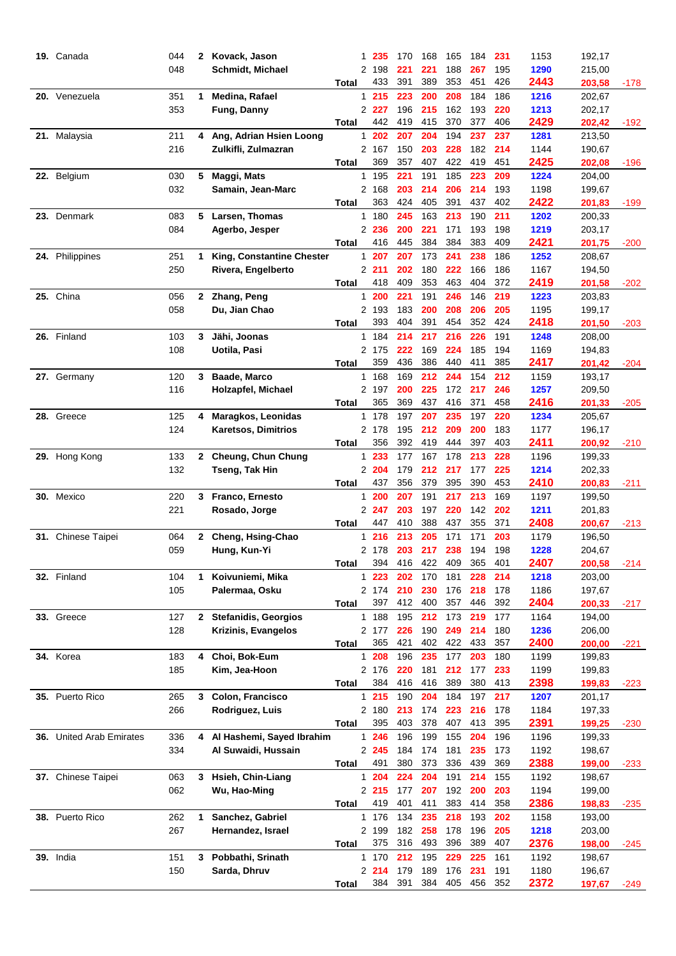| 19. Canada               | 044 | 2              | Kovack, Jason               |                | 1 235    | 170 | 168 | 165 | 184 | 231 | 1153 | 192,17           |        |
|--------------------------|-----|----------------|-----------------------------|----------------|----------|-----|-----|-----|-----|-----|------|------------------|--------|
|                          | 048 |                | <b>Schmidt, Michael</b>     |                | 2 198    | 221 | 221 | 188 | 267 | 195 | 1290 | 215,00           |        |
|                          |     |                |                             | Total          | 433      | 391 | 389 | 353 | 451 | 426 | 2443 | 203,58           | $-178$ |
| 20. Venezuela            | 351 | 1              | Medina, Rafael              |                | 1215     | 223 | 200 | 208 | 184 | 186 | 1216 | 202,67           |        |
|                          | 353 |                | Fung, Danny                 |                | 2 2 2 7  | 196 | 215 | 162 | 193 | 220 | 1213 | 202,17           |        |
|                          |     |                |                             | Total          | 442      | 419 | 415 | 370 | 377 | 406 | 2429 | 202,42           | $-192$ |
| 21. Malaysia             | 211 | 4              | Ang, Adrian Hsien Loong     |                | 202<br>1 | 207 | 204 | 194 | 237 | 237 | 1281 | 213,50           |        |
|                          | 216 |                | Zulkifli, Zulmazran         |                | 2 167    | 150 | 203 | 228 | 182 | 214 | 1144 | 190,67           |        |
|                          |     |                |                             | <b>Total</b>   | 369      | 357 | 407 | 422 | 419 | 451 | 2425 | 202,08           | -196   |
| 22. Belgium              | 030 | 5              | Maggi, Mats                 | 1.             | 195      | 221 | 191 | 185 | 223 | 209 | 1224 | 204,00           |        |
|                          | 032 |                | Samain, Jean-Marc           |                | 2 168    | 203 | 214 | 206 | 214 | 193 | 1198 | 199,67           |        |
|                          |     |                |                             | Total          | 363      | 424 | 405 | 391 | 437 | 402 | 2422 | 201,83           | $-199$ |
| 23. Denmark              | 083 | 5              | Larsen, Thomas              |                | 180<br>1 | 245 | 163 | 213 | 190 | 211 | 1202 | 200,33           |        |
|                          | 084 |                | Agerbo, Jesper              |                | 2 236    | 200 | 221 | 171 | 193 | 198 | 1219 | 203,17           |        |
|                          |     |                |                             | Total          | 416      | 445 | 384 | 384 | 383 | 409 | 2421 | 201,75           | -200   |
| 24. Philippines          | 251 | 1              | King, Constantine Chester   |                | 1 207    | 207 | 173 | 241 | 238 | 186 | 1252 | 208,67           |        |
|                          | 250 |                | Rivera, Engelberto          |                | 2 211    | 202 | 180 | 222 | 166 | 186 | 1167 | 194,50           |        |
|                          |     |                |                             | Total          | 418      | 409 | 353 | 463 | 404 | 372 | 2419 | 201,58           | -202   |
| 25. China                | 056 | $\mathbf{2}$   | Zhang, Peng                 |                | 1200     | 221 | 191 | 246 | 146 | 219 | 1223 | 203,83           |        |
|                          | 058 |                | Du, Jian Chao               |                | 2 193    | 183 | 200 | 208 | 206 | 205 | 1195 | 199,17           |        |
|                          |     |                |                             | Total          | 393      | 404 | 391 | 454 | 352 | 424 | 2418 | 201,50           | -203   |
| 26. Finland              | 103 | 3              | Jähi, Joonas                |                | 1 184    | 214 | 217 | 216 | 226 | 191 | 1248 | 208,00           |        |
|                          | 108 |                | Uotila, Pasi                |                | 2 175    | 222 | 169 | 224 | 185 | 194 | 1169 | 194,83           |        |
|                          |     |                |                             | Total          | 359      | 436 | 386 | 440 | 411 | 385 | 2417 | 201,42           | $-204$ |
| 27. Germany              | 120 | 3              | Baade, Marco                |                | 1 168    | 169 | 212 | 244 | 154 | 212 | 1159 | 193,17           |        |
|                          | 116 |                | Holzapfel, Michael          |                | 2 197    | 200 | 225 | 172 | 217 | 246 | 1257 | 209,50           |        |
|                          |     |                |                             | Total          | 365      | 369 | 437 | 416 | 371 | 458 | 2416 | 201,33           | $-205$ |
| 28. Greece               | 125 | 4              | Maragkos, Leonidas          |                | 1 178    | 197 | 207 | 235 | 197 | 220 | 1234 | 205,67           |        |
|                          | 124 |                | <b>Karetsos, Dimitrios</b>  |                | 2 178    | 195 | 212 | 209 | 200 | 183 | 1177 | 196,17           |        |
|                          |     |                |                             | Total          | 356      | 392 | 419 | 444 | 397 | 403 | 2411 | 200,92           | $-210$ |
| 29. Hong Kong            | 133 |                | 2 Cheung, Chun Chung        | 1.             | 233      | 177 | 167 | 178 | 213 | 228 | 1196 | 199,33           |        |
|                          | 132 |                | Tseng, Tak Hin              | $\overline{2}$ | 204      | 179 | 212 | 217 | 177 | 225 | 1214 | 202,33           |        |
|                          |     |                |                             | Total          | 437      | 356 | 379 | 395 | 390 | 453 | 2410 | 200,83           | -211   |
| 30. Mexico               | 220 |                | 3 Franco, Ernesto           | 1              | 200      | 207 | 191 | 217 | 213 | 169 | 1197 | 199,50           |        |
|                          | 221 |                | Rosado, Jorge               |                | 2 247    | 203 | 197 | 220 | 142 | 202 | 1211 | 201,83           |        |
|                          |     |                |                             | Total          | 447      | 410 | 388 | 437 | 355 | 371 | 2408 | 200,67           | $-213$ |
| 31. Chinese Taipei       | 064 |                | 2 Cheng, Hsing-Chao         | 1.             | 216      | 213 | 205 | 171 | 171 | 203 | 1179 | 196,50           |        |
|                          | 059 |                | Hung, Kun-Yi                |                | 2 178    | 203 | 217 | 238 | 194 | 198 | 1228 | 204,67           |        |
|                          |     |                |                             | <b>Total</b>   | 394      | 416 | 422 | 409 | 365 | 401 | 2407 | 200,58           | $-214$ |
| 32. Finland              | 104 | 1              | Koivuniemi, Mika            |                | $1223$   | 202 | 170 | 181 | 228 | 214 | 1218 | 203,00           |        |
|                          | 105 |                | Palermaa, Osku              |                | 2 174    | 210 | 230 | 176 | 218 | 178 | 1186 | 197,67           |        |
|                          |     |                |                             | Total          | 397      | 412 | 400 | 357 | 446 | 392 | 2404 | 200,33           | $-217$ |
| 33. Greece               | 127 |                | 2 Stefanidis, Georgios      |                | 1 188    | 195 | 212 | 173 | 219 | 177 | 1164 | 194,00           |        |
|                          | 128 |                | Krizinis, Evangelos         |                | 2 177    | 226 | 190 | 249 | 214 | 180 | 1236 | 206,00           |        |
|                          |     |                |                             |                | 365      | 421 | 402 | 422 | 433 | 357 | 2400 | 200,00           |        |
| 34. Korea                | 183 | 4              | Choi, Bok-Eum               | Total          | 1 208    | 196 | 235 | 177 | 203 | 180 | 1199 | 199,83           | $-221$ |
|                          | 185 |                | Kim, Jea-Hoon               |                | 2 176    | 220 | 181 | 212 | 177 | 233 | 1199 | 199,83           |        |
|                          |     |                |                             | Total          | 384      | 416 | 416 | 389 | 380 | 413 | 2398 | 199,83           | $-223$ |
| 35. Puerto Rico          | 265 | 3 <sup>1</sup> | Colon, Francisco            |                | 1215     | 190 | 204 | 184 | 197 | 217 | 1207 | 201,17           |        |
|                          | 266 |                | Rodriguez, Luis             |                | 2 180    | 213 | 174 | 223 | 216 | 178 | 1184 | 197,33           |        |
|                          |     |                |                             | Total          | 395      | 403 | 378 | 407 | 413 | 395 | 2391 | 199,25           | $-230$ |
| 36. United Arab Emirates | 336 |                | 4 Al Hashemi, Sayed Ibrahim |                | 1246     | 196 | 199 | 155 | 204 | 196 | 1196 | 199,33           |        |
|                          | 334 |                | Al Suwaidi, Hussain         |                | 2 245    | 184 | 174 | 181 | 235 | 173 | 1192 | 198,67           |        |
|                          |     |                |                             | <b>Total</b>   | 491      | 380 | 373 | 336 | 439 | 369 | 2388 | 199,00           | $-233$ |
| 37. Chinese Taipei       | 063 | 3              | Hsieh, Chin-Liang           |                | 1204     | 224 | 204 | 191 | 214 | 155 | 1192 | 198,67           |        |
|                          | 062 |                | Wu, Hao-Ming                |                | 2 215    | 177 | 207 | 192 | 200 | 203 | 1194 |                  |        |
|                          |     |                |                             | Total          | 419      | 401 | 411 | 383 | 414 | 358 | 2386 | 199,00<br>198,83 | $-235$ |
| 38. Puerto Rico          | 262 | 1              | Sanchez, Gabriel            |                | 1 176    | 134 | 235 | 218 | 193 | 202 | 1158 | 193,00           |        |
|                          | 267 |                | Hernandez, Israel           |                | 2 199    | 182 | 258 | 178 | 196 | 205 | 1218 |                  |        |
|                          |     |                |                             |                | 375      | 316 | 493 | 396 | 389 | 407 | 2376 | 203,00           |        |
|                          |     |                |                             | Total          |          |     |     |     |     |     |      | 198,00           | $-245$ |
| 39. India                | 151 | 3              | Pobbathi, Srinath           |                | 1 170    | 212 | 195 | 229 | 225 | 161 | 1192 | 198,67           |        |
|                          | 150 |                | Sarda, Dhruv                |                | 2214     | 179 | 189 | 176 | 231 | 191 | 1180 | 196,67           |        |
|                          |     |                |                             | Total          | 384      | 391 | 384 | 405 | 456 | 352 | 2372 | 197,67           | $-249$ |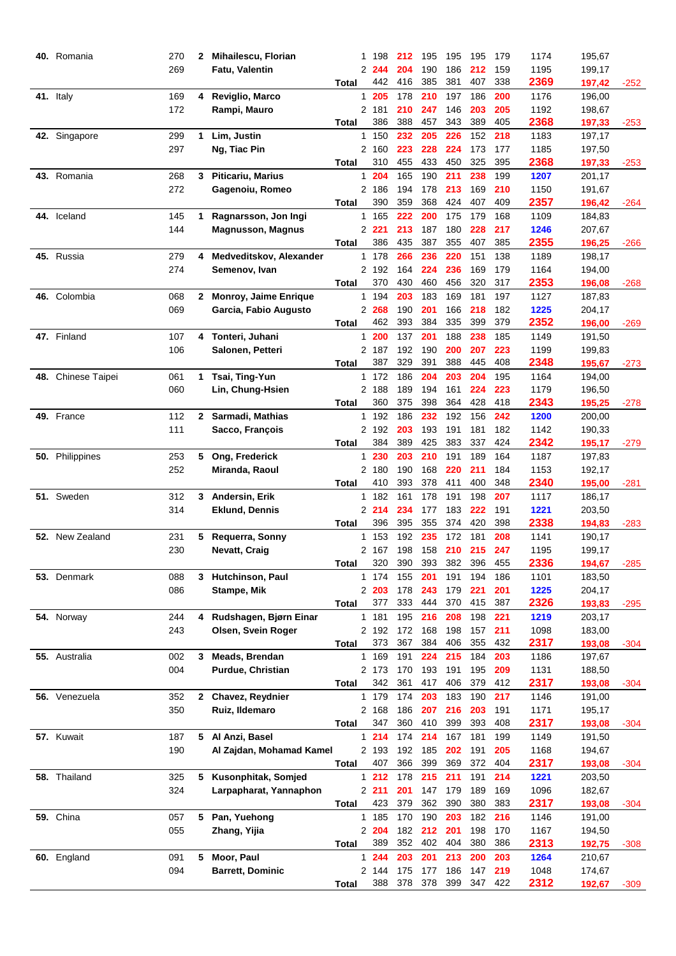| 40. Romania        | 270 | 2               | Mihailescu, Florian              |                | 1 198        | 212        | 195        | 195        | 195        | 179        | 1174         | 195,67           |        |
|--------------------|-----|-----------------|----------------------------------|----------------|--------------|------------|------------|------------|------------|------------|--------------|------------------|--------|
|                    | 269 |                 | Fatu, Valentin                   |                | 2 244        | 204        | 190        | 186        | 212        | 159        | 1195         | 199,17           |        |
|                    |     |                 |                                  | Total          | 442          | 416        | 385        | 381        | 407        | 338        | 2369         | 197,42           | $-252$ |
| 41. Italy          | 169 | 4               | Reviglio, Marco                  | 1              | 205          | 178        | 210        | 197        | 186        | 200        | 1176         | 196,00           |        |
|                    | 172 |                 | Rampi, Mauro                     |                | 2 181        | 210        | 247        | 146        | 203        | 205        | 1192         | 198,67           |        |
|                    |     |                 |                                  | Total          | 386          | 388        | 457        | 343        | 389        | 405        | 2368         | 197,33           | $-253$ |
| 42. Singapore      | 299 | 1               | Lim, Justin                      | 1              | 150          | 232        | 205        | 226        | 152        | 218        | 1183         | 197,17           |        |
|                    | 297 |                 | Ng, Tiac Pin                     |                | 2 160        | 223        | 228        | 224        | 173        | 177        | 1185         | 197,50           |        |
|                    |     |                 |                                  | Total          | 310          | 455        | 433        | 450        | 325        | 395        | 2368         | 197,33           | $-253$ |
| 43. Romania        | 268 | 3               | <b>Piticariu, Marius</b>         | 1              | 204          | 165        | 190        | 211        | 238        | 199        | 1207         | 201,17           |        |
|                    | 272 |                 | Gagenoiu, Romeo                  |                | 2 186        | 194        | 178        | 213        | 169        | 210        | 1150         | 191,67           |        |
|                    |     |                 |                                  | Total          | 390          | 359        | 368        | 424        | 407        | 409        | 2357         | 196,42           | -264   |
| 44. Iceland        | 145 | 1               | Ragnarsson, Jon Ingi             |                | 1 165        | 222        | 200        | 175        | 179        | 168        | 1109         | 184,83           |        |
|                    | 144 |                 | <b>Magnusson, Magnus</b>         |                | 2 2 2 1      | 213        | 187        | 180        | 228        | 217        | 1246         | 207,67           |        |
|                    |     |                 |                                  | Total          | 386          | 435        | 387        | 355        | 407        | 385        | 2355         | 196,25           | -266   |
| 45. Russia         | 279 | 4               | Medveditskov, Alexander          |                | 1 178        | 266        | 236        | 220        | 151        | 138        | 1189         | 198,17           |        |
|                    | 274 |                 | Semenov, Ivan                    |                | 2 192        | 164        | 224        | 236        | 169        | 179        | 1164         | 194,00           |        |
|                    |     |                 |                                  | <b>Total</b>   | 370          | 430        | 460        | 456        | 320        | 317        | 2353         | 196,08           | -268   |
| 46. Colombia       | 068 | $\mathbf{2}$    | Monroy, Jaime Enrique            |                | 1 194        | 203        | 183        | 169        | 181        | 197        | 1127         | 187,83           |        |
|                    | 069 |                 | Garcia, Fabio Augusto            |                | 2 268        | 190        | 201        | 166        | 218        | 182        | 1225         | 204,17           |        |
|                    |     |                 |                                  | <b>Total</b>   | 462          | 393        | 384        | 335        | 399        | 379        | 2352         | 196,00           | $-269$ |
| 47. Finland        | 107 | 4               | Tonteri, Juhani                  | 1.             | 200          | 137        | 201        | 188        | 238        | 185        | 1149         | 191,50           |        |
|                    | 106 |                 | Salonen, Petteri                 |                | 2 187        | 192        | 190        | 200        | 207        | 223        | 1199         | 199,83           |        |
|                    |     |                 |                                  | Total          | 387          | 329        | 391        | 388        | 445        | 408        | 2348         | 195,67           | $-273$ |
| 48. Chinese Taipei | 061 | 1               | Tsai, Ting-Yun                   |                | 1 172        | 186        | 204        | 203        | 204        | 195        | 1164         | 194,00           |        |
|                    | 060 |                 | Lin, Chung-Hsien                 |                | 2 188        | 189        | 194        | 161<br>364 | 224        | 223<br>418 | 1179         | 196,50           |        |
|                    |     |                 |                                  | Total          | 360          | 375        | 398        |            | 428        |            | 2343         | 195,25           | $-278$ |
| 49. France         | 112 | $\mathbf{2}$    | Sarmadi, Mathias                 |                | 1 192        | 186        | 232        | 192        | 156        | 242        | 1200         | 200,00           |        |
|                    | 111 |                 | Sacco, François                  |                | 2 192<br>384 | 203<br>389 | 193<br>425 | 191<br>383 | 181<br>337 | 182<br>424 | 1142<br>2342 | 190,33           |        |
|                    | 253 |                 |                                  | Total<br>1.    | 230          | 203        | 210        | 191        | 189        | 164        | 1187         | 195,17           | $-279$ |
| 50. Philippines    | 252 | $5\phantom{.0}$ | Ong, Frederick<br>Miranda, Raoul | $\overline{2}$ | 180          | 190        | 168        | 220        | 211        | 184        | 1153         | 197,83<br>192,17 |        |
|                    |     |                 |                                  | Total          | 410          | 393        | 378        | 411        | 400        | 348        | 2340         | 195,00           | -281   |
| 51. Sweden         | 312 | 3               | Andersin, Erik                   | 1              | 182          | 161        | 178        | 191        | 198        | 207        | 1117         | 186,17           |        |
|                    | 314 |                 | <b>Eklund, Dennis</b>            |                | 2 214        | 234        | 177        | 183        | 222        | 191        | 1221         | 203,50           |        |
|                    |     |                 |                                  | Total          | 396          | 395        | 355        | 374        | 420        | 398        | 2338         | 194,83           | $-283$ |
| 52. New Zealand    | 231 | 5.              | Requerra, Sonny                  | 1.             | 153          | 192        | 235        | 172        | 181        | 208        | 1141         | 190,17           |        |
|                    | 230 |                 | Nevatt, Craig                    |                | 2 167        | 198        | 158        | 210        | 215        | 247        | 1195         | 199,17           |        |
|                    |     |                 |                                  | <b>Total</b>   | 320          | 390        | 393        | 382        | 396        | 455        | 2336         | 194,67           | $-285$ |
| 53. Denmark        | 088 |                 | 3 Hutchinson, Paul               |                | 1 174        | 155        | 201        | 191        | 194        | 186        | 1101         | 183,50           |        |
|                    | 086 |                 | Stampe, Mik                      |                | 2 203        | 178        | 243        | 179        | 221        | 201        | 1225         | 204,17           |        |
|                    |     |                 |                                  | <b>Total</b>   | 377          | 333        | 444        | 370        | 415        | 387        | 2326         | 193,83           | -295   |
| 54. Norway         | 244 |                 | 4 Rudshagen, Bjørn Einar         |                | 1 181        | 195        | 216        | 208        | 198        | 221        | 1219         | 203,17           |        |
|                    | 243 |                 | Olsen, Svein Roger               |                | 2 192        | 172        | 168        | 198        | 157        | 211        | 1098         | 183,00           |        |
|                    |     |                 |                                  | Total          | 373          | 367        | 384        | 406        | 355        | 432        | 2317         | 193,08           | $-304$ |
| 55. Australia      | 002 | 3               | Meads, Brendan                   |                | 1 169        | 191        | 224        | 215        | 184        | 203        | 1186         | 197,67           |        |
|                    | 004 |                 | <b>Purdue, Christian</b>         |                | 2 173        | 170        | 193        | 191        | 195        | 209        | 1131         | 188,50           |        |
|                    |     |                 |                                  | Total          | 342          | 361        | 417        | 406        | 379        | 412        | 2317         | 193,08           | $-304$ |
| 56. Venezuela      | 352 |                 | 2 Chavez, Reydnier               |                | 1 179        | 174        | 203        | 183        | 190        | 217        | 1146         | 191,00           |        |
|                    | 350 |                 | Ruiz, Ildemaro                   |                | 2 168        | 186        | 207        | 216        | 203        | 191        | 1171         | 195,17           |        |
|                    |     |                 |                                  | Total          | 347          | 360        | 410        | 399        | 393        | 408        | 2317         | 193,08           | $-304$ |
| 57. Kuwait         | 187 |                 | 5 Al Anzi, Basel                 |                | 1214         | 174        | 214        | 167        | 181        | 199        | 1149         | 191,50           |        |
|                    | 190 |                 | Al Zajdan, Mohamad Kamel         |                | 2 193        | 192        | 185        | 202        | 191        | 205        | 1168         | 194,67           |        |
|                    |     |                 |                                  | <b>Total</b>   | 407          | 366        | 399        | 369        | 372        | 404        | 2317         | 193,08           | -304   |
| 58. Thailand       | 325 | 5               | Kusonphitak, Somjed              |                | $1212$       | 178        | 215        | 211        | 191        | 214        | 1221         | 203,50           |        |
|                    | 324 |                 | Larpapharat, Yannaphon           |                | 2211         | 201        | 147        | 179        | 189        | 169        | 1096         | 182,67           |        |
|                    |     |                 |                                  | <b>Total</b>   | 423          | 379        | 362        | 390        | 380        | 383        | 2317         | 193,08           | $-304$ |
| 59. China          | 057 | 5               | Pan, Yuehong                     |                | 1 185        | 170        | 190        | 203        | 182        | 216        | 1146         | 191,00           |        |
|                    | 055 |                 | Zhang, Yijia                     |                | 2 204        | 182        | 212        | 201        | 198        | 170        | 1167         | 194,50           |        |
|                    |     |                 |                                  | Total          | 389          | 352        | 402        | 404        | 380        | 386        | 2313         | 192,75           | $-308$ |
| 60. England        | 091 | 5               | Moor, Paul                       |                | 1244         | 203        | 201        | 213        | 200        | 203        | 1264         | 210,67           |        |
|                    | 094 |                 | <b>Barrett, Dominic</b>          |                | 2 144        | 175        | 177        | 186        | 147        | 219        | 1048         | 174,67           |        |
|                    |     |                 |                                  | Total          | 388          | 378        | 378        | 399        | 347        | 422        | 2312         | 192,67           | $-309$ |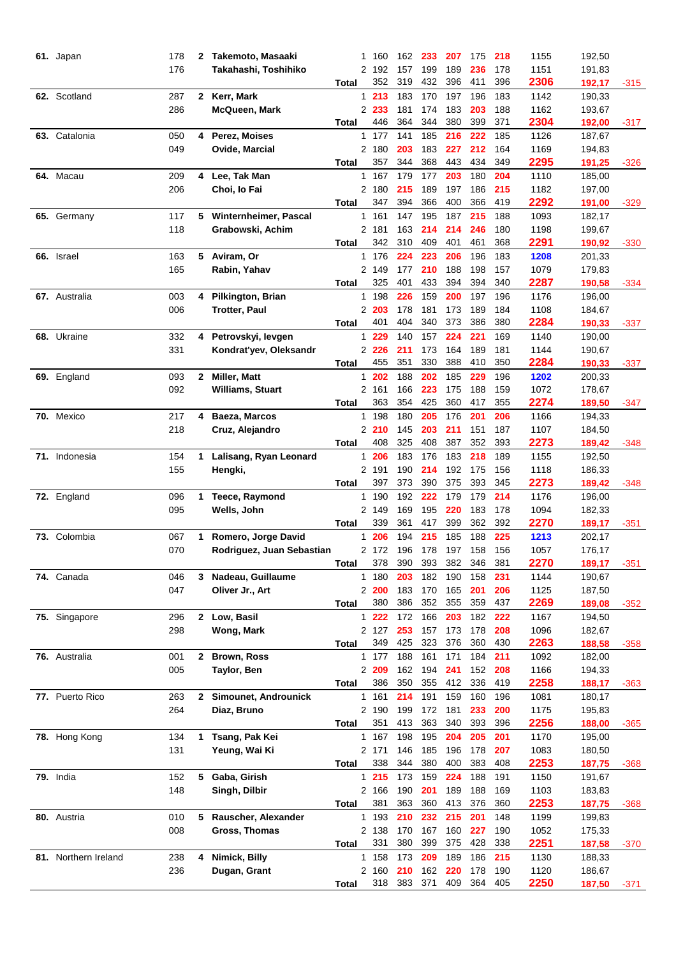| 61. Japan            | 178        | 2            | Takemoto, Masaaki         |                       | 1 160          | 162        | 233        | 207        | 175        | 218        | 1155         | 192,50           |        |
|----------------------|------------|--------------|---------------------------|-----------------------|----------------|------------|------------|------------|------------|------------|--------------|------------------|--------|
|                      | 176        |              | Takahashi, Toshihiko      |                       | 2 192          | 157        | 199        | 189        | 236        | 178        | 1151         | 191,83           |        |
|                      |            |              |                           | Total                 | 352            | 319        | 432        | 396        | 411        | 396        | 2306         | 192,17           | $-315$ |
| 62. Scotland         | 287        |              | 2 Kerr, Mark              | 1.                    | 213            | 183        | 170        | 197        | 196        | 183        | 1142         | 190,33           |        |
|                      | 286        |              | McQueen, Mark             |                       | 2 233          | 181        | 174        | 183        | 203        | 188        | 1162         | 193,67           |        |
|                      |            |              |                           | Total                 | 446            | 364        | 344        | 380        | 399        | 371        | 2304         | 192,00           | -317   |
| 63. Catalonia        | 050        | 4            | Perez, Moises             |                       | 1 177          | 141        | 185        | 216        | 222        | 185        | 1126         | 187,67           |        |
|                      | 049        |              | Ovide, Marcial            |                       | 2 180          | 203        | 183        | 227        | 212        | 164        | 1169         | 194,83           |        |
|                      |            |              |                           | Total                 | 357            | 344        | 368        | 443        | 434        | 349        | 2295         | 191,25           | $-326$ |
| 64. Macau            | 209        | 4            | Lee, Tak Man              | 1.                    | 167            | 179        | 177        | 203        | 180        | 204        | 1110         | 185,00           |        |
|                      | 206        |              | Choi, lo Fai              |                       | 2 180          | 215        | 189        | 197        | 186        | 215        | 1182         | 197,00           |        |
|                      |            |              |                           | Total                 | 347            | 394        | 366        | 400        | 366        | 419        | 2292         | 191,00           | $-329$ |
| 65. Germany          | 117        | 5.           | Winternheimer, Pascal     |                       | 1 161          | 147        | 195        | 187        | 215        | 188        | 1093         | 182,17           |        |
|                      | 118        |              | Grabowski, Achim          |                       | 2 181          | 163        | 214        | 214        | 246        | 180        | 1198         | 199,67           |        |
|                      |            |              |                           | Total                 | 342            | 310        | 409        | 401        | 461        | 368        | 2291         | 190,92           | -330   |
| 66. Israel           | 163        | 5            | Aviram, Or                |                       | 1 176          | 224        | 223        | 206        | 196        | 183        | 1208         | 201,33           |        |
|                      | 165        |              | Rabin, Yahav              |                       | 2 149          | 177        | 210        | 188        | 198        | 157        | 1079         | 179,83           |        |
|                      |            |              |                           | Total                 | 325            | 401        | 433        | 394        | 394        | 340        | 2287         | 190,58           | $-334$ |
| 67. Australia        | 003        | 4            | Pilkington, Brian         |                       | 1 198          | 226        | 159        | 200        | 197        | 196        | 1176         | 196,00           |        |
|                      | 006        |              | <b>Trotter, Paul</b>      |                       | 2 203          | 178        | 181        | 173        | 189        | 184        | 1108         | 184,67           |        |
|                      |            |              |                           | Total                 | 401            | 404        | 340        | 373        | 386        | 380        | 2284         | 190,33           | -337   |
| 68. Ukraine          | 332        | 4            | Petrovskyi, levgen        |                       | 1 229          | 140<br>211 | 157<br>173 | 224<br>164 | 221        | 169<br>181 | 1140         | 190,00           |        |
|                      | 331        |              | Kondrat'yev, Oleksandr    |                       | 2 2 2 6<br>455 | 351        | 330        | 388        | 189<br>410 | 350        | 1144<br>2284 | 190,67           |        |
| 69. England          | 093        | $\mathbf{2}$ | Miller, Matt              | Total<br>$\mathbf{1}$ | 202            | 188        | 202        | 185        | 229        | 196        | 1202         | 190,33<br>200,33 | $-337$ |
|                      | 092        |              | <b>Williams, Stuart</b>   |                       | 2 161          | 166        | 223        | 175        | 188        | 159        | 1072         | 178,67           |        |
|                      |            |              |                           | Total                 | 363            | 354        | 425        | 360        | 417        | 355        | 2274         | 189,50           | -347   |
| 70. Mexico           | 217        | 4            | Baeza, Marcos             |                       | 1 198          | 180        | 205        | 176        | 201        | 206        | 1166         | 194,33           |        |
|                      | 218        |              | Cruz, Alejandro           |                       | 2210           | 145        | 203        | 211        | 151        | 187        | 1107         | 184,50           |        |
|                      |            |              |                           | Total                 | 408            | 325        | 408        | 387        | 352        | 393        | 2273         | 189,42           | $-348$ |
| 71. Indonesia        | 154        | 1            | Lalisang, Ryan Leonard    | 1                     | 206            | 183        | 176        | 183        | 218        | 189        | 1155         | 192,50           |        |
|                      | 155        |              | Hengki,                   |                       | 2 191          | 190        | 214        | 192        | 175        | 156        | 1118         | 186,33           |        |
|                      |            |              |                           | Total                 | 397            | 373        | 390        | 375        | 393        | 345        | 2273         | 189,42           | $-348$ |
| 72. England          | 096        | 1            | <b>Teece, Raymond</b>     | $\mathbf{1}$          | 190            | 192        | 222        | 179        | 179        | 214        | 1176         | 196,00           |        |
|                      | 095        |              | Wells, John               |                       | 2 149          | 169        | 195        | 220        | 183        | 178        | 1094         | 182,33           |        |
|                      |            |              |                           | Total                 | 339            | 361        | 417        | 399        | 362        | 392        | 2270         | 189,17           | $-351$ |
| 73. Colombia         | 067        | 1            | Romero, Jorge David       | 1                     | 206            | 194        | 215        | 185        | 188        | 225        | 1213         | 202,17           |        |
|                      | 070        |              | Rodriguez, Juan Sebastian |                       | 2172           | 196        | 178        | 197        | 158        | 156        | 1057         | 176,17           |        |
|                      |            |              |                           | <b>Total</b>          | 378            | 390        | 393        | 382        | 346        | 381        | 2270         | 189,17           | -351   |
| 74. Canada           | 046        |              | 3 Nadeau, Guillaume       |                       | 1 180          | 203        | 182        | 190        | 158        | 231        | 1144         | 190,67           |        |
|                      | 047        |              | Oliver Jr., Art           |                       | 2200           | 183        | 170        | 165        | 201        | 206        | 1125         | 187,50           |        |
|                      |            |              |                           | Total                 | 380            | 386        | 352        | 355        | 359        | 437        | 2269         | 189,08           | $-352$ |
| 75. Singapore        | 296        | $\mathbf{2}$ | Low, Basil                |                       | $1222$         | 172        | 166        | 203        | 182        | 222        | 1167         | 194,50           |        |
|                      | 298        |              | Wong, Mark                |                       | 2 127          | 253        | 157        | 173        | 178        | 208        | 1096         | 182,67           |        |
|                      |            |              |                           | Total                 | 349            | 425        | 323        | 376        | 360        | 430        | 2263         | 188,58           | -358   |
| 76. Australia        | 001        | $\mathbf{2}$ | <b>Brown, Ross</b>        |                       | 1 177          | 188        | 161        | 171        | 184        | 211        | 1092         | 182,00           |        |
|                      | 005        |              | Taylor, Ben               |                       | 2 209          | 162        | 194        | 241        | 152        | 208        | 1166         | 194,33           |        |
|                      |            |              |                           | Total                 | 386            | 350        | 355        | 412        | 336        | 419        | 2258         | 188,17           | -363   |
| 77. Puerto Rico      | 263        | $\mathbf{2}$ | Simounet, Androunick      |                       | 1 161          | 214        | 191        | 159        | 160        | 196        | 1081         | 180,17           |        |
|                      | 264        |              | Diaz, Bruno               |                       | 2 190          | 199        | 172        | 181        | 233        | 200        | 1175         | 195,83           |        |
|                      |            |              |                           | <b>Total</b>          | 351            | 413        | 363        | 340        | 393        | 396        | 2256         | 188,00           | -365   |
| 78. Hong Kong        | 134        | 1            | Tsang, Pak Kei            |                       | 1 167          | 198        | 195        | 204        | 205        | 201        | 1170         | 195,00           |        |
|                      | 131        |              | Yeung, Wai Ki             |                       | 2 171          | 146        | 185        | 196        | 178        | 207        | 1083         | 180,50           |        |
|                      |            |              |                           | Total                 | 338            | 344        | 380        | 400        | 383        | 408        | 2253         | 187,75           | -368   |
| 79. India            | 152        |              | 5 Gaba, Girish            |                       | 1215           | 173        | 159        | 224        | 188        | 191        | 1150         | 191,67           |        |
|                      | 148        |              | Singh, Dilbir             |                       | 2 166<br>381   | 190<br>363 | 201<br>360 | 189<br>413 | 188<br>376 | 169<br>360 | 1103<br>2253 | 183,83           |        |
|                      |            |              |                           | Total                 |                |            |            |            |            |            |              | 187,75           | -368   |
| 80. Austria          | 010<br>008 | 5            | Rauscher, Alexander       |                       | 1 193<br>2 138 | 210<br>170 | 232<br>167 | 215<br>160 | 201<br>227 | 148<br>190 | 1199<br>1052 | 199,83           |        |
|                      |            |              | Gross, Thomas             | Total                 | 331            | 380        | 399        | 375        | 428        | 338        | 2251         | 175,33<br>187,58 |        |
| 81. Northern Ireland | 238        | 4            | Nimick, Billy             |                       | 1 158          | 173        | 209        | 189        | 186        | 215        | 1130         | 188,33           | -370   |
|                      | 236        |              | Dugan, Grant              |                       | 2 160          | 210        | 162        | 220        | 178        | 190        | 1120         | 186,67           |        |
|                      |            |              |                           | Total                 | 318            | 383        | 371        | 409        | 364        | 405        | 2250         | 187,50           | -371   |
|                      |            |              |                           |                       |                |            |            |            |            |            |              |                  |        |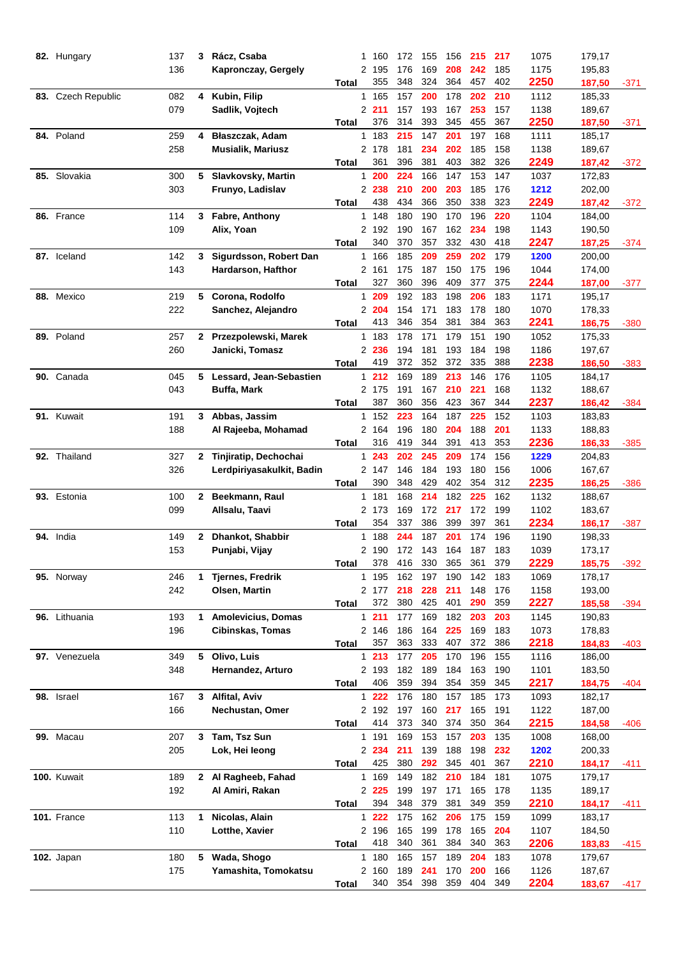| 82. Hungary        | 137 |              | 3 Rácz, Csaba             | 1            | 160            | 172        | 155        | 156        | 215        | 217        | 1075         | 179,17           |        |
|--------------------|-----|--------------|---------------------------|--------------|----------------|------------|------------|------------|------------|------------|--------------|------------------|--------|
|                    | 136 |              | Kapronczay, Gergely       |              | 2 195          | 176        | 169        | 208        | 242        | 185        | 1175         | 195,83           |        |
|                    |     |              |                           | Total        | 355            | 348        | 324        | 364        | 457        | 402        | 2250         | 187,50           | -371   |
| 83. Czech Republic | 082 |              | 4 Kubin, Filip            |              | 1 165          | 157        | 200        | 178        | 202        | 210        | 1112         | 185,33           |        |
|                    | 079 |              | Sadlik, Vojtech           |              | 2211           | 157        | 193        | 167        | 253        | 157        | 1138         | 189,67           |        |
|                    |     |              |                           | <b>Total</b> | 376            | 314        | 393        | 345        | 455        | 367        | 2250         | 187,50           | -371   |
| 84. Poland         | 259 | 4            | Błaszczak, Adam           | $\mathbf{1}$ | 183            | 215        | 147        | 201        | 197        | 168        | 1111         | 185,17           |        |
|                    | 258 |              | <b>Musialik, Mariusz</b>  |              | 2 178          | 181        | 234        | 202        | 185        | 158        | 1138         | 189,67           |        |
|                    |     |              |                           | <b>Total</b> | 361            | 396        | 381        | 403        | 382        | 326        | 2249         | 187,42           | -372   |
| 85. Slovakia       | 300 | 5            | Slavkovsky, Martin        | 1.           | 200            | 224        | 166        | 147        | 153        | 147        | 1037         | 172,83           |        |
|                    | 303 |              | Frunyo, Ladislav          |              | 2 238          | 210        | 200        | 203        | 185        | 176        | 1212         | 202,00           |        |
|                    |     |              |                           | <b>Total</b> | 438            | 434        | 366        | 350        | 338        | 323        | 2249         | 187,42           | $-372$ |
| 86. France         | 114 | 3            | Fabre, Anthony            | $\mathbf{1}$ | 148            | 180        | 190        | 170        | 196        | 220        | 1104         | 184,00           |        |
|                    | 109 |              | Alix, Yoan                |              | 2 192          | 190        | 167        | 162        | 234        | 198        | 1143         | 190,50           |        |
|                    |     |              |                           | <b>Total</b> | 340            | 370        | 357        | 332        | 430        | 418        | 2247         | 187,25           | -374   |
| 87. Iceland        | 142 | 3            | Sigurdsson, Robert Dan    |              | 1 166          | 185        | 209        | 259        | 202        | 179        | 1200         | 200,00           |        |
|                    | 143 |              | Hardarson, Hafthor        |              | 2 161          | 175        | 187        | 150        | 175        | 196        | 1044         | 174,00           |        |
|                    |     |              |                           | Total        | 327            | 360        | 396        | 409        | 377        | 375        | 2244         | 187,00           | -377   |
| 88. Mexico         | 219 | 5            | Corona, Rodolfo           | $\mathbf{1}$ | 209            | 192        | 183        | 198        | 206        | 183        | 1171         | 195,17           |        |
|                    | 222 |              | Sanchez, Alejandro        |              | 2 204          | 154        | 171        | 183        | 178        | 180        | 1070         | 178,33           |        |
|                    |     |              |                           | Total        | 413            | 346        | 354        | 381        | 384        | 363        | 2241         | 186,75           | -380   |
| 89. Poland         | 257 | $\mathbf{2}$ | Przezpolewski, Marek      |              | 1 183          | 178        | 171        | 179        | 151        | 190        | 1052         | 175,33           |        |
|                    | 260 |              | Janicki, Tomasz           |              | 2 236          | 194        | 181        | 193        | 184        | 198        | 1186         | 197,67           |        |
|                    |     |              |                           | Total        | 419            | 372        | 352        | 372        | 335        | 388        | 2238         | 186,50           | $-383$ |
| 90. Canada         | 045 | 5            | Lessard, Jean-Sebastien   | 1            | 212            | 169        | 189        | 213        | 146        | 176        | 1105         | 184,17           |        |
|                    | 043 |              | <b>Buffa, Mark</b>        |              | 2 175          | 191        | 167        | 210        | 221        | 168        | 1132         | 188,67           |        |
|                    |     |              |                           | <b>Total</b> | 387            | 360        | 356        | 423        | 367        | 344        | 2237         | 186,42           | -384   |
| 91. Kuwait         | 191 | 3.           | Abbas, Jassim             |              | 1 152          | 223        | 164        | 187        | 225        | 152        | 1103         | 183,83           |        |
|                    | 188 |              | Al Rajeeba, Mohamad       |              | 2 164          | 196        | 180        | 204        | 188        | 201        | 1133         | 188,83           |        |
|                    |     |              |                           | <b>Total</b> | 316            | 419        | 344        | 391        | 413        | 353        | 2236         | 186,33           | $-385$ |
| 92. Thailand       | 327 | $\mathbf{2}$ | Tinjiratip, Dechochai     | 1            | 243            | 202        | 245        | 209        | 174        | 156        | 1229         | 204,83           |        |
|                    | 326 |              | Lerdpiriyasakulkit, Badin |              | 2 147          | 146        | 184        | 193        | 180        | 156        | 1006         | 167,67           |        |
|                    |     |              |                           | <b>Total</b> | 390            | 348        | 429        | 402        | 354        | 312        | 2235         | 186,25           | -386   |
| 93. Estonia        | 100 | $\mathbf{2}$ | Beekmann, Raul            |              | 1 181          | 168        | 214        | 182        | 225        | 162        | 1132         | 188,67           |        |
|                    | 099 |              | Allsalu, Taavi            |              | 2 173          | 169        | 172        | 217        | 172        | 199        | 1102         | 183,67           |        |
|                    |     |              |                           | Total        | 354            | 337        | 386        | 399        | 397        | 361        | 2234         | 186,17           | $-387$ |
| 94. India          | 149 | $\mathbf{2}$ | Dhankot, Shabbir          | 1            | 188            | 244        | 187        | 201        | 174        | 196        | 1190         | 198,33           |        |
|                    | 153 |              | Punjabi, Vijay            |              | 2190           | 172        | 143        | 164        | 187        | 183        | 1039         | 173,17           |        |
|                    |     |              |                           | <b>Total</b> | 378            | 416        | 330        | 365        | 361        | 379        | 2229         | 185,75           |        |
| 95. Norway         | 246 | 1            | <b>Tjernes, Fredrik</b>   |              | 1 195          | 162        | 197        | 190        | 142        | 183        | 1069         | 178,17           | $-392$ |
|                    | 242 |              | Olsen, Martin             |              | 2 177          | 218        | 228        | 211        | 148        | 176        | 1158         |                  |        |
|                    |     |              |                           |              | 372            | 380        | 425        | 401        | 290        | 359        | 2227         | 193,00<br>185,58 |        |
| 96. Lithuania      | 193 | 1            | <b>Amolevicius, Domas</b> | Total        | 1211           | 177        | 169        | 182        | 203        | 203        | 1145         | 190,83           | -394   |
|                    |     |              |                           |              |                |            |            |            |            |            |              |                  |        |
|                    | 196 |              | <b>Cibinskas, Tomas</b>   |              | 2 146<br>357   | 186<br>363 | 164<br>333 | 225<br>407 | 169<br>372 | 183<br>386 | 1073<br>2218 | 178,83           |        |
|                    |     |              |                           | Total        |                |            |            |            |            |            |              | 184,83<br>186,00 | -403   |
| 97. Venezuela      | 349 | 5            | Olivo, Luis               |              | 1213           | 177        | 205        | 170        | 196        | 155        | 1116         |                  |        |
|                    | 348 |              | Hernandez, Arturo         |              | 2 193<br>406   | 182<br>359 | 189<br>394 | 184<br>354 | 163<br>359 | 190<br>345 | 1101<br>2217 | 183,50           |        |
|                    |     |              |                           | Total        |                |            |            |            |            |            |              | 184,75           | -404   |
| 98. Israel         | 167 |              | 3 Alfital, Aviv           |              | 1 222          | 176        | 180        | 157        | 185        | 173        | 1093         | 182,17           |        |
|                    | 166 |              | Nechustan, Omer           |              | 2 192<br>414   | 197<br>373 | 160<br>340 | 217<br>374 | 165<br>350 | 191<br>364 | 1122         | 187,00           |        |
|                    |     |              | 3 Tam, Tsz Sun            | <b>Total</b> |                |            |            |            |            |            | 2215         | 184,58           | -406   |
| 99. Macau          | 207 |              |                           |              | 1 191          | 169        | 153        | 157        | 203        | 135        | 1008         | 168,00           |        |
|                    | 205 |              | Lok, Hei leong            |              | 2 2 3 4<br>425 | 211<br>380 | 139<br>292 | 188<br>345 | 198<br>401 | 232<br>367 | 1202         | 200,33           |        |
|                    |     |              |                           | Total        |                |            |            |            |            |            | 2210         | 184,17           | -411   |
| 100. Kuwait        | 189 |              | 2 Al Ragheeb, Fahad       |              | 1 169          | 149        | 182        | 210        | 184        | 181        | 1075         | 179,17           |        |
|                    | 192 |              | Al Amiri, Rakan           |              | 2 2 2 5        | 199        | 197        | 171        | 165        | 178        | 1135         | 189,17           |        |
|                    |     |              |                           | <b>Total</b> | 394            | 348        | 379        | 381        | 349        | 359        | 2210         | 184,17           | -411   |
| 101. France        | 113 | 1            | Nicolas, Alain            |              | $1222$         | 175        | 162        | 206        | 175        | 159        | 1099         | 183,17           |        |
|                    | 110 |              | Lotthe, Xavier            |              | 2 196          | 165        | 199<br>361 | 178        | 165        | 204        | 1107         | 184,50           |        |
|                    |     |              |                           | Total        | 418            | 340        |            | 384        | 340        | 363        | 2206         | 183,83           | -415   |
| <b>102.</b> Japan  | 180 | 5            | Wada, Shogo               |              | 1 180          | 165        | 157        | 189        | 204        | 183        | 1078         | 179,67           |        |
|                    | 175 |              | Yamashita, Tomokatsu      |              | 2 160          | 189        | 241        | 170        | 200        | 166        | 1126         | 187,67           |        |
|                    |     |              |                           | <b>Total</b> | 340            | 354        | 398        | 359        | 404        | 349        | 2204         | 183,67           | -417   |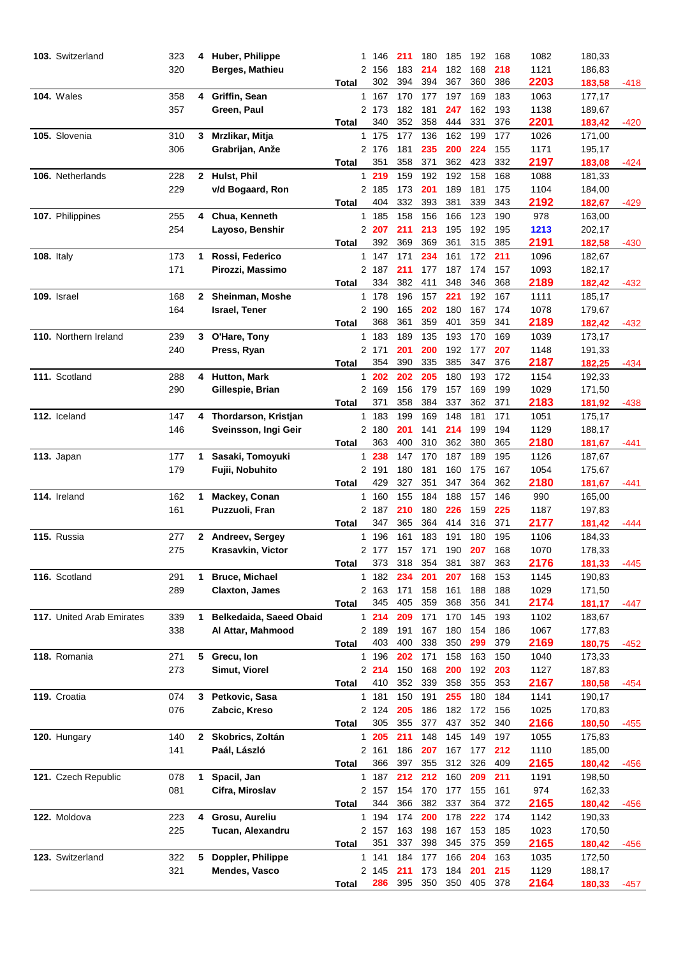| 103. Switzerland          | 323 | 4            | Huber, Philippe         | 1            | 146          | 211        | 180        | 185        | 192        | 168        | 1082         | 180,33           |        |
|---------------------------|-----|--------------|-------------------------|--------------|--------------|------------|------------|------------|------------|------------|--------------|------------------|--------|
|                           | 320 |              | Berges, Mathieu         | 2            | 156          | 183        | 214        | 182        | 168        | 218        | 1121         | 186,83           |        |
|                           |     |              |                         | Total        | 302          | 394        | 394        | 367        | 360        | 386        | 2203         | 183,58           | -418   |
| <b>104. Wales</b>         | 358 | 4            | Griffin, Sean           | $\mathbf{1}$ | 167          | 170        | 177        | 197        | 169        | 183        | 1063         | 177,17           |        |
|                           | 357 |              | Green, Paul             |              | 2 173        | 182        | 181        | 247        | 162        | 193        | 1138         | 189,67           |        |
|                           |     |              |                         | Total        | 340          | 352        | 358        | 444        | 331        | 376        | 2201         | 183,42           | -420   |
| 105. Slovenia             | 310 | 3            | Mrzlikar, Mitja         |              | 1 175        | 177        | 136        | 162        | 199        | 177        | 1026         | 171,00           |        |
|                           | 306 |              | Grabrijan, Anže         |              | 2 176        | 181        | 235        | 200        | 224        | 155        | 1171         | 195,17           |        |
|                           |     |              |                         | Total        | 351          | 358        | 371        | 362        | 423        | 332        | 2197         | 183,08           | -424   |
| 106. Netherlands          | 228 | $\mathbf{2}$ | Hulst, Phil             | $\mathbf{1}$ | 219          | 159        | 192        | 192        | 158        | 168        | 1088         | 181,33           |        |
|                           | 229 |              | v/d Bogaard, Ron        |              | 2 185        | 173        | 201        | 189        | 181        | 175        | 1104         | 184,00           |        |
|                           |     |              |                         | Total        | 404          | 332        | 393        | 381        | 339        | 343        | 2192         | 182,67           | -429   |
| 107. Philippines          | 255 | 4            | Chua, Kenneth           |              | 1 185        | 158        | 156        | 166        | 123        | 190        | 978          | 163,00           |        |
|                           | 254 |              | Layoso, Benshir         |              | 2 207        | 211        | 213        | 195        | 192        | 195        | 1213         | 202,17           |        |
|                           |     |              |                         | Total        | 392          | 369        | 369        | 361        | 315        | 385        | 2191         | 182,58           | -430   |
| <b>108. Italy</b>         | 173 | 1            | Rossi, Federico         |              | 1 147        | 171        | 234        | 161        | 172        | 211        | 1096         | 182,67           |        |
|                           | 171 |              | Pirozzi, Massimo        |              | 2 187        | 211        | 177        | 187        | 174        | 157        | 1093         | 182,17           |        |
|                           |     |              |                         | Total        | 334          | 382        | 411        | 348        | 346        | 368        | 2189         | 182,42           | -432   |
| 109. Israel               | 168 | 2            | Sheinman, Moshe         |              | 1 178        | 196        | 157        | 221        | 192        | 167        | 1111         | 185,17           |        |
|                           | 164 |              | <b>Israel, Tener</b>    |              | 2 190        | 165        | 202        | 180        | 167        | 174        | 1078         | 179,67           |        |
|                           |     |              |                         | Total        | 368          | 361        | 359        | 401        | 359        | 341        | 2189         | 182,42           | $-432$ |
| 110. Northern Ireland     | 239 | 3            | O'Hare, Tony            |              | 1 183        | 189        | 135        | 193        | 170        | 169        | 1039         | 173,17           |        |
|                           | 240 |              | Press, Ryan             |              | 2 171        | 201        | 200        | 192        | 177        | 207        | 1148         | 191,33           |        |
|                           |     |              |                         | Total        | 354          | 390        | 335        | 385        | 347        | 376        | 2187         | 182,25           | -434   |
| 111. Scotland             | 288 | 4            | Hutton, Mark            | $\mathbf{1}$ | 202          | 202        | 205        | 180        | 193        | 172        | 1154         | 192,33           |        |
|                           | 290 |              | Gillespie, Brian        |              | 2 169        | 156        | 179        | 157        | 169        | 199        | 1029         | 171,50           |        |
|                           |     |              |                         | <b>Total</b> | 371          | 358        | 384        | 337        | 362        | 371        | 2183         | 181,92           | -438   |
| 112. Iceland              | 147 | 4            | Thordarson, Kristjan    |              | 1 183        | 199        | 169        | 148        | 181        | 171        | 1051         | 175,17           |        |
|                           | 146 |              | Sveinsson, Ingi Geir    |              | 2 180        | 201        | 141        | 214        | 199        | 194        | 1129         | 188,17           |        |
|                           |     |              |                         | Total        | 363          | 400        | 310        | 362        | 380        | 365        | 2180         | 181,67           | -441   |
| 113. Japan                | 177 | 1            | Sasaki, Tomoyuki        | $\mathbf{1}$ | 238          | 147        | 170        | 187        | 189        | 195        | 1126         | 187,67           |        |
|                           | 179 |              | Fujii, Nobuhito         |              | 2 191        | 180        | 181        | 160        | 175        | 167        | 1054         | 175,67           |        |
|                           |     |              |                         | Total        | 429          | 327        | 351        | 347        | 364        | 362        | 2180         | 181,67           | -441   |
| 114. Ireland              | 162 | 1            | Mackey, Conan           |              | 1 160        | 155        | 184        | 188        | 157        | 146        | 990          | 165,00           |        |
|                           | 161 |              | Puzzuoli, Fran          |              | 2 187        | 210        | 180        | 226        | 159        | 225        | 1187         | 197,83           |        |
|                           |     |              |                         | Total        | 347          | 365        | 364        | 414        | 316        | 371        | 2177         | 181,42           | -444   |
| 115. Russia               | 277 | 2            | Andreev, Sergey         | 1            | 196          | 161        | 183        | 191        | 180        | 195        | 1106         | 184,33           |        |
|                           | 275 |              | Krasavkin, Victor       |              | 2 177        | 157        | 171        | 190        | 207        | 168        | 1070         | 178,33           |        |
|                           |     |              |                         | <b>Total</b> | 373          | 318        | 354        | 381        | 387        | 363        | 2176         | 181,33           | $-445$ |
| 116. Scotland             | 291 | 1.           | <b>Bruce, Michael</b>   |              | 1 182        | 234        | 201        | 207        | 168        | 153        | 1145         | 190,83           |        |
|                           | 289 |              | <b>Claxton, James</b>   |              | 2 163        | 171        | 158        | 161        | 188        | 188        | 1029         | 171,50           |        |
|                           |     |              |                         |              | 345          | 405        | 359        | 368        | 356        | 341        | 2174         |                  |        |
| 117. United Arab Emirates | 339 | 1.           | Belkedaida, Saeed Obaid | Total        | 1214         | 209        | 171        | 170        | 145        | 193        | 1102         | 181,17<br>183,67 | -447   |
|                           | 338 |              |                         |              | 2 189        | 191        | 167        | 180        | 154        |            | 1067         | 177,83           |        |
|                           |     |              | Al Attar, Mahmood       |              | 403          | 400        | 338        | 350        | 299        | 186<br>379 | 2169         |                  |        |
|                           |     |              |                         | Total        |              |            |            |            |            |            |              | 180,75           | -452   |
| 118. Romania              | 271 | 5            | Grecu, Ion              |              | 1 196        | 202        | 171        | 158        | 163        | 150        | 1040         | 173,33           |        |
|                           | 273 |              | Simut, Viorel           |              | 2214<br>410  | 150<br>352 | 168<br>339 | 200<br>358 | 192<br>355 | 203<br>353 | 1127<br>2167 | 187,83           |        |
| 119. Croatia              | 074 | 3            | Petkovic, Sasa          | Total        | 1 181        | 150        | 191        | 255        | 180        | 184        | 1141         | 180,58<br>190,17 | -454   |
|                           |     |              |                         |              | 2 124        |            |            |            |            |            |              |                  |        |
|                           | 076 |              | Zabcic, Kreso           |              | 305          | 205<br>355 | 186<br>377 | 182<br>437 | 172<br>352 | 156<br>340 | 1025<br>2166 | 170,83           |        |
|                           |     |              |                         | <b>Total</b> |              |            |            |            |            |            |              | 180,50           | -455   |
| 120. Hungary              | 140 | $\mathbf{2}$ | Skobrics, Zoltán        |              | 1 205        | 211        | 148        | 145        | 149        | 197        | 1055         | 175,83           |        |
|                           | 141 |              | Paál, László            |              | 2 161<br>366 | 186<br>397 | 207<br>355 | 167<br>312 | 177<br>326 | 212<br>409 | 1110         | 185,00           |        |
|                           |     |              |                         | Total        |              |            |            |            |            |            | 2165         | 180,42           | -456   |
| 121. Czech Republic       | 078 | 1            | Spacil, Jan             |              | 1 187        | 212        | 212        | 160        | 209        | 211        | 1191         | 198,50           |        |
|                           | 081 |              | Cifra, Miroslav         |              | 2 157        | 154        | 170        | 177        | 155        | 161        | 974          | 162,33           |        |
|                           |     |              |                         | Total        | 344          | 366        | 382        | 337        | 364        | 372        | 2165         | 180,42           | -456   |
| 122. Moldova              | 223 | 4            | Grosu, Aureliu          |              | 1 194        | 174        | 200        | 178        | 222        | 174        | 1142         | 190,33           |        |
|                           | 225 |              | Tucan, Alexandru        |              | 2 157        | 163        | 198        | 167        | 153        | 185        | 1023         | 170,50           |        |
|                           |     |              |                         | Total        | 351          | 337        | 398        | 345        | 375        | 359        | 2165         | 180,42           | -456   |
| 123. Switzerland          | 322 | 5            | Doppler, Philippe       |              | 1 141        | 184        | 177        | 166        | 204        | 163        | 1035         | 172,50           |        |
|                           | 321 |              | Mendes, Vasco           |              | 2 145        | 211        | 173        | 184        | 201        | 215        | 1129         | 188,17           |        |
|                           |     |              |                         | Total        | 286          | 395        | 350        | 350        | 405        | 378        | 2164         | 180,33           | -457   |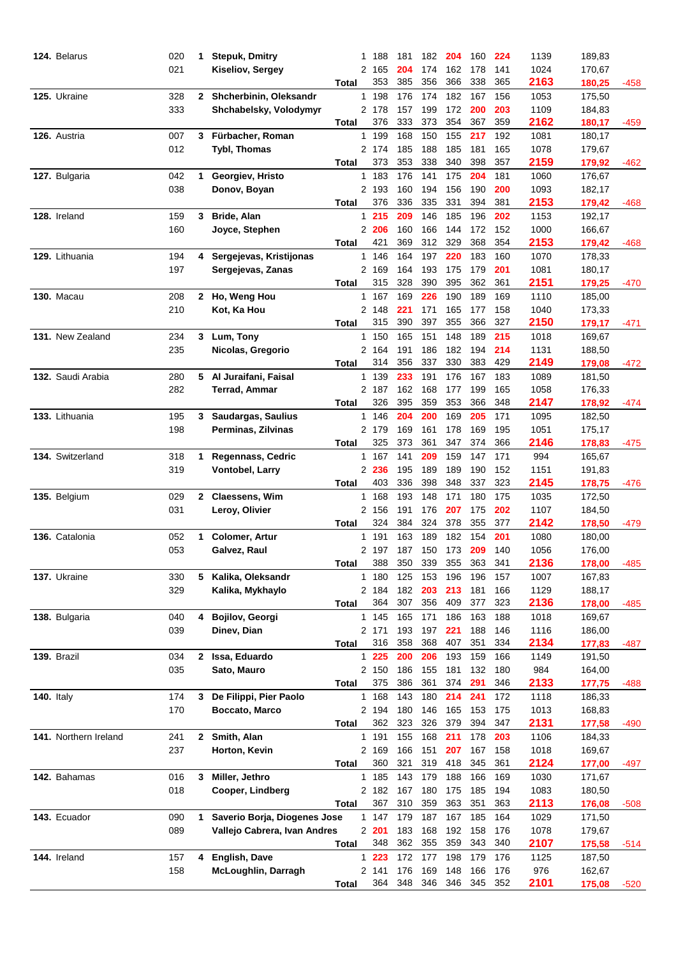| 124. Belarus          | 020        | 1            | <b>Stepuk, Dmitry</b>        | 1            | 188          | 181        | 182        | 204        | 160        | 224        | 1139         | 189,83           |        |
|-----------------------|------------|--------------|------------------------------|--------------|--------------|------------|------------|------------|------------|------------|--------------|------------------|--------|
|                       | 021        |              | Kiseliov, Sergey             | 2            | 165          | 204        | 174        | 162        | 178        | 141        | 1024         | 170,67           |        |
|                       |            |              |                              | Total        | 353          | 385        | 356        | 366        | 338        | 365        | 2163         | 180,25           | -458   |
| 125. Ukraine          | 328        | $\mathbf{2}$ | Shcherbinin, Oleksandr       | $\mathbf{1}$ | 198          | 176        | 174        | 182        | 167        | 156        | 1053         | 175,50           |        |
|                       | 333        |              | Shchabelsky, Volodymyr       |              | 2 178        | 157        | 199        | 172        | 200        | 203        | 1109         | 184,83           |        |
|                       |            |              |                              | Total        | 376          | 333        | 373        | 354        | 367        | 359        | 2162         | 180,17           | -459   |
| 126. Austria          | 007        | 3            | Fürbacher, Roman             |              | 1 199        | 168        | 150        | 155        | 217        | 192        | 1081         | 180,17           |        |
|                       | 012        |              | <b>Tybl, Thomas</b>          |              | 2 174        | 185        | 188        | 185        | 181        | 165        | 1078         | 179,67           |        |
|                       |            |              |                              | Total        | 373          | 353        | 338        | 340        | 398        | 357        | 2159         | 179,92           | -462   |
| 127. Bulgaria         | 042        | 1            | Georgiev, Hristo             |              | 1 183        | 176        | 141        | 175        | 204        | 181        | 1060         | 176,67           |        |
|                       | 038        |              | Donov, Boyan                 |              | 2 193        | 160        | 194        | 156        | 190        | 200        | 1093         | 182,17           |        |
|                       |            |              |                              | Total        | 376          | 336        | 335        | 331        | 394        | 381        | 2153         | 179,42           | -468   |
| 128. Ireland          | 159        | 3            | Bride, Alan                  |              | 1215         | 209        | 146        | 185        | 196        | 202        | 1153         | 192,17           |        |
|                       | 160        |              | Joyce, Stephen               |              | 2 206        | 160        | 166        | 144        | 172        | 152        | 1000         | 166,67           |        |
|                       |            |              |                              | Total        | 421          | 369        | 312        | 329        | 368        | 354        | 2153         | 179,42           | -468   |
| 129. Lithuania        | 194        | 4            | Sergejevas, Kristijonas      |              | 1 146        | 164        | 197        | 220        | 183        | 160        | 1070         | 178,33           |        |
|                       | 197        |              | Sergejevas, Zanas            |              | 2 169        | 164        | 193        | 175        | 179        | 201        | 1081         | 180,17           |        |
|                       |            |              |                              | Total        | 315          | 328        | 390        | 395        | 362        | 361        | 2151         | 179,25           | -470   |
| <b>130. Macau</b>     | 208        | 2            | Ho, Weng Hou                 |              | 1 167        | 169        | 226        | 190        | 189        | 169        | 1110         | 185,00           |        |
|                       | 210        |              | Kot, Ka Hou                  |              | 2 148        | 221        | 171        | 165        | 177        | 158        | 1040         | 173,33           |        |
|                       |            |              |                              | Total        | 315          | 390        | 397        | 355        | 366        | 327        | 2150         | 179,17           | -471   |
| 131. New Zealand      | 234        | 3            | Lum, Tony                    |              | 1 150        | 165        | 151        | 148        | 189        | 215        | 1018         | 169,67           |        |
|                       | 235        |              | Nicolas, Gregorio            |              | 2 164        | 191        | 186        | 182        | 194        | 214        | 1131         | 188,50           |        |
|                       |            |              |                              | Total        | 314          | 356        | 337        | 330        | 383        | 429        | 2149         | 179,08           | -472   |
| 132. Saudi Arabia     | 280        | 5            | Al Juraifani, Faisal         |              | 1 139        | 233        | 191        | 176        | 167        | 183        | 1089         | 181,50           |        |
|                       | 282        |              | <b>Terrad, Ammar</b>         |              | 2 187        | 162        | 168        | 177        | 199        | 165        | 1058         | 176,33           |        |
|                       |            |              |                              | Total        | 326          | 395        | 359        | 353        | 366        | 348        | 2147         | 178,92           | -474   |
| 133. Lithuania        | 195        | 3            | Saudargas, Saulius           |              | 1 146        | 204        | 200        | 169        | 205        | 171        | 1095         | 182,50           |        |
|                       | 198        |              | Perminas, Zilvinas           |              | 2 179        | 169        | 161        | 178        | 169        | 195        | 1051         | 175,17           |        |
|                       |            |              |                              | Total        | 325          | 373        | 361        | 347        | 374        | 366        | 2146         | 178,83           | -475   |
| 134. Switzerland      | 318        | 1            | Regennass, Cedric            |              | 1 167        | 141        | 209        | 159        | 147        | 171        | 994          | 165,67           |        |
|                       | 319        |              | Vontobel, Larry              |              | 2 236        | 195        | 189        | 189        | 190        | 152        | 1151         | 191,83           |        |
|                       |            |              |                              | Total        | 403          | 336        | 398        | 348        | 337        | 323        | 2145         | 178,75           | -476   |
|                       | 029        | $\mathbf{2}$ | Claessens, Wim               |              | 1 168        | 193        | 148        | 171        | 180        | 175        | 1035         | 172,50           |        |
| 135. Belgium          | 031        |              |                              |              | 2 156        | 191        | 176        | 207        | 175        | 202        | 1107         | 184,50           |        |
|                       |            |              | Leroy, Olivier               |              | 324          | 384        | 324        | 378        | 355        | 377        | 2142         |                  |        |
| 136. Catalonia        |            |              |                              | Total        |              |            |            | 182        |            |            |              | 178,50           | -479   |
|                       | 052<br>053 | 1            | <b>Colomer, Artur</b>        | 1            | 191          | 163        | 189        | 173        | 154        | 201<br>140 | 1080<br>1056 | 180,00           |        |
|                       |            |              | Galvez, Raul                 |              | 2 197<br>388 | 187<br>350 | 150<br>339 | 355        | 209<br>363 | 341        | 2136         | 176,00<br>178,00 |        |
|                       |            |              |                              | <b>Total</b> |              |            |            |            |            |            |              |                  | -485   |
| 137. Ukraine          | 330        | 5.           | Kalika, Oleksandr            |              | 1 180        | 125        | 153<br>203 | 196<br>213 | 196        | 157        | 1007         | 167,83           |        |
|                       | 329        |              | Kalika, Mykhaylo             |              | 2 184<br>364 | 182<br>307 | 356        | 409        | 181<br>377 | 166<br>323 | 1129<br>2136 | 188,17           |        |
|                       |            |              |                              | Total        |              |            |            |            |            |            |              | 178,00           | -485   |
| 138. Bulgaria         | 040        | 4            | Bojilov, Georgi              |              | 1 145        | 165        | 171        | 186        | 163        | 188        | 1018         | 169,67           |        |
|                       | 039        |              | Dinev, Dian                  |              | 2 171        | 193        | 197        | 221        | 188        | 146        | 1116         | 186,00           |        |
|                       |            |              |                              | Total        | 316          | 358        | 368        | 407        | 351        | 334        | 2134         | 177,83           | -487   |
| 139. Brazil           | 034        | 2            | Issa, Eduardo                |              | 1 225        | 200        | 206        | 193        | 159        | 166        | 1149         | 191,50           |        |
|                       | 035        |              | Sato, Mauro                  |              | 2 150        | 186        | 155        | 181        | 132        | 180        | 984          | 164,00           |        |
|                       |            |              |                              | Total        | 375          | 386        | 361        | 374        | 291        | 346        | 2133         | 177,75           | -488   |
| <b>140.</b> Italy     | 174        | 3            | De Filippi, Pier Paolo       |              | 1 168        | 143        | 180        | 214        | 241        | 172        | 1118         | 186,33           |        |
|                       | 170        |              | Boccato, Marco               |              | 2 194        | 180        | 146        | 165        | 153        | 175        | 1013         | 168,83           |        |
|                       |            |              |                              | <b>Total</b> | 362          | 323        | 326        | 379        | 394        | 347        | 2131         | 177,58           | -490   |
| 141. Northern Ireland | 241        | $\mathbf{2}$ | Smith, Alan                  |              | 1 191        | 155        | 168        | 211        | 178        | 203        | 1106         | 184,33           |        |
|                       | 237        |              | Horton, Kevin                |              | 2 169        | 166        | 151        | 207        | 167        | 158        | 1018         | 169,67           |        |
|                       |            |              |                              | <b>Total</b> | 360          | 321        | 319        | 418        | 345        | 361        | 2124         | 177,00           | -497   |
| 142. Bahamas          | 016        | 3            | Miller, Jethro               |              | 1 185        | 143        | 179        | 188        | 166        | 169        | 1030         | 171,67           |        |
|                       | 018        |              | Cooper, Lindberg             |              | 2 182        | 167        | 180        | 175        | 185        | 194        | 1083         | 180,50           |        |
|                       |            |              |                              | Total        | 367          | 310        | 359        | 363        | 351        | 363        | 2113         | 176,08           | $-508$ |
| 143. Ecuador          | 090        | 1            | Saverio Borja, Diogenes Jose |              | 1 147        | 179        | 187        | 167        | 185        | 164        | 1029         | 171,50           |        |
|                       | 089        |              | Vallejo Cabrera, Ivan Andres |              | 2201         | 183        | 168        | 192        | 158        | 176        | 1078         | 179,67           |        |
|                       |            |              |                              | Total        | 348          | 362        | 355        | 359        | 343        | 340        | 2107         | 175,58           | -514   |
| 144. Ireland          | 157        | 4            | English, Dave                |              | $1223$       | 172        | 177        | 198        | 179        | 176        | 1125         | 187,50           |        |
|                       | 158        |              | McLoughlin, Darragh          |              | 2 141        | 176        | 169        | 148        | 166        | 176        | 976          | 162,67           |        |
|                       |            |              |                              | Total        | 364          | 348        | 346        | 346        | 345        | 352        | 2101         | 175,08           | $-520$ |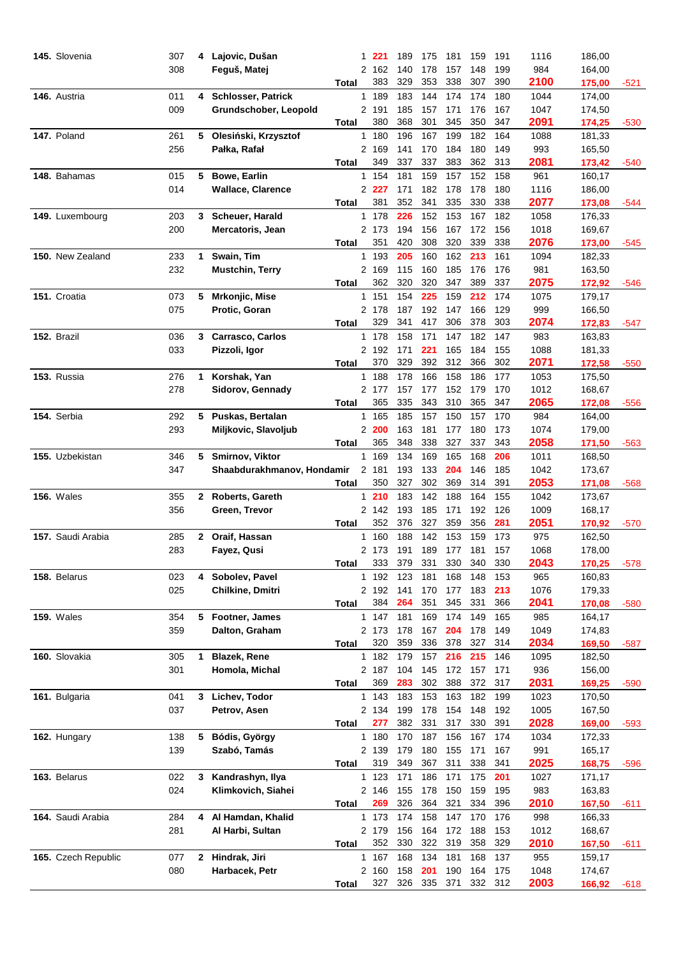| 145. Slovenia       | 307 | 4            | Lajovic, Dušan             | 1              | 221     | 189 | 175     | 181 | 159     | 191 | 1116 | 186,00 |        |
|---------------------|-----|--------------|----------------------------|----------------|---------|-----|---------|-----|---------|-----|------|--------|--------|
|                     | 308 |              | Feguš, Matej               | 2              | 162     | 140 | 178     | 157 | 148     | 199 | 984  | 164,00 |        |
|                     |     |              |                            | Total          | 383     | 329 | 353     | 338 | 307     | 390 | 2100 | 175,00 | -521   |
| 146. Austria        | 011 | 4            | <b>Schlosser, Patrick</b>  | $\mathbf{1}$   | 189     | 183 | 144     | 174 | 174     | 180 | 1044 | 174,00 |        |
|                     | 009 |              | Grundschober, Leopold      |                | 2 191   | 185 | 157     | 171 | 176     | 167 | 1047 | 174,50 |        |
|                     |     |              |                            | Total          | 380     | 368 | 301     | 345 | 350     | 347 | 2091 | 174,25 | $-530$ |
| 147. Poland         | 261 | 5            | Olesiński, Krzysztof       |                | 1 180   | 196 | 167     | 199 | 182     | 164 | 1088 | 181,33 |        |
|                     | 256 |              | Pałka, Rafał               |                | 2 169   | 141 | 170     | 184 | 180     | 149 | 993  | 165,50 |        |
|                     |     |              |                            | Total          | 349     | 337 | 337     | 383 | 362     | 313 | 2081 | 173,42 | -540   |
| 148. Bahamas        | 015 | 5            | <b>Bowe, Earlin</b>        |                | 1 154   | 181 | 159     | 157 | 152     | 158 | 961  | 160,17 |        |
|                     | 014 |              | <b>Wallace, Clarence</b>   |                | 2 2 2 7 | 171 | 182     | 178 | 178     | 180 | 1116 | 186,00 |        |
|                     |     |              |                            | <b>Total</b>   | 381     | 352 | 341     | 335 | 330     | 338 | 2077 | 173,08 | $-544$ |
| 149. Luxembourg     | 203 | 3            | Scheuer, Harald            |                | 1 178   | 226 | 152     | 153 | 167     | 182 | 1058 | 176,33 |        |
|                     | 200 |              | Mercatoris, Jean           |                | 2 173   | 194 | 156     | 167 | 172     | 156 | 1018 | 169,67 |        |
|                     |     |              |                            | Total          | 351     | 420 | 308     | 320 | 339     | 338 | 2076 | 173,00 | -545   |
| 150. New Zealand    | 233 | 1            | Swain, Tim                 |                | 1 193   | 205 | 160     | 162 | 213     | 161 | 1094 | 182,33 |        |
|                     | 232 |              | <b>Mustchin, Terry</b>     |                | 2 169   | 115 | 160     | 185 | 176     | 176 | 981  | 163,50 |        |
|                     |     |              |                            | Total          | 362     | 320 | 320     | 347 | 389     | 337 | 2075 | 172,92 | -546   |
| 151. Croatia        | 073 | 5            | Mrkonjic, Mise             |                | 1 151   | 154 | 225     | 159 | 212     | 174 | 1075 | 179,17 |        |
|                     | 075 |              | Protic, Goran              |                | 2 178   | 187 | 192     | 147 | 166     | 129 | 999  | 166,50 |        |
|                     |     |              |                            | Total          | 329     | 341 | 417     | 306 | 378     | 303 | 2074 | 172,83 | -547   |
| 152. Brazil         | 036 | 3            | <b>Carrasco, Carlos</b>    |                | 1 178   | 158 | 171     | 147 | 182     | 147 | 983  | 163,83 |        |
|                     | 033 |              | Pizzoli, Igor              |                | 2 192   | 171 | 221     | 165 | 184     | 155 | 1088 | 181,33 |        |
|                     |     |              |                            | Total          | 370     | 329 | 392     | 312 | 366     | 302 | 2071 | 172,58 | -550   |
| 153. Russia         | 276 | 1            | Korshak, Yan               |                | 1 188   | 178 | 166     | 158 | 186     | 177 | 1053 | 175,50 |        |
|                     | 278 |              | Sidorov, Gennady           |                | 2 177   | 157 | 177     | 152 | 179     | 170 | 1012 | 168,67 |        |
|                     |     |              |                            | Total          | 365     | 335 | 343     | 310 | 365     | 347 | 2065 | 172,08 | -556   |
| 154. Serbia         | 292 | 5            | Puskas, Bertalan           |                | 1 165   | 185 | 157     | 150 | 157     | 170 | 984  | 164,00 |        |
|                     | 293 |              | Miljkovic, Slavoljub       |                | 2 200   | 163 | 181     | 177 | 180     | 173 | 1074 | 179,00 |        |
|                     |     |              |                            | Total          | 365     | 348 | 338     | 327 | 337     | 343 | 2058 | 171,50 | -563   |
| 155. Uzbekistan     | 346 | 5            | Smirnov, Viktor            |                | 1 169   | 134 | 169     | 165 | 168     | 206 | 1011 | 168,50 |        |
|                     | 347 |              | Shaabdurakhmanov, Hondamir | $\overline{2}$ | 181     | 193 | 133     | 204 | 146     | 185 | 1042 | 173,67 |        |
|                     |     |              |                            | Total          | 350     | 327 | 302     | 369 | 314     | 391 | 2053 | 171,08 | -568   |
| <b>156.</b> Wales   | 355 | $\mathbf{2}$ | Roberts, Gareth            |                | 1210    | 183 | 142     | 188 | 164     | 155 | 1042 | 173,67 |        |
|                     | 356 |              | Green, Trevor              |                | 2 142   | 193 | 185     | 171 | 192     | 126 | 1009 | 168,17 |        |
|                     |     |              |                            | Total          | 352     | 376 | 327     | 359 | 356     | 281 | 2051 | 170,92 | $-570$ |
| 157. Saudi Arabia   | 285 | 2            | Oraif, Hassan              | $\mathbf{1}$   | 160     | 188 | 142     | 153 | 159     | 173 | 975  | 162,50 |        |
|                     | 283 |              | Fayez, Qusi                |                | 2 173   | 191 | 189     | 177 | 181     | 157 | 1068 | 178,00 |        |
|                     |     |              |                            | Total          | 333     | 379 | 331     | 330 | 340     | 330 | 2043 | 170,25 | -578   |
| 158. Belarus        | 023 | 4            | Sobolev, Pavel             |                | 1 192   | 123 | 181     | 168 | 148     | 153 | 965  | 160,83 |        |
|                     | 025 |              | Chilkine, Dmitri           |                | 2 192   | 141 | 170     | 177 | 183     | 213 | 1076 | 179,33 |        |
|                     |     |              |                            | Total          | 384     | 264 | 351     | 345 | 331     | 366 | 2041 | 170,08 | -580   |
| <b>159. Wales</b>   | 354 | 5            | Footner, James             |                | 1 147   | 181 | 169     | 174 | 149     | 165 | 985  | 164,17 |        |
|                     | 359 |              | Dalton, Graham             |                | 2 173   | 178 | 167     | 204 | 178     | 149 | 1049 | 174,83 |        |
|                     |     |              |                            | Total          | 320     | 359 | 336     | 378 | 327     | 314 | 2034 | 169,50 | $-587$ |
| 160. Slovakia       | 305 | 1            | <b>Blazek, Rene</b>        |                | 1 182   | 179 | 157     | 216 | 215     | 146 | 1095 | 182,50 |        |
|                     | 301 |              | Homola, Michal             |                | 2 187   | 104 | 145     | 172 | 157     | 171 | 936  | 156,00 |        |
|                     |     |              |                            | Total          | 369     | 283 | 302     | 388 | 372     | 317 | 2031 | 169,25 | $-590$ |
| 161. Bulgaria       | 041 | 3            | Lichev, Todor              |                | 1 143   | 183 | 153     | 163 | 182     | 199 | 1023 | 170,50 |        |
|                     | 037 |              | Petrov, Asen               |                | 2 134   | 199 | 178     | 154 | 148     | 192 | 1005 | 167,50 |        |
|                     |     |              |                            | Total          | 277     | 382 | 331     | 317 | 330     | 391 | 2028 | 169,00 |        |
| 162. Hungary        | 138 | 5            | Bódis, György              |                | 1 180   | 170 | 187     | 156 | 167     | 174 | 1034 | 172,33 | -593   |
|                     | 139 |              | Szabó, Tamás               |                | 2 139   | 179 | 180     | 155 | 171     | 167 | 991  | 165,17 |        |
|                     |     |              |                            | <b>Total</b>   | 319     | 349 | 367     | 311 | 338     | 341 | 2025 |        |        |
|                     |     |              |                            |                |         |     |         |     |         |     |      | 168,75 | $-596$ |
| 163. Belarus        | 022 | 3            | Kandrashyn, Ilya           |                | 1 123   | 171 | 186     | 171 | 175     | 201 | 1027 | 171,17 |        |
|                     | 024 |              | Klimkovich, Siahei         |                | 2 146   | 155 | 178     | 150 | 159     | 195 | 983  | 163,83 |        |
|                     |     |              |                            | Total          | 269     | 326 | 364     | 321 | 334     | 396 | 2010 | 167,50 | -611   |
| 164. Saudi Arabia   | 284 | 4            | Al Hamdan, Khalid          |                | 1 173   | 174 | 158     | 147 | 170     | 176 | 998  | 166,33 |        |
|                     | 281 |              | Al Harbi, Sultan           |                | 2 179   | 156 | 164     | 172 | 188     | 153 | 1012 | 168,67 |        |
|                     |     |              |                            | Total          | 352     | 330 | 322     | 319 | 358     | 329 | 2010 | 167,50 | -611   |
| 165. Czech Republic | 077 | 2            | Hindrak, Jiri              |                | 1 167   | 168 | 134     | 181 | 168     | 137 | 955  | 159,17 |        |
|                     | 080 |              | Harbacek, Petr             |                | 2 160   | 158 | 201     | 190 | 164     | 175 | 1048 | 174,67 |        |
|                     |     |              |                            | Total          | 327     |     | 326 335 | 371 | 332 312 |     | 2003 | 166,92 | -618   |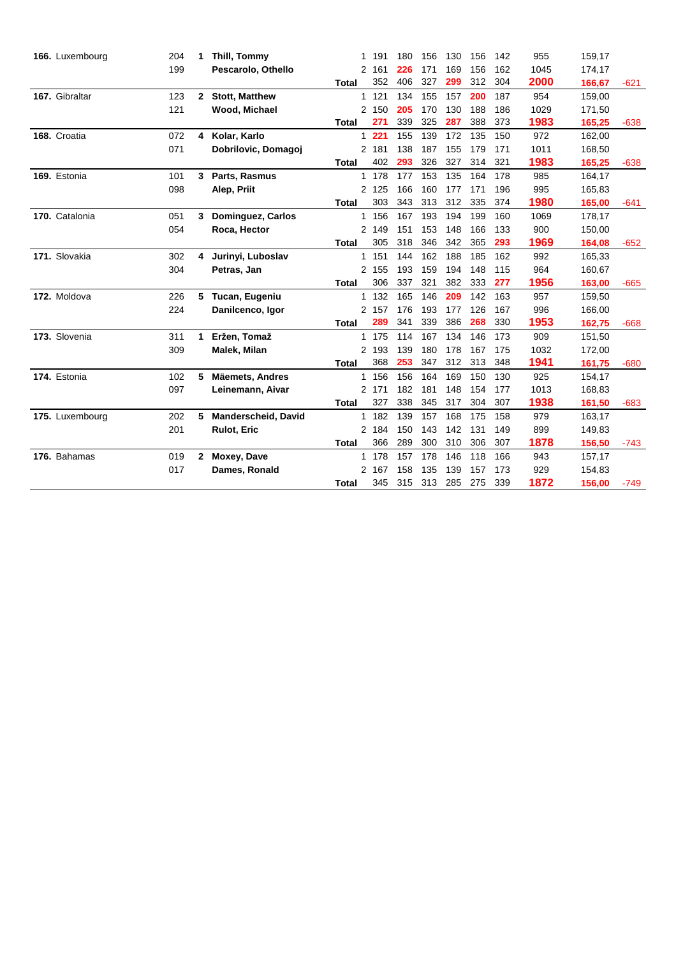| 166. Luxembourg | 204 | 1            | Thill, Tommy               | 1              | 191   | 180 | 156 | 130 | 156 | 142 | 955  | 159,17 |        |
|-----------------|-----|--------------|----------------------------|----------------|-------|-----|-----|-----|-----|-----|------|--------|--------|
|                 | 199 |              | Pescarolo, Othello         |                | 2 161 | 226 | 171 | 169 | 156 | 162 | 1045 | 174,17 |        |
|                 |     |              |                            | <b>Total</b>   | 352   | 406 | 327 | 299 | 312 | 304 | 2000 | 166,67 | $-621$ |
| 167. Gibraltar  | 123 | $2^{\circ}$  | <b>Stott, Matthew</b>      | $\mathbf{1}$   | 121   | 134 | 155 | 157 | 200 | 187 | 954  | 159,00 |        |
|                 | 121 |              | Wood, Michael              |                | 2 150 | 205 | 170 | 130 | 188 | 186 | 1029 | 171,50 |        |
|                 |     |              |                            | <b>Total</b>   | 271   | 339 | 325 | 287 | 388 | 373 | 1983 | 165,25 | $-638$ |
| 168. Croatia    | 072 | 4            | Kolar, Karlo               | $\mathbf{1}$   | 221   | 155 | 139 | 172 | 135 | 150 | 972  | 162,00 |        |
|                 | 071 |              | Dobrilovic, Domagoj        |                | 2 181 | 138 | 187 | 155 | 179 | 171 | 1011 | 168,50 |        |
|                 |     |              |                            | <b>Total</b>   | 402   | 293 | 326 | 327 | 314 | 321 | 1983 | 165,25 | $-638$ |
| 169. Estonia    | 101 | 3            | Parts, Rasmus              |                | 1 178 | 177 | 153 | 135 | 164 | 178 | 985  | 164,17 |        |
|                 | 098 |              | Alep, Priit                |                | 2 125 | 166 | 160 | 177 | 171 | 196 | 995  | 165,83 |        |
|                 |     |              |                            | <b>Total</b>   | 303   | 343 | 313 | 312 | 335 | 374 | 1980 | 165,00 | $-641$ |
| 170. Catalonia  | 051 | 3            | Dominguez, Carlos          | 1              | 156   | 167 | 193 | 194 | 199 | 160 | 1069 | 178,17 |        |
|                 | 054 |              | Roca, Hector               |                | 2 149 | 151 | 153 | 148 | 166 | 133 | 900  | 150,00 |        |
|                 |     |              |                            | <b>Total</b>   | 305   | 318 | 346 | 342 | 365 | 293 | 1969 | 164,08 | $-652$ |
| 171. Slovakia   | 302 | 4            | Jurinyi, Luboslav          |                | 1 151 | 144 | 162 | 188 | 185 | 162 | 992  | 165,33 |        |
|                 | 304 |              | Petras, Jan                |                | 2 155 | 193 | 159 | 194 | 148 | 115 | 964  | 160,67 |        |
|                 |     |              |                            | <b>Total</b>   | 306   | 337 | 321 | 382 | 333 | 277 | 1956 | 163,00 | $-665$ |
| 172. Moldova    | 226 | 5            | Tucan, Eugeniu             |                | 1 132 | 165 | 146 | 209 | 142 | 163 | 957  | 159,50 |        |
|                 | 224 |              | Danilcenco, Igor           |                | 2 157 | 176 | 193 | 177 | 126 | 167 | 996  | 166,00 |        |
|                 |     |              |                            | <b>Total</b>   | 289   | 341 | 339 | 386 | 268 | 330 | 1953 | 162,75 | $-668$ |
| 173. Slovenia   | 311 | 1            | Eržen, Tomaž               |                | 1 175 | 114 | 167 | 134 | 146 | 173 | 909  | 151,50 |        |
|                 | 309 |              | Malek, Milan               | $\overline{2}$ | 193   | 139 | 180 | 178 | 167 | 175 | 1032 | 172,00 |        |
|                 |     |              |                            | <b>Total</b>   | 368   | 253 | 347 | 312 | 313 | 348 | 1941 | 161,75 | $-680$ |
| 174. Estonia    | 102 | 5            | <b>Mäemets, Andres</b>     |                | 1 156 | 156 | 164 | 169 | 150 | 130 | 925  | 154,17 |        |
|                 | 097 |              | Leinemann, Aivar           |                | 2 171 | 182 | 181 | 148 | 154 | 177 | 1013 | 168,83 |        |
|                 |     |              |                            | <b>Total</b>   | 327   | 338 | 345 | 317 | 304 | 307 | 1938 | 161,50 | $-683$ |
| 175. Luxembourg | 202 | 5            | <b>Manderscheid, David</b> | $\mathbf{1}$   | 182   | 139 | 157 | 168 | 175 | 158 | 979  | 163,17 |        |
|                 | 201 |              | <b>Rulot, Eric</b>         |                | 2 184 | 150 | 143 | 142 | 131 | 149 | 899  | 149,83 |        |
|                 |     |              |                            | <b>Total</b>   | 366   | 289 | 300 | 310 | 306 | 307 | 1878 | 156,50 | $-743$ |
| 176. Bahamas    | 019 | $\mathbf{2}$ | Moxey, Dave                |                | 1 178 | 157 | 178 | 146 | 118 | 166 | 943  | 157,17 |        |
|                 | 017 |              | Dames, Ronald              |                | 2 167 | 158 | 135 | 139 | 157 | 173 | 929  | 154,83 |        |
|                 |     |              |                            | <b>Total</b>   | 345   | 315 | 313 | 285 | 275 | 339 | 1872 | 156,00 | $-749$ |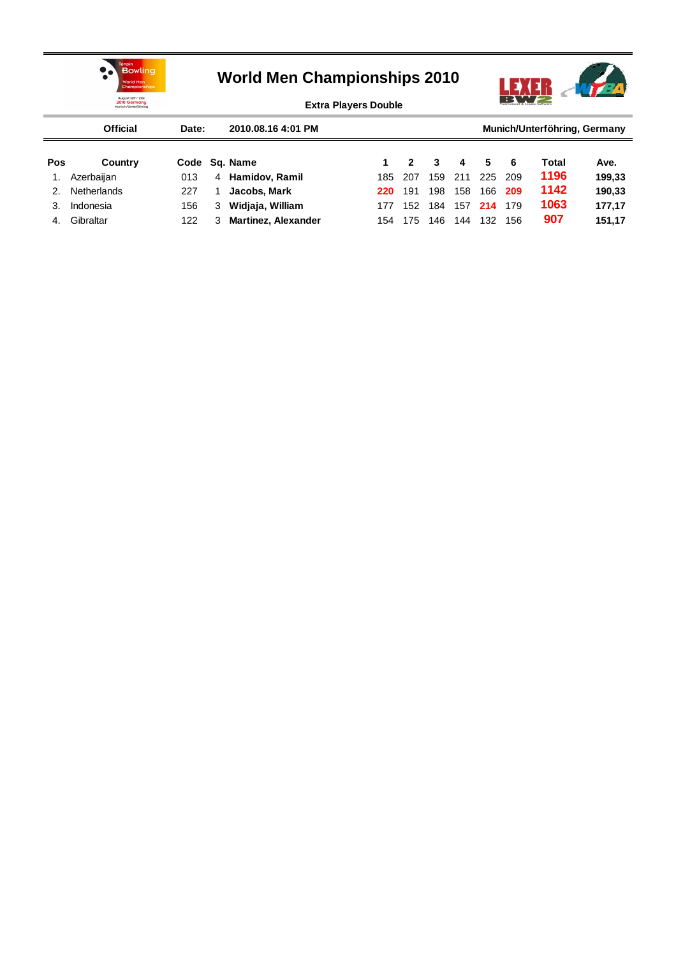



**Extra Players Double**

|     | <b>Official</b> | Date: |   | 2010.08.16 4:01 PM         |     |                  |     |     |     |     | Munich/Unterföhring, Germany |        |
|-----|-----------------|-------|---|----------------------------|-----|------------------|-----|-----|-----|-----|------------------------------|--------|
| Pos | Country         |       |   | Code Sq. Name              |     | $\boldsymbol{c}$ | 3   | 4   | 5   | 6   | Total                        | Ave.   |
|     | Azerbaijan      | 013   | 4 | Hamidov, Ramil             | 185 | -207             | 159 | 211 | 225 | 209 | 1196                         | 199,33 |
| 2.  | Netherlands     | 227   |   | Jacobs, Mark               | 220 | 191              | 198 | 158 | 166 | 209 | 1142                         | 190,33 |
|     | Indonesia       | 156   | 3 | Widiaja, William           | 177 | 152              | 184 | 157 | 214 | 179 | 1063                         | 177.17 |
| 4.  | Gibraltar       | 122   | 3 | <b>Martinez, Alexander</b> | 154 | 175              | 146 | 144 | 132 | 156 | 907                          | 151,17 |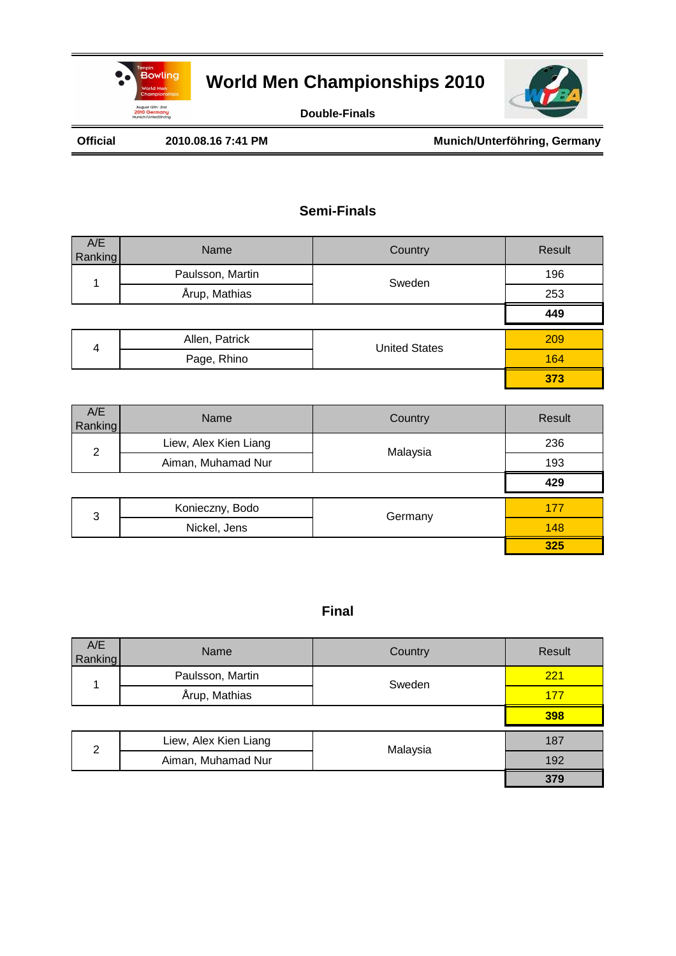



**Double-Finals**

Official 2010.08.16 7:41 PM **Munich/Unterföhring, Germany** 

### **Semi-Finals**

| A/E<br>Ranking | Name             | Country              | Result |
|----------------|------------------|----------------------|--------|
|                | Paulsson, Martin | Sweden               | 196    |
|                | Årup, Mathias    |                      | 253    |
|                |                  |                      | 449    |
| 4              | Allen, Patrick   | <b>United States</b> | 209    |
|                | Page, Rhino      |                      | 164    |
|                |                  |                      | 373    |

| A/E<br>Ranking | Name                  | Country  | Result |
|----------------|-----------------------|----------|--------|
| 2              | Liew, Alex Kien Liang | Malaysia | 236    |
|                | Aiman, Muhamad Nur    |          | 193    |
|                |                       |          | 429    |
| 3              | Konieczny, Bodo       | Germany  | 177    |
|                | Nickel, Jens          |          | 148    |
|                |                       |          | 325    |

| A/E<br>Ranking | Name                  | Country  | Result |
|----------------|-----------------------|----------|--------|
|                | Paulsson, Martin      | Sweden   | 221    |
|                | Årup, Mathias         |          | 177    |
|                |                       |          | 398    |
| $\mathcal{P}$  | Liew, Alex Kien Liang | Malaysia | 187    |
|                | Aiman, Muhamad Nur    |          | 192    |
|                |                       |          | 379    |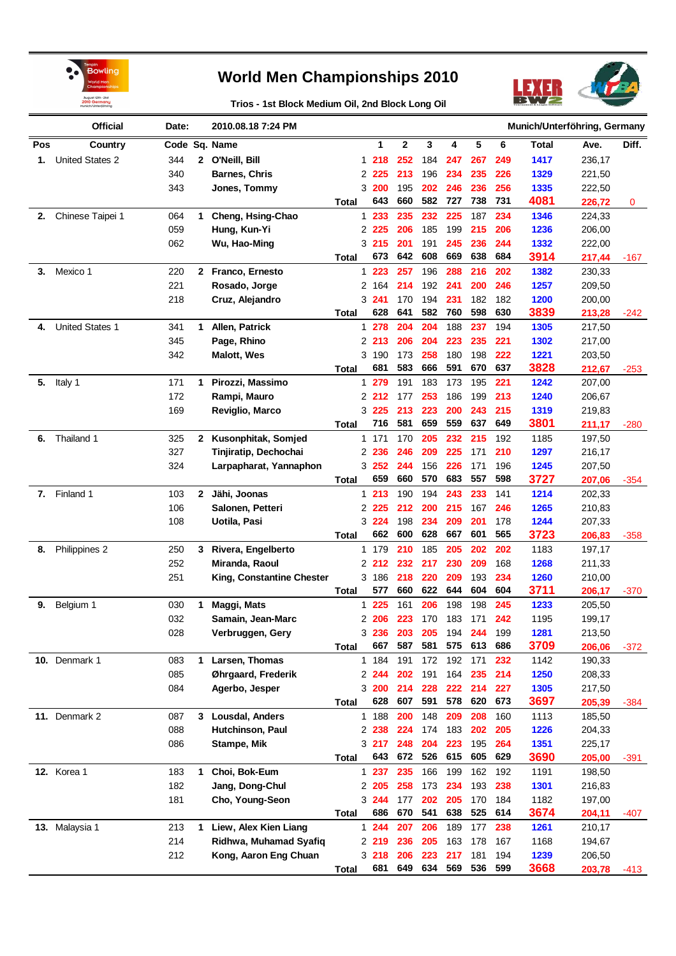

**Trios - 1st Block Medium Oil, 2nd Block Long Oil**



|     | <b>Official</b>        | Date: |              | 2010.08.18 7:24 PM        |              |              |         |             |     |     |     |     | Munich/Unterföhring, Germany |        |             |
|-----|------------------------|-------|--------------|---------------------------|--------------|--------------|---------|-------------|-----|-----|-----|-----|------------------------------|--------|-------------|
| Pos | Country                |       |              | Code Sq. Name             |              |              | 1       | $\mathbf 2$ | 3   | 4   | 5   | 6   | <b>Total</b>                 | Ave.   | Diff.       |
| 1.  | <b>United States 2</b> | 344   | $\mathbf{2}$ | O'Neill, Bill             |              |              | 1218    | 252         | 184 | 247 | 267 | 249 | 1417                         | 236,17 |             |
|     |                        | 340   |              | <b>Barnes, Chris</b>      |              |              | 2 2 2 5 | 213         | 196 | 234 | 235 | 226 | 1329                         | 221,50 |             |
|     |                        | 343   |              | Jones, Tommy              |              |              | 3 200   | 195         | 202 | 246 | 236 | 256 | 1335                         | 222,50 |             |
|     |                        |       |              |                           | Total        |              | 643     | 660         | 582 | 727 | 738 | 731 | 4081                         | 226,72 | $\mathbf 0$ |
| 2.  | Chinese Taipei 1       | 064   | 1            | Cheng, Hsing-Chao         |              | $\mathbf 1$  | 233     | 235         | 232 | 225 | 187 | 234 | 1346                         | 224,33 |             |
|     |                        | 059   |              | Hung, Kun-Yi              |              |              | 2 2 2 5 | 206         | 185 | 199 | 215 | 206 | 1236                         | 206,00 |             |
|     |                        | 062   |              | Wu, Hao-Ming              |              |              | 3215    | 201         | 191 | 245 | 236 | 244 | 1332                         | 222,00 |             |
|     |                        |       |              |                           | Total        |              | 673     | 642         | 608 | 669 | 638 | 684 | 3914                         | 217,44 | $-167$      |
| 3.  | Mexico 1               | 220   | $\mathbf{2}$ | Franco, Ernesto           |              |              | $1223$  | 257         | 196 | 288 | 216 | 202 | 1382                         | 230,33 |             |
|     |                        | 221   |              | Rosado, Jorge             |              |              | 2 164   | 214         | 192 | 241 | 200 | 246 | 1257                         | 209,50 |             |
|     |                        | 218   |              | Cruz, Alejandro           |              |              | 3, 241  | 170         | 194 | 231 | 182 | 182 | 1200                         | 200,00 |             |
|     |                        |       |              |                           | Total        |              | 628     | 641         | 582 | 760 | 598 | 630 | 3839                         | 213,28 | $-242$      |
| 4.  | <b>United States 1</b> | 341   | 1.           | Allen, Patrick            |              |              | 1 278   | 204         | 204 | 188 | 237 | 194 | 1305                         | 217,50 |             |
|     |                        | 345   |              | Page, Rhino               |              |              | 2.213   | 206         | 204 | 223 | 235 | 221 | 1302                         | 217,00 |             |
|     |                        | 342   |              | <b>Malott, Wes</b>        |              |              | 3 190   | 173         | 258 | 180 | 198 | 222 | 1221                         | 203,50 |             |
|     |                        |       |              |                           | Total        |              | 681     | 583         | 666 | 591 | 670 | 637 | 3828                         | 212,67 | $-253$      |
| 5.  | Italy 1                | 171   | 1.           | Pirozzi, Massimo          |              |              | 1 279   | 191         | 183 | 173 | 195 | 221 | 1242                         | 207,00 |             |
|     |                        | 172   |              | Rampi, Mauro              |              |              | 2 2 1 2 | 177         | 253 | 186 | 199 | 213 | 1240                         | 206,67 |             |
|     |                        | 169   |              | Reviglio, Marco           |              |              | 3 225   | 213         | 223 | 200 | 243 | 215 | 1319                         | 219,83 |             |
|     |                        |       |              |                           | Total        |              | 716     | 581         | 659 | 559 | 637 | 649 | 3801                         | 211,17 | $-280$      |
| 6.  | Thailand 1             | 325   | $\mathbf{2}$ | Kusonphitak, Somjed       |              | $\mathbf{1}$ | 171     | 170         | 205 | 232 | 215 | 192 | 1185                         | 197,50 |             |
|     |                        | 327   |              | Tinjiratip, Dechochai     |              |              | 2 2 3 6 | 246         | 209 | 225 | 171 | 210 | 1297                         | 216,17 |             |
|     |                        | 324   |              | Larpapharat, Yannaphon    |              |              | 3252    | 244         | 156 | 226 | 171 | 196 | 1245                         | 207,50 |             |
|     |                        |       |              |                           | Total        |              | 659     | 660         | 570 | 683 | 557 | 598 | 3727                         | 207,06 | $-354$      |
| 7.  | Finland 1              | 103   | $\mathbf{2}$ | Jähi, Joonas              |              |              | 1213    | 190         | 194 | 243 | 233 | 141 | 1214                         | 202,33 |             |
|     |                        | 106   |              | Salonen, Petteri          |              |              | 2 2 2 5 | 212         | 200 | 215 | 167 | 246 | 1265                         | 210,83 |             |
|     |                        | 108   |              | Uotila, Pasi              |              |              | 3 224   | 198         | 234 | 209 | 201 | 178 | 1244                         | 207,33 |             |
|     |                        |       |              |                           | Total        |              | 662     | 600         | 628 | 667 | 601 | 565 | 3723                         | 206,83 | $-358$      |
| 8.  | Philippines 2          | 250   | 3            | Rivera, Engelberto        |              |              | 1 179   | 210         | 185 | 205 | 202 | 202 | 1183                         | 197,17 |             |
|     |                        | 252   |              | Miranda, Raoul            |              |              | 2 2 1 2 | 232         | 217 | 230 | 209 | 168 | 1268                         | 211,33 |             |
|     |                        | 251   |              | King, Constantine Chester |              |              | 3 186   | 218         | 220 | 209 | 193 | 234 | 1260                         | 210,00 |             |
|     |                        |       |              |                           | Total        |              | 577     | 660         | 622 | 644 | 604 | 604 | 3711                         | 206,17 | $-370$      |
| 9.  | Belgium 1              | 030   | 1            | Maggi, Mats               |              | 1            | 225     | 161         | 206 | 198 | 198 | 245 | 1233                         | 205,50 |             |
|     |                        | 032   |              | Samain, Jean-Marc         |              | 2            | 206     | 223         | 170 | 183 | 171 | 242 | 1195                         | 199,17 |             |
|     |                        | 028   |              | Verbruggen, Gery          |              |              | 3236    | 203         | 205 | 194 | 244 | 199 | 1281                         | 213,50 |             |
|     |                        |       |              |                           | Total        |              | 667     | 587         | 581 | 575 | 613 | 686 | 3709                         | 206,06 | $-372$      |
|     | 10. Denmark 1          | 083   | 1.           | Larsen, Thomas            |              |              | 1 184   | 191         | 172 | 192 | 171 | 232 | 1142                         | 190,33 |             |
|     |                        | 085   |              | Øhrgaard, Frederik        |              |              | 2 244   | 202         | 191 | 164 | 235 | 214 | 1250                         | 208,33 |             |
|     |                        | 084   |              | Agerbo, Jesper            |              |              | 3 200   | 214         | 228 | 222 | 214 | 227 | 1305                         | 217,50 |             |
|     |                        |       |              |                           | Total        |              | 628     | 607         | 591 | 578 | 620 | 673 | 3697                         | 205,39 | -384        |
|     | 11. Denmark 2          | 087   |              | 3 Lousdal, Anders         |              |              | 1 188   | 200         | 148 | 209 | 208 | 160 | 1113                         | 185,50 |             |
|     |                        | 088   |              | Hutchinson, Paul          |              |              | 2 2 3 8 | 224         | 174 | 183 | 202 | 205 | 1226                         | 204,33 |             |
|     |                        | 086   |              | Stampe, Mik               |              |              | 3 217   | 248         | 204 | 223 | 195 | 264 | 1351                         | 225,17 |             |
|     |                        |       |              |                           | <b>Total</b> |              | 643     | 672         | 526 | 615 | 605 | 629 | 3690                         | 205,00 | $-391$      |
|     | <b>12.</b> Korea 1     | 183   | $\mathbf 1$  | Choi, Bok-Eum             |              |              | 1 237   | 235         | 166 | 199 | 162 | 192 | 1191                         | 198,50 |             |
|     |                        | 182   |              | Jang, Dong-Chul           |              |              | 2 205   | 258         | 173 | 234 | 193 | 238 | 1301                         | 216,83 |             |
|     |                        | 181   |              | Cho, Young-Seon           |              |              | 3 244   | 177         | 202 | 205 | 170 | 184 | 1182                         | 197,00 |             |
|     |                        |       |              |                           | Total        |              | 686     | 670         | 541 | 638 | 525 | 614 | 3674                         | 204,11 | -407        |
|     | 13. Malaysia 1         | 213   | 1.           | Liew, Alex Kien Liang     |              |              | 1244    | 207         | 206 | 189 | 177 | 238 | 1261                         | 210,17 |             |
|     |                        | 214   |              | Ridhwa, Muhamad Syafiq    |              |              | 2 219   | 236         | 205 | 163 | 178 | 167 | 1168                         | 194,67 |             |
|     |                        | 212   |              | Kong, Aaron Eng Chuan     |              |              | 3218    | 206         | 223 | 217 | 181 | 194 | 1239                         | 206,50 |             |
|     |                        |       |              |                           | Total        |              | 681     | 649         | 634 | 569 | 536 | 599 | 3668                         | 203,78 | -413        |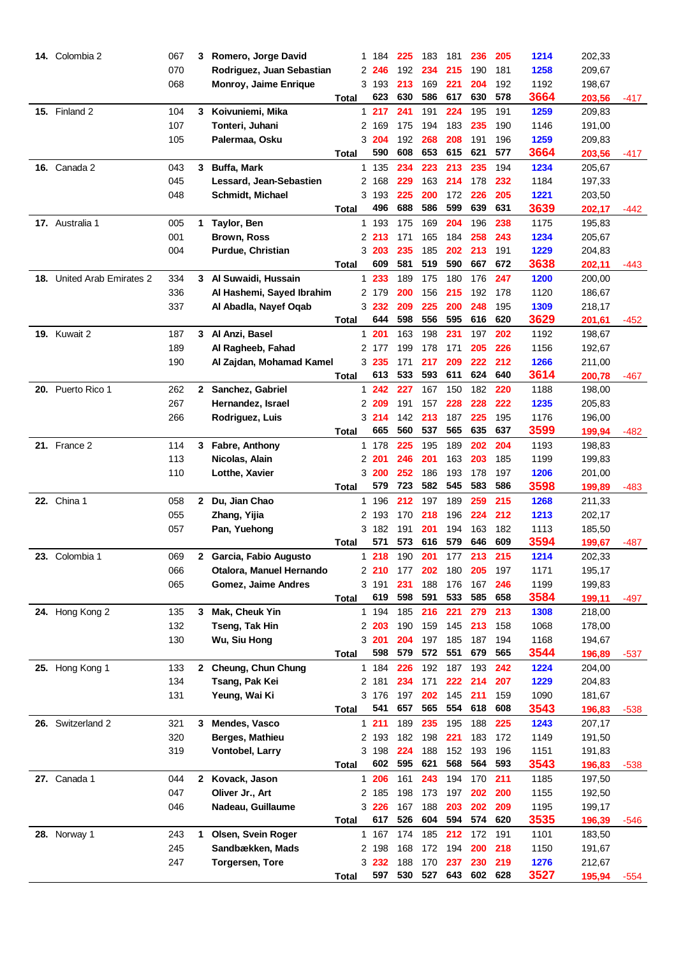| 14. Colombia 2             | 067        | 3            | Romero, Jorge David                    |              | 1 184          | 225        | 183        | 181        | 236        | 205        | 1214         | 202,33           |        |
|----------------------------|------------|--------------|----------------------------------------|--------------|----------------|------------|------------|------------|------------|------------|--------------|------------------|--------|
|                            | 070        |              | Rodriguez, Juan Sebastian              |              | 2 246          | 192        | 234        | 215        | 190        | 181        | 1258         | 209,67           |        |
|                            | 068        |              | Monroy, Jaime Enrique                  |              | 3 193          | 213        | 169        | 221        | 204        | 192        | 1192         | 198,67           |        |
|                            |            |              |                                        | Total        | 623            | 630        | 586        | 617        | 630        | 578        | 3664         | 203,56           | -417   |
| 15. Finland 2              | 104        | 3            | Koivuniemi, Mika                       |              | 1217           | 241        | 191        | 224        | 195        | 191        | 1259         | 209,83           |        |
|                            | 107        |              | Tonteri, Juhani                        |              | 2 169          | 175        | 194        | 183        | 235        | 190        | 1146         | 191,00           |        |
|                            | 105        |              | Palermaa, Osku                         |              | 3 204          | 192        | 268        | 208        | 191        | 196        | 1259         | 209,83           |        |
|                            |            |              |                                        | <b>Total</b> | 590            | 608        | 653        | 615        | 621        | 577        | 3664         | 203,56           | -417   |
| <b>16.</b> Canada 2        | 043        | 3            | <b>Buffa, Mark</b>                     |              | 1 135          | 234        | 223        | 213        | 235        | 194        | 1234         | 205,67           |        |
|                            | 045        |              | Lessard, Jean-Sebastien                |              | 2 168          | 229        | 163        | 214        | 178        | 232        | 1184         | 197,33           |        |
|                            | 048        |              | <b>Schmidt, Michael</b>                |              | 3193           | 225        | 200        | 172        | 226        | 205        | 1221         | 203,50           |        |
|                            |            |              |                                        | Total        | 496            | 688        | 586        | 599        | 639        | 631        | 3639         | 202,17           | -442   |
| 17. Australia 1            | 005        | 1.           | Taylor, Ben                            |              | 1 193          | 175        | 169        | 204        | 196        | 238        | 1175         | 195,83           |        |
|                            | 001        |              | <b>Brown, Ross</b>                     |              | 2 213          | 171        | 165        | 184        | 258        | 243        | 1234         | 205,67           |        |
|                            | 004        |              | Purdue, Christian                      |              | 3 203          | 235        | 185        | 202        | 213        | 191        | 1229         | 204,83           |        |
|                            |            |              |                                        | Total        | 609            | 581        | 519        | 590        | 667        | 672        | 3638         | 202,11           | -443   |
| 18. United Arab Emirates 2 | 334        |              | 3 Al Suwaidi, Hussain                  |              | 1 233          | 189        | 175        | 180        | 176        | 247        | 1200         | 200,00           |        |
|                            | 336        |              | Al Hashemi, Sayed Ibrahim              |              | 2 179          | 200        | 156        | 215        | 192        | 178        | 1120         | 186,67           |        |
|                            | 337        |              | Al Abadla, Nayef Oqab                  |              | 3 232          | 209        | 225        | 200        | 248        | 195        | 1309         | 218,17           |        |
|                            |            |              |                                        | Total        | 644            | 598        | 556        | 595        | 616        | 620        | 3629         | 201,61           | -452   |
| <b>19. Kuwait 2</b>        | 187        |              | 3 Al Anzi, Basel                       | 1            | 201            | 163        | 198        | 231        | 197        | 202        | 1192         | 198,67           |        |
|                            | 189        |              | Al Ragheeb, Fahad                      |              | 2 177          | 199        | 178        | 171        | 205        | 226        | 1156         | 192,67           |        |
|                            | 190        |              | Al Zajdan, Mohamad Kamel               |              | 3235           | 171        | 217        | 209        | 222        | 212        | 1266         | 211,00           |        |
|                            |            |              |                                        | Total        | 613            | 533        | 593        | 611        | 624        | 640        | 3614         | 200,78           | $-467$ |
| 20. Puerto Rico 1          | 262        | $\mathbf{2}$ | Sanchez, Gabriel                       | $\mathbf{1}$ | 242            | 227        | 167        | 150        | 182        | 220        | 1188         | 198,00           |        |
|                            | 267        |              | Hernandez, Israel                      |              | 2 209          | 191        | 157        | 228        | 228        | 222        | 1235         | 205,83           |        |
|                            | 266        |              | Rodriguez, Luis                        |              | 3214           | 142        | 213        | 187        | 225        | 195        | 1176         | 196,00           |        |
|                            |            |              |                                        | Total        | 665            | 560        | 537        | 565        | 635        | 637        | 3599         | 199,94           | $-482$ |
| 21. France 2               | 114        | 3            | Fabre, Anthony                         |              | 1 178          | 225        | 195        | 189        | 202        | 204        | 1193         | 198,83           |        |
|                            | 113        |              | Nicolas, Alain                         |              | 2 201          | 246        | 201        | 163        | 203        | 185        | 1199         | 199,83           |        |
|                            | 110        |              | Lotthe, Xavier                         |              | 3 200          | 252        | 186        | 193        | 178        | 197        | 1206         | 201,00           |        |
|                            |            |              |                                        | Total        | 579            | 723        | 582        | 545        | 583        | 586        | 3598         | 199,89           | $-483$ |
| <b>22.</b> China 1         | 058        | 2.           | Du, Jian Chao                          |              | 1 196          | 212        | 197        | 189        | 259        | 215        | 1268         | 211,33           |        |
|                            | 055        |              | Zhang, Yijia                           |              | 2 193          | 170        | 218        | 196        | 224        | 212        | 1213         | 202,17           |        |
|                            | 057        |              | Pan, Yuehong                           |              | 3 182          | 191        | 201        | 194        | 163        | 182        | 1113         | 185,50           |        |
|                            |            |              |                                        | Total        | 571            | 573        | 616        | 579        | 646        | 609        | 3594         | 199,67           | -487   |
| 23.<br>Colombia 1          | 069        | 2            | Garcia, Fabio Augusto                  |              | 1218           | 190        | 201        | 177        | 213        | 215        | 1214         | 202,33           |        |
|                            | 066        |              | Otalora, Manuel Hernando               |              | 2 210          | 177        | 202        | 180        | 205        | 197        | 1171         | 195,17           |        |
|                            | 065        |              | <b>Gomez, Jaime Andres</b>             |              | 3 191          | 231        | 188        | 176        | 167        | 246        | 1199         | 199,83           |        |
|                            |            |              |                                        | <b>Total</b> | 619            | 598        | 591        | 533        | 585        | 658        | 3584         | 199,11           | -497   |
| 24. Hong Kong 2            | 135        | 3            | <b>Mak, Cheuk Yin</b>                  |              | 1 194          | 185        | 216        | 221        | 279        | 213        | 1308         | 218,00           |        |
|                            | 132        |              | Tseng, Tak Hin                         |              | 2 203          | 190        | 159        | 145        | 213        | 158        | 1068         | 178,00           |        |
|                            | 130        |              | Wu, Siu Hong                           |              | 3201           | 204        | 197        | 185        | 187        | 194        | 1168         | 194,67           |        |
|                            |            |              |                                        | Total        | 598            | 579        | 572        | 551        | 679        | 565        | 3544         | 196,89           | $-537$ |
| 25. Hong Kong 1            | 133        | $\mathbf{2}$ | Cheung, Chun Chung                     |              | 1 184          | 226        | 192        | 187        | 193        | 242        | 1224         | 204,00           |        |
|                            | 134        |              | Tsang, Pak Kei                         |              | 2 181          | 234        | 171        | 222        | 214        | 207        | 1229         | 204,83           |        |
|                            | 131        |              | Yeung, Wai Ki                          |              | 3 176          | 197        | 202        | 145        | 211        | 159        | 1090         | 181,67           |        |
|                            |            |              |                                        | <b>Total</b> | 541            | 657        | 565        | 554        | 618        | 608        | 3543         | 196,83           | $-538$ |
| 26. Switzerland 2          | 321        | 3            | Mendes, Vasco                          |              | 1211           | 189        | 235        | 195        | 188        | 225        | 1243         | 207,17           |        |
|                            | 320        |              | Berges, Mathieu                        |              | 2 193          | 182        | 198        | 221        | 183        | 172        | 1149         | 191,50           |        |
|                            | 319        |              | Vontobel, Larry                        |              | 3 198          | 224        | 188        | 152        | 193        | 196        | 1151         | 191,83           |        |
|                            |            |              |                                        | <b>Total</b> | 602            | 595        | 621        | 568        | 564        | 593        | 3543         | 196,83           | $-538$ |
| 27. Canada 1               | 044        |              | 2 Kovack, Jason                        |              | 1 206          | 161        | 243        | 194        | 170        | 211        | 1185         | 197,50           |        |
|                            | 047        |              | Oliver Jr., Art                        |              | 2 185          | 198        | 173        | 197        | 202        | 200        | 1155         | 192,50           |        |
|                            | 046        |              | Nadeau, Guillaume                      |              | 3 2 2 6<br>617 | 167<br>526 | 188<br>604 | 203<br>594 | 202<br>574 | 209<br>620 | 1195<br>3535 | 199,17           |        |
|                            |            | 1            |                                        | <b>Total</b> | 1 167          | 174        | 185        | 212        | 172        | 191        | 1101         | 196,39<br>183,50 | $-546$ |
| 28. Norway 1               | 243<br>245 |              | Olsen, Svein Roger<br>Sandbækken, Mads |              | 2 198          | 168        | 172        | 194        | 200        | 218        | 1150         | 191,67           |        |
|                            | 247        |              |                                        |              | 3 232          | 188        | 170        | 237        | 230        | 219        | 1276         |                  |        |
|                            |            |              | <b>Torgersen, Tore</b>                 |              | 597            | 530        | 527        | 643        | 602        | 628        | 3527         | 212,67           |        |
|                            |            |              |                                        | Total        |                |            |            |            |            |            |              | 195,94           | -554   |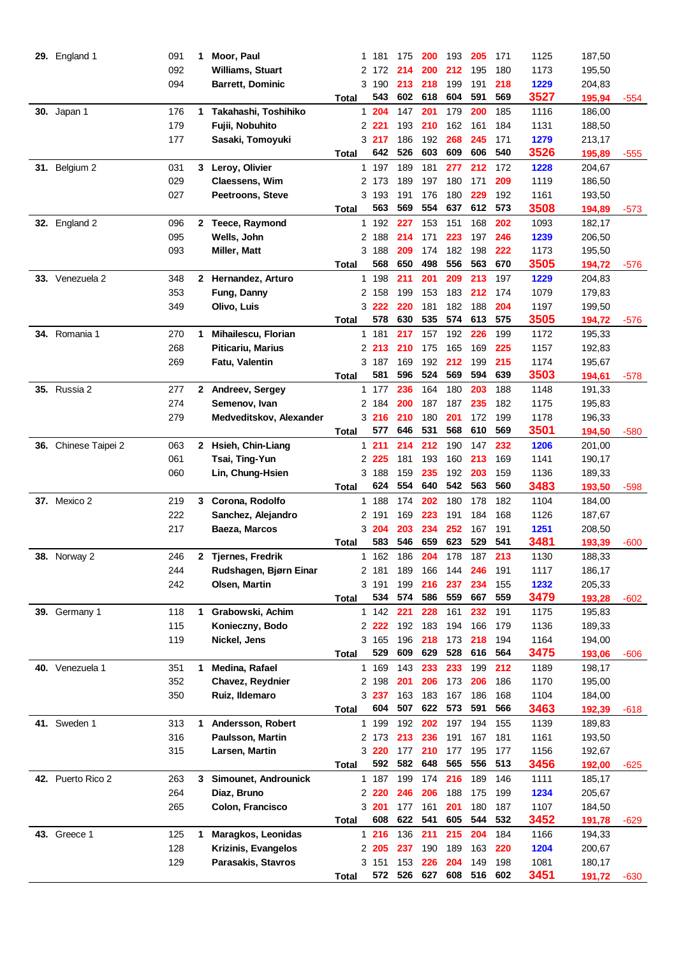|     | 29. England 1        | 091 | 1            | Moor, Paul               |              | 1 181          | 175        | 200        | 193        | 205        | 171        | 1125 | 187,50 |        |
|-----|----------------------|-----|--------------|--------------------------|--------------|----------------|------------|------------|------------|------------|------------|------|--------|--------|
|     |                      | 092 |              | <b>Williams, Stuart</b>  |              | 2 172          | 214        | 200        | 212        | 195        | 180        | 1173 | 195,50 |        |
|     |                      | 094 |              | <b>Barrett, Dominic</b>  |              | 3 190          | 213        | 218        | 199        | 191        | 218        | 1229 | 204,83 |        |
|     |                      |     |              |                          | Total        | 543            | 602        | 618        | 604        | 591        | 569        | 3527 | 195,94 | $-554$ |
|     | <b>30.</b> Japan 1   | 176 | 1.           | Takahashi, Toshihiko     |              | 1 204          | 147        | 201        | 179        | 200        | 185        | 1116 | 186,00 |        |
|     |                      | 179 |              | Fujii, Nobuhito          |              | 2 2 2 1        | 193        | 210        | 162        | 161        | 184        | 1131 | 188,50 |        |
|     |                      | 177 |              | Sasaki, Tomoyuki         |              | 3 217          | 186        | 192        | 268        | 245        | 171        | 1279 | 213,17 |        |
|     |                      |     |              |                          | Total        | 642            | 526        | 603        | 609        | 606        | 540        | 3526 | 195,89 | -555   |
|     | 31. Belgium 2        | 031 | 3.           | Leroy, Olivier           |              | 1 197          | 189        | 181        | 277        | 212        | 172        | 1228 | 204,67 |        |
|     |                      | 029 |              | <b>Claessens, Wim</b>    |              | 2 173          | 189        | 197        | 180        | 171        | 209        | 1119 | 186,50 |        |
|     |                      | 027 |              | <b>Peetroons, Steve</b>  |              | 3 193          | 191        | 176        | 180        | 229        | 192        | 1161 | 193,50 |        |
|     |                      |     |              |                          | Total        | 563            | 569        | 554        | 637        | 612        | 573        | 3508 | 194,89 | $-573$ |
|     |                      | 096 |              | 2 Teece, Raymond         |              | 1 192          | 227        | 153        | 151        | 168        | 202        | 1093 | 182,17 |        |
|     | <b>32.</b> England 2 |     |              |                          |              |                |            |            |            |            |            |      |        |        |
|     |                      | 095 |              | Wells, John              |              | 2 188          | 214        | 171        | 223        | 197        | 246        | 1239 | 206,50 |        |
|     |                      | 093 |              | <b>Miller, Matt</b>      |              | 3 188<br>568   | 209<br>650 | 174<br>498 | 182<br>556 | 198<br>563 | 222<br>670 | 1173 | 195,50 |        |
|     |                      |     |              |                          | Total        |                |            |            |            |            |            | 3505 | 194,72 | $-576$ |
|     | 33. Venezuela 2      | 348 |              | 2 Hernandez, Arturo      |              | 1 198          | 211        | 201        | 209        | 213        | 197        | 1229 | 204,83 |        |
|     |                      | 353 |              | Fung, Danny              | 2            | 158            | 199        | 153        | 183        | 212        | 174        | 1079 | 179,83 |        |
|     |                      | 349 |              | Olivo, Luis              |              | 3 222          | 220        | 181        | 182        | 188        | 204        | 1197 | 199,50 |        |
|     |                      |     |              |                          | Total        | 578            | 630        | 535        | 574        | 613        | 575        | 3505 | 194,72 | -576   |
|     | 34. Romania 1        | 270 | 1            | Mihailescu, Florian      |              | 1 181          | 217        | 157        | 192        | 226        | 199        | 1172 | 195,33 |        |
|     |                      | 268 |              | <b>Piticariu, Marius</b> |              | 2 213          | 210        | 175        | 165        | 169        | 225        | 1157 | 192,83 |        |
|     |                      | 269 |              | Fatu, Valentin           |              | 3 187          | 169        | 192        | 212        | 199        | 215        | 1174 | 195,67 |        |
|     |                      |     |              |                          | Total        | 581            | 596        | 524        | 569        | 594        | 639        | 3503 | 194,61 | -578   |
|     | <b>35.</b> Russia 2  | 277 |              | 2 Andreev, Sergey        |              | 1 177          | 236        | 164        | 180        | 203        | 188        | 1148 | 191,33 |        |
|     |                      | 274 |              | Semenov, Ivan            |              | 2 184          | 200        | 187        | 187        | 235        | 182        | 1175 | 195,83 |        |
|     |                      | 279 |              | Medveditskov, Alexander  |              | 3 216          | 210        | 180        | 201        | 172        | 199        | 1178 | 196,33 |        |
|     |                      |     |              |                          | <b>Total</b> | 577            | 646        | 531        | 568        | 610        | 569        | 3501 | 194,50 | $-580$ |
| 36. | Chinese Taipei 2     | 063 | $\mathbf{2}$ | Hsieh, Chin-Liang        |              | 1211           | 214        | 212        | 190        | 147        | 232        | 1206 | 201,00 |        |
|     |                      | 061 |              | Tsai, Ting-Yun           |              | 2 225          | 181        | 193        | 160        | 213        | 169        | 1141 | 190,17 |        |
|     |                      | 060 |              | Lin, Chung-Hsien         |              | 3 188          | 159        | 235        | 192        | 203        | 159        | 1136 | 189,33 |        |
|     |                      |     |              |                          | Total        | 624            | 554        | 640        | 542        | 563        | 560        | 3483 | 193,50 | $-598$ |
|     | 37. Mexico 2         | 219 | 3            | Corona, Rodolfo          |              | 1 188          | 174        | 202        | 180        | 178        | 182        | 1104 | 184,00 |        |
|     |                      | 222 |              | Sanchez, Alejandro       |              | 2 191          | 169        | 223        | 191        | 184        | 168        | 1126 | 187,67 |        |
|     |                      | 217 |              | Baeza, Marcos            |              | 3 204          | 203        | 234        | 252        | 167        | 191        | 1251 | 208,50 |        |
|     |                      |     |              |                          | Total        | 583            | 546        | 659        | 623        | 529        | 541        | 3481 | 193,39 | -600   |
| 38. | Norway 2             | 246 |              | <b>Tjernes, Fredrik</b>  | 1            | 162            | 186        | 204        | 178        | 187        | 213        | 1130 | 188,33 |        |
|     |                      | 244 |              | Rudshagen, Bjørn Einar   |              | 2 181          | 189        | 166        | 144        | 246        | 191        | 1117 | 186,17 |        |
|     |                      | 242 |              | <b>Olsen, Martin</b>     |              | 3 191          | 199        | 216        | 237        | 234        | 155        | 1232 | 205,33 |        |
|     |                      |     |              |                          | Total        | 534            | 574        | 586        | 559        | 667        | 559        | 3479 | 193,28 | -602   |
|     | 39. Germany 1        | 118 | 1            | Grabowski, Achim         |              | 1 142          | 221        | 228        | 161        | 232        | 191        | 1175 | 195,83 |        |
|     |                      | 115 |              | Konieczny, Bodo          |              | 2 2 2 2 2      | 192        | 183        | 194        | 166        | 179        | 1136 | 189,33 |        |
|     |                      | 119 |              | Nickel, Jens             |              | 3 165          | 196        | 218        | 173        | 218        | 194        | 1164 | 194,00 |        |
|     |                      |     |              |                          | Total        | 529            | 609        | 629        | 528        | 616        | 564        | 3475 | 193,06 | $-606$ |
|     | 40. Venezuela 1      | 351 | 1            | Medina, Rafael           |              | 1 169          | 143        | 233        | 233        | 199        | 212        | 1189 | 198,17 |        |
|     |                      | 352 |              | Chavez, Reydnier         |              | 2 198          | 201        | 206        | 173        | 206        | 186        | 1170 | 195,00 |        |
|     |                      | 350 |              | Ruiz, Ildemaro           |              | 3 237          | 163        | 183        | 167        | 186        | 168        | 1104 | 184,00 |        |
|     |                      |     |              |                          | <b>Total</b> | 604            | 507        | 622        | 573        | 591        | 566        | 3463 | 192,39 |        |
|     | 41. Sweden 1         | 313 | 1            | Andersson, Robert        |              | 1 199          | 192        | 202        | 197        | 194        | 155        | 1139 | 189,83 | -618   |
|     |                      | 316 |              | <b>Paulsson, Martin</b>  |              | 2 173          | 213        | 236        | 191        | 167        | 181        | 1161 | 193,50 |        |
|     |                      |     |              |                          |              |                |            |            |            |            |            |      |        |        |
|     |                      | 315 |              | Larsen, Martin           |              | 3 2 2 0<br>592 | 177<br>582 | 210<br>648 | 177<br>565 | 195<br>556 | 177<br>513 | 1156 | 192,67 |        |
|     |                      |     |              |                          | <b>Total</b> |                |            |            |            |            |            | 3456 | 192,00 | $-625$ |
|     | 42. Puerto Rico 2    | 263 | 3            | Simounet, Androunick     |              | 1 187          | 199        | 174        | 216        | 189        | 146        | 1111 | 185,17 |        |
|     |                      | 264 |              | Diaz, Bruno              |              | 2 2 2 0        | 246        | 206        | 188        | 175        | 199        | 1234 | 205,67 |        |
|     |                      | 265 |              | Colon, Francisco         |              | 3 201          | 177        | 161        | 201        | 180        | 187        | 1107 | 184,50 |        |
|     |                      |     |              |                          | Total        | 608            | 622        | 541        | 605        | 544        | 532        | 3452 | 191,78 | $-629$ |
|     | <b>43.</b> Greece 1  | 125 | 1            | Maragkos, Leonidas       |              | 1216           | 136        | 211        | 215        | 204        | 184        | 1166 | 194,33 |        |
|     |                      | 128 |              | Krizinis, Evangelos      |              | 2 205          | 237        | 190        | 189        | 163        | 220        | 1204 | 200,67 |        |
|     |                      | 129 |              | Parasakis, Stavros       |              | 3 151          | 153        | 226        | 204        | 149        | 198        | 1081 | 180,17 |        |
|     |                      |     |              |                          | Total        |                | 572 526    | 627        | 608        | 516        | 602        | 3451 | 191,72 | $-630$ |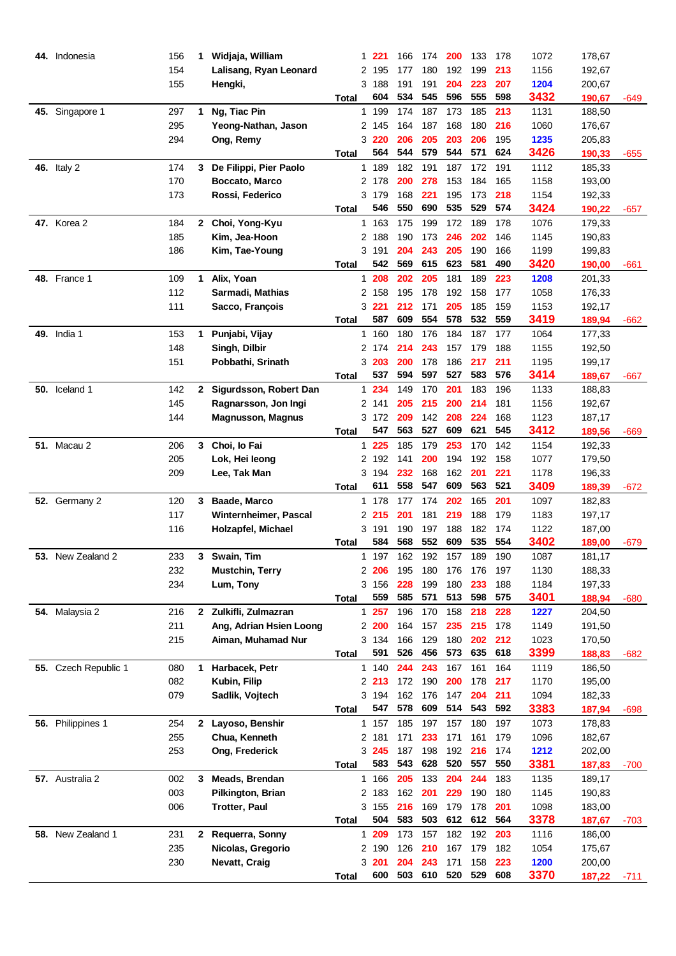|     | 44. Indonesia        | 156 | 1            | Widjaja, William         |              | 1 221 | 166 | 174     | 200 | 133 | 178 | 1072 | 178,67 |        |
|-----|----------------------|-----|--------------|--------------------------|--------------|-------|-----|---------|-----|-----|-----|------|--------|--------|
|     |                      | 154 |              | Lalisang, Ryan Leonard   |              | 2 195 | 177 | 180     | 192 | 199 | 213 | 1156 | 192,67 |        |
|     |                      | 155 |              | Hengki,                  |              | 3 188 | 191 | 191     | 204 | 223 | 207 | 1204 | 200,67 |        |
|     |                      |     |              |                          | Total        | 604   | 534 | 545     | 596 | 555 | 598 | 3432 | 190,67 | -649   |
|     | 45. Singapore 1      | 297 | 1            | Ng, Tiac Pin             |              | 1 199 | 174 | 187     | 173 | 185 | 213 | 1131 | 188,50 |        |
|     |                      | 295 |              | Yeong-Nathan, Jason      |              | 2 145 | 164 | 187     | 168 | 180 | 216 | 1060 | 176,67 |        |
|     |                      | 294 |              | Ong, Remy                |              | 3 220 | 206 | 205     | 203 | 206 | 195 | 1235 | 205,83 |        |
|     |                      |     |              |                          | Total        | 564   | 544 | 579     | 544 | 571 | 624 | 3426 | 190,33 | -655   |
|     | <b>46.</b> Italy 2   | 174 | 3            | De Filippi, Pier Paolo   |              | 1 189 | 182 | 191     | 187 | 172 | 191 | 1112 | 185,33 |        |
|     |                      | 170 |              | Boccato, Marco           |              | 2 178 | 200 | 278     | 153 | 184 | 165 | 1158 | 193,00 |        |
|     |                      | 173 |              | Rossi, Federico          |              | 3179  | 168 | 221     | 195 | 173 | 218 | 1154 | 192,33 |        |
|     |                      |     |              |                          | Total        | 546   | 550 | 690     | 535 | 529 | 574 | 3424 | 190,22 | -657   |
|     | <b>47.</b> Korea 2   | 184 | $\mathbf{2}$ | Choi, Yong-Kyu           |              | 1 163 | 175 | 199     | 172 | 189 | 178 | 1076 | 179,33 |        |
|     |                      | 185 |              | Kim, Jea-Hoon            | 2            | 188   | 190 | 173     | 246 | 202 | 146 | 1145 | 190,83 |        |
|     |                      | 186 |              | Kim, Tae-Young           |              | 3 191 | 204 | 243     | 205 | 190 | 166 | 1199 | 199,83 |        |
|     |                      |     |              |                          | Total        | 542   | 569 | 615     | 623 | 581 | 490 | 3420 | 190,00 | -661   |
|     | <b>48.</b> France 1  | 109 | 1            | Alix, Yoan               | 1.           | 208   | 202 | 205     | 181 | 189 | 223 | 1208 | 201,33 |        |
|     |                      | 112 |              | Sarmadi, Mathias         |              | 2 158 | 195 | 178     | 192 | 158 | 177 | 1058 | 176,33 |        |
|     |                      | 111 |              | Sacco, François          |              | 3 221 | 212 | 171     | 205 | 185 | 159 | 1153 | 192,17 |        |
|     |                      |     |              |                          | Total        | 587   | 609 | 554     | 578 | 532 | 559 | 3419 | 189,94 | $-662$ |
|     | <b>49.</b> India 1   | 153 | 1            | Punjabi, Vijay           |              | 1 160 | 180 | 176     | 184 | 187 | 177 | 1064 | 177,33 |        |
|     |                      | 148 |              | Singh, Dilbir            |              | 2 174 | 214 | 243     | 157 | 179 | 188 | 1155 | 192,50 |        |
|     |                      | 151 |              | Pobbathi, Srinath        |              | 3 203 | 200 | 178     | 186 | 217 | 211 | 1195 | 199,17 |        |
|     |                      |     |              |                          | Total        | 537   | 594 | 597     | 527 | 583 | 576 | 3414 | 189,67 | -667   |
|     | 50. Iceland 1        | 142 | $\mathbf{2}$ | Sigurdsson, Robert Dan   |              | 1 234 | 149 | 170     | 201 | 183 | 196 | 1133 | 188,83 |        |
|     |                      | 145 |              | Ragnarsson, Jon Ingi     |              | 2 141 | 205 | 215     | 200 | 214 | 181 | 1156 | 192,67 |        |
|     |                      | 144 |              | <b>Magnusson, Magnus</b> |              | 3 172 | 209 | 142     | 208 | 224 | 168 | 1123 | 187,17 |        |
|     |                      |     |              |                          | Total        | 547   | 563 | 527     | 609 | 621 | 545 | 3412 | 189,56 | -669   |
|     | <b>51. Macau 2</b>   | 206 | 3            | Choi, lo Fai             |              | 1 225 | 185 | 179     | 253 | 170 | 142 | 1154 | 192,33 |        |
|     |                      | 205 |              | Lok, Hei leong           |              | 2 192 | 141 | 200     | 194 | 192 | 158 | 1077 | 179,50 |        |
|     |                      | 209 |              | Lee, Tak Man             |              | 3 194 | 232 | 168     | 162 | 201 | 221 | 1178 | 196,33 |        |
|     |                      |     |              |                          | Total        | 611   | 558 | 547     | 609 | 563 | 521 | 3409 | 189,39 | $-672$ |
| 52. | Germany 2            | 120 | 3            | Baade, Marco             |              | 1 178 | 177 | 174     | 202 | 165 | 201 | 1097 | 182,83 |        |
|     |                      | 117 |              | Winternheimer, Pascal    |              | 2215  | 201 | 181     | 219 | 188 | 179 | 1183 | 197,17 |        |
|     |                      | 116 |              | Holzapfel, Michael       |              | 3 191 | 190 | 197     | 188 | 182 | 174 | 1122 | 187,00 |        |
|     |                      |     |              |                          | Total        | 584   | 568 | 552     | 609 | 535 | 554 | 3402 | 189,00 | -679   |
| 53. | New Zealand 2        | 233 | 3.           | Swain, Tim               |              | 1 197 | 162 | 192     | 157 | 189 | 190 | 1087 | 181,17 |        |
|     |                      | 232 |              | <b>Mustchin, Terry</b>   |              | 2 206 | 195 | 180     | 176 | 176 | 197 | 1130 | 188,33 |        |
|     |                      | 234 |              | Lum, Tony                |              | 3 156 | 228 | 199     | 180 | 233 | 188 | 1184 | 197,33 |        |
|     |                      |     |              |                          | Total        | 559   | 585 | 571     | 513 | 598 | 575 | 3401 | 188,94 | -680   |
|     | 54. Malaysia 2       | 216 | $\mathbf{2}$ | Zulkifli, Zulmazran      |              | 1 257 | 196 | 170     | 158 | 218 | 228 | 1227 | 204,50 |        |
|     |                      | 211 |              | Ang, Adrian Hsien Loong  |              | 2 200 | 164 | 157     | 235 | 215 | 178 | 1149 | 191,50 |        |
|     |                      | 215 |              | Aiman, Muhamad Nur       |              | 3 134 | 166 | 129     | 180 | 202 | 212 | 1023 | 170,50 |        |
|     |                      |     |              |                          | <b>Total</b> | 591   | 526 | 456     | 573 | 635 | 618 | 3399 | 188,83 | $-682$ |
|     | 55. Czech Republic 1 | 080 | 1            | Harbacek, Petr           |              | 1 140 | 244 | 243     | 167 | 161 | 164 | 1119 | 186,50 |        |
|     |                      | 082 |              | Kubin, Filip             |              | 2 213 |     | 172 190 | 200 | 178 | 217 | 1170 | 195,00 |        |
|     |                      | 079 |              | Sadlik, Vojtech          |              | 3 194 | 162 | 176     | 147 | 204 | 211 | 1094 | 182,33 |        |
|     |                      |     |              |                          | <b>Total</b> | 547   | 578 | 609     | 514 | 543 | 592 | 3383 | 187,94 | $-698$ |
|     | 56. Philippines 1    | 254 | $\mathbf{2}$ | Layoso, Benshir          |              | 1 157 | 185 | 197     | 157 | 180 | 197 | 1073 | 178,83 |        |
|     |                      | 255 |              | Chua, Kenneth            |              | 2 181 | 171 | 233     | 171 | 161 | 179 | 1096 | 182,67 |        |
|     |                      | 253 |              | Ong, Frederick           |              | 3 245 | 187 | 198     | 192 | 216 | 174 | 1212 | 202,00 |        |
|     |                      |     |              |                          | <b>Total</b> | 583   | 543 | 628     | 520 | 557 | 550 | 3381 | 187,83 | $-700$ |
|     | 57. Australia 2      | 002 | 3            | Meads, Brendan           |              | 1 166 | 205 | 133     | 204 | 244 | 183 | 1135 | 189,17 |        |
|     |                      | 003 |              | Pilkington, Brian        |              | 2 183 | 162 | 201     | 229 | 190 | 180 | 1145 | 190,83 |        |
|     |                      | 006 |              | <b>Trotter, Paul</b>     |              | 3 155 | 216 | 169     | 179 | 178 | 201 | 1098 | 183,00 |        |
|     |                      |     |              |                          | <b>Total</b> | 504   | 583 | 503     | 612 | 612 | 564 | 3378 | 187,67 | $-703$ |
| 58. | New Zealand 1        | 231 |              | 2 Requerra, Sonny        |              | 1 209 | 173 | 157     | 182 | 192 | 203 | 1116 | 186,00 |        |
|     |                      | 235 |              | Nicolas, Gregorio        |              | 2 190 | 126 | 210     | 167 | 179 | 182 | 1054 | 175,67 |        |
|     |                      | 230 |              | Nevatt, Craig            |              | 3 201 | 204 | 243     | 171 | 158 | 223 | 1200 | 200,00 |        |
|     |                      |     |              |                          | Total        | 600   | 503 | 610     | 520 | 529 | 608 | 3370 | 187,22 | $-711$ |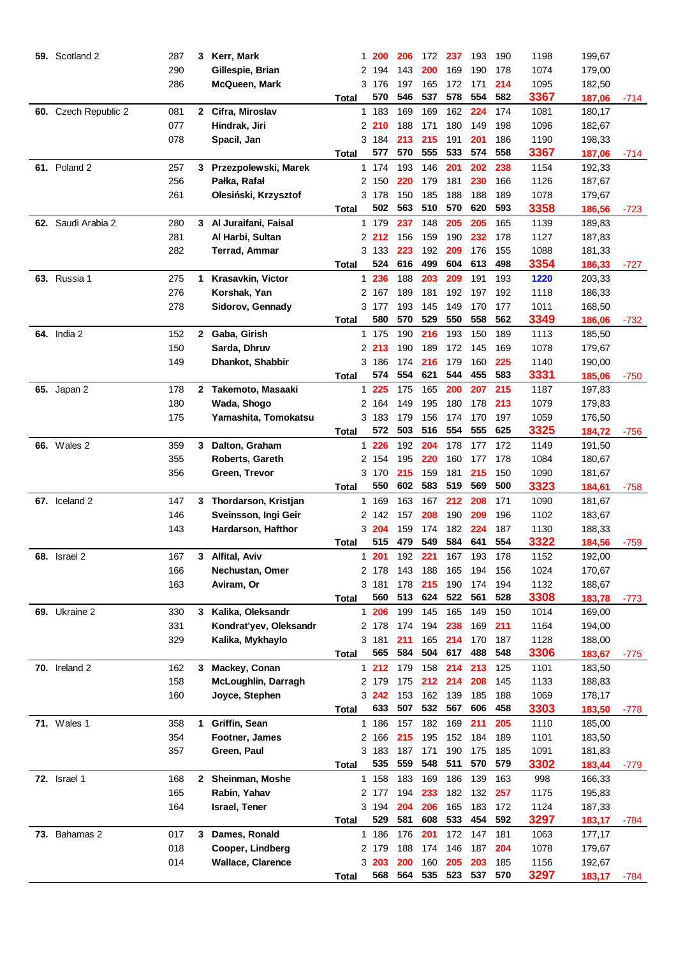| 59. | Scotland 2           | 287 | 3            | Kerr, Mark               | 1.           | <b>200</b>   | 206        | 172        | 237        | 193        | 190        | 1198 | 199,67 |        |
|-----|----------------------|-----|--------------|--------------------------|--------------|--------------|------------|------------|------------|------------|------------|------|--------|--------|
|     |                      | 290 |              | Gillespie, Brian         | 2            | 194          | 143        | 200        | 169        | 190        | 178        | 1074 | 179,00 |        |
|     |                      | 286 |              | McQueen, Mark            |              | 3 176        | 197        | 165        | 172        | 171        | 214        | 1095 | 182,50 |        |
|     |                      |     |              |                          | Total        | 570          | 546        | 537        | 578        | 554        | 582        | 3367 | 187,06 | $-714$ |
| 60. | Czech Republic 2     | 081 | $\mathbf{2}$ | Cifra, Miroslav          |              | 1 183        | 169        | 169        | 162        | 224        | 174        | 1081 | 180,17 |        |
|     |                      | 077 |              | Hindrak, Jiri            |              | 2 210        | 188        | 171        | 180        | 149        | 198        | 1096 | 182,67 |        |
|     |                      | 078 |              | Spacil, Jan              |              | 3 184        | 213        | 215        | 191        | 201        | 186        | 1190 | 198,33 |        |
|     |                      |     |              |                          | Total        | 577          | 570        | 555        | 533        | 574        | 558        | 3367 | 187,06 | -714   |
|     | <b>61.</b> Poland 2  | 257 | 3            | Przezpolewski, Marek     |              | 1 174        | 193        | 146        | 201        | 202        | 238        | 1154 | 192,33 |        |
|     |                      | 256 |              | Pałka, Rafał             |              | 2 150        | 220        | 179        | 181        | 230        | 166        | 1126 | 187,67 |        |
|     |                      | 261 |              | Olesiński, Krzysztof     |              | 3178         | 150        | 185        | 188        | 188        | 189        | 1078 | 179,67 |        |
|     |                      |     |              |                          | Total        | 502          | 563        | 510        | 570        | 620        | 593        | 3358 | 186,56 | -723   |
|     | 62. Saudi Arabia 2   | 280 |              | 3 Al Juraifani, Faisal   |              | 1 179        | 237        | 148        | 205        | 205        | 165        | 1139 | 189,83 |        |
|     |                      | 281 |              | Al Harbi, Sultan         |              | 2 212        | 156        | 159        | 190        | 232        | 178        | 1127 | 187,83 |        |
|     |                      | 282 |              | <b>Terrad, Ammar</b>     |              | 3 133        | 223        | 192        | 209        | 176        | 155        | 1088 | 181,33 |        |
|     |                      |     |              |                          | Total        | 524          | 616        | 499        | 604        | 613        | 498        | 3354 | 186,33 | -727   |
|     | <b>63.</b> Russia 1  | 275 | 1            | <b>Krasavkin, Victor</b> |              | 1 236        | 188        | 203        | 209        | 191        | 193        | 1220 | 203,33 |        |
|     |                      | 276 |              | Korshak, Yan             |              | 2 167        | 189        | 181        | 192        | 197        | 192        | 1118 | 186,33 |        |
|     |                      | 278 |              | Sidorov, Gennady         |              | 3 177        | 193        | 145        | 149        | 170        | 177        | 1011 | 168,50 |        |
|     |                      |     |              |                          | Total        | 580          | 570        | 529        | 550        | 558        | 562        | 3349 | 186,06 | -732   |
|     | <b>64.</b> India 2   | 152 | $\mathbf{2}$ | Gaba, Girish             | 1.           | 175          | 190        | 216        | 193        | 150        | 189        | 1113 | 185,50 |        |
|     |                      | 150 |              | Sarda, Dhruv             |              | 2 213        | 190        | 189        | 172        | 145        | 169        | 1078 | 179,67 |        |
|     |                      | 149 |              | Dhankot, Shabbir         |              | 3 186        | 174        | 216        | 179        | 160        | 225        | 1140 | 190,00 |        |
|     |                      |     |              |                          | <b>Total</b> | 574          | 554        | 621        | 544        | 455        | 583        | 3331 |        |        |
|     |                      |     |              |                          |              |              |            |            |            |            |            |      | 185,06 | $-750$ |
|     | <b>65.</b> Japan 2   | 178 |              | 2 Takemoto, Masaaki      |              | 1 225        | 175        | 165<br>195 | 200<br>180 | 207        | 215        | 1187 | 197,83 |        |
|     |                      | 180 |              | Wada, Shogo              | 2            | 164          | 149        |            |            | 178        | 213        | 1079 | 179,83 |        |
|     |                      | 175 |              | Yamashita, Tomokatsu     |              | 3 183<br>572 | 179<br>503 | 156<br>516 | 174<br>554 | 170<br>555 | 197<br>625 | 1059 | 176,50 |        |
|     |                      |     |              |                          | Total        |              |            |            |            |            |            | 3325 | 184,72 | $-756$ |
|     | <b>66.</b> Wales 2   | 359 | 3            | Dalton, Graham           |              | 1 226        | 192        | 204        | 178        | 177        | 172        | 1149 | 191,50 |        |
|     |                      | 355 |              | Roberts, Gareth          |              | 2 154        | 195        | 220        | 160        | 177        | 178        | 1084 | 180,67 |        |
|     |                      | 356 |              | Green, Trevor            |              | 3 170        | 215        | 159        | 181        | 215        | 150        | 1090 | 181,67 |        |
|     |                      |     |              |                          | Total        | 550          | 602        | 583        | 519        | 569        | 500        | 3323 | 184,61 | $-758$ |
|     | 67. Iceland 2        | 147 | 3            | Thordarson, Kristjan     |              | 1 169        | 163        | 167        | 212        | 208        | 171        | 1090 | 181,67 |        |
|     |                      | 146 |              | Sveinsson, Ingi Geir     |              | 2 142        | 157        | 208        | 190        | 209        | 196        | 1102 | 183,67 |        |
|     |                      | 143 |              | Hardarson, Hafthor       |              | 3 204        | 159        | 174        | 182        | 224        | 187        | 1130 | 188,33 |        |
|     |                      |     |              |                          | Total        | 515          | 479        | 549        | 584        | 641        | 554        | 3322 | 184,56 | $-759$ |
| 68. | Israel <sub>2</sub>  | 167 | 3.           | Alfital, Aviv            |              | 1 201        | 192        | 221        | 167        | 193        | 178        | 1152 | 192,00 |        |
|     |                      | 166 |              | Nechustan, Omer          |              | 2 178        | 143        | 188        | 165        | 194        | 156        | 1024 | 170,67 |        |
|     |                      | 163 |              | Aviram, Or               |              | 3181         | 178        | 215        | 190        | 174        | 194        | 1132 | 188,67 |        |
|     |                      |     |              |                          | Total        | 560          | 513        | 624        | 522        | 561        | 528        | 3308 | 183,78 | $-773$ |
|     | 69. Ukraine 2        | 330 | 3            | Kalika, Oleksandr        |              | 1 206        | 199        | 145        | 165        | 149        | 150        | 1014 | 169,00 |        |
|     |                      | 331 |              | Kondrat'yev, Oleksandr   |              | 2 178        | 174        | 194        | 238        | 169        | 211        | 1164 | 194,00 |        |
|     |                      | 329 |              | Kalika, Mykhaylo         |              | 3 181        | 211        | 165        | 214        | 170        | 187        | 1128 | 188,00 |        |
|     |                      |     |              |                          | Total        | 565          | 584        | 504        | 617        | 488        | 548        | 3306 | 183,67 | -775   |
|     | <b>70.</b> Ireland 2 | 162 | 3            | Mackey, Conan            |              | $1212$       | 179        | 158        | 214        | 213        | 125        | 1101 | 183,50 |        |
|     |                      | 158 |              | McLoughlin, Darragh      |              | 2 179        | 175        | 212        | 214        | 208        | 145        | 1133 | 188,83 |        |
|     |                      | 160 |              | Joyce, Stephen           |              | 3 242        | 153        | 162        | 139        | 185        | 188        | 1069 | 178,17 |        |
|     |                      |     |              |                          | <b>Total</b> | 633          | 507        | 532        | 567        | 606        | 458        | 3303 | 183,50 | $-778$ |
|     | <b>71.</b> Wales 1   | 358 | 1            | Griffin, Sean            |              | 1 186        | 157        | 182        | 169        | 211        | 205        | 1110 | 185,00 |        |
|     |                      | 354 |              | Footner, James           |              | 2 166        | 215        | 195        | 152        | 184        | 189        | 1101 | 183,50 |        |
|     |                      | 357 |              | Green, Paul              |              | 3 183        | 187        | 171        | 190        | 175        | 185        | 1091 | 181,83 |        |
|     |                      |     |              |                          | <b>Total</b> | 535          | 559        | 548        | 511        | 570        | 579        | 3302 | 183,44 | $-779$ |
|     | <b>72.</b> Israel 1  | 168 |              | 2 Sheinman, Moshe        |              | 1 158        | 183        | 169        | 186        | 139        | 163        | 998  | 166,33 |        |
|     |                      | 165 |              | Rabin, Yahav             |              | 2 177        | 194        | 233        | 182        | 132        | 257        | 1175 | 195,83 |        |
|     |                      | 164 |              | Israel, Tener            |              | 3 194        | 204        | 206        | 165        | 183        | 172        | 1124 | 187,33 |        |
|     |                      |     |              |                          | <b>Total</b> | 529          | 581        | 608        | 533        | 454        | 592        | 3297 | 183,17 | -784   |
|     | 73. Bahamas 2        | 017 | 3            | Dames, Ronald            |              | 1 186        | 176        | 201        | 172        | 147        | 181        | 1063 | 177,17 |        |
|     |                      | 018 |              | Cooper, Lindberg         |              | 2 179        | 188        | 174        | 146        | 187        | 204        | 1078 | 179,67 |        |
|     |                      | 014 |              | <b>Wallace, Clarence</b> |              | 3203         | 200        | 160        | 205        | 203        | 185        | 1156 | 192,67 |        |
|     |                      |     |              |                          | Total        | 568          | 564        | 535        | 523        | 537        | 570        | 3297 | 183,17 | -784   |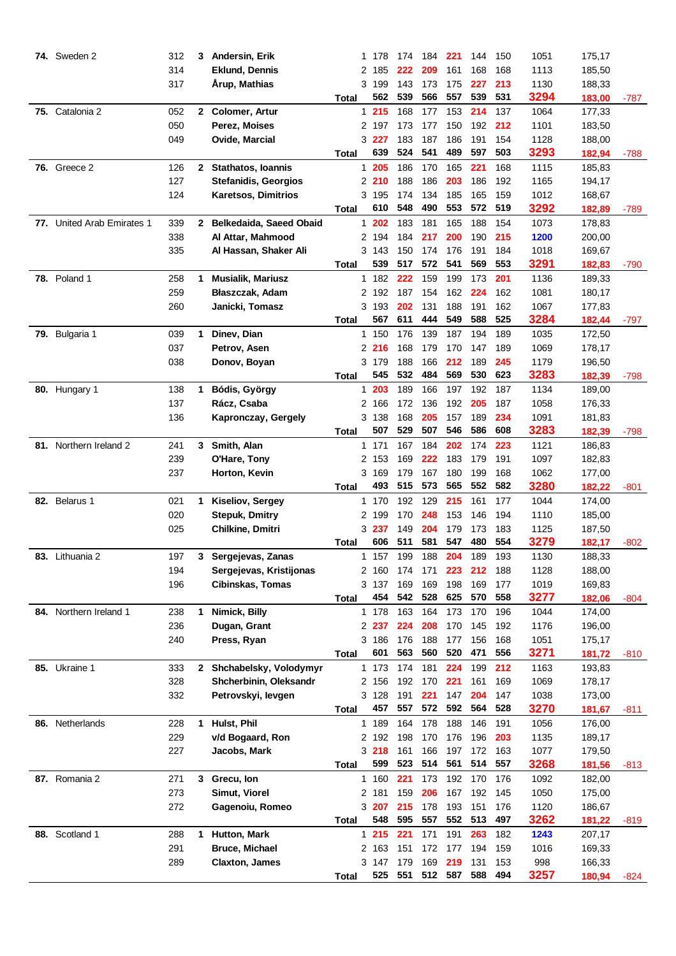|     | <b>74.</b> Sweden 2        | 312 | 3            | Andersin, Erik              | 1.           | 178          | 174 | 184         | 221 | 144 | 150 | 1051 | 175,17 |        |
|-----|----------------------------|-----|--------------|-----------------------------|--------------|--------------|-----|-------------|-----|-----|-----|------|--------|--------|
|     |                            | 314 |              | <b>Eklund, Dennis</b>       | 2            | 185          | 222 | 209         | 161 | 168 | 168 | 1113 | 185,50 |        |
|     |                            | 317 |              | Årup, Mathias               |              | 3 199        | 143 | 173         | 175 | 227 | 213 | 1130 | 188,33 |        |
|     |                            |     |              |                             | Total        | 562          | 539 | 566         | 557 | 539 | 531 | 3294 | 183,00 | -787   |
|     | 75. Catalonia 2            | 052 |              | 2 Colomer, Artur            |              | 1215         | 168 | 177         | 153 | 214 | 137 | 1064 | 177,33 |        |
|     |                            | 050 |              | Perez, Moises               |              | 2 197        | 173 | 177         | 150 | 192 | 212 | 1101 | 183,50 |        |
|     |                            | 049 |              | Ovide, Marcial              |              | 3 227        | 183 | 187         | 186 | 191 | 154 | 1128 | 188,00 |        |
|     |                            |     |              |                             | Total        | 639          | 524 | 541         | 489 | 597 | 503 | 3293 | 182,94 | -788   |
|     | <b>76.</b> Greece 2        | 126 | $\mathbf{2}$ | <b>Stathatos, Ioannis</b>   |              | 1 205        | 186 | 170         | 165 | 221 | 168 | 1115 | 185,83 |        |
|     |                            | 127 |              | <b>Stefanidis, Georgios</b> |              | 2210         | 188 | 186         | 203 | 186 | 192 | 1165 | 194,17 |        |
|     |                            | 124 |              | <b>Karetsos, Dimitrios</b>  |              | 3 195        | 174 | 134         | 185 | 165 | 159 | 1012 | 168,67 |        |
|     |                            |     |              |                             | Total        | 610          | 548 | 490         | 553 | 572 | 519 | 3292 | 182,89 | -789   |
|     | 77. United Arab Emirates 1 | 339 | $\mathbf{2}$ | Belkedaida, Saeed Obaid     |              | 1202         | 183 | 181         | 165 | 188 | 154 | 1073 | 178,83 |        |
|     |                            | 338 |              | Al Attar, Mahmood           |              | 2 194        | 184 | 217         | 200 | 190 | 215 | 1200 | 200,00 |        |
|     |                            | 335 |              | Al Hassan, Shaker Ali       |              | 3 143        | 150 | 174         | 176 | 191 | 184 | 1018 | 169,67 |        |
|     |                            |     |              |                             | Total        | 539          | 517 | 572         | 541 | 569 | 553 | 3291 | 182,83 | $-790$ |
|     | <b>78.</b> Poland 1        | 258 | 1            | <b>Musialik, Mariusz</b>    | 1.           | 182          | 222 | 159         | 199 | 173 | 201 | 1136 | 189,33 |        |
|     |                            | 259 |              | Błaszczak, Adam             |              | 2 192        | 187 | 154         | 162 | 224 | 162 | 1081 | 180,17 |        |
|     |                            | 260 |              | Janicki, Tomasz             |              | 3 193        | 202 | 131         | 188 | 191 | 162 | 1067 | 177,83 |        |
|     |                            |     |              |                             | Total        | 567          | 611 | 444         | 549 | 588 | 525 | 3284 | 182,44 | -797   |
|     | 79. Bulgaria 1             | 039 | 1            | Dinev, Dian                 | 1.           | 150          | 176 | 139         | 187 | 194 | 189 | 1035 | 172,50 |        |
|     |                            | 037 |              | Petrov, Asen                |              | 2216         | 168 | 179         | 170 | 147 | 189 | 1069 | 178,17 |        |
|     |                            | 038 |              | Donov, Boyan                |              | 3179         | 188 | 166         | 212 | 189 | 245 | 1179 | 196,50 |        |
|     |                            |     |              |                             | Total        | 545          | 532 | 484         | 569 | 530 | 623 | 3283 | 182,39 | -798   |
|     | 80. Hungary 1              | 138 | 1            | Bódis, György               |              | 1 203        | 189 | 166         | 197 | 192 | 187 | 1134 | 189,00 |        |
|     |                            | 137 |              | Rácz, Csaba                 | 2            | 166          | 172 | 136         | 192 | 205 | 187 | 1058 | 176,33 |        |
|     |                            | 136 |              | Kapronczay, Gergely         |              | 3 138        | 168 | 205         | 157 | 189 | 234 | 1091 | 181,83 |        |
|     |                            |     |              |                             | Total        | 507          | 529 | 507         | 546 | 586 | 608 | 3283 | 182,39 | $-798$ |
|     | 81. Northern Ireland 2     | 241 | 3            | Smith, Alan                 |              | 1 171        | 167 | 184         | 202 | 174 | 223 | 1121 | 186,83 |        |
|     |                            | 239 |              | O'Hare, Tony                |              | 2 153        | 169 | 222         | 183 | 179 | 191 | 1097 | 182,83 |        |
|     |                            | 237 |              | Horton, Kevin               |              | 3 169        | 179 | 167         | 180 | 199 | 168 | 1062 | 177,00 |        |
|     |                            |     |              |                             | Total        | 493          | 515 | 573         | 565 | 552 | 582 | 3280 | 182,22 | $-801$ |
|     | 82. Belarus 1              | 021 | 1            | Kiseliov, Sergey            |              | 1 170        | 192 | 129         | 215 | 161 | 177 | 1044 | 174,00 |        |
|     |                            | 020 |              | <b>Stepuk, Dmitry</b>       |              | 2 199        | 170 | 248         | 153 | 146 | 194 | 1110 | 185,00 |        |
|     |                            | 025 |              | Chilkine, Dmitri            |              | 3 <b>237</b> | 149 | 204         | 179 | 173 | 183 | 1125 | 187,50 |        |
|     |                            |     |              |                             | Total        | 606          | 511 | 581         | 547 | 480 | 554 | 3279 | 182,17 | -802   |
| 83. | Lithuania 2                | 197 | 3            | Sergejevas, Zanas           | 1            | 157          | 199 | 188         | 204 | 189 | 193 | 1130 | 188,33 |        |
|     |                            | 194 |              | Sergejevas, Kristijonas     |              | 2 160        | 174 | 171         | 223 | 212 | 188 | 1128 | 188,00 |        |
|     |                            | 196 |              | <b>Cibinskas, Tomas</b>     |              | 3 137        | 169 | 169         | 198 | 169 | 177 | 1019 | 169,83 |        |
|     |                            |     |              |                             | Total        | 454          | 542 | 528         | 625 | 570 | 558 | 3277 | 182,06 | -804   |
|     | 84. Northern Ireland 1     | 238 | 1            | Nimick, Billy               |              | 1 178        | 163 | 164         | 173 | 170 | 196 | 1044 | 174,00 |        |
|     |                            | 236 |              | Dugan, Grant                |              | 2 237        | 224 | 208         | 170 | 145 | 192 | 1176 | 196,00 |        |
|     |                            | 240 |              | Press, Ryan                 |              | 3 186        | 176 | 188         | 177 | 156 | 168 | 1051 | 175,17 |        |
|     |                            |     |              |                             | Total        | 601          | 563 | 560         | 520 | 471 | 556 | 3271 | 181,72 | -810   |
|     | 85. Ukraine 1              | 333 |              | 2 Shchabelsky, Volodymyr    |              | 1 173        | 174 | 181         | 224 | 199 | 212 | 1163 | 193,83 |        |
|     |                            | 328 |              | Shcherbinin, Oleksandr      |              | 2 156        | 192 | 170         | 221 | 161 | 169 | 1069 | 178,17 |        |
|     |                            | 332 |              | Petrovskyi, levgen          |              | 3 128        | 191 | 221         | 147 | 204 | 147 | 1038 | 173,00 |        |
|     |                            |     |              |                             | Total        | 457          | 557 | 572         | 592 | 564 | 528 | 3270 | 181,67 | -811   |
|     | 86. Netherlands            | 228 | 1            | Hulst, Phil                 |              | 1 189        | 164 | 178         | 188 | 146 | 191 | 1056 | 176,00 |        |
|     |                            | 229 |              | v/d Bogaard, Ron            |              | 2 192        | 198 | 170         | 176 | 196 | 203 | 1135 | 189,17 |        |
|     |                            | 227 |              | Jacobs, Mark                |              | 3218         | 161 | 166         | 197 | 172 | 163 | 1077 | 179,50 |        |
|     |                            |     |              |                             | <b>Total</b> | 599          | 523 | 514         | 561 | 514 | 557 | 3268 | 181,56 | -813   |
|     | 87. Romania 2              | 271 | 3            | Grecu, Ion                  |              | 1 160        | 221 | 173         | 192 | 170 | 176 | 1092 | 182,00 |        |
|     |                            | 273 |              | Simut, Viorel               |              | 2 181        | 159 | 206         | 167 | 192 | 145 | 1050 | 175,00 |        |
|     |                            | 272 |              | Gagenoiu, Romeo             |              | 3 207        | 215 | 178         | 193 | 151 | 176 | 1120 | 186,67 |        |
|     |                            |     |              |                             | Total        | 548          | 595 | 557         | 552 | 513 | 497 | 3262 | 181,22 | -819   |
| 88. | Scotland 1                 | 288 | 1            | Hutton, Mark                |              | 1215         | 221 | 171         | 191 | 263 | 182 | 1243 | 207,17 |        |
|     |                            | 291 |              | <b>Bruce, Michael</b>       |              | 2 163        | 151 | 172         | 177 | 194 | 159 | 1016 | 169,33 |        |
|     |                            | 289 |              | <b>Claxton, James</b>       |              | 3 147        | 179 | 169         | 219 | 131 | 153 | 998  | 166,33 |        |
|     |                            |     |              |                             | Total        | 525          |     | 551 512 587 |     | 588 | 494 | 3257 | 180,94 | -824   |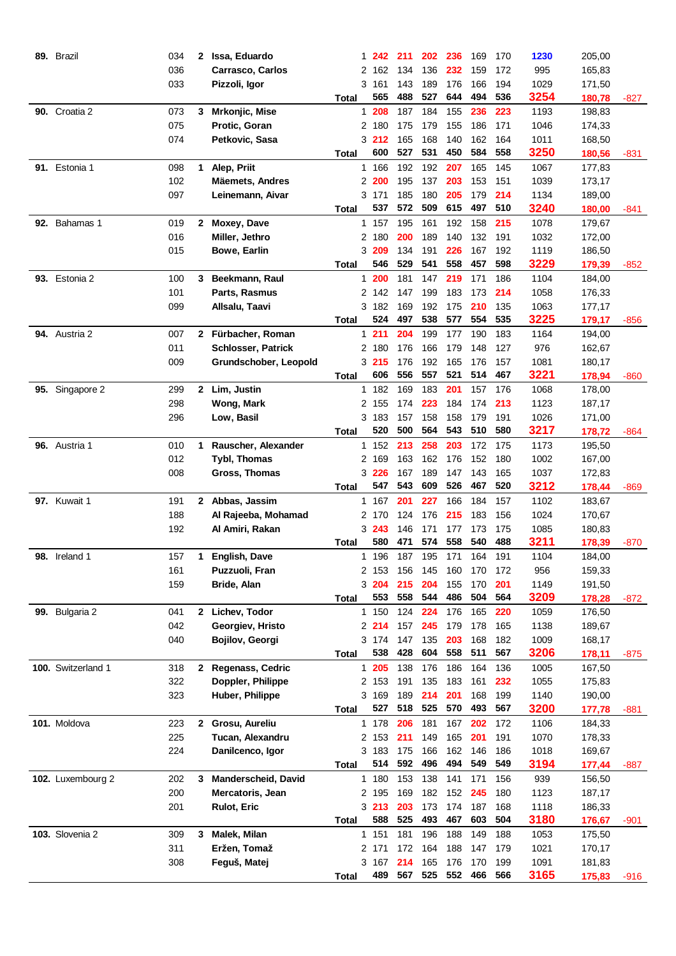|     | 89. Brazil           | 034 | 2            | Issa, Eduardo             | 1.           | 242          | 211        | 202        | 236        | 169        | 170        | 1230         | 205,00 |        |
|-----|----------------------|-----|--------------|---------------------------|--------------|--------------|------------|------------|------------|------------|------------|--------------|--------|--------|
|     |                      | 036 |              | <b>Carrasco, Carlos</b>   | 2            | 162          | 134        | 136        | 232        | 159        | 172        | 995          | 165,83 |        |
|     |                      | 033 |              | Pizzoli, Igor             |              | 3 161        | 143        | 189        | 176        | 166        | 194        | 1029         | 171,50 |        |
|     |                      |     |              |                           | Total        | 565          | 488        | 527        | 644        | 494        | 536        | 3254         | 180,78 | -827   |
|     | 90. Croatia 2        | 073 | 3            | <b>Mrkonjic, Mise</b>     |              | 1 208        | 187        | 184        | 155        | 236        | 223        | 1193         | 198,83 |        |
|     |                      | 075 |              | Protic, Goran             |              | 2 180        | 175        | 179        | 155        | 186        | 171        | 1046         | 174,33 |        |
|     |                      | 074 |              | Petkovic, Sasa            |              | 3 212        | 165        | 168        | 140        | 162        | 164        | 1011         | 168,50 |        |
|     |                      |     |              |                           | Total        | 600          | 527        | 531        | 450        | 584        | 558        | 3250         | 180,56 | -831   |
|     | 91. Estonia 1        | 098 | 1            | Alep, Priit               |              | 1 166        | 192        | 192        | 207        | 165        | 145        | 1067         | 177,83 |        |
|     |                      | 102 |              | <b>Mäemets, Andres</b>    |              | 2 200        | 195        | 137        | 203        | 153        | 151        | 1039         | 173,17 |        |
|     |                      | 097 |              | Leinemann, Aivar          |              | 3 171        | 185        | 180        | 205        | 179        | 214        | 1134         | 189,00 |        |
|     |                      |     |              |                           | Total        | 537          | 572        | 509        | 615        | 497        | 510        | 3240         | 180,00 | -841   |
|     | 92. Bahamas 1        | 019 | $\mathbf{2}$ | Moxey, Dave               |              | 1 157        | 195        | 161        | 192        | 158        | 215        | 1078         | 179,67 |        |
|     |                      | 016 |              | Miller, Jethro            |              | 2 180        | 200        | 189        | 140        | 132        | 191        | 1032         | 172,00 |        |
|     |                      | 015 |              | <b>Bowe, Earlin</b>       |              | 3 209        | 134        | 191        | 226        | 167        | 192        | 1119         | 186,50 |        |
|     |                      |     |              |                           | Total        | 546          | 529        | 541        | 558        | 457        | 598        | 3229         | 179,39 |        |
|     | 93. Estonia 2        | 100 | 3            | Beekmann, Raul            |              | 1200         | 181        | 147        | 219        | 171        | 186        | 1104         | 184,00 | -852   |
|     |                      | 101 |              | Parts, Rasmus             | 2            | 142          | 147        | 199        | 183        | 173        | 214        | 1058         |        |        |
|     |                      |     |              |                           |              |              |            |            |            |            |            |              | 176,33 |        |
|     |                      | 099 |              | Allsalu, Taavi            |              | 3 182<br>524 | 169<br>497 | 192<br>538 | 175<br>577 | 210<br>554 | 135<br>535 | 1063<br>3225 | 177,17 |        |
|     |                      |     |              |                           | <b>Total</b> |              |            |            |            |            |            |              | 179,17 | $-856$ |
|     | <b>94.</b> Austria 2 | 007 | $\mathbf{2}$ | Fürbacher, Roman          | 1.           | 211          | 204        | 199        | 177        | 190        | 183        | 1164         | 194,00 |        |
|     |                      | 011 |              | <b>Schlosser, Patrick</b> |              | 2 180        | 176        | 166        | 179        | 148        | 127        | 976          | 162,67 |        |
|     |                      | 009 |              | Grundschober, Leopold     |              | 3215         | 176        | 192        | 165        | 176        | 157        | 1081         | 180,17 |        |
|     |                      |     |              |                           | Total        | 606          | 556        | 557        | 521        | 514        | 467        | 3221         | 178,94 | $-860$ |
|     | 95. Singapore 2      | 299 | $\mathbf{2}$ | Lim, Justin               | 1.           | 182          | 169        | 183        | 201        | 157        | 176        | 1068         | 178,00 |        |
|     |                      | 298 |              | Wong, Mark                | 2            | 155          | 174        | 223        | 184        | 174        | 213        | 1123         | 187,17 |        |
|     |                      | 296 |              | Low, Basil                |              | 3 183        | 157        | 158        | 158        | 179        | 191        | 1026         | 171,00 |        |
|     |                      |     |              |                           | Total        | 520          | 500        | 564        | 543        | 510        | 580        | 3217         | 178,72 | -864   |
|     | 96. Austria 1        | 010 | 1            | Rauscher, Alexander       | $\mathbf{1}$ | 152          | 213        | 258        | 203        | 172        | 175        | 1173         | 195,50 |        |
|     |                      | 012 |              | <b>Tybl, Thomas</b>       | 2            | 169          | 163        | 162        | 176        | 152        | 180        | 1002         | 167,00 |        |
|     |                      | 008 |              | Gross, Thomas             |              | 3 226        | 167        | 189        | 147        | 143        | 165        | 1037         | 172,83 |        |
|     |                      |     |              |                           | Total        | 547          | 543        | 609        | 526        | 467        | 520        | 3212         | 178,44 | $-869$ |
|     | <b>97.</b> Kuwait 1  | 191 | 2            | Abbas, Jassim             |              | 1 167        | 201        | 227        | 166        | 184        | 157        | 1102         | 183,67 |        |
|     |                      | 188 |              | Al Rajeeba, Mohamad       |              | 2 170        | 124        | 176        | 215        | 183        | 156        | 1024         | 170,67 |        |
|     |                      | 192 |              | Al Amiri, Rakan           |              | 3 243        | 146        | 171        | 177        | 173        | 175        | 1085         | 180,83 |        |
|     |                      |     |              |                           | <b>Total</b> | 580          | 471        | 574        | 558        | 540        | 488        | 3211         | 178,39 | $-870$ |
| 98. | Ireland 1            | 157 | 1            | <b>English, Dave</b>      |              | 1 196        | 187        | 195        | 171        | 164        | 191        | 1104         | 184,00 |        |
|     |                      | 161 |              | Puzzuoli, Fran            |              | 2 153        | 156        | 145        | 160        | 170        | 172        | 956          | 159,33 |        |
|     |                      | 159 |              | Bride, Alan               |              | 3 204        | 215        | 204        | 155        | 170        | 201        | 1149         | 191,50 |        |
|     |                      |     |              |                           | Total        | 553          | 558        | 544        | 486        | 504        | 564        | 3209         | 178,28 | $-872$ |
|     | 99. Bulgaria 2       | 041 | $\mathbf{2}$ | Lichev, Todor             |              | 1 150        | 124        | 224        | 176        | 165        | 220        | 1059         | 176,50 |        |
|     |                      | 042 |              | Georgiev, Hristo          |              | 2 214        | 157        | 245        | 179        | 178        | 165        | 1138         | 189,67 |        |
|     |                      | 040 |              | Bojilov, Georgi           |              | 3 174        | 147        | 135        | 203        | 168        | 182        | 1009         | 168,17 |        |
|     |                      |     |              |                           | Total        | 538          | 428        | 604        | 558        | 511        | 567        | 3206         | 178,11 | -875   |
|     | 100. Switzerland 1   | 318 | 2            | <b>Regenass, Cedric</b>   |              | 1 205        | 138        | 176        | 186        | 164        | 136        | 1005         | 167,50 |        |
|     |                      | 322 |              | Doppler, Philippe         |              | 2 153        | 191        | 135        | 183        | 161        | 232        | 1055         | 175,83 |        |
|     |                      | 323 |              | Huber, Philippe           |              | 3 169        | 189        | 214        | 201        | 168        | 199        | 1140         | 190,00 |        |
|     |                      |     |              |                           | <b>Total</b> | 527          | 518        | 525        | 570        | 493        | 567        | 3200         | 177,78 | -881   |
|     | 101. Moldova         | 223 | $\mathbf{2}$ | Grosu, Aureliu            |              | 1 178        | 206        | 181        | 167        | 202        | 172        | 1106         | 184,33 |        |
|     |                      | 225 |              | Tucan, Alexandru          |              | 2 153        | 211        | 149        | 165        | 201        | 191        | 1070         | 178,33 |        |
|     |                      | 224 |              | Danilcenco, Igor          |              | 3 183        | 175        | 166        | 162        | 146        | 186        | 1018         | 169,67 |        |
|     |                      |     |              |                           | <b>Total</b> | 514          | 592        | 496        | 494        | 549        | 549        | 3194         | 177,44 | -887   |
|     | 102. Luxembourg 2    | 202 | 3            | Manderscheid, David       |              | 1 180        | 153        | 138        | 141        | 171        | 156        | 939          | 156,50 |        |
|     |                      | 200 |              | Mercatoris, Jean          |              | 2 195        | 169        | 182        | 152        | 245        | 180        | 1123         | 187,17 |        |
|     |                      | 201 |              | <b>Rulot, Eric</b>        |              | 3213         | 203        | 173        | 174        | 187        | 168        | 1118         | 186,33 |        |
|     |                      |     |              |                           | Total        | 588          | 525        | 493        | 467        | 603        | 504        | 3180         | 176,67 | -901   |
|     | 103. Slovenia 2      | 309 | 3            | Malek, Milan              |              | 1 151        | 181        | 196        | 188        | 149        | 188        | 1053         | 175,50 |        |
|     |                      | 311 |              | Eržen, Tomaž              |              | 2 171        | 172        | 164        | 188        | 147        | 179        | 1021         | 170,17 |        |
|     |                      | 308 |              | Feguš, Matej              |              | 3 167        | 214        | 165        | 176        | 170        | 199        | 1091         | 181,83 |        |
|     |                      |     |              |                           | Total        | 489          | 567        | 525        | 552        | 466        | 566        | 3165         | 175,83 | -916   |
|     |                      |     |              |                           |              |              |            |            |            |            |            |              |        |        |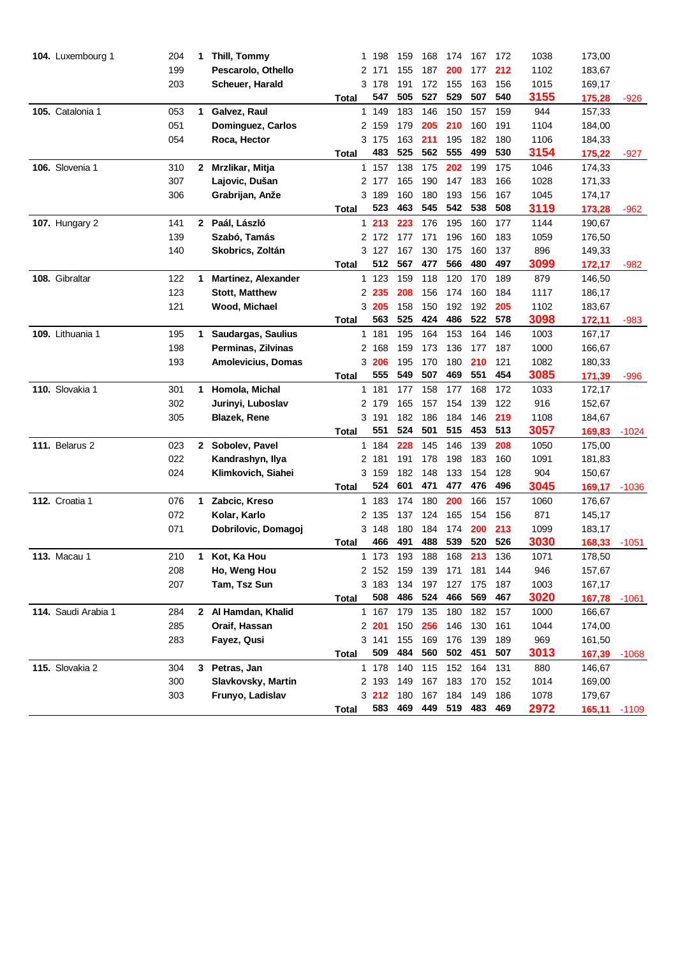| 104. Luxembourg 1   | 204        | 1            | Thill, Tommy                         |              |   | 1 198        | 159        | 168                 | 174        | 167        | 172        | 1038         | 173,00           |         |
|---------------------|------------|--------------|--------------------------------------|--------------|---|--------------|------------|---------------------|------------|------------|------------|--------------|------------------|---------|
|                     | 199        |              | Pescarolo, Othello                   |              |   | 2 171        | 155        | 187                 | 200        | 177        | 212        | 1102         | 183,67           |         |
|                     | 203        |              | Scheuer, Harald                      |              |   | 3 178        | 191        | 172                 | 155        | 163        | 156        | 1015         | 169,17           |         |
|                     |            |              |                                      | Total        |   | 547          | 505        | 527                 | 529        | 507        | 540        | 3155         | 175,28           | -926    |
| 105. Catalonia 1    | 053        | 1.           | Galvez, Raul                         |              |   | 1 149        | 183        | 146                 | 150        | 157        | 159        | 944          | 157,33           |         |
|                     | 051        |              | Dominguez, Carlos                    |              |   | 2 159        | 179        | 205                 | 210        | 160        | 191        | 1104         | 184,00           |         |
|                     | 054        |              | Roca, Hector                         |              |   | 3 175        | 163        | 211                 | 195        | 182        | 180        | 1106         | 184,33           |         |
|                     |            |              |                                      | Total        |   | 483          | 525        | 562                 | 555        | 499        | 530        | 3154         | 175,22           | $-927$  |
| 106. Slovenia 1     | 310        | $\mathbf{2}$ | Mrzlikar, Mitja                      |              |   | 1 157        | 138        | 175                 | 202        | 199        | 175        | 1046         | 174,33           |         |
|                     | 307        |              | Lajovic, Dušan                       |              |   | 2 177        | 165        | 190                 | 147        | 183        | 166        | 1028         | 171,33           |         |
|                     | 306        |              | Grabrijan, Anže                      |              |   | 3 189        | 160        | 180                 | 193        | 156        | 167        | 1045         | 174,17           |         |
|                     |            |              |                                      | Total        |   | 523          | 463        | 545                 | 542        | 538        | 508        | 3119         | 173,28           | -962    |
| 107. Hungary 2      | 141        |              | 2 Paál, László                       |              |   | 1213         | 223        | 176                 | 195        | 160        | 177        | 1144         | 190,67           |         |
|                     | 139        |              | Szabó, Tamás                         |              |   | 2 172        | 177        | 171                 | 196        | 160        | 183        | 1059         | 176,50           |         |
|                     | 140        |              | Skobrics, Zoltán                     |              |   | 3 127        | 167        | 130                 | 175        | 160        | 137        | 896          | 149,33           |         |
|                     |            |              |                                      | Total        |   | 512          | 567        | 477                 | 566        | 480        | 497        | 3099         | 172,17           | -982    |
| 108. Gibraltar      | 122        | 1            | <b>Martinez, Alexander</b>           |              |   | 1 123        | 159        | 118                 | 120        | 170        | 189        | 879          | 146,50           |         |
|                     | 123        |              | <b>Stott, Matthew</b>                |              |   | 2 235        | 208        | 156                 | 174        | 160        | 184        | 1117         | 186,17           |         |
|                     | 121        |              | Wood, Michael                        |              |   | 3 205        | 158        | 150                 | 192        | 192        | 205        | 1102         | 183,67           |         |
|                     |            |              |                                      | Total        |   | 563          | 525        | 424                 | 486        | 522        | 578        | 3098         | 172,11           | $-983$  |
| 109. Lithuania 1    | 195        | 1            | Saudargas, Saulius                   |              | 1 | 181          | 195        | 164                 | 153        | 164        | 146        | 1003         | 167,17           |         |
|                     | 198        |              | Perminas, Zilvinas                   |              | 2 | 168          | 159        | 173                 | 136        | 177        | 187        | 1000         | 166,67           |         |
|                     | 193        |              | <b>Amolevicius, Domas</b>            |              |   | 3 206        | 195        | 170                 | 180        | 210        | 121        | 1082         | 180,33           |         |
|                     |            |              |                                      | Total        |   | 555          | 549        | 507                 | 469        | 551        | 454        | 3085         | 171,39           | $-996$  |
| 110. Slovakia 1     | 301        | 1            | Homola, Michal                       |              |   | 1 181        | 177        | 158                 | 177        | 168        | 172        | 1033         | 172,17           |         |
|                     | 302        |              | Jurinyi, Luboslav                    |              |   | 2 179        | 165        | 157                 | 154        | 139        | 122        | 916          | 152,67           |         |
|                     | 305        |              | <b>Blazek, Rene</b>                  |              |   | 3 191        | 182        | 186                 | 184        | 146        | 219        | 1108         | 184,67           |         |
|                     |            |              |                                      | Total        |   | 551          | 524        | 501                 | 515        | 453        | 513        | 3057         | 169,83           | $-1024$ |
| 111. Belarus 2      | 023        | 2            | Sobolev, Pavel                       |              |   | 1 184        | 228        | 145                 | 146        | 139        | 208        | 1050         | 175,00           |         |
|                     | 022        |              | Kandrashyn, Ilya                     |              |   | 2 181        | 191        | 178                 | 198        | 183        | 160        | 1091         | 181,83           |         |
|                     | 024        |              | Klimkovich, Siahei                   |              |   | 3 159        | 182        | 148                 | 133        | 154        | 128        | 904          | 150,67           |         |
|                     |            |              |                                      | Total        |   | 524          | 601        | 471                 | 477        | 476        | 496        | 3045         | 169,17           | $-1036$ |
| 112. Croatia 1      | 076        | 1            | Zabcic, Kreso                        |              |   | 1 183        | 174        | 180                 | 200        | 166        | 157        | 1060         | 176,67           |         |
|                     | 072        |              | Kolar, Karlo                         |              |   | 2 135        | 137        | 124                 | 165        | 154        | 156        | 871          | 145,17           |         |
|                     | 071        |              | Dobrilovic, Domagoj                  |              |   | 3 148<br>466 | 180<br>491 | 184<br>488          | 174<br>539 | 200<br>520 | 213<br>526 | 1099<br>3030 | 183,17           |         |
|                     |            |              |                                      | Total        |   |              |            |                     | 168        |            |            |              | 168,33           | $-1051$ |
| <b>113. Macau 1</b> | 210        | 1.           | Kot, Ka Hou<br>Ho, Weng Hou          |              |   | 1 173        | 193        | 188                 |            | 213        | 136        | 1071         | 178,50           |         |
|                     | 208<br>207 |              |                                      |              |   | 2 152        | 159<br>134 | 139                 | 171        | 181        | 144        | 946          | 157,67           |         |
|                     |            |              | Tam, Tsz Sun                         | Total        |   | 3183<br>508  | 486        | 197<br>524          | 127<br>466 | 175<br>569 | 187<br>467 | 1003<br>3020 | 167,17<br>167,78 | $-1061$ |
| 114. Saudi Arabia 1 | 284        |              |                                      |              |   | 1 167        | 179        | 135                 | 180        | 182        | 157        | 1000         | 166,67           |         |
|                     | 285        |              | 2 Al Hamdan, Khalid<br>Oraif, Hassan |              |   | 2 201        | 150        | 256                 | 146        | 130        | 161        | 1044         | 174,00           |         |
|                     | 283        |              | Fayez, Qusi                          |              |   | 3 141        | 155        | 169                 | 176        | 139        | 189        | 969          | 161,50           |         |
|                     |            |              |                                      | <b>Total</b> |   | 509          | 484        | 560                 | 502        | 451        | 507        | 3013         | 167,39           | $-1068$ |
| 115. Slovakia 2     | 304        | 3            | Petras, Jan                          |              |   | 1 178        | 140        | 115                 | 152 164    |            | 131        | 880          | 146,67           |         |
|                     | 300        |              | Slavkovsky, Martin                   |              |   | 2 193        | 149        | 167                 | 183        | 170        | 152        | 1014         | 169,00           |         |
|                     | 303        |              | Frunyo, Ladislav                     |              |   | 3212         | 180        | 167                 | 184        | 149        | 186        | 1078         | 179,67           |         |
|                     |            |              |                                      | <b>Total</b> |   |              |            | 583 469 449 519 483 |            |            | 469        | 2972         | 165,11           | $-1109$ |
|                     |            |              |                                      |              |   |              |            |                     |            |            |            |              |                  |         |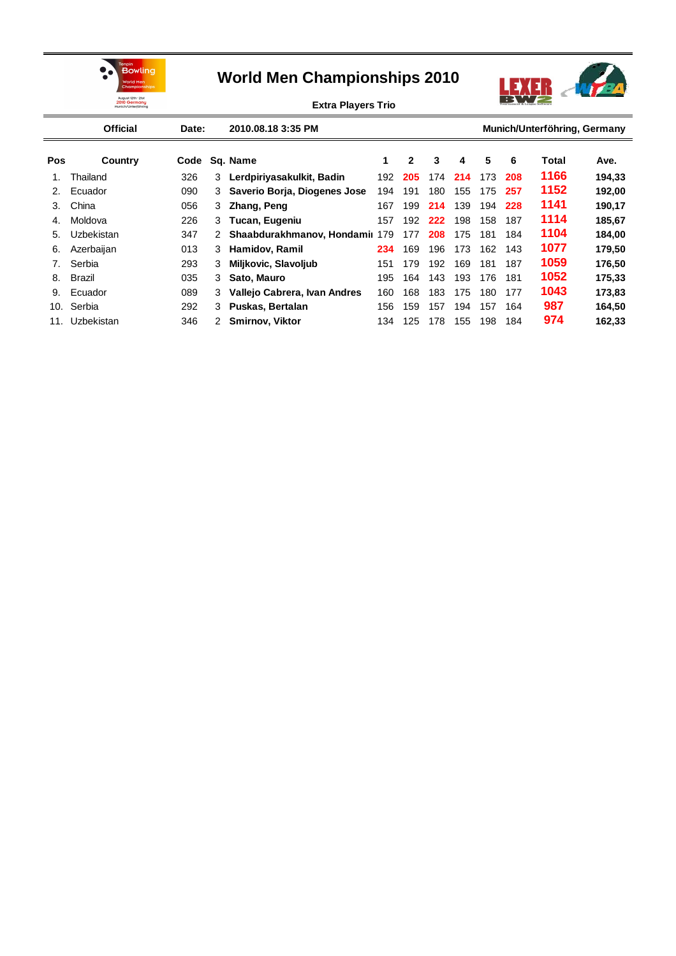



**Extra Players Trio**

|                                | <b>Official</b> | Date: |              | 2010.08.18 3:35 PM             |     |              |     |     |     |     | Munich/Unterföhring, Germany |        |
|--------------------------------|-----------------|-------|--------------|--------------------------------|-----|--------------|-----|-----|-----|-----|------------------------------|--------|
| <b>Pos</b>                     | Country         | Code  |              | Sq. Name                       | 1   | $\mathbf{2}$ | 3   | 4   | 5   | 6   | Total                        | Ave.   |
| 1.                             | Thailand        | 326   | 3            | Lerdpiriyasakulkit, Badin      | 192 | 205          | 174 | 214 | 173 | 208 | 1166                         | 194,33 |
| 2 <sub>1</sub>                 | Ecuador         | 090   | 3            | Saverio Borja, Diogenes Jose   | 194 | 191          | 180 | 155 | 175 | 257 | 1152                         | 192,00 |
| 3.                             | China           | 056   | 3            | Zhang, Peng                    | 167 | 199          | 214 | 139 | 194 | 228 | 1141                         | 190,17 |
| 4.                             | Moldova         | 226   | 3            | Tucan, Eugeniu                 | 157 | 192          | 222 | 198 | 158 | 187 | 1114                         | 185,67 |
| 5.                             | Uzbekistan      | 347   | 2            | Shaabdurakhmanov, Hondamii 179 |     | 177          | 208 | 175 | 181 | 184 | 1104                         | 184,00 |
| 6.                             | Azerbaijan      | 013   | 3            | Hamidov, Ramil                 | 234 | 169          | 196 | 173 | 162 | 143 | 1077                         | 179,50 |
| $7_{\scriptscriptstyle{\sim}}$ | Serbia          | 293   | 3            | Miljkovic, Slavoljub           | 151 | 179          | 192 | 169 | 181 | 187 | 1059                         | 176,50 |
| 8.                             | <b>Brazil</b>   | 035   | 3            | Sato, Mauro                    | 195 | 164          | 143 | 193 | 176 | 181 | 1052                         | 175,33 |
| 9.                             | Ecuador         | 089   | 3            | Vallejo Cabrera, Ivan Andres   | 160 | 168          | 183 | 175 | 180 | 177 | 1043                         | 173,83 |
| 10.                            | Serbia          | 292   | 3            | Puskas, Bertalan               | 156 | 159          | 157 | 194 | 157 | 164 | 987                          | 164,50 |
| 11.                            | Uzbekistan      | 346   | $\mathbf{2}$ | <b>Smirnov, Viktor</b>         | 134 | 125          | 178 | 155 | 198 | 184 | 974                          | 162,33 |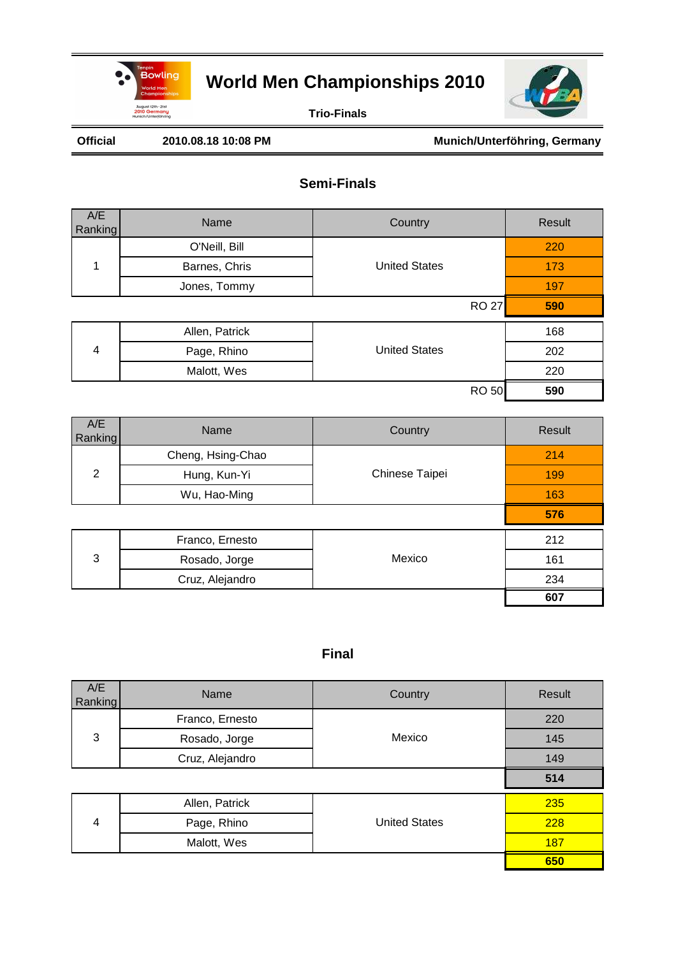



**Trio-Finals**

#### Official 2010.08.18 10:08 PM Munich/Unterföhring, Germany

### **Semi-Finals**

| A/E<br>Ranking | Name           | Country              | Result |
|----------------|----------------|----------------------|--------|
|                | O'Neill, Bill  |                      | 220    |
| 1              | Barnes, Chris  | <b>United States</b> | 173    |
|                | Jones, Tommy   |                      | 197    |
|                |                | <b>RO 27</b>         | 590    |
|                | Allen, Patrick |                      | 168    |
| 4              | Page, Rhino    | <b>United States</b> | 202    |
|                | Malott, Wes    |                      | 220    |
|                |                | <b>RO 50</b>         | 590    |

| A/E<br>Ranking | Name              | Country        | Result |
|----------------|-------------------|----------------|--------|
|                | Cheng, Hsing-Chao |                | 214    |
| 2              | Hung, Kun-Yi      | Chinese Taipei | 199    |
|                | Wu, Hao-Ming      |                | 163    |
|                |                   |                | 576    |
|                | Franco, Ernesto   |                | 212    |
| 3              | Rosado, Jorge     | Mexico         | 161    |
|                | Cruz, Alejandro   |                | 234    |
|                |                   |                | 607    |

| A/E<br>Ranking | Name            | Country              | Result |
|----------------|-----------------|----------------------|--------|
|                | Franco, Ernesto |                      | 220    |
| 3              | Rosado, Jorge   | Mexico               | 145    |
|                | Cruz, Alejandro |                      | 149    |
|                |                 |                      | 514    |
|                | Allen, Patrick  |                      | 235    |
| 4              | Page, Rhino     | <b>United States</b> | 228    |
|                | Malott, Wes     |                      | 187    |
|                |                 |                      | 650    |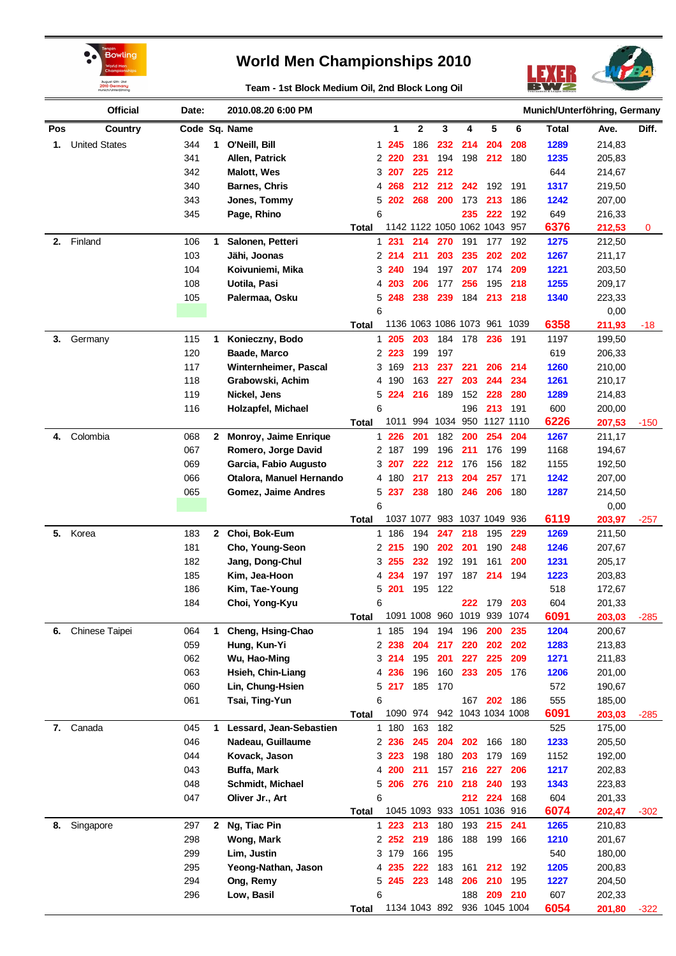



**Team - 1st Block Medium Oil, 2nd Block Long Oil**

|     | <b>Official</b>      | Date:      |              | 2010.08.20 6:00 PM                           | Munich/Unterföhring, Germany |                  |                              |            |                           |               |      |              |                  |        |
|-----|----------------------|------------|--------------|----------------------------------------------|------------------------------|------------------|------------------------------|------------|---------------------------|---------------|------|--------------|------------------|--------|
| Pos | Country              |            |              | Code Sq. Name                                |                              | 1                | 2                            | 3          | 4                         | 5             | 6    | <b>Total</b> | Ave.             | Diff.  |
| 1.  | <b>United States</b> | 344        | 1            | O'Neill, Bill                                |                              | 1 245            | 186                          | 232        | 214                       | 204           | 208  | 1289         | 214,83           |        |
|     |                      | 341        |              | Allen, Patrick                               |                              | 2 2 2 0          | 231                          | 194        | 198                       | 212           | 180  | 1235         | 205,83           |        |
|     |                      | 342        |              | <b>Malott, Wes</b>                           |                              | 3 207            | 225                          | 212        |                           |               |      | 644          | 214,67           |        |
|     |                      | 340        |              | Barnes, Chris                                | 4                            | 268              | 212                          | 212        | 242                       | 192           | 191  | 1317         | 219,50           |        |
|     |                      | 343        |              | Jones, Tommy                                 | 5                            | 202              | 268                          | 200        | 173                       | 213           | 186  | 1242         | 207,00           |        |
|     |                      | 345        |              | Page, Rhino                                  | 6                            |                  |                              |            | 235                       | 222           | 192  | 649          | 216,33           |        |
|     |                      |            |              |                                              | Total                        |                  | 1142 1122 1050 1062 1043 957 |            |                           |               |      | 6376         | 212,53           | 0      |
| 2.  | Finland              | 106        | 1            | Salonen, Petteri                             | 1                            | 231              | 214                          | 270        | 191                       | 177           | 192  | 1275         | 212,50           |        |
|     |                      | 103        |              | Jähi, Joonas                                 |                              | 2214             | 211                          | 203        | 235                       | 202           | 202  | 1267         | 211,17           |        |
|     |                      | 104        |              | Koivuniemi, Mika                             |                              | 3 240            | 194                          | 197        | 207                       | 174           | 209  | 1221         | 203,50           |        |
|     |                      | 108        |              | Uotila, Pasi                                 | 4                            | 203              | 206                          | 177        | 256                       | 195           | 218  | 1255         | 209,17           |        |
|     |                      | 105        |              | Palermaa, Osku                               | 5                            | 248              | 238                          | 239        | 184                       | 213           | 218  | 1340         | 223,33           |        |
|     |                      |            |              |                                              | 6                            |                  |                              |            |                           |               |      |              | 0,00             |        |
|     |                      |            |              |                                              | Total                        |                  | 1136 1063 1086 1073 961      |            |                           |               | 1039 | 6358         | 211,93           | -18    |
| 3.  | Germany              | 115        | 1            | Konieczny, Bodo                              | 1                            | 205              | 203                          | 184        | 178                       | 236           | 191  | 1197         | 199,50           |        |
|     |                      | 120        |              | Baade, Marco                                 |                              | 2 2 2 3          | 199                          | 197        |                           |               |      | 619          | 206,33           |        |
|     |                      | 117        |              | Winternheimer, Pascal                        |                              | 3 169            | 213                          | 237        | 221                       | 206           | 214  | 1260         | 210,00           |        |
|     |                      | 118        |              | Grabowski, Achim                             | 4                            | 190              | 163                          | 227        | 203                       | 244           | 234  | 1261         | 210,17           |        |
|     |                      | 119        |              | Nickel, Jens                                 |                              | 5 224            | 216                          | 189        | 152                       | 228           | 280  | 1289         | 214,83           |        |
|     |                      | 116        |              | Holzapfel, Michael                           | 6                            |                  |                              |            | 196                       | 213           | 191  | 600          | 200,00           |        |
|     |                      |            |              |                                              | Total                        | 1011             | 994                          | 1034       | 950                       | 1127 1110     |      | 6226         | 207,53           | $-150$ |
| 4.  | Colombia             | 068        | 2            | <b>Monroy, Jaime Enrique</b>                 | 1                            | 226              | 201                          | 182        | 200                       | 254           | 204  | 1267         | 211,17           |        |
|     |                      | 067        |              | Romero, Jorge David                          |                              | 2 187            | 199                          | 196        | 211                       | 176           | 199  | 1168         | 194,67           |        |
|     |                      | 069        |              | Garcia, Fabio Augusto                        |                              | 3 207            | 222                          | 212        | 176                       | 156           | 182  | 1155         | 192,50           |        |
|     |                      | 066        |              | Otalora, Manuel Hernando                     |                              | 4 180            | 217                          | 213        | 204                       | 257           | 171  | 1242         | 207,00           |        |
|     |                      | 065        |              | Gomez, Jaime Andres                          |                              | 5 237            | 238                          | 180        | 246                       | 206           | 180  | 1287         | 214,50           |        |
|     |                      |            |              |                                              | 6                            |                  |                              |            |                           |               |      |              | 0,00             |        |
|     |                      |            |              |                                              | Total                        |                  | 1037 1077                    |            | 983 1037 1049 936         |               |      | 6119         | 203,97           | $-257$ |
| 5.  | Korea                | 183        |              | 2 Choi, Bok-Eum                              | 1                            | 186              | 194                          | 247        | 218                       | 195           | 229  | 1269         | 211,50           |        |
|     |                      | 181        |              | Cho, Young-Seon                              |                              | 2215             | 190                          | 202        | 201                       | 190           | 248  | 1246         | 207,67           |        |
|     |                      | 182        |              | Jang, Dong-Chul                              |                              | 3 255            | 232                          | 192        | 191                       | 161           | 200  | 1231         | 205,17           |        |
|     |                      | 185        |              | Kim, Jea-Hoon                                | 4                            | 234              | 197                          | 197        | 187                       | 214           | 194  | 1223         | 203,83           |        |
|     |                      | 186        |              | Kim, Tae-Young                               | 5                            | 201              | 195                          | 122        |                           |               |      | 518          | 172,67           |        |
|     |                      | 184        |              | Choi, Yong-Kyu                               | 6                            |                  |                              |            | 222                       | 179           | 203  | 604          | 201,33           |        |
|     |                      |            |              |                                              | <b>Total</b>                 |                  | 1091 1008 960 1019 939 1074  |            |                           |               |      | 6091         | 203,03           | $-285$ |
| 6.  | Chinese Taipei       | 064        | 1            | Cheng, Hsing-Chao                            |                              | 1 185            | 194                          | 194        | 196                       | 200           | 235  | 1204         | 200,67           |        |
|     |                      | 059        |              | Hung, Kun-Yi                                 |                              | 2 2 38           | 204                          | 217        | 220                       | 202           | 202  | 1283         | 213,83           |        |
|     |                      | 062        |              | Wu, Hao-Ming                                 |                              | 3214             | 195                          | 201        | 227                       | 225           | 209  | 1271         | 211,83           |        |
|     |                      | 063        |              | Hsieh, Chin-Liang                            |                              | 4 236            | 196                          | 160        | 233                       | 205           | 176  | 1206         | 201,00           |        |
|     |                      | 060        |              | Lin, Chung-Hsien                             |                              | 5217             | 185                          | 170        |                           |               |      | 572          | 190,67           |        |
|     |                      | 061        |              | Tsai, Ting-Yun                               | 6                            |                  | 1090 974                     |            | 167<br>942 1043 1034 1008 | 202           | 186  | 555<br>6091  | 185,00           |        |
|     |                      |            |              |                                              | <b>Total</b>                 |                  |                              |            |                           |               |      |              | 203,03           | $-285$ |
| 7.  | Canada               | 045<br>046 | 1            | Lessard, Jean-Sebastien<br>Nadeau, Guillaume |                              | 1 180<br>2 2 3 6 | 163<br>245                   | 182<br>204 | 202                       | 166           | 180  | 525<br>1233  | 175,00<br>205,50 |        |
|     |                      | 044        |              | Kovack, Jason                                |                              | 3 223            | 198                          | 180        | 203                       | 179           | 169  | 1152         | 192,00           |        |
|     |                      | 043        |              | Buffa, Mark                                  |                              | 4 200            | 211                          | 157        | 216                       | 227           | 206  | 1217         |                  |        |
|     |                      | 048        |              | Schmidt, Michael                             |                              | 5 206            | 276                          | 210        | 218                       | 240           | 193  | 1343         | 202,83           |        |
|     |                      | 047        |              |                                              | 6                            |                  |                              |            | 212                       | 224           | 168  | 604          | 223,83           |        |
|     |                      |            |              | Oliver Jr., Art                              | <b>Total</b>                 |                  | 1045 1093 933 1051 1036 916  |            |                           |               |      | 6074         | 201,33<br>202,47 | $-302$ |
| 8.  | Singapore            | 297        | $\mathbf{2}$ | Ng, Tiac Pin                                 |                              | $1223$           | 213                          | 180        | 193                       | 215           | 241  | 1265         | 210,83           |        |
|     |                      | 298        |              | Wong, Mark                                   |                              | 2252             | 219                          | 186        | 188                       | 199           | 166  | 1210         | 201,67           |        |
|     |                      | 299        |              | Lim, Justin                                  |                              | 3 179            | 166                          | 195        |                           |               |      | 540          | 180,00           |        |
|     |                      | 295        |              | Yeong-Nathan, Jason                          |                              | 4 235            | 222                          | 183        | 161                       | 212           | 192  | 1205         | 200,83           |        |
|     |                      | 294        |              | Ong, Remy                                    |                              | 5 245            | 223                          | 148        | 206                       | 210           | 195  | 1227         | 204,50           |        |
|     |                      | 296        |              | Low, Basil                                   | 6                            |                  |                              |            | 188                       | 209           | 210  | 607          | 202,33           |        |
|     |                      |            |              |                                              | Total                        |                  | 1134 1043 892                |            |                           | 936 1045 1004 |      | 6054         | 201,80           | $-322$ |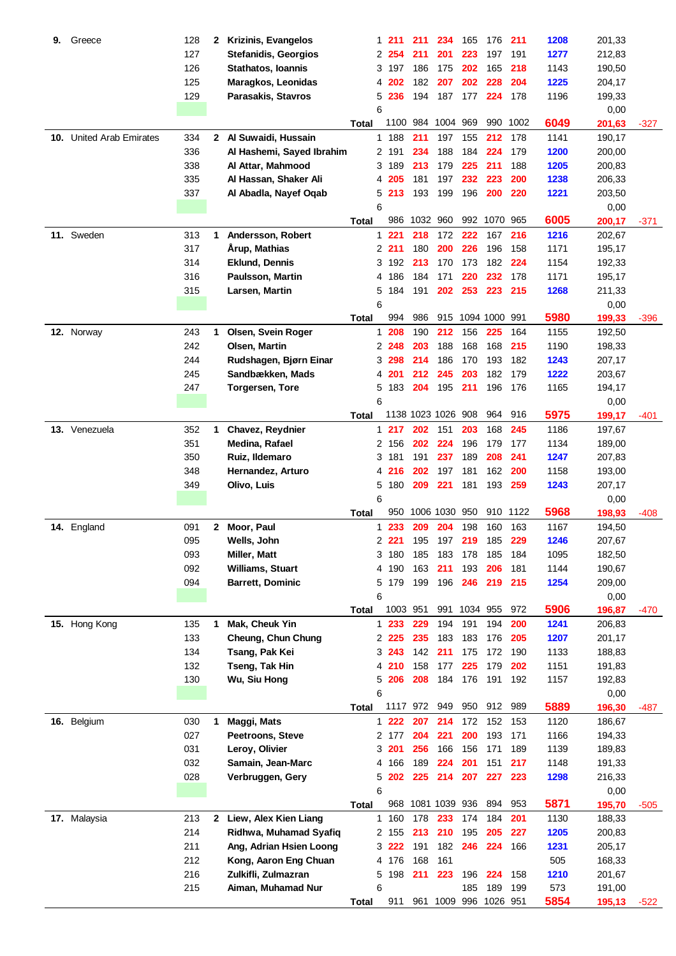| 9.  | Greece                      | 128 | 2            | <b>Krizinis, Evangelos</b>  |              | 1 | 211      | 211      | 234                   | 165      | 176           | 211  | 1208 | 201,33 |        |
|-----|-----------------------------|-----|--------------|-----------------------------|--------------|---|----------|----------|-----------------------|----------|---------------|------|------|--------|--------|
|     |                             | 127 |              | <b>Stefanidis, Georgios</b> |              | 2 | 254      | 211      | 201                   | 223      | 197           | 191  | 1277 | 212,83 |        |
|     |                             | 126 |              | <b>Stathatos, Ioannis</b>   |              | 3 | 197      | 186      | 175                   | 202      | 165           | 218  | 1143 | 190,50 |        |
|     |                             | 125 |              | Maragkos, Leonidas          |              | 4 | 202      | 182      | 207                   | 202      | 228           | 204  | 1225 | 204,17 |        |
|     |                             | 129 |              | Parasakis, Stavros          |              | 5 | 236      | 194      | 187                   | 177      | 224           | 178  | 1196 | 199,33 |        |
|     |                             |     |              |                             |              | 6 |          |          |                       |          |               |      |      | 0,00   |        |
|     |                             |     |              |                             |              |   |          | 1100 984 | 1004 969              |          | 990           | 1002 | 6049 |        |        |
|     |                             |     |              |                             | Total        |   |          |          |                       |          |               |      |      | 201,63 | $-327$ |
| 10. | <b>United Arab Emirates</b> | 334 |              | 2 Al Suwaidi, Hussain       |              |   | 1 188    | 211      | 197                   | 155      | 212           | 178  | 1141 | 190,17 |        |
|     |                             | 336 |              | Al Hashemi, Sayed Ibrahim   |              |   | 2 191    | 234      | 188                   | 184      | 224           | 179  | 1200 | 200,00 |        |
|     |                             | 338 |              | Al Attar, Mahmood           |              |   | 3 189    | 213      | 179                   | 225      | 211           | 188  | 1205 | 200,83 |        |
|     |                             | 335 |              | Al Hassan, Shaker Ali       |              | 4 | 205      | 181      | 197                   | 232      | 223           | 200  | 1238 | 206,33 |        |
|     |                             | 337 |              | Al Abadla, Nayef Oqab       |              | 5 | 213      | 193      | 199                   | 196      | 200           | 220  | 1221 | 203,50 |        |
|     |                             |     |              |                             |              | 6 |          |          |                       |          |               |      |      | 0,00   |        |
|     |                             |     |              |                             | <b>Total</b> |   | 986      | 1032 960 |                       |          | 992 1070      | 965  | 6005 | 200,17 | $-371$ |
|     | 11. Sweden                  | 313 | 1            | Andersson, Robert           |              | 1 | 221      | 218      | 172                   | 222      | 167           | 216  | 1216 | 202,67 |        |
|     |                             | 317 |              | Årup, Mathias               |              |   | 2211     | 180      | 200                   | 226      | 196           | 158  | 1171 | 195,17 |        |
|     |                             | 314 |              | <b>Eklund, Dennis</b>       |              | 3 | 192      | 213      | 170                   | 173      | 182           | 224  | 1154 | 192,33 |        |
|     |                             | 316 |              | Paulsson, Martin            |              | 4 | 186      | 184      | 171                   | 220      | 232           | 178  | 1171 | 195,17 |        |
|     |                             | 315 |              | Larsen, Martin              |              | 5 | 184      | 191      | 202                   | 253      | 223           | 215  | 1268 | 211,33 |        |
|     |                             |     |              |                             |              | 6 |          |          |                       |          |               |      |      | 0,00   |        |
|     |                             |     |              |                             | Total        |   | 994      | 986      |                       |          | 915 1094 1000 | 991  | 5980 | 199,33 | $-396$ |
|     | 12. Norway                  | 243 | 1            | Olsen, Svein Roger          |              |   | 1 208    | 190      | 212                   | 156      | 225           | 164  | 1155 | 192,50 |        |
|     |                             | 242 |              | Olsen, Martin               |              |   | 2 248    | 203      | 188                   | 168      | 168           | 215  | 1190 | 198,33 |        |
|     |                             | 244 |              | Rudshagen, Bjørn Einar      |              |   | 3 298    | 214      | 186                   | 170      | 193           | 182  | 1243 | 207,17 |        |
|     |                             | 245 |              | Sandbækken, Mads            |              | 4 | 201      | 212      | 245                   | 203      | 182           | 179  | 1222 | 203,67 |        |
|     |                             | 247 |              |                             |              | 5 | 183      | 204      | 195                   | 211      | 196           | 176  | 1165 |        |        |
|     |                             |     |              | <b>Torgersen, Tore</b>      |              | 6 |          |          |                       |          |               |      |      | 194,17 |        |
|     |                             |     |              |                             |              |   |          |          | 1138 1023 1026 908    |          | 964           | 916  | 5975 | 0,00   |        |
|     |                             |     |              |                             | Total        |   |          |          |                       |          |               |      |      | 199,17 | -401   |
|     | 13. Venezuela               | 352 | 1            | Chavez, Reydnier            |              | 1 | 217      | 202      | 151                   | 203      | 168           | 245  | 1186 | 197,67 |        |
|     |                             | 351 |              | Medina, Rafael              |              |   | 2 156    | 202      | 224                   | 196      | 179           | 177  | 1134 | 189,00 |        |
|     |                             | 350 |              | Ruiz, Ildemaro              |              | 3 | 181      | 191      | 237                   | 189      | 208           | 241  | 1247 | 207,83 |        |
|     |                             | 348 |              | Hernandez, Arturo           |              | 4 | 216      | 202      | 197                   | 181      | 162           | 200  | 1158 | 193,00 |        |
|     |                             | 349 |              | Olivo, Luis                 |              | 5 | 180      | 209      | 221                   | 181      | 193           | 259  | 1243 | 207,17 |        |
|     |                             |     |              |                             |              | 6 |          |          |                       |          |               |      |      | 0,00   |        |
|     |                             |     |              |                             | Total        |   | 950      |          | 1006 1030 950         |          | 910           | 1122 | 5968 | 198,93 | -408   |
|     | 14. England                 | 091 | $\mathbf{2}$ | Moor, Paul                  |              | 1 | 233      | 209      | 204                   | 198      | 160           | 163  | 1167 | 194,50 |        |
|     |                             | 095 |              | Wells, John                 |              |   | 2 221    | 195      | 197                   | 219      | 185           | 229  | 1246 | 207,67 |        |
|     |                             | 093 |              | Miller, Matt                |              |   | 3 180    | 185      | 183                   | 178      | 185           | 184  | 1095 | 182,50 |        |
|     |                             | 092 |              | Williams, Stuart            |              | 4 | 190      | 163      | 211                   | 193      | 206           | 181  | 1144 | 190,67 |        |
|     |                             | 094 |              | <b>Barrett, Dominic</b>     |              |   | 5 179    | 199      | 196                   | 246      | 219           | 215  | 1254 | 209,00 |        |
|     |                             |     |              |                             |              | 6 |          |          |                       |          |               |      |      | 0,00   |        |
|     |                             |     |              |                             | <b>Total</b> |   | 1003 951 |          | 991                   | 1034 955 |               | 972  | 5906 | 196,87 | $-470$ |
|     | 15. Hong Kong               | 135 | 1            | Mak, Cheuk Yin              |              |   | 1233     | 229      | 194                   | 191      | 194           | 200  | 1241 | 206,83 |        |
|     |                             | 133 |              | Cheung, Chun Chung          |              |   | 2 2 2 5  | 235      | 183                   | 183      | 176           | 205  | 1207 | 201,17 |        |
|     |                             | 134 |              | Tsang, Pak Kei              |              |   | 3243     | 142      | 211                   | 175      | 172           | 190  | 1133 | 188,83 |        |
|     |                             | 132 |              | Tseng, Tak Hin              |              |   | 4 210    | 158      | 177                   | 225      | 179           | 202  | 1151 | 191,83 |        |
|     |                             | 130 |              | Wu, Siu Hong                |              |   | 5 206    | 208      | 184                   | 176      | 191           | 192  | 1157 | 192,83 |        |
|     |                             |     |              |                             |              | 6 |          |          |                       |          |               |      |      | 0,00   |        |
|     |                             |     |              |                             | Total        |   |          | 1117 972 | 949                   | 950      | 912           | 989  | 5889 | 196,30 | -487   |
|     | 16. Belgium                 | 030 | 1            | Maggi, Mats                 |              |   | $1222$   | 207      | 214                   | 172      | 152           | 153  | 1120 | 186,67 |        |
|     |                             | 027 |              | Peetroons, Steve            |              |   | 2 177    | 204      | 221                   | 200      | 193           | 171  | 1166 | 194,33 |        |
|     |                             | 031 |              | Leroy, Olivier              |              | 3 | 201      | 256      | 166                   | 156      | 171           | 189  | 1139 | 189,83 |        |
|     |                             | 032 |              |                             |              |   |          | 189      | 224                   | 201      | 151           |      |      |        |        |
|     |                             |     |              | Samain, Jean-Marc           |              | 4 | 166      |          |                       |          |               | 217  | 1148 | 191,33 |        |
|     |                             | 028 |              | Verbruggen, Gery            |              | 5 | 202      | 225      | 214                   | 207      | 227           | 223  | 1298 | 216,33 |        |
|     |                             |     |              |                             |              | 6 |          |          |                       |          |               |      |      | 0,00   |        |
|     |                             |     |              |                             | Total        |   |          |          | 968 1081 1039 936     |          | 894           | 953  | 5871 | 195,70 | $-505$ |
|     | 17. Malaysia                | 213 | $\mathbf{2}$ | Liew, Alex Kien Liang       |              | 1 | 160      | 178      | 233                   | 174      | 184           | 201  | 1130 | 188,33 |        |
|     |                             | 214 |              | Ridhwa, Muhamad Syafiq      |              |   | 2 155    | 213      | 210                   | 195      | 205           | 227  | 1205 | 200,83 |        |
|     |                             | 211 |              | Ang, Adrian Hsien Loong     |              |   | 3 222    | 191      | 182 246               |          | 224           | 166  | 1231 | 205,17 |        |
|     |                             | 212 |              | Kong, Aaron Eng Chuan       |              |   | 4 176    | 168      | 161                   |          |               |      | 505  | 168,33 |        |
|     |                             | 216 |              | Zulkifli, Zulmazran         |              |   | 5 198    | 211      | 223                   | 196      | 224           | 158  | 1210 | 201,67 |        |
|     |                             | 215 |              | Aiman, Muhamad Nur          |              | 6 |          |          |                       | 185      | 189           | 199  | 573  | 191,00 |        |
|     |                             |     |              |                             | <b>Total</b> |   | 911      |          | 961 1009 996 1026 951 |          |               |      | 5854 | 195,13 | $-522$ |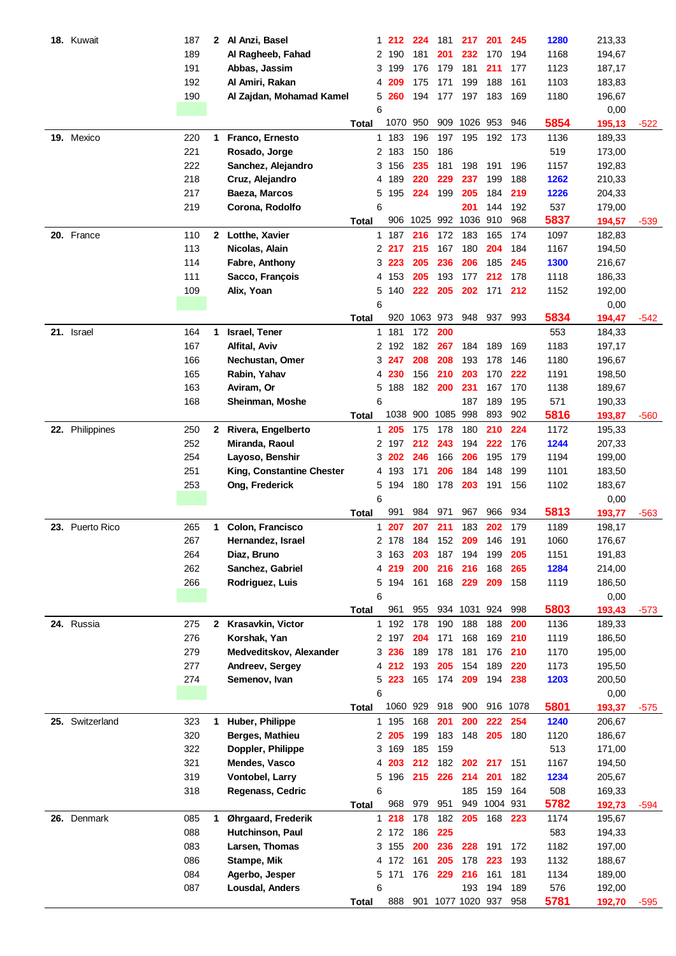| 18. Kuwait      | 187 | $\mathbf{2}$ | Al Anzi, Basel            |              | 1              | 212      | 224          | 181        | 217                          | 201          | 245        | 1280        | 213,33 |        |
|-----------------|-----|--------------|---------------------------|--------------|----------------|----------|--------------|------------|------------------------------|--------------|------------|-------------|--------|--------|
|                 | 189 |              | Al Ragheeb, Fahad         |              |                | 2 190    | 181          | 201        | 232                          | 170          | 194        | 1168        | 194,67 |        |
|                 | 191 |              | Abbas, Jassim             |              | 3              | 199      | 176          | 179        | 181                          | 211          | 177        | 1123        | 187,17 |        |
|                 | 192 |              | Al Amiri, Rakan           |              | 4              | 209      | 175          | 171        | 199                          | 188          | 161        | 1103        | 183,83 |        |
|                 | 190 |              | Al Zajdan, Mohamad Kamel  |              |                | 5 260    | 194          | 177        | 197                          | 183          | 169        | 1180        | 196,67 |        |
|                 |     |              |                           |              | 6              |          |              |            |                              |              |            |             | 0,00   |        |
|                 |     |              |                           | Total        |                | 1070     | 950          | 909        | 1026 953                     |              | 946        | 5854        | 195,13 | $-522$ |
| 19. Mexico      | 220 | 1            | Franco, Ernesto           |              |                | 1 183    | 196          | 197        | 195                          | 192          | 173        | 1136        | 189,33 |        |
|                 | 221 |              | Rosado, Jorge             |              |                | 2 183    | 150          | 186        |                              |              |            | 519         | 173,00 |        |
|                 | 222 |              | Sanchez, Alejandro        |              |                | 3 156    | 235          | 181        | 198                          | 191          | 196        | 1157        | 192,83 |        |
|                 | 218 |              | Cruz, Alejandro           |              | 4              | 189      | 220          | 229        | 237                          | 199          | 188        | 1262        | 210,33 |        |
|                 | 217 |              | Baeza, Marcos             |              | 5              | 195      | 224          | 199        | 205                          | 184          | 219        | 1226        | 204,33 |        |
|                 | 219 |              | Corona, Rodolfo           |              | 6              |          |              |            | 201                          | 144          | 192        | 537         | 179,00 |        |
|                 |     |              |                           | Total        |                | 906      | 1025         |            | 992 1036 910                 |              | 968        | 5837        | 194,57 | $-539$ |
| 20. France      | 110 |              | 2 Lotthe, Xavier          |              |                | 1 187    | 216          | 172        | 183                          | 165          | 174        | 1097        | 182,83 |        |
|                 | 113 |              | Nicolas, Alain            |              |                | 2217     | 215          | 167        | 180                          | 204          | 184        | 1167        | 194,50 |        |
|                 | 114 |              | Fabre, Anthony            |              |                | 3223     | 205          | 236        | 206                          | 185          | 245        | 1300        | 216,67 |        |
|                 | 111 |              | Sacco, François           |              |                | 4 153    | 205          | 193        | 177                          | 212          | 178        | 1118        | 186,33 |        |
|                 | 109 |              | Alix, Yoan                |              |                | 5 140    | 222          | 205        | 202                          | 171          | 212        | 1152        | 192,00 |        |
|                 |     |              |                           |              | 6              |          |              |            |                              |              |            |             | 0,00   |        |
|                 |     |              |                           | Total        |                |          | 920 1063 973 |            | 948 937                      |              | 993        | 5834        | 194,47 | $-542$ |
| 21. Israel      | 164 | 1            | Israel, Tener             |              | 1              | 181      | 172          | 200        |                              |              |            | 553         | 184,33 |        |
|                 | 167 |              | Alfital, Aviv             |              |                | 2 192    | 182          | 267        | 184                          | 189          | 169        | 1183        | 197,17 |        |
|                 | 166 |              | Nechustan, Omer           |              |                | 3 247    | 208          | 208        | 193                          | 178          | 146        | 1180        | 196,67 |        |
|                 | 165 |              | Rabin, Yahav              |              | 4              | 230      | 156          | 210        | 203                          | 170          | 222        | 1191        | 198,50 |        |
|                 | 163 |              | Aviram, Or                |              | 5              | 188      | 182          | 200        | 231                          | 167          | 170        | 1138        | 189,67 |        |
|                 | 168 |              | Sheinman, Moshe           |              | 6              |          |              |            | 187                          | 189          | 195        | 571         | 190,33 |        |
|                 |     |              |                           | Total        |                | 1038 900 |              | 1085       | 998                          | 893          | 902        | 5816        | 193,87 | $-560$ |
| 22. Philippines | 250 | $\mathbf{2}$ | Rivera, Engelberto        |              | 1              | 205      | 175          | 178        | 180                          | 210          | 224        | 1172        | 195,33 |        |
|                 | 252 |              | Miranda, Raoul            |              |                | 2 197    | 212          | 243        | 194                          | 222          | 176        | 1244        | 207,33 |        |
|                 | 254 |              | Layoso, Benshir           |              |                | 3 202    | 246          | 166        | 206                          | 195          | 179        | 1194        | 199,00 |        |
|                 | 251 |              | King, Constantine Chester |              |                | 4 193    | 171          | 206        | 184                          | 148          | 199        | 1101        | 183,50 |        |
|                 | 253 |              | Ong, Frederick            |              |                | 5 194    | 180          | 178        | 203                          | 191          | 156        | 1102        | 183,67 |        |
|                 |     |              |                           |              | 6              |          |              |            |                              |              |            |             | 0,00   |        |
|                 |     |              |                           | <b>Total</b> |                | 991      | 984          | 971        | 967                          | 966          | 934        | 5813        | 193,77 | $-563$ |
| 23. Puerto Rico | 265 | 1            | Colon, Francisco          |              | 1              | 207      | 207          | 211        | 183                          | 202          | 179        | 1189        | 198,17 |        |
|                 | 267 |              | Hernandez, Israel         |              | $\overline{2}$ | 178      | 184          | 152        | 209                          | 146          | 191        | 1060        | 176,67 |        |
|                 | 264 |              | Diaz, Bruno               |              |                | 3 163    | 203          | 187        | 194                          | 199          | 205        | 1151        | 191,83 |        |
|                 | 262 |              | Sanchez, Gabriel          |              |                | 4 219    | 200          | 216        | 216                          | 168          | 265        | 1284        | 214,00 |        |
|                 | 266 |              | Rodriguez, Luis           |              |                | 5 194    | 161          | 168        | 229                          | 209          | 158        | 1119        | 186,50 |        |
|                 |     |              |                           |              | 6              |          |              |            |                              |              |            |             | 0,00   |        |
|                 |     |              |                           | <b>Total</b> |                | 961      | 955          |            | 934 1031 924                 |              | 998        | 5803        | 193,43 | $-573$ |
| 24. Russia      | 275 |              | 2 Krasavkin, Victor       |              |                | 1 192    | 178          | 190        | 188                          | 188          | 200        | 1136        | 189,33 |        |
|                 | 276 |              | Korshak, Yan              |              |                | 2 197    | 204          | 171        | 168                          | 169          | 210        | 1119        | 186,50 |        |
|                 | 279 |              | Medveditskov, Alexander   |              |                | 3 236    | 189          | 178        | 181                          | 176          | 210        | 1170        | 195,00 |        |
|                 | 277 |              | Andreev, Sergey           |              |                | 4 212    | 193          | 205        | 154                          | 189          | 220        | 1173        | 195,50 |        |
|                 | 274 |              | Semenov, Ivan             |              |                | 5 223    | 165          | 174        | 209                          | 194          | 238        | 1203        | 200,50 |        |
|                 |     |              |                           |              | 6              |          |              |            |                              |              |            |             | 0,00   |        |
|                 |     |              |                           | <b>Total</b> |                | 1060 929 |              | 918        | 900                          | 916 1078     |            | 5801        | 193,37 | $-575$ |
| 25. Switzerland | 323 | 1            | Huber, Philippe           |              |                | 1 195    | 168          | 201        | 200                          | 222          | 254        | 1240        | 206,67 |        |
|                 | 320 |              | Berges, Mathieu           |              |                | 2 205    | 199          | 183        | 148                          | 205          | 180        | 1120        | 186,67 |        |
|                 | 322 |              | Doppler, Philippe         |              |                | 3 169    | 185          | 159        |                              |              |            | 513         | 171,00 |        |
|                 | 321 |              | Mendes, Vasco             |              | 4              | 203      | 212          | 182        | 202                          | 217          | 151        | 1167        | 194,50 |        |
|                 | 319 |              | Vontobel, Larry           |              |                | 5 196    | 215          | 226        | 214                          | 201          | 182        | 1234        | 205,67 |        |
|                 | 318 |              | Regenass, Cedric          |              | 6              |          |              |            | 185                          | 159          | 164        | 508         | 169,33 |        |
|                 |     |              |                           | <b>Total</b> |                | 968      | 979          | 951        |                              | 949 1004 931 |            | 5782        | 192,73 | $-594$ |
| 26. Denmark     | 085 | 1            | Øhrgaard, Frederik        |              | $\mathbf{1}$   | 218      | 178          | 182        | 205                          | 168          | 223        | 1174        | 195,67 |        |
|                 | 088 |              | Hutchinson, Paul          |              |                | 2 172    | 186          | 225        |                              |              |            | 583         | 194,33 |        |
|                 | 083 |              | Larsen, Thomas            |              |                | 3 155    | 200          | 236        | 228                          | 191          | 172        | 1182        | 197,00 |        |
|                 | 086 |              | Stampe, Mik               |              |                | 4 172    | 161          | 205<br>229 | 178<br>216                   | 223<br>161   | 193<br>181 | 1132        | 188,67 |        |
|                 | 084 |              | Agerbo, Jesper            |              |                | 5 171    | 176          |            |                              |              |            | 1134        | 189,00 |        |
|                 | 087 |              | Lousdal, Anders           |              | 6              | 888      |              |            | 193<br>901 1077 1020 937 958 | 194          | 189        | 576<br>5781 | 192,00 |        |
|                 |     |              |                           | Total        |                |          |              |            |                              |              |            |             | 192,70 | -595   |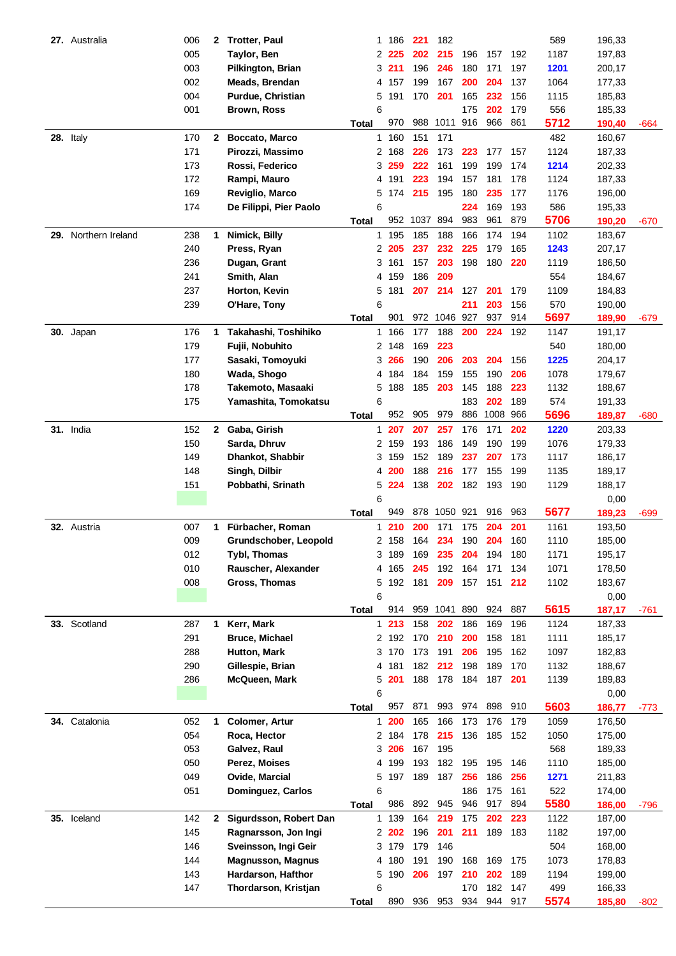| 27. Australia        | 006 | 2            | <b>Trotter, Paul</b>     | 1              | 186   | 221      | 182          |     |      |     | 589  | 196,33 |        |
|----------------------|-----|--------------|--------------------------|----------------|-------|----------|--------------|-----|------|-----|------|--------|--------|
|                      | 005 |              | Taylor, Ben              | $\mathbf{2}^-$ | 225   | 202      | 215          | 196 | 157  | 192 | 1187 | 197,83 |        |
|                      | 003 |              | Pilkington, Brian        | 3              | 211   | 196      | 246          | 180 | 171  | 197 | 1201 | 200,17 |        |
|                      | 002 |              | Meads, Brendan           | 4              | 157   | 199      | 167          | 200 | 204  | 137 | 1064 | 177,33 |        |
|                      | 004 |              | Purdue, Christian        | 5              | 191   | 170      | 201          | 165 | 232  | 156 | 1115 | 185,83 |        |
|                      | 001 |              | <b>Brown, Ross</b>       | 6              |       |          |              | 175 | 202  | 179 | 556  | 185,33 |        |
|                      |     |              |                          | <b>Total</b>   | 970   | 988      | 1011 916     |     | 966  | 861 | 5712 | 190,40 | -664   |
| 28. Italy            | 170 | 2            | Boccato, Marco           | 1              | 160   | 151      | 171          |     |      |     | 482  | 160,67 |        |
|                      | 171 |              | Pirozzi, Massimo         |                | 2 168 | 226      | 173          | 223 | 177  | 157 | 1124 | 187,33 |        |
|                      | 173 |              | Rossi, Federico          | 3              | 259   | 222      | 161          | 199 | 199  | 174 | 1214 | 202,33 |        |
|                      | 172 |              | Rampi, Mauro             | 4              | 191   | 223      | 194          | 157 | 181  | 178 | 1124 | 187,33 |        |
|                      | 169 |              | Reviglio, Marco          | 5              | 174   | 215      | 195          | 180 | 235  | 177 | 1176 | 196,00 |        |
|                      | 174 |              | De Filippi, Pier Paolo   | 6              |       |          |              | 224 | 169  | 193 | 586  | 195,33 |        |
|                      |     |              |                          | <b>Total</b>   | 952   | 1037 894 |              | 983 | 961  | 879 | 5706 | 190,20 | -670   |
| 29. Northern Ireland | 238 | 1            | Nimick, Billy            |                | 1 195 | 185      | 188          | 166 | 174  | 194 | 1102 | 183,67 |        |
|                      | 240 |              | Press, Ryan              |                | 2 205 | 237      | 232          | 225 | 179  | 165 | 1243 | 207,17 |        |
|                      | 236 |              | Dugan, Grant             |                | 3 161 | 157      | 203          | 198 | 180  | 220 | 1119 | 186,50 |        |
|                      | 241 |              | Smith, Alan              |                | 4 159 | 186      | 209          |     |      |     | 554  | 184,67 |        |
|                      | 237 |              | Horton, Kevin            | 5              | 181   | 207      | 214          | 127 | 201  | 179 | 1109 | 184,83 |        |
|                      | 239 |              | O'Hare, Tony             | 6              |       |          |              | 211 | 203  | 156 | 570  | 190,00 |        |
|                      |     |              |                          | Total          | 901   |          | 972 1046 927 |     | 937  | 914 | 5697 | 189,90 | $-679$ |
| 30. Japan            | 176 | 1            | Takahashi, Toshihiko     | 1              | 166   | 177      | 188          | 200 | 224  | 192 | 1147 | 191,17 |        |
|                      | 179 |              | Fujii, Nobuhito          | 2              | 148   | 169      | 223          |     |      |     | 540  | 180,00 |        |
|                      | 177 |              | Sasaki, Tomoyuki         | 3              | 266   | 190      | 206          | 203 | 204  | 156 | 1225 | 204,17 |        |
|                      | 180 |              | Wada, Shogo              | 4              | 184   | 184      | 159          | 155 | 190  | 206 | 1078 | 179,67 |        |
|                      | 178 |              | Takemoto, Masaaki        | 5              | 188   | 185      | 203          | 145 | 188  | 223 | 1132 | 188,67 |        |
|                      | 175 |              | Yamashita, Tomokatsu     | 6              |       |          |              | 183 | 202  | 189 | 574  | 191,33 |        |
|                      |     |              |                          | <b>Total</b>   | 952   | 905      | 979          | 886 | 1008 | 966 | 5696 | 189,87 | $-680$ |
| 31. India            | 152 | $\mathbf{2}$ | Gaba, Girish             | 1              | 207   | 207      | 257          | 176 | 171  | 202 | 1220 | 203,33 |        |
|                      | 150 |              | Sarda, Dhruv             |                | 2 159 | 193      | 186          | 149 | 190  | 199 | 1076 | 179,33 |        |
|                      | 149 |              | Dhankot, Shabbir         |                | 3 159 | 152      | 189          | 237 | 207  | 173 | 1117 | 186,17 |        |
|                      | 148 |              | Singh, Dilbir            | 4              | 200   | 188      | 216          | 177 | 155  | 199 | 1135 | 189,17 |        |
|                      | 151 |              | Pobbathi, Srinath        | 5              | 224   | 138      | 202          | 182 | 193  | 190 | 1129 | 188,17 |        |
|                      |     |              |                          | 6              |       |          |              |     |      |     |      | 0,00   |        |
|                      |     |              |                          | Total          | 949   | 878      | 1050 921     |     | 916  | 963 | 5677 | 189,23 | $-699$ |
| 32. Austria          | 007 | 1            | Fürbacher, Roman         | 1              | 210   | 200      | 171          | 175 | 204  | 201 | 1161 | 193,50 |        |
|                      | 009 |              | Grundschober, Leopold    | 2              | 158   | 164      | 234          | 190 | 204  | 160 | 1110 | 185,00 |        |
|                      | 012 |              | <b>Tybl, Thomas</b>      |                | 3 189 | 169      | 235          | 204 | 194  | 180 | 1171 | 195,17 |        |
|                      | 010 |              | Rauscher, Alexander      |                | 4 165 | 245      | 192          | 164 | 171  | 134 | 1071 | 178,50 |        |
|                      | 008 |              | Gross, Thomas            | 5              | 192   | 181      | 209          | 157 | 151  | 212 | 1102 | 183,67 |        |
|                      |     |              |                          | 6              |       |          |              |     |      |     |      | 0,00   |        |
|                      |     |              |                          | <b>Total</b>   | 914   |          | 959 1041 890 |     | 924  | 887 | 5615 | 187,17 | -761   |
| 33. Scotland         | 287 | 1            | Kerr, Mark               |                | 1213  | 158      | 202          | 186 | 169  | 196 | 1124 | 187,33 |        |
|                      | 291 |              | <b>Bruce, Michael</b>    |                | 2 192 | 170      | 210          | 200 | 158  | 181 | 1111 | 185,17 |        |
|                      | 288 |              | Hutton, Mark             |                | 3 170 | 173      | 191          | 206 | 195  | 162 | 1097 | 182,83 |        |
|                      | 290 |              | Gillespie, Brian         | 4              | 181   | 182      | 212          | 198 | 189  | 170 | 1132 | 188,67 |        |
|                      | 286 |              | McQueen, Mark            | 5              | 201   | 188      | 178          | 184 | 187  | 201 | 1139 | 189,83 |        |
|                      |     |              |                          | 6              |       |          |              |     |      |     |      | 0,00   |        |
|                      |     |              |                          | Total          | 957   | 871      | 993          | 974 | 898  | 910 | 5603 | 186,77 | $-773$ |
| 34. Catalonia        | 052 | 1            | <b>Colomer, Artur</b>    | $\mathbf{1}$   | 200   | 165      | 166          | 173 | 176  | 179 | 1059 | 176,50 |        |
|                      | 054 |              | Roca, Hector             |                | 2 184 | 178      | 215          | 136 | 185  | 152 | 1050 | 175,00 |        |
|                      | 053 |              | Galvez, Raul             | 3              | 206   | 167      | 195          |     |      |     | 568  | 189,33 |        |
|                      | 050 |              | Perez, Moises            |                | 4 199 | 193      | 182          | 195 | 195  | 146 | 1110 | 185,00 |        |
|                      | 049 |              | Ovide, Marcial           | 5              | 197   | 189      | 187          | 256 | 186  | 256 | 1271 | 211,83 |        |
|                      | 051 |              | Dominguez, Carlos        | 6              |       |          |              | 186 | 175  | 161 | 522  | 174,00 |        |
|                      |     |              |                          | <b>Total</b>   | 986   | 892      | 945          | 946 | 917  | 894 | 5580 | 186,00 | $-796$ |
| 35. Iceland          | 142 | 2            | Sigurdsson, Robert Dan   | $\mathbf{1}$   | 139   | 164      | 219          | 175 | 202  | 223 | 1122 | 187,00 |        |
|                      | 145 |              | Ragnarsson, Jon Ingi     |                | 2 202 | 196      | 201          | 211 | 189  | 183 | 1182 | 197,00 |        |
|                      | 146 |              | Sveinsson, Ingi Geir     |                | 3 179 | 179      | 146          |     |      |     | 504  | 168,00 |        |
|                      | 144 |              | <b>Magnusson, Magnus</b> |                | 4 180 | 191      | 190          | 168 | 169  | 175 | 1073 | 178,83 |        |
|                      | 143 |              | Hardarson, Hafthor       | 5              | 190   | 206      | 197          | 210 | 202  | 189 | 1194 | 199,00 |        |
|                      | 147 |              |                          | 6              |       |          |              | 170 | 182  | 147 | 499  | 166,33 |        |
|                      |     |              | Thordarson, Kristjan     | <b>Total</b>   | 890   | 936      | 953          | 934 | 944  | 917 | 5574 | 185,80 | -802   |
|                      |     |              |                          |                |       |          |              |     |      |     |      |        |        |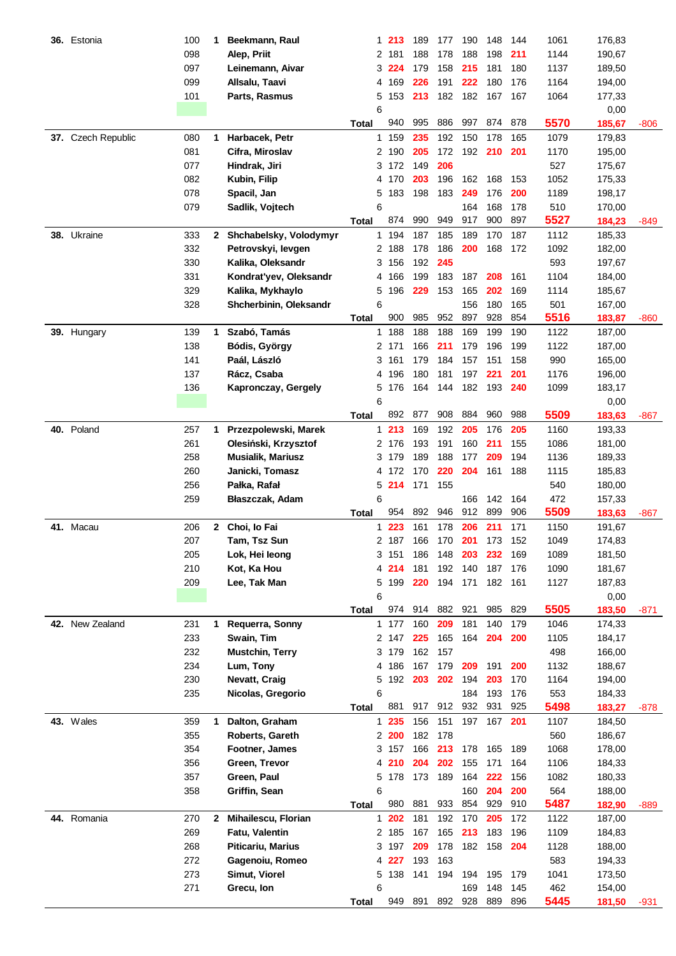| 36. | Estonia         | 100 | 1            | Beekmann, Raul           |              | 1 | 213   | 189 | 177 | 190                | 148 | 144        | 1061        | 176,83 |        |
|-----|-----------------|-----|--------------|--------------------------|--------------|---|-------|-----|-----|--------------------|-----|------------|-------------|--------|--------|
|     |                 | 098 |              | Alep, Priit              |              | 2 | 181   | 188 | 178 | 188                | 198 | 211        | 1144        | 190,67 |        |
|     |                 | 097 |              | Leinemann, Aivar         |              | 3 | 224   | 179 | 158 | 215                | 181 | 180        | 1137        | 189,50 |        |
|     |                 | 099 |              | Allsalu, Taavi           |              | 4 | 169   | 226 | 191 | 222                | 180 | 176        | 1164        | 194,00 |        |
|     |                 | 101 |              | Parts, Rasmus            |              | 5 | 153   | 213 | 182 | 182                | 167 | 167        | 1064        | 177,33 |        |
|     |                 |     |              |                          |              | 6 |       |     |     |                    |     |            |             | 0,00   |        |
|     |                 |     |              |                          |              |   | 940   | 995 | 886 | 997                | 874 | 878        | 5570        |        |        |
|     |                 |     |              |                          | Total        |   |       |     |     |                    |     |            |             | 185,67 | $-806$ |
| 37. | Czech Republic  | 080 | 1            | Harbacek, Petr           |              | 1 | 159   | 235 | 192 | 150                | 178 | 165        | 1079        | 179,83 |        |
|     |                 | 081 |              | Cifra, Miroslav          |              |   | 2 190 | 205 | 172 | 192                | 210 | 201        | 1170        | 195,00 |        |
|     |                 | 077 |              | Hindrak, Jiri            |              |   | 3 172 | 149 | 206 |                    |     |            | 527         | 175,67 |        |
|     |                 | 082 |              | Kubin, Filip             |              | 4 | 170   | 203 | 196 | 162                | 168 | 153        | 1052        | 175,33 |        |
|     |                 | 078 |              | Spacil, Jan              |              | 5 | 183   | 198 | 183 | 249                | 176 | 200        | 1189        | 198,17 |        |
|     |                 | 079 |              | Sadlik, Vojtech          |              | 6 |       |     |     | 164                | 168 | 178        | 510         | 170,00 |        |
|     |                 |     |              |                          | <b>Total</b> |   | 874   | 990 | 949 | 917                | 900 | 897        | 5527        | 184,23 | $-849$ |
|     | 38. Ukraine     | 333 |              | 2 Shchabelsky, Volodymyr |              |   | 1 194 | 187 | 185 | 189                | 170 | 187        | 1112        | 185,33 |        |
|     |                 | 332 |              | Petrovskyi, levgen       |              |   | 2 188 | 178 | 186 | 200                | 168 | 172        | 1092        | 182,00 |        |
|     |                 | 330 |              | Kalika, Oleksandr        |              | 3 | 156   | 192 | 245 |                    |     |            | 593         | 197,67 |        |
|     |                 | 331 |              | Kondrat'yev, Oleksandr   |              | 4 | 166   | 199 | 183 | 187                | 208 | 161        | 1104        | 184,00 |        |
|     |                 | 329 |              |                          |              |   |       | 229 |     | 165                | 202 |            |             |        |        |
|     |                 |     |              | Kalika, Mykhaylo         |              | 5 | 196   |     | 153 |                    |     | 169        | 1114        | 185,67 |        |
|     |                 | 328 |              | Shcherbinin, Oleksandr   |              | 6 |       |     |     | 156                | 180 | 165        | 501         | 167,00 |        |
|     |                 |     |              |                          | Total        |   | 900   | 985 | 952 | 897                | 928 | 854        | 5516        | 183,87 | -860   |
|     | 39. Hungary     | 139 | $\mathbf 1$  | Szabó, Tamás             |              |   | 1 188 | 188 | 188 | 169                | 199 | 190        | 1122        | 187,00 |        |
|     |                 | 138 |              | Bódis, György            |              |   | 2 171 | 166 | 211 | 179                | 196 | 199        | 1122        | 187,00 |        |
|     |                 | 141 |              | Paál, László             |              | 3 | 161   | 179 | 184 | 157                | 151 | 158        | 990         | 165,00 |        |
|     |                 | 137 |              | Rácz, Csaba              |              | 4 | 196   | 180 | 181 | 197                | 221 | 201        | 1176        | 196,00 |        |
|     |                 | 136 |              | Kapronczay, Gergely      |              | 5 | 176   | 164 | 144 | 182                | 193 | 240        | 1099        | 183,17 |        |
|     |                 |     |              |                          |              | 6 |       |     |     |                    |     |            |             | 0,00   |        |
|     |                 |     |              |                          | Total        |   | 892   | 877 | 908 | 884                | 960 | 988        | 5509        | 183,63 | -867   |
|     | 40. Poland      | 257 | 1            | Przezpolewski, Marek     |              | 1 | 213   | 169 | 192 | 205                | 176 | 205        | 1160        | 193,33 |        |
|     |                 | 261 |              | Olesiński, Krzysztof     |              |   | 2 176 | 193 | 191 | 160                | 211 | 155        | 1086        | 181,00 |        |
|     |                 | 258 |              | <b>Musialik, Mariusz</b> |              | 3 | 179   | 189 | 188 | 177                | 209 | 194        | 1136        | 189,33 |        |
|     |                 | 260 |              | Janicki, Tomasz          |              | 4 | 172   | 170 | 220 | 204                | 161 | 188        | 1115        | 185,83 |        |
|     |                 | 256 |              | Pałka, Rafał             |              | 5 | 214   | 171 | 155 |                    |     |            | 540         | 180,00 |        |
|     |                 | 259 |              | Błaszczak, Adam          |              | 6 |       |     |     | 166                | 142 | 164        | 472         | 157,33 |        |
|     |                 |     |              |                          | <b>Total</b> |   | 954   | 892 | 946 | 912                | 899 | 906        | 5509        | 183,63 | -867   |
|     | 41. Macau       | 206 | $\mathbf{2}$ | Choi, lo Fai             |              | 1 | 223   | 161 | 178 | 206                | 211 | 171        | 1150        | 191,67 |        |
|     |                 | 207 |              | Tam, Tsz Sun             |              |   | 2 187 | 166 | 170 | 201                | 173 | 152        | 1049        | 174,83 |        |
|     |                 | 205 |              | Lok, Hei leong           |              |   | 3 151 | 186 | 148 | 203                | 232 | 169        | 1089        | 181,50 |        |
|     |                 | 210 |              | Kot, Ka Hou              |              |   | 214   | 181 | 192 | 140                | 187 | 176        | 1090        | 181,67 |        |
|     |                 | 209 |              | Lee, Tak Man             |              |   | 5 199 | 220 | 194 | 171                | 182 | 161        | 1127        | 187,83 |        |
|     |                 |     |              |                          |              | 6 |       |     |     |                    |     |            |             | 0,00   |        |
|     |                 |     |              |                          | <b>Total</b> |   | 974   | 914 | 882 | 921                | 985 | 829        | 5505        | 183,50 | $-871$ |
|     | 42. New Zealand | 231 | 1            | Requerra, Sonny          |              |   | 1 177 | 160 | 209 | 181                | 140 | 179        | 1046        | 174,33 |        |
|     |                 | 233 |              | Swain, Tim               |              |   | 2 147 | 225 | 165 | 164                | 204 | 200        | 1105        | 184,17 |        |
|     |                 | 232 |              | Mustchin, Terry          |              |   | 3 179 | 162 | 157 |                    |     |            | 498         | 166,00 |        |
|     |                 | 234 |              | Lum, Tony                |              |   | 4 186 | 167 | 179 | 209                | 191 | 200        | 1132        | 188,67 |        |
|     |                 |     |              | Nevatt, Craig            |              |   |       | 203 |     |                    | 203 | 170        | 1164        |        |        |
|     |                 | 230 |              |                          |              |   | 5 192 |     | 202 | 194                |     |            |             | 194,00 |        |
|     |                 | 235 |              | Nicolas, Gregorio        |              | 6 | 881   | 917 |     | 184<br>912 932 931 | 193 | 176<br>925 | 553<br>5498 | 184,33 |        |
|     |                 |     |              |                          | Total        |   |       |     |     |                    |     |            |             | 183,27 | -878   |
|     | 43. Wales       | 359 | 1            | Dalton, Graham           |              |   | 1 235 | 156 | 151 | 197                | 167 | 201        | 1107        | 184,50 |        |
|     |                 | 355 |              | Roberts, Gareth          |              |   | 2200  | 182 | 178 |                    |     |            | 560         | 186,67 |        |
|     |                 | 354 |              | Footner, James           |              |   | 3 157 | 166 | 213 | 178                | 165 | 189        | 1068        | 178,00 |        |
|     |                 | 356 |              | Green, Trevor            |              | 4 | 210   | 204 | 202 | 155                | 171 | 164        | 1106        | 184,33 |        |
|     |                 | 357 |              | Green, Paul              |              |   | 5 178 | 173 | 189 | 164                | 222 | 156        | 1082        | 180,33 |        |
|     |                 | 358 |              | Griffin, Sean            |              | 6 |       |     |     | 160                | 204 | 200        | 564         | 188,00 |        |
|     |                 |     |              |                          | <b>Total</b> |   | 980   | 881 | 933 | 854                | 929 | 910        | 5487        | 182,90 | $-889$ |
| 44. | Romania         | 270 | 2            | Mihailescu, Florian      |              | 1 | 202   | 181 | 192 | 170                | 205 | 172        | 1122        | 187,00 |        |
|     |                 | 269 |              | Fatu, Valentin           |              |   | 2 185 | 167 | 165 | 213                | 183 | 196        | 1109        | 184,83 |        |
|     |                 | 268 |              | <b>Piticariu, Marius</b> |              |   | 3 197 | 209 | 178 | 182                | 158 | 204        | 1128        | 188,00 |        |
|     |                 | 272 |              | Gagenoiu, Romeo          |              |   | 4 227 | 193 | 163 |                    |     |            | 583         | 194,33 |        |
|     |                 | 273 |              | Simut, Viorel            |              |   | 5 138 | 141 | 194 | 194                | 195 | 179        | 1041        | 173,50 |        |
|     |                 | 271 |              | Grecu, Ion               |              | 6 |       |     |     | 169                | 148 | 145        | 462         | 154,00 |        |
|     |                 |     |              |                          | <b>Total</b> |   | 949   | 891 |     | 892 928            | 889 | 896        | 5445        | 181,50 | -931   |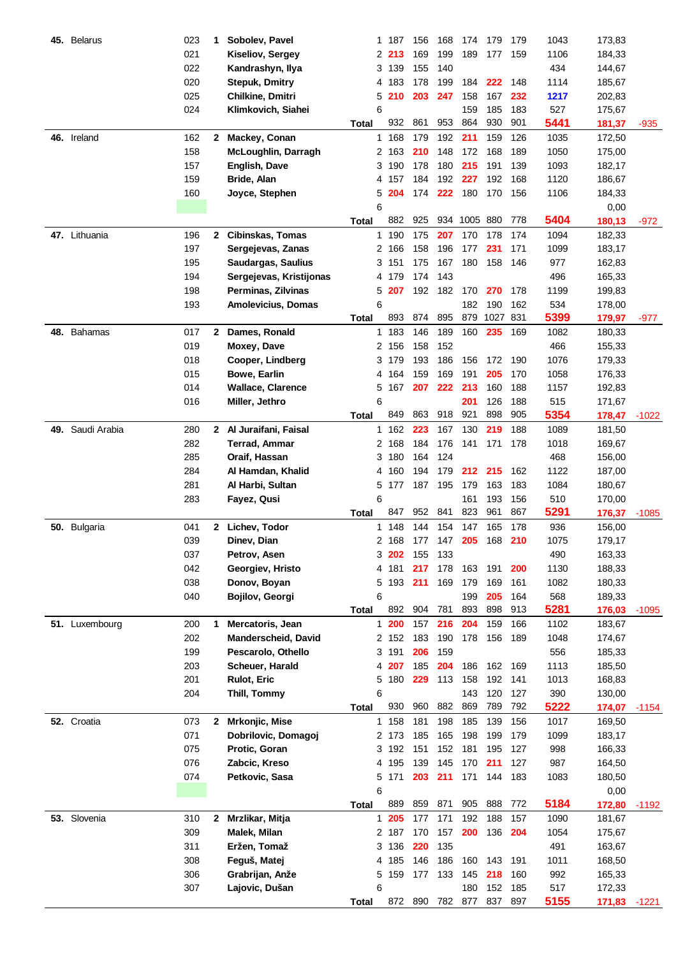| 45. | <b>Belarus</b> | 023 | 1            | Sobolev, Pavel            | 1.           | 187   | 156 | 168 | 174          | 179  | 179 | 1043 | 173,83 |         |
|-----|----------------|-----|--------------|---------------------------|--------------|-------|-----|-----|--------------|------|-----|------|--------|---------|
|     |                | 021 |              | Kiseliov, Sergey          | 2            | 213   | 169 | 199 | 189          | 177  | 159 | 1106 | 184,33 |         |
|     |                | 022 |              | Kandrashyn, Ilya          | 3            | 139   | 155 | 140 |              |      |     | 434  | 144,67 |         |
|     |                | 020 |              | <b>Stepuk, Dmitry</b>     | 4            | 183   | 178 | 199 | 184          | 222  | 148 | 1114 | 185,67 |         |
|     |                | 025 |              | Chilkine, Dmitri          | 5            | 210   | 203 | 247 | 158          | 167  | 232 | 1217 | 202,83 |         |
|     |                | 024 |              | Klimkovich, Siahei        | 6            |       |     |     | 159          | 185  | 183 | 527  | 175,67 |         |
|     |                |     |              |                           | <b>Total</b> | 932   | 861 | 953 | 864          | 930  | 901 | 5441 | 181,37 | -935    |
|     | 46. Ireland    | 162 | $\mathbf{2}$ | Mackey, Conan             | 1.           | 168   | 179 | 192 | 211          | 159  | 126 | 1035 | 172,50 |         |
|     |                | 158 |              | McLoughlin, Darragh       |              | 2 163 | 210 | 148 | 172          | 168  | 189 | 1050 | 175,00 |         |
|     |                | 157 |              | English, Dave             |              | 3 190 | 178 | 180 | 215          | 191  | 139 | 1093 | 182,17 |         |
|     |                |     |              |                           |              |       | 184 | 192 | 227          | 192  | 168 | 1120 |        |         |
|     |                | 159 |              | Bride, Alan               |              | 4 157 |     |     |              |      |     |      | 186,67 |         |
|     |                | 160 |              | Joyce, Stephen            | 5            | 204   | 174 | 222 | 180          | 170  | 156 | 1106 | 184,33 |         |
|     |                |     |              |                           | 6            |       |     |     |              |      |     |      | 0,00   |         |
|     |                |     |              |                           | <b>Total</b> | 882   | 925 |     | 934 1005 880 |      | 778 | 5404 | 180,13 | $-972$  |
|     | 47. Lithuania  | 196 | $\mathbf{2}$ | Cibinskas, Tomas          |              | 1 190 | 175 | 207 | 170          | 178  | 174 | 1094 | 182,33 |         |
|     |                | 197 |              | Sergejevas, Zanas         |              | 2 166 | 158 | 196 | 177          | 231  | 171 | 1099 | 183,17 |         |
|     |                | 195 |              | Saudargas, Saulius        |              | 3 151 | 175 | 167 | 180          | 158  | 146 | 977  | 162,83 |         |
|     |                | 194 |              | Sergejevas, Kristijonas   |              | 4 179 | 174 | 143 |              |      |     | 496  | 165,33 |         |
|     |                | 198 |              | Perminas, Zilvinas        | 5            | 207   | 192 | 182 | 170          | 270  | 178 | 1199 | 199,83 |         |
|     |                | 193 |              | <b>Amolevicius, Domas</b> | 6            |       |     |     | 182          | 190  | 162 | 534  | 178,00 |         |
|     |                |     |              |                           | Total        | 893   | 874 | 895 | 879          | 1027 | 831 | 5399 | 179,97 | -977    |
|     | 48. Bahamas    | 017 |              | 2 Dames, Ronald           |              | 1 183 | 146 | 189 | 160          | 235  | 169 | 1082 | 180,33 |         |
|     |                | 019 |              | Moxey, Dave               |              | 2 156 | 158 | 152 |              |      |     | 466  | 155,33 |         |
|     |                | 018 |              | Cooper, Lindberg          | 3            | 179   | 193 | 186 | 156          | 172  | 190 | 1076 | 179,33 |         |
|     |                | 015 |              | Bowe, Earlin              | 4            | 164   | 159 | 169 | 191          | 205  | 170 | 1058 | 176,33 |         |
|     |                | 014 |              | <b>Wallace, Clarence</b>  | 5            | 167   | 207 | 222 | 213          | 160  | 188 | 1157 | 192,83 |         |
|     |                | 016 |              | Miller, Jethro            | 6            |       |     |     | 201          | 126  | 188 | 515  | 171,67 |         |
|     |                |     |              |                           | Total        | 849   | 863 | 918 | 921          | 898  | 905 | 5354 | 178,47 | $-1022$ |
| 49. | Saudi Arabia   | 280 |              | 2 Al Juraifani, Faisal    | 1            | 162   | 223 | 167 | 130          | 219  | 188 | 1089 | 181,50 |         |
|     |                | 282 |              | <b>Terrad, Ammar</b>      | 2            | 168   | 184 | 176 | 141          | 171  | 178 | 1018 | 169,67 |         |
|     |                | 285 |              | Oraif, Hassan             | 3            | 180   | 164 | 124 |              |      |     | 468  | 156,00 |         |
|     |                | 284 |              | Al Hamdan, Khalid         | 4            | 160   | 194 | 179 | 212          | 215  | 162 | 1122 |        |         |
|     |                |     |              |                           |              |       |     | 195 |              |      |     |      | 187,00 |         |
|     |                | 281 |              | Al Harbi, Sultan          | 5            | 177   | 187 |     | 179          | 163  | 183 | 1084 | 180,67 |         |
|     |                | 283 |              | Fayez, Qusi               | 6            |       |     |     | 161          | 193  | 156 | 510  | 170,00 |         |
|     |                |     |              |                           | Total        | 847   | 952 | 841 | 823          | 961  | 867 | 5291 | 176,37 | $-1085$ |
|     | 50. Bulgaria   | 041 | 2            | Lichev, Todor             | 1            | 148   | 144 | 154 | 147          | 165  | 178 | 936  | 156,00 |         |
|     |                | 039 |              | Dinev, Dian               | 2            | 168   | 177 | 147 | 205          | 168  | 210 | 1075 | 179,17 |         |
|     |                | 037 |              | Petrov, Asen              |              | 3 202 | 155 | 133 |              |      |     | 490  | 163,33 |         |
|     |                | 042 |              | Georgiev, Hristo          | 4            | 181   | 217 | 178 | 163          | 191  | 200 | 1130 | 188,33 |         |
|     |                | 038 |              | Donov, Boyan              | 5            | 193   | 211 | 169 | 179          | 169  | 161 | 1082 | 180,33 |         |
|     |                | 040 |              | Bojilov, Georgi           | 6            |       |     |     | 199          | 205  | 164 | 568  | 189,33 |         |
|     |                |     |              |                           | <b>Total</b> | 892   | 904 | 781 | 893          | 898  | 913 | 5281 | 176,03 | $-1095$ |
|     | 51. Luxembourg | 200 | 1            | Mercatoris, Jean          |              | 1200  | 157 | 216 | 204          | 159  | 166 | 1102 | 183,67 |         |
|     |                | 202 |              | Manderscheid, David       |              | 2 152 | 183 | 190 | 178          | 156  | 189 | 1048 | 174,67 |         |
|     |                | 199 |              | Pescarolo, Othello        |              | 3 191 | 206 | 159 |              |      |     | 556  | 185,33 |         |
|     |                | 203 |              | Scheuer, Harald           |              | 4 207 | 185 | 204 | 186          | 162  | 169 | 1113 | 185,50 |         |
|     |                | 201 |              | Rulot, Eric               |              | 5 180 | 229 | 113 | 158          | 192  | 141 | 1013 | 168,83 |         |
|     |                | 204 |              | Thill, Tommy              | 6            |       |     |     | 143          | 120  | 127 | 390  | 130,00 |         |
|     |                |     |              |                           | <b>Total</b> | 930   | 960 | 882 | 869          | 789  | 792 | 5222 | 174,07 | $-1154$ |
|     | 52. Croatia    | 073 | $\mathbf{2}$ | Mrkonjic, Mise            |              | 1 158 | 181 | 198 | 185          | 139  | 156 | 1017 | 169,50 |         |
|     |                | 071 |              | Dobrilovic, Domagoj       |              | 2 173 | 185 | 165 | 198          | 199  | 179 | 1099 | 183,17 |         |
|     |                | 075 |              | Protic, Goran             | 3            | 192   | 151 | 152 | 181          | 195  | 127 | 998  | 166,33 |         |
|     |                | 076 |              | Zabcic, Kreso             | 4            | 195   | 139 | 145 | 170          | 211  | 127 | 987  | 164,50 |         |
|     |                | 074 |              | Petkovic, Sasa            | 5            | 171   | 203 | 211 | 171          | 144  | 183 | 1083 | 180,50 |         |
|     |                |     |              |                           | 6            |       |     |     |              |      |     |      | 0,00   |         |
|     |                |     |              |                           | <b>Total</b> | 889   | 859 | 871 | 905          | 888  | 772 | 5184 | 172,80 | $-1192$ |
|     | 53. Slovenia   | 310 | $\mathbf{2}$ | Mrzlikar, Mitja           | $\mathbf{1}$ | 205   | 177 | 171 | 192          | 188  | 157 | 1090 | 181,67 |         |
|     |                | 309 |              | Malek, Milan              |              | 2 187 | 170 | 157 | 200          | 136  | 204 | 1054 | 175,67 |         |
|     |                | 311 |              | Eržen, Tomaž              |              | 3 136 | 220 | 135 |              |      |     | 491  | 163,67 |         |
|     |                | 308 |              | Feguš, Matej              |              | 4 185 | 146 | 186 | 160          | 143  | 191 | 1011 |        |         |
|     |                |     |              |                           |              |       |     |     |              |      |     |      | 168,50 |         |
|     |                | 306 |              | Grabrijan, Anže           | 5            | 159   | 177 | 133 | 145          | 218  | 160 | 992  | 165,33 |         |
|     |                | 307 |              | Lajovic, Dušan            | 6            |       |     |     | 180          | 152  | 185 | 517  | 172,33 |         |
|     |                |     |              |                           | <b>Total</b> | 872   | 890 | 782 | 877          | 837  | 897 | 5155 | 171,83 | $-1221$ |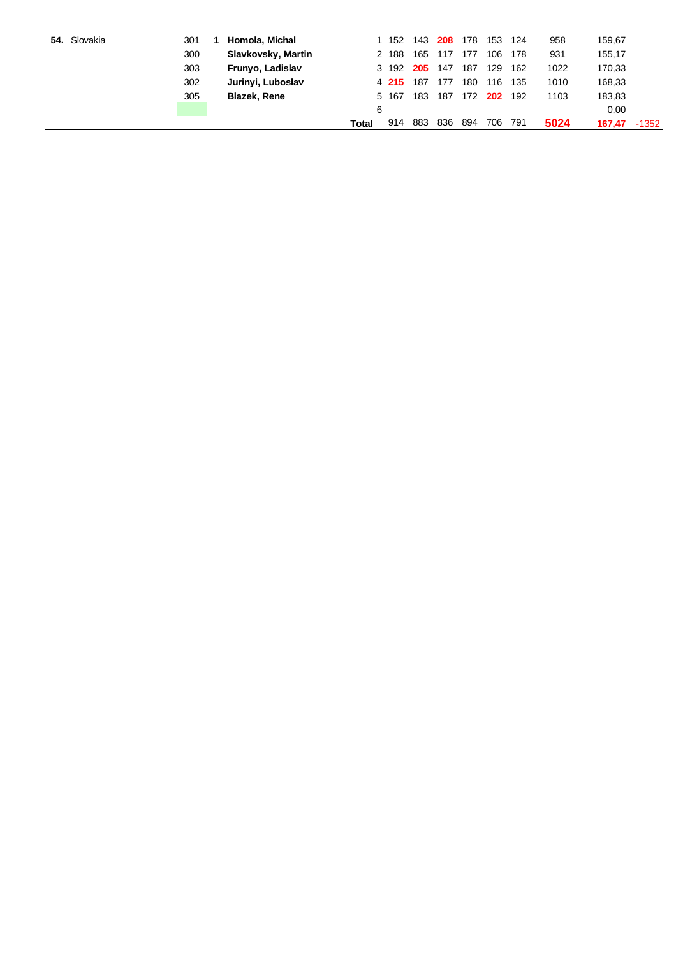| 54. Slovakia | 301 | Homola, Michal      |       | 152   | 143              | 208 | 178     | 153 | 124 | 958  | 159,67 |         |
|--------------|-----|---------------------|-------|-------|------------------|-----|---------|-----|-----|------|--------|---------|
|              | 300 | Slavkovsky, Martin  |       | 2 188 | 165              | 117 | 177     | 106 | 178 | 931  | 155,17 |         |
|              | 303 | Frunyo, Ladislav    |       |       | 3 192 <b>205</b> | 147 | 187     | 129 | 162 | 1022 | 170,33 |         |
|              | 302 | Jurinyi, Luboslav   |       | 4 215 | 187              | 177 | 180     | 116 | 135 | 1010 | 168,33 |         |
|              | 305 | <b>Blazek, Rene</b> |       | 5 167 | 183              | 187 | 172 202 |     | 192 | 1103 | 183,83 |         |
|              |     |                     | 6     |       |                  |     |         |     |     |      | 0,00   |         |
|              |     |                     | Total | 914   | 883              | 836 | 894     | 706 | 791 | 5024 | 167.47 | $-1352$ |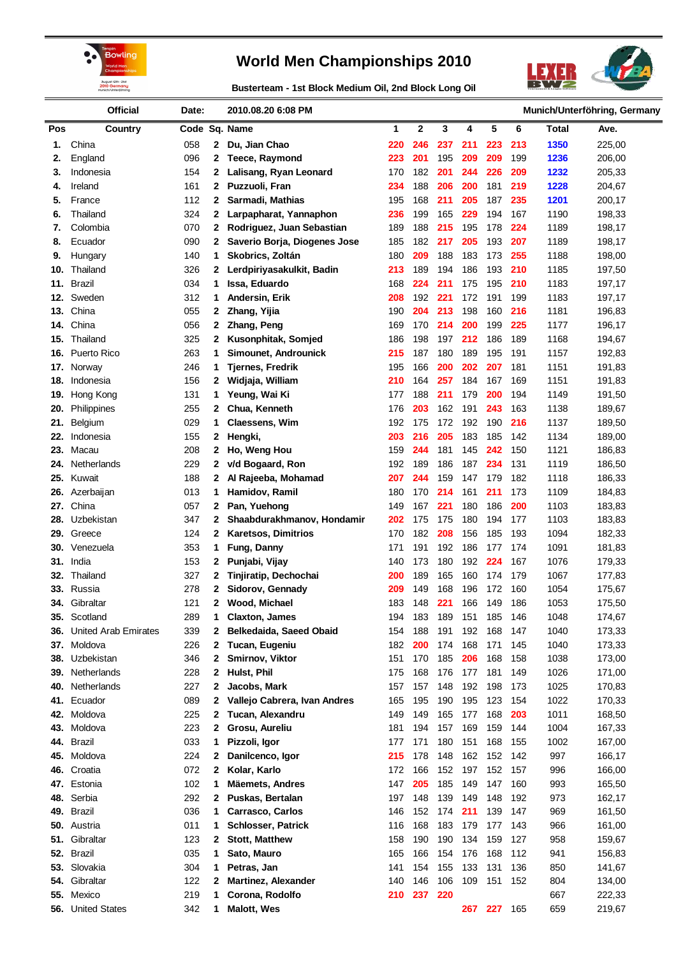



**Busterteam - 1st Block Medium Oil, 2nd Block Long Oil**

|            | <b>Official</b>                | Date:      |              | 2010.08.20 6:08 PM           |     |             |            |     |     |     | Munich/Unterföhring, Germany |        |  |
|------------|--------------------------------|------------|--------------|------------------------------|-----|-------------|------------|-----|-----|-----|------------------------------|--------|--|
| Pos        | Country                        |            |              | Code Sq. Name                | 1   | $\mathbf 2$ | 3          | 4   | 5   | 6   | <b>Total</b>                 | Ave.   |  |
| 1.         | China                          | 058        | $\mathbf{2}$ | Du, Jian Chao                | 220 | 246         | 237        | 211 | 223 | 213 | 1350                         | 225,00 |  |
| 2.         | England                        | 096        | $\mathbf{2}$ | <b>Teece, Raymond</b>        | 223 | 201         | 195        | 209 | 209 | 199 | 1236                         | 206,00 |  |
| 3.         | Indonesia                      | 154        | 2            | Lalisang, Ryan Leonard       | 170 | 182         | 201        | 244 | 226 | 209 | 1232                         | 205,33 |  |
| 4.         | Ireland                        | 161        | 2            | Puzzuoli, Fran               | 234 | 188         | 206        | 200 | 181 | 219 | 1228                         | 204,67 |  |
| 5.         | France                         | 112        | 2            | Sarmadi, Mathias             | 195 | 168         | 211        | 205 | 187 | 235 | 1201                         | 200,17 |  |
| 6.         | Thailand                       | 324        | 2            | Larpapharat, Yannaphon       | 236 | 199         | 165        | 229 | 194 | 167 | 1190                         | 198,33 |  |
| 7.         | Colombia                       | 070        | 2            | Rodriguez, Juan Sebastian    | 189 | 188         | 215        | 195 | 178 | 224 | 1189                         | 198,17 |  |
| 8.         | Ecuador                        | 090        | 2            | Saverio Borja, Diogenes Jose | 185 | 182         | 217        | 205 | 193 | 207 | 1189                         | 198,17 |  |
| 9.         | Hungary                        | 140        | 1            | Skobrics, Zoltán             | 180 | 209         | 188        | 183 | 173 | 255 | 1188                         | 198,00 |  |
| 10.        | Thailand                       | 326        | 2            | Lerdpiriyasakulkit, Badin    | 213 | 189         | 194        | 186 | 193 | 210 | 1185                         | 197,50 |  |
| 11.        | <b>Brazil</b>                  | 034        | 1            | Issa, Eduardo                | 168 | 224         | 211        | 175 | 195 | 210 | 1183                         | 197,17 |  |
| 12.        | Sweden                         | 312        | 1            | Andersin, Erik               | 208 | 192         | 221        | 172 | 191 | 199 | 1183                         | 197,17 |  |
| 13.        | China                          | 055        | 2            | Zhang, Yijia                 | 190 | 204         | 213        | 198 | 160 | 216 | 1181                         | 196,83 |  |
| 14.        | China                          | 056        | 2            | Zhang, Peng                  | 169 | 170         | 214        | 200 | 199 | 225 | 1177                         | 196,17 |  |
| 15.        | Thailand                       | 325        | $\mathbf{2}$ | Kusonphitak, Somjed          | 186 | 198         | 197        | 212 | 186 | 189 | 1168                         | 194,67 |  |
| 16.        | Puerto Rico                    | 263        | 1            | Simounet, Androunick         | 215 | 187         | 180        | 189 | 195 | 191 | 1157                         | 192,83 |  |
| 17.        | Norway                         | 246        | 1            | <b>Tjernes, Fredrik</b>      | 195 | 166         | 200        | 202 | 207 | 181 | 1151                         | 191,83 |  |
| 18.        | Indonesia                      | 156        | $\mathbf{2}$ | Widjaja, William             | 210 | 164         | 257        | 184 | 167 | 169 | 1151                         | 191,83 |  |
| 19.        | Hong Kong                      | 131        | 1.           | Yeung, Wai Ki                | 177 | 188         | 211        | 179 | 200 | 194 | 1149                         | 191,50 |  |
| 20.        | Philippines                    | 255        | 2            | Chua, Kenneth                | 176 | 203         | 162        | 191 | 243 | 163 | 1138                         | 189,67 |  |
| 21.        | Belgium                        | 029        | 1            | Claessens, Wim               | 192 | 175         | 172        | 192 | 190 | 216 | 1137                         | 189,50 |  |
| 22.        | Indonesia                      | 155        | 2            | Hengki,                      | 203 | 216         | 205        | 183 | 185 | 142 | 1134                         | 189,00 |  |
| 23.        | Macau                          | 208        | 2            | Ho, Weng Hou                 | 159 | 244         | 181        | 145 | 242 | 150 | 1121                         | 186,83 |  |
| 24.        | Netherlands                    | 229        | 2            | v/d Bogaard, Ron             | 192 | 189         | 186        | 187 | 234 | 131 | 1119                         | 186,50 |  |
| 25.        | Kuwait                         | 188        | 2            | Al Rajeeba, Mohamad          | 207 | 244         | 159        | 147 | 179 | 182 | 1118                         | 186,33 |  |
| 26.        | Azerbaijan                     | 013        | 1            | Hamidov, Ramil               | 180 | 170         | 214        | 161 | 211 | 173 | 1109                         | 184,83 |  |
| 27.        | China                          | 057        | 2            | Pan, Yuehong                 | 149 | 167         | 221        | 180 | 186 | 200 | 1103                         | 183,83 |  |
| 28.        | Uzbekistan                     | 347        | 2            | Shaabdurakhmanov, Hondamir   | 202 | 175         | 175        | 180 | 194 | 177 | 1103                         | 183,83 |  |
| 29.        | Greece                         | 124        | 2            | <b>Karetsos, Dimitrios</b>   | 170 | 182         | 208        | 156 | 185 | 193 | 1094                         | 182,33 |  |
| 30.        | Venezuela                      | 353        | 1            | Fung, Danny                  | 171 | 191         | 192        | 186 | 177 | 174 | 1091                         | 181,83 |  |
| 31.        | India                          | 153        | 2            | Punjabi, Vijay               | 140 | 173         | 180        | 192 | 224 | 167 | 1076                         | 179,33 |  |
| 32.        | Thailand                       | 327        | 2            | Tinjiratip, Dechochai        | 200 | 189         | 165        | 160 | 174 | 179 | 1067                         | 177,83 |  |
| 33.        | Russia                         | 278        | 2            | Sidorov, Gennady             | 209 | 149         | 168        | 196 | 172 | 160 | 1054                         | 175,67 |  |
|            | 34. Gibraltar                  | 121        | 2            | Wood, Michael                | 183 | 148         | 221        | 166 | 149 | 186 | 1053                         | 175,50 |  |
| 35.        | Scotland                       | 289        | 1            | <b>Claxton, James</b>        | 194 | 183         | 189        | 151 | 185 | 146 | 1048                         | 174,67 |  |
| 36.        | <b>United Arab Emirates</b>    | 339        | 2            | Belkedaida, Saeed Obaid      | 154 | 188         | 191        | 192 | 168 | 147 | 1040                         | 173,33 |  |
| 37.        | Moldova                        | 226        | 2            | Tucan, Eugeniu               | 182 | 200         | 174        | 168 | 171 | 145 | 1040                         | 173,33 |  |
| 38.        | Uzbekistan                     | 346        | 2            | Smirnov, Viktor              | 151 | 170         | 185        | 206 | 168 | 158 | 1038                         | 173,00 |  |
| 39.        | Netherlands                    | 228        | 2            | Hulst, Phil                  | 175 | 168         | 176        | 177 | 181 | 149 | 1026                         | 171,00 |  |
| 40.        | Netherlands                    | 227        | $\mathbf{2}$ | Jacobs, Mark                 | 157 | 157         | 148        | 192 | 198 | 173 | 1025                         | 170,83 |  |
| 41.        | Ecuador                        | 089        | 2            | Vallejo Cabrera, Ivan Andres | 165 | 195         | 190        | 195 | 123 | 154 | 1022                         | 170,33 |  |
| 42.        | Moldova                        | 225        | 2            | Tucan, Alexandru             | 149 | 149         | 165        | 177 | 168 | 203 | 1011                         | 168,50 |  |
| 43.        | Moldova                        | 223        | $\mathbf{2}$ | Grosu, Aureliu               | 181 | 194         | 157        | 169 | 159 | 144 | 1004                         | 167,33 |  |
| 44.        | <b>Brazil</b>                  | 033        | 1.           | Pizzoli, Igor                | 177 | 171         | 180        | 151 | 168 | 155 | 1002                         | 167,00 |  |
| 45.        | Moldova                        | 224        | 2            | Danilcenco, Igor             | 215 | 178         | 148        | 162 | 152 | 142 | 997                          | 166,17 |  |
| 46.        | Croatia                        | 072        | 2            | Kolar, Karlo                 | 172 | 166         | 152        | 197 | 152 | 157 | 996                          | 166,00 |  |
| 47.        | Estonia                        | 102        | 1            | <b>Mäemets, Andres</b>       | 147 | 205         | 185        | 149 | 147 | 160 | 993                          | 165,50 |  |
| 48.        | Serbia                         | 292        | $\mathbf{2}$ | Puskas, Bertalan             | 197 | 148         | 139        | 149 | 148 | 192 | 973                          | 162,17 |  |
| 49.        | <b>Brazil</b>                  | 036        | 1            | Carrasco, Carlos             | 146 | 152         | 174        | 211 | 139 | 147 | 969                          | 161,50 |  |
| 50.        | Austria                        | 011        | 1            | <b>Schlosser, Patrick</b>    | 116 | 168         | 183        | 179 | 177 | 143 | 966                          | 161,00 |  |
| 51.        | Gibraltar                      | 123        | $\mathbf{2}$ | <b>Stott, Matthew</b>        | 158 | 190         | 190        | 134 | 159 | 127 | 958                          | 159,67 |  |
| 52.        | <b>Brazil</b>                  | 035<br>304 | 1            | Sato, Mauro                  | 165 | 166         | 154        | 176 | 168 | 112 | 941                          | 156,83 |  |
| 53.        | Slovakia                       |            | 1            | Petras, Jan                  | 141 | 154         | 155        | 133 | 131 | 136 | 850                          | 141,67 |  |
| 54.        | Gibraltar                      | 122        | $\mathbf{2}$ | <b>Martinez, Alexander</b>   | 140 | 146<br>237  | 106<br>220 | 109 | 151 | 152 | 804                          | 134,00 |  |
| 55.<br>56. | Mexico<br><b>United States</b> | 219<br>342 | 1<br>1       | Corona, Rodolfo              | 210 |             |            |     | 227 | 165 | 667<br>659                   | 222,33 |  |
|            |                                |            |              | <b>Malott, Wes</b>           |     |             |            | 267 |     |     |                              | 219,67 |  |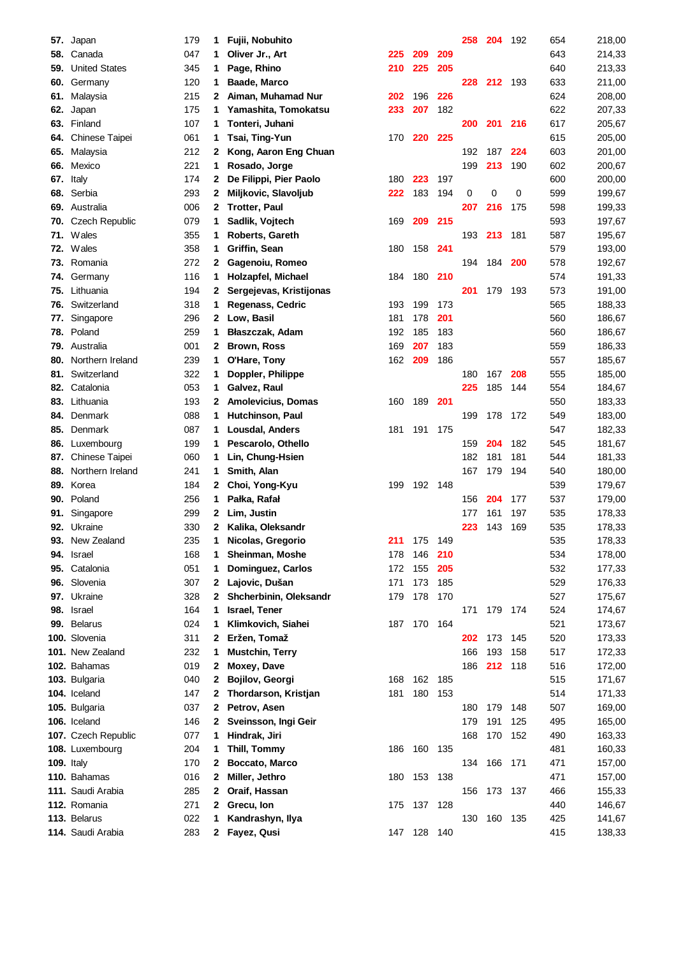| 57. | Japan                 | 179 | 1            | Fujii, Nobuhito           |     |         |     | 258 | 204 | 192   | 654 | 218,00 |
|-----|-----------------------|-----|--------------|---------------------------|-----|---------|-----|-----|-----|-------|-----|--------|
| 58. | Canada                | 047 | 1            | Oliver Jr., Art           | 225 | 209     | 209 |     |     |       | 643 | 214,33 |
| 59. | <b>United States</b>  | 345 | 1            | Page, Rhino               | 210 | 225     | 205 |     |     |       | 640 | 213,33 |
| 60. | Germany               | 120 | 1            | <b>Baade, Marco</b>       |     |         |     | 228 | 212 | 193   | 633 | 211,00 |
| 61. | Malaysia              | 215 | 2            | Aiman, Muhamad Nur        | 202 | 196     | 226 |     |     |       | 624 | 208,00 |
| 62. | Japan                 | 175 | 1            | Yamashita, Tomokatsu      | 233 | 207     | 182 |     |     |       | 622 | 207,33 |
| 63. | Finland               | 107 | 1            | Tonteri, Juhani           |     |         |     | 200 | 201 | 216   | 617 | 205,67 |
| 64. | <b>Chinese Taipei</b> | 061 | 1            | Tsai, Ting-Yun            | 170 | 220     | 225 |     |     |       | 615 | 205,00 |
| 65. | Malaysia              | 212 | 2            | Kong, Aaron Eng Chuan     |     |         |     | 192 | 187 | 224   | 603 | 201,00 |
| 66. | Mexico                | 221 | 1            | Rosado, Jorge             |     |         |     | 199 | 213 | 190   | 602 | 200,67 |
| 67. | Italy                 | 174 | 2            | De Filippi, Pier Paolo    | 180 | 223     | 197 |     |     |       | 600 | 200,00 |
| 68. | Serbia                | 293 | 2            | Miljkovic, Slavoljub      | 222 | 183     | 194 | 0   | 0   | 0     | 599 | 199,67 |
| 69. | Australia             | 006 | 2            | <b>Trotter, Paul</b>      |     |         |     | 207 | 216 | 175   | 598 | 199,33 |
| 70. | Czech Republic        | 079 | 1            | Sadlik, Vojtech           | 169 | 209     | 215 |     |     |       | 593 | 197,67 |
| 71. | Wales                 | 355 | 1            | Roberts, Gareth           |     |         |     | 193 | 213 | 181   | 587 | 195,67 |
| 72. | Wales                 | 358 | 1            | Griffin, Sean             | 180 | 158     | 241 |     |     |       | 579 | 193,00 |
| 73. | Romania               | 272 | 2            | Gagenoiu, Romeo           |     |         |     | 194 | 184 | 200   | 578 | 192,67 |
| 74. | Germany               | 116 | 1            | Holzapfel, Michael        | 184 | 180     | 210 |     |     |       | 574 | 191,33 |
| 75. | Lithuania             | 194 | 2            | Sergejevas, Kristijonas   |     |         |     | 201 | 179 | 193   | 573 | 191,00 |
| 76. | Switzerland           | 318 | 1            | Regenass, Cedric          | 193 | 199     | 173 |     |     |       | 565 | 188,33 |
| 77. | Singapore             | 296 | 2            | Low, Basil                | 181 | 178     | 201 |     |     |       | 560 | 186,67 |
| 78. | Poland                | 259 | 1            | Błaszczak, Adam           | 192 | 185     | 183 |     |     |       | 560 | 186,67 |
| 79. | Australia             | 001 | 2            | <b>Brown, Ross</b>        | 169 | 207     | 183 |     |     |       | 559 | 186,33 |
| 80. | Northern Ireland      | 239 | 1            | O'Hare, Tony              | 162 | 209     | 186 |     |     |       | 557 | 185,67 |
| 81. | Switzerland           | 322 | 1            | Doppler, Philippe         |     |         |     | 180 | 167 | 208   | 555 | 185,00 |
| 82. | Catalonia             | 053 | 1            | Galvez, Raul              |     |         |     | 225 | 185 | 144   | 554 | 184,67 |
|     | 83. Lithuania         | 193 | 2            | <b>Amolevicius, Domas</b> | 160 | 189     | 201 |     |     |       | 550 |        |
|     |                       |     |              |                           |     |         |     |     |     |       |     | 183,33 |
| 84. | Denmark               | 088 | 1            | Hutchinson, Paul          |     |         | 175 | 199 | 178 | 172   | 549 | 183,00 |
| 85. | Denmark               | 087 | 1            | Lousdal, Anders           | 181 | 191     |     |     |     |       | 547 | 182,33 |
| 86. | Luxembourg            | 199 | 1            | Pescarolo, Othello        |     |         |     | 159 | 204 | 182   | 545 | 181,67 |
| 87. | Chinese Taipei        | 060 | 1            | Lin, Chung-Hsien          |     |         |     | 182 | 181 | 181   | 544 | 181,33 |
| 88. | Northern Ireland      | 241 | 1            | Smith, Alan               |     |         |     | 167 | 179 | 194   | 540 | 180,00 |
| 89. | Korea                 | 184 | 2            | Choi, Yong-Kyu            | 199 | 192     | 148 |     |     |       | 539 | 179,67 |
| 90. | Poland                | 256 | 1            | Pałka, Rafał              |     |         |     | 156 | 204 | 177   | 537 | 179,00 |
| 91. | Singapore             | 299 | 2            | Lim, Justin               |     |         |     | 177 | 161 | 197   | 535 | 178,33 |
| 92. | Ukraine               | 330 | 2            | Kalika, Oleksandr         |     |         |     | 223 | 143 | 169   | 535 | 178,33 |
| 93. | New Zealand           | 235 | 1            | Nicolas, Gregorio         | 211 | 175     | 149 |     |     |       | 535 | 178,33 |
|     | 94. Israel            | 168 | 1            | Sheinman, Moshe           | 178 | 146     | 210 |     |     |       | 534 | 178,00 |
| 95. | Catalonia             | 051 | 1            | Dominguez, Carlos         | 172 | 155     | 205 |     |     |       | 532 | 177,33 |
|     | 96. Slovenia          | 307 | 2            | Lajovic, Dušan            | 171 | 173     | 185 |     |     |       | 529 | 176,33 |
|     | 97. Ukraine           | 328 | 2            | Shcherbinin, Oleksandr    | 179 | 178     | 170 |     |     |       | 527 | 175,67 |
|     | 98. Israel            | 164 | 1            | Israel, Tener             |     |         |     | 171 | 179 | 174   | 524 | 174,67 |
|     | 99. Belarus           | 024 | 1.           | Klimkovich, Siahei        |     | 187 170 | 164 |     |     |       | 521 | 173,67 |
|     | 100. Slovenia         | 311 | 2            | Eržen, Tomaž              |     |         |     | 202 | 173 | 145   | 520 | 173,33 |
|     | 101. New Zealand      | 232 | 1            | <b>Mustchin, Terry</b>    |     |         |     | 166 | 193 | 158   | 517 | 172,33 |
|     | 102. Bahamas          | 019 | 2            | Moxey, Dave               |     |         |     | 186 | 212 | 118   | 516 | 172,00 |
|     | 103. Bulgaria         | 040 | 2            | Bojilov, Georgi           | 168 | 162     | 185 |     |     |       | 515 | 171,67 |
|     | 104. Iceland          | 147 | 2            | Thordarson, Kristjan      | 181 | 180     | 153 |     |     |       | 514 | 171,33 |
|     | 105. Bulgaria         | 037 | $\mathbf{2}$ | Petrov, Asen              |     |         |     | 180 | 179 | 148   | 507 | 169,00 |
|     | 106. Iceland          | 146 | 2            | Sveinsson, Ingi Geir      |     |         |     | 179 | 191 | 125   | 495 | 165,00 |
|     | 107. Czech Republic   | 077 | 1            | Hindrak, Jiri             |     |         |     | 168 | 170 | 152   | 490 | 163,33 |
|     | 108. Luxembourg       | 204 | 1            | Thill, Tommy              | 186 | 160     | 135 |     |     |       | 481 | 160,33 |
|     | 109. Italy            | 170 | 2            | Boccato, Marco            |     |         |     | 134 | 166 | - 171 | 471 | 157,00 |
|     | 110. Bahamas          | 016 | 2            | Miller, Jethro            | 180 | 153     | 138 |     |     |       | 471 | 157,00 |
|     | 111. Saudi Arabia     | 285 | 2            | Oraif, Hassan             |     |         |     | 156 | 173 | 137   | 466 | 155,33 |
|     | 112. Romania          | 271 | 2            | Grecu, Ion                | 175 | 137     | 128 |     |     |       | 440 | 146,67 |
|     | 113. Belarus          | 022 | 1            | Kandrashyn, Ilya          |     |         |     | 130 | 160 | 135   | 425 | 141,67 |
|     | 114. Saudi Arabia     | 283 |              | 2 Fayez, Qusi             | 147 | 128     | 140 |     |     |       | 415 | 138,33 |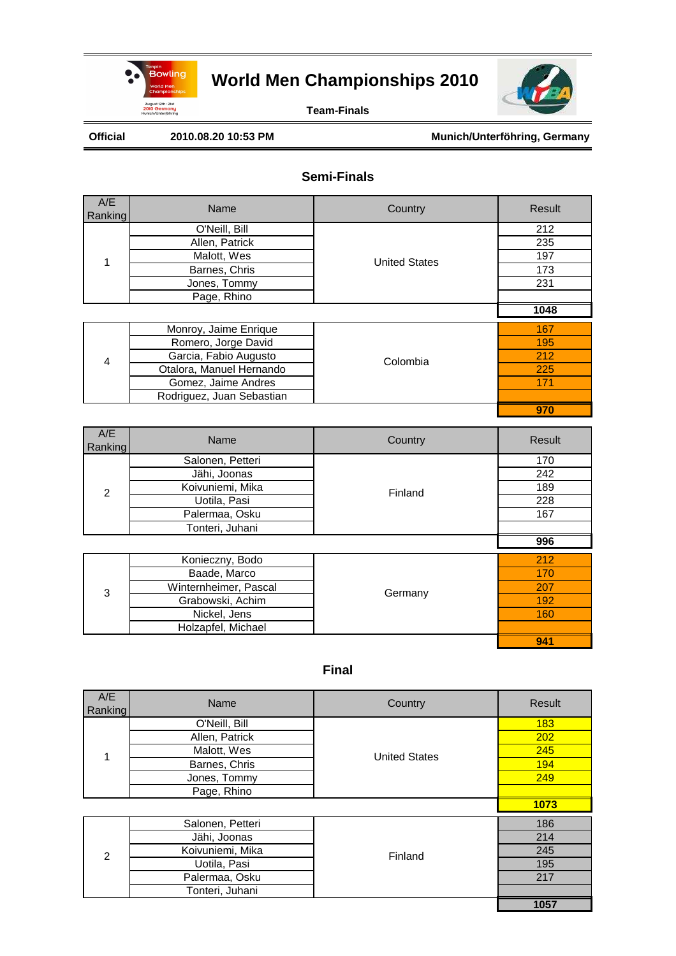

**Team-Finals**

Official 2010.08.20 10:53 PM Munich/Unterföhring, Germany

#### **Semi-Finals**

| A/E<br>Ranking                                                        | Name                      | Country              | Result |
|-----------------------------------------------------------------------|---------------------------|----------------------|--------|
| 1<br>$\overline{\mathbf{4}}$<br>A/E<br>Ranking<br>$\overline{2}$<br>3 | O'Neill, Bill             |                      | 212    |
|                                                                       | Allen, Patrick            |                      | 235    |
|                                                                       | Malott, Wes               | <b>United States</b> | 197    |
|                                                                       | Barnes, Chris             |                      | 173    |
|                                                                       | Jones, Tommy              |                      | 231    |
|                                                                       | Page, Rhino               |                      |        |
|                                                                       |                           |                      | 1048   |
|                                                                       | Monroy, Jaime Enrique     |                      | 167    |
|                                                                       | Romero, Jorge David       |                      | 195    |
|                                                                       | Garcia, Fabio Augusto     | Colombia             | 212    |
|                                                                       | Otalora, Manuel Hernando  |                      | 225    |
|                                                                       | Gomez, Jaime Andres       |                      | 171    |
|                                                                       | Rodriguez, Juan Sebastian |                      |        |
|                                                                       |                           |                      | 970    |
|                                                                       | Name                      | Country              | Result |
|                                                                       | Salonen, Petteri          |                      | 170    |
|                                                                       | Jähi, Joonas              |                      | 242    |
|                                                                       | Koivuniemi, Mika          | Finland              | 189    |
|                                                                       | Uotila, Pasi              |                      | 228    |
|                                                                       | Palermaa, Osku            |                      | 167    |
|                                                                       | Tonteri, Juhani           |                      |        |
|                                                                       |                           |                      | 996    |
|                                                                       | Konieczny, Bodo           |                      | 212    |
|                                                                       | Baade, Marco              |                      | 170    |
|                                                                       |                           |                      |        |
|                                                                       | Winternheimer, Pascal     |                      | 207    |
|                                                                       | Grabowski, Achim          | Germany              | 192    |
|                                                                       | Nickel, Jens              |                      | 160    |
|                                                                       | Holzapfel, Michael        |                      |        |

| A/E<br>Ranking | Name             | Country                                                                                          | Result     |
|----------------|------------------|--------------------------------------------------------------------------------------------------|------------|
|                | O'Neill, Bill    |                                                                                                  | <b>183</b> |
|                | Allen, Patrick   |                                                                                                  | 202        |
| 1              | Malott, Wes      |                                                                                                  | 245        |
|                | Barnes, Chris    | <b>United States</b><br>194<br>249<br>1073<br>186<br>214<br>245<br>Finland<br>195<br>217<br>1057 |            |
|                | Jones, Tommy     |                                                                                                  |            |
|                | Page, Rhino      |                                                                                                  |            |
|                |                  |                                                                                                  |            |
|                | Salonen, Petteri |                                                                                                  |            |
|                | Jähi, Joonas     |                                                                                                  |            |
| $\mathfrak{p}$ | Koivuniemi, Mika |                                                                                                  |            |
|                | Uotila, Pasi     |                                                                                                  |            |
|                | Palermaa, Osku   |                                                                                                  |            |
|                | Tonteri, Juhani  |                                                                                                  |            |
|                |                  |                                                                                                  |            |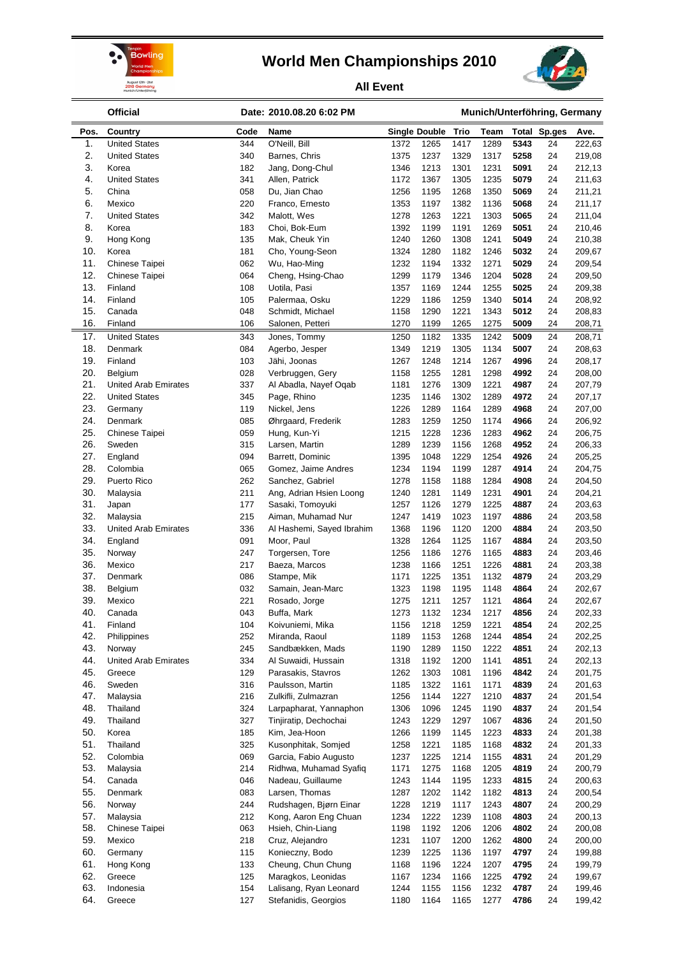



**All Event**

|            | <b>Official</b>                 |            | Date: 2010.08.20 6:02 PM                        |              | Munich/Unterföhring, Germany |              |              |              |                     |                  |
|------------|---------------------------------|------------|-------------------------------------------------|--------------|------------------------------|--------------|--------------|--------------|---------------------|------------------|
| Pos.       | Country                         | Code       | Name                                            |              | <b>Single Double</b>         | Trio         | Team         |              | <b>Total Sp.ges</b> | Ave.             |
| 1.         | <b>United States</b>            | 344        | O'Neill, Bill                                   | 1372         | 1265                         | 1417         | 1289         | 5343         | 24                  | 222,63           |
| 2.         | <b>United States</b>            | 340        | Barnes, Chris                                   | 1375         | 1237                         | 1329         | 1317         | 5258         | 24                  | 219,08           |
| 3.         | Korea                           | 182        | Jang, Dong-Chul                                 | 1346         | 1213                         | 1301         | 1231         | 5091         | 24                  | 212,13           |
| 4.<br>5.   | <b>United States</b><br>China   | 341<br>058 | Allen, Patrick<br>Du, Jian Chao                 | 1172<br>1256 | 1367<br>1195                 | 1305<br>1268 | 1235<br>1350 | 5079<br>5069 | 24<br>24            | 211,63<br>211,21 |
| 6.         | Mexico                          | 220        | Franco, Ernesto                                 | 1353         | 1197                         | 1382         | 1136         | 5068         | 24                  | 211,17           |
| 7.         | <b>United States</b>            | 342        | Malott, Wes                                     | 1278         | 1263                         | 1221         | 1303         | 5065         | 24                  | 211,04           |
| 8.         | Korea                           | 183        | Choi, Bok-Eum                                   | 1392         | 1199                         | 1191         | 1269         | 5051         | 24                  | 210,46           |
| 9.         | Hong Kong                       | 135        | Mak, Cheuk Yin                                  | 1240         | 1260                         | 1308         | 1241         | 5049         | 24                  | 210,38           |
| 10.        | Korea                           | 181        | Cho, Young-Seon                                 | 1324         | 1280                         | 1182         | 1246         | 5032         | 24                  | 209,67           |
| 11.        | Chinese Taipei                  | 062        | Wu, Hao-Ming                                    | 1232         | 1194                         | 1332         | 1271         | 5029         | 24                  | 209,54           |
| 12.<br>13. | Chinese Taipei                  | 064        | Cheng, Hsing-Chao<br>Uotila, Pasi               | 1299<br>1357 | 1179                         | 1346         | 1204         | 5028<br>5025 | 24                  | 209,50           |
| 14.        | Finland<br>Finland              | 108<br>105 | Palermaa, Osku                                  | 1229         | 1169<br>1186                 | 1244<br>1259 | 1255<br>1340 | 5014         | 24<br>24            | 209,38<br>208,92 |
| 15.        | Canada                          | 048        | Schmidt, Michael                                | 1158         | 1290                         | 1221         | 1343         | 5012         | 24                  | 208,83           |
| 16.        | Finland                         | 106        | Salonen, Petteri                                | 1270         | 1199                         | 1265         | 1275         | 5009         | 24                  | 208,71           |
| 17.        | <b>United States</b>            | 343        | Jones, Tommy                                    | 1250         | 1182                         | 1335         | 1242         | 5009         | 24                  | 208,71           |
| 18.        | Denmark                         | 084        | Agerbo, Jesper                                  | 1349         | 1219                         | 1305         | 1134         | 5007         | 24                  | 208,63           |
| 19.        | Finland                         | 103        | Jähi, Joonas                                    | 1267         | 1248                         | 1214         | 1267         | 4996         | 24                  | 208,17           |
| 20.        | Belgium                         | 028        | Verbruggen, Gery                                | 1158         | 1255                         | 1281         | 1298         | 4992         | 24                  | 208,00           |
| 21.        | <b>United Arab Emirates</b>     | 337        | Al Abadla, Nayef Oqab                           | 1181         | 1276                         | 1309         | 1221         | 4987         | 24                  | 207,79           |
| 22.        | <b>United States</b>            | 345        | Page, Rhino                                     | 1235         | 1146                         | 1302         | 1289         | 4972         | 24                  | 207,17           |
| 23.        | Germany                         | 119        | Nickel, Jens                                    | 1226         | 1289                         | 1164         | 1289         | 4968         | 24                  | 207,00           |
| 24.<br>25. | Denmark                         | 085        | Øhrgaard, Frederik                              | 1283         | 1259                         | 1250         | 1174         | 4966<br>4962 | 24<br>24            | 206,92<br>206,75 |
| 26.        | <b>Chinese Taipei</b><br>Sweden | 059<br>315 | Hung, Kun-Yi<br>Larsen, Martin                  | 1215<br>1289 | 1228<br>1239                 | 1236<br>1156 | 1283<br>1268 | 4952         | 24                  | 206,33           |
| 27.        | England                         | 094        | Barrett, Dominic                                | 1395         | 1048                         | 1229         | 1254         | 4926         | 24                  | 205,25           |
| 28.        | Colombia                        | 065        | Gomez, Jaime Andres                             | 1234         | 1194                         | 1199         | 1287         | 4914         | 24                  | 204,75           |
| 29.        | Puerto Rico                     | 262        | Sanchez, Gabriel                                | 1278         | 1158                         | 1188         | 1284         | 4908         | 24                  | 204,50           |
| 30.        | Malaysia                        | 211        | Ang, Adrian Hsien Loong                         | 1240         | 1281                         | 1149         | 1231         | 4901         | 24                  | 204,21           |
| 31.        | Japan                           | 177        | Sasaki, Tomoyuki                                | 1257         | 1126                         | 1279         | 1225         | 4887         | 24                  | 203,63           |
| 32.        | Malaysia                        | 215        | Aiman, Muhamad Nur                              | 1247         | 1419                         | 1023         | 1197         | 4886         | 24                  | 203,58           |
| 33.        | <b>United Arab Emirates</b>     | 336        | Al Hashemi, Sayed Ibrahim                       | 1368         | 1196                         | 1120         | 1200         | 4884         | 24                  | 203,50           |
| 34.        | England                         | 091        | Moor, Paul                                      | 1328         | 1264                         | 1125         | 1167         | 4884         | 24                  | 203,50           |
| 35.        | Norway                          | 247        | Torgersen, Tore                                 | 1256         | 1186                         | 1276         | 1165         | 4883         | 24                  | 203,46           |
| 36.<br>37. | Mexico                          | 217<br>086 | Baeza, Marcos                                   | 1238<br>1171 | 1166<br>1225                 | 1251         | 1226<br>1132 | 4881<br>4879 | 24<br>24            | 203,38           |
| 38.        | Denmark<br>Belgium              | 032        | Stampe, Mik<br>Samain, Jean-Marc                | 1323         | 1198                         | 1351<br>1195 | 1148         | 4864         | 24                  | 203,29<br>202,67 |
| 39.        | Mexico                          | 221        | Rosado, Jorge                                   | 1275         | 1211                         | 1257         | 1121         | 4864         | 24                  | 202,67           |
| 40.        | Canada                          | 043        | Buffa, Mark                                     | 1273         | 1132                         | 1234         | 1217         | 4856         | 24                  | 202,33           |
| 41.        | Finland                         | 104        | Koivuniemi, Mika                                | 1156         | 1218                         | 1259         | 1221         | 4854         | 24                  | 202,25           |
| 42.        | Philippines                     | 252        | Miranda, Raoul                                  | 1189         | 1153                         | 1268         | 1244         | 4854         | 24                  | 202,25           |
| 43.        | Norway                          | 245        | Sandbækken, Mads                                | 1190         | 1289                         | 1150         | 1222         | 4851         | 24                  | 202,13           |
| 44.        | <b>United Arab Emirates</b>     | 334        | Al Suwaidi, Hussain                             | 1318         | 1192                         | 1200         | 1141         | 4851         | 24                  | 202,13           |
| 45.        | Greece                          | 129        | Parasakis, Stavros                              | 1262         | 1303                         | 1081         | 1196         | 4842         | 24                  | 201,75           |
| 46.        | Sweden                          | 316        | Paulsson, Martin                                | 1185         | 1322                         | 1161         | 1171         | 4839         | 24                  | 201,63           |
| 47.        | Malaysia                        | 216        | Zulkifli, Zulmazran                             | 1256         | 1144                         | 1227         | 1210         | 4837         | 24                  | 201,54           |
| 48.<br>49. | Thailand<br>Thailand            | 324<br>327 | Larpapharat, Yannaphon<br>Tinjiratip, Dechochai | 1306<br>1243 | 1096<br>1229                 | 1245<br>1297 | 1190<br>1067 | 4837<br>4836 | 24<br>24            | 201,54<br>201,50 |
| 50.        | Korea                           | 185        | Kim, Jea-Hoon                                   | 1266         | 1199                         | 1145         | 1223         | 4833         | 24                  | 201,38           |
| 51.        | Thailand                        | 325        | Kusonphitak, Somjed                             | 1258         | 1221                         | 1185         | 1168         | 4832         | 24                  | 201,33           |
| 52.        | Colombia                        | 069        | Garcia, Fabio Augusto                           | 1237         | 1225                         | 1214         | 1155         | 4831         | 24                  | 201,29           |
| 53.        | Malaysia                        | 214        | Ridhwa, Muhamad Syafiq                          | 1171         | 1275                         | 1168         | 1205         | 4819         | 24                  | 200,79           |
| 54.        | Canada                          | 046        | Nadeau, Guillaume                               | 1243         | 1144                         | 1195         | 1233         | 4815         | 24                  | 200,63           |
| 55.        | Denmark                         | 083        | Larsen, Thomas                                  | 1287         | 1202                         | 1142         | 1182         | 4813         | 24                  | 200,54           |
| 56.        | Norway                          | 244        | Rudshagen, Bjørn Einar                          | 1228         | 1219                         | 1117         | 1243         | 4807         | 24                  | 200,29           |
| 57.        | Malaysia                        | 212        | Kong, Aaron Eng Chuan                           | 1234         | 1222                         | 1239         | 1108         | 4803         | 24                  | 200,13           |
| 58.        | Chinese Taipei                  | 063        | Hsieh, Chin-Liang                               | 1198         | 1192                         | 1206         | 1206         | 4802         | 24                  | 200,08           |
| 59.        | Mexico                          | 218        | Cruz, Alejandro                                 | 1231         | 1107                         | 1200         | 1262         | 4800         | 24                  | 200,00           |
| 60.<br>61. | Germany<br>Hong Kong            | 115<br>133 | Konieczny, Bodo<br>Cheung, Chun Chung           | 1239<br>1168 | 1225<br>1196                 | 1136<br>1224 | 1197<br>1207 | 4797<br>4795 | 24<br>24            | 199,88<br>199,79 |
| 62.        | Greece                          | 125        | Maragkos, Leonidas                              | 1167         | 1234                         | 1166         | 1225         | 4792         | 24                  | 199,67           |
| 63.        | Indonesia                       | 154        | Lalisang, Ryan Leonard                          | 1244         | 1155                         | 1156         | 1232         | 4787         | 24                  | 199,46           |
| 64.        | Greece                          | 127        | Stefanidis, Georgios                            | 1180         | 1164                         | 1165         | 1277         | 4786         | 24                  | 199,42           |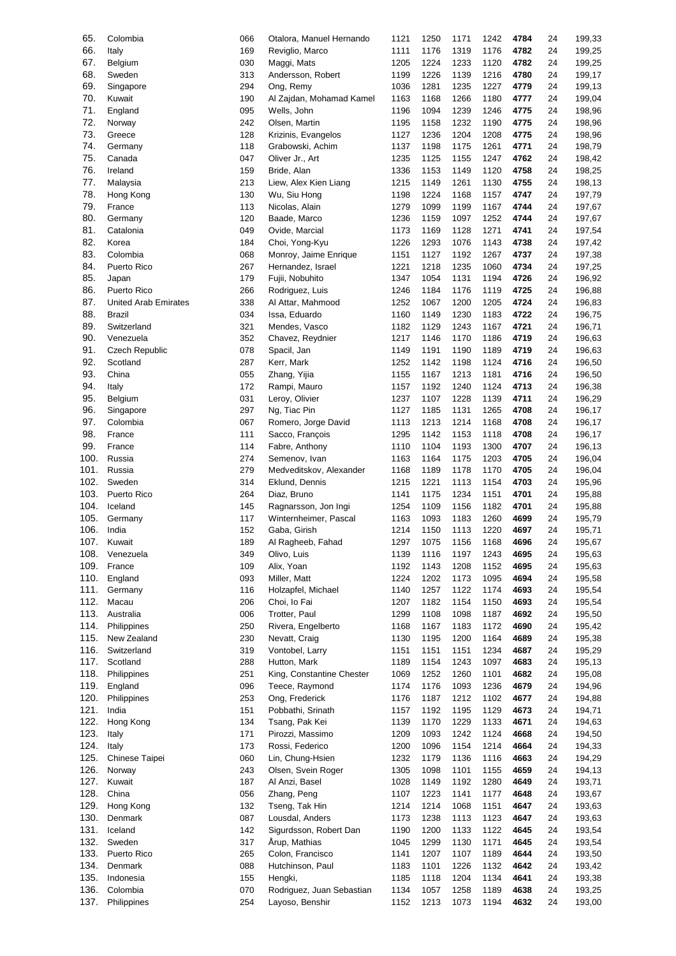| 65.  | Colombia                    | 066 | Otalora, Manuel Hernando  | 1121 | 1250 | 1171 | 1242 | 4784 | 24 | 199,33 |
|------|-----------------------------|-----|---------------------------|------|------|------|------|------|----|--------|
| 66.  | Italy                       | 169 | Reviglio, Marco           | 1111 | 1176 | 1319 | 1176 | 4782 | 24 | 199,25 |
| 67.  |                             | 030 |                           | 1205 | 1224 | 1233 |      | 4782 |    |        |
|      | Belgium                     |     | Maggi, Mats               |      |      |      | 1120 |      | 24 | 199,25 |
| 68.  | Sweden                      | 313 | Andersson, Robert         | 1199 | 1226 | 1139 | 1216 | 4780 | 24 | 199,17 |
| 69.  | Singapore                   | 294 | Ong, Remy                 | 1036 | 1281 | 1235 | 1227 | 4779 | 24 | 199,13 |
| 70.  | Kuwait                      | 190 | Al Zajdan, Mohamad Kamel  | 1163 | 1168 | 1266 | 1180 | 4777 | 24 | 199,04 |
| 71.  |                             | 095 |                           | 1196 | 1094 | 1239 |      | 4775 |    |        |
|      | England                     |     | Wells, John               |      |      |      | 1246 |      | 24 | 198,96 |
| 72.  | Norway                      | 242 | Olsen, Martin             | 1195 | 1158 | 1232 | 1190 | 4775 | 24 | 198,96 |
| 73.  | Greece                      | 128 | Krizinis, Evangelos       | 1127 | 1236 | 1204 | 1208 | 4775 | 24 | 198,96 |
| 74.  | Germany                     | 118 | Grabowski, Achim          | 1137 | 1198 | 1175 | 1261 | 4771 | 24 | 198,79 |
|      |                             |     |                           |      |      |      |      |      |    |        |
| 75.  | Canada                      | 047 | Oliver Jr., Art           | 1235 | 1125 | 1155 | 1247 | 4762 | 24 | 198,42 |
| 76.  | Ireland                     | 159 | Bride, Alan               | 1336 | 1153 | 1149 | 1120 | 4758 | 24 | 198,25 |
| 77.  | Malaysia                    | 213 | Liew, Alex Kien Liang     | 1215 | 1149 | 1261 | 1130 | 4755 | 24 | 198,13 |
| 78.  | Hong Kong                   | 130 |                           | 1198 | 1224 | 1168 |      | 4747 | 24 | 197,79 |
|      |                             |     | Wu, Siu Hong              |      |      |      | 1157 |      |    |        |
| 79.  | France                      | 113 | Nicolas, Alain            | 1279 | 1099 | 1199 | 1167 | 4744 | 24 | 197,67 |
| 80.  | Germany                     | 120 | Baade, Marco              | 1236 | 1159 | 1097 | 1252 | 4744 | 24 | 197,67 |
| 81.  | Catalonia                   | 049 | Ovide, Marcial            | 1173 | 1169 | 1128 | 1271 | 4741 | 24 | 197,54 |
|      |                             |     |                           |      |      |      |      |      |    |        |
| 82.  | Korea                       | 184 | Choi, Yong-Kyu            | 1226 | 1293 | 1076 | 1143 | 4738 | 24 | 197,42 |
| 83.  | Colombia                    | 068 | Monroy, Jaime Enrique     | 1151 | 1127 | 1192 | 1267 | 4737 | 24 | 197,38 |
| 84.  | Puerto Rico                 | 267 | Hernandez, Israel         | 1221 | 1218 | 1235 | 1060 | 4734 | 24 | 197,25 |
| 85.  | Japan                       | 179 | Fujii, Nobuhito           | 1347 | 1054 | 1131 | 1194 | 4726 | 24 | 196,92 |
|      |                             |     |                           |      |      |      |      |      |    |        |
| 86.  | Puerto Rico                 | 266 | Rodriguez, Luis           | 1246 | 1184 | 1176 | 1119 | 4725 | 24 | 196,88 |
| 87.  | <b>United Arab Emirates</b> | 338 | Al Attar, Mahmood         | 1252 | 1067 | 1200 | 1205 | 4724 | 24 | 196,83 |
| 88.  | Brazil                      | 034 | Issa, Eduardo             | 1160 | 1149 | 1230 | 1183 | 4722 | 24 | 196,75 |
|      |                             |     |                           |      |      |      |      |      |    |        |
| 89.  | Switzerland                 | 321 | Mendes, Vasco             | 1182 | 1129 | 1243 | 1167 | 4721 | 24 | 196,71 |
| 90.  | Venezuela                   | 352 | Chavez, Reydnier          | 1217 | 1146 | 1170 | 1186 | 4719 | 24 | 196,63 |
| 91.  | Czech Republic              | 078 | Spacil, Jan               | 1149 | 1191 | 1190 | 1189 | 4719 | 24 | 196,63 |
| 92.  | Scotland                    | 287 | Kerr, Mark                | 1252 | 1142 | 1198 | 1124 | 4716 | 24 | 196,50 |
|      |                             |     |                           |      |      |      |      |      |    |        |
| 93.  | China                       | 055 | Zhang, Yijia              | 1155 | 1167 | 1213 | 1181 | 4716 | 24 | 196,50 |
| 94.  | Italy                       | 172 | Rampi, Mauro              | 1157 | 1192 | 1240 | 1124 | 4713 | 24 | 196,38 |
| 95.  | Belgium                     | 031 | Leroy, Olivier            | 1237 | 1107 | 1228 | 1139 | 4711 | 24 | 196,29 |
| 96.  |                             | 297 | Ng, Tiac Pin              | 1127 | 1185 | 1131 | 1265 | 4708 | 24 |        |
|      | Singapore                   |     |                           |      |      |      |      |      |    | 196,17 |
| 97.  | Colombia                    | 067 | Romero, Jorge David       | 1113 | 1213 | 1214 | 1168 | 4708 | 24 | 196,17 |
| 98.  | France                      | 111 | Sacco, François           | 1295 | 1142 | 1153 | 1118 | 4708 | 24 | 196,17 |
| 99.  | France                      | 114 | Fabre, Anthony            | 1110 | 1104 | 1193 | 1300 | 4707 | 24 | 196,13 |
|      |                             |     |                           |      |      |      |      |      |    |        |
| 100. | Russia                      | 274 | Semenov, Ivan             | 1163 | 1164 | 1175 | 1203 | 4705 | 24 | 196,04 |
| 101. | Russia                      | 279 | Medveditskov, Alexander   | 1168 | 1189 | 1178 | 1170 | 4705 | 24 | 196,04 |
| 102. | Sweden                      | 314 | Eklund, Dennis            | 1215 | 1221 | 1113 | 1154 | 4703 | 24 | 195,96 |
| 103. | Puerto Rico                 | 264 | Diaz, Bruno               | 1141 | 1175 | 1234 | 1151 | 4701 | 24 | 195,88 |
|      |                             |     |                           |      |      |      |      |      |    |        |
| 104. | Iceland                     | 145 | Ragnarsson, Jon Ingi      | 1254 | 1109 | 1156 | 1182 | 4701 | 24 | 195,88 |
| 105. | Germany                     | 117 | Winternheimer, Pascal     | 1163 | 1093 | 1183 | 1260 | 4699 | 24 | 195,79 |
| 106. | India                       | 152 | Gaba, Girish              | 1214 | 1150 | 1113 | 1220 | 4697 | 24 | 195,71 |
| 107. |                             |     |                           |      |      |      |      |      |    |        |
|      | Kuwait                      | 189 | Al Ragheeb, Fahad         | 1297 | 1075 | 1156 | 1168 | 4696 | 24 | 195,67 |
| 108. | Venezuela                   | 349 | Olivo, Luis               | 1139 | 1116 | 1197 | 1243 | 4695 | 24 | 195,63 |
| 109. | France                      | 109 | Alix, Yoan                | 1192 | 1143 | 1208 | 1152 | 4695 | 24 | 195,63 |
| 110. | England                     | 093 | Miller, Matt              | 1224 | 1202 | 1173 | 1095 | 4694 | 24 | 195,58 |
|      |                             |     |                           |      |      |      |      |      |    |        |
| 111. | Germany                     | 116 | Holzapfel, Michael        | 1140 | 1257 | 1122 | 1174 | 4693 | 24 | 195,54 |
| 112. | Macau                       | 206 | Choi, lo Fai              | 1207 | 1182 | 1154 | 1150 | 4693 | 24 | 195,54 |
| 113. | Australia                   | 006 | Trotter, Paul             | 1299 | 1108 | 1098 | 1187 | 4692 | 24 | 195,50 |
| 114. | Philippines                 |     | Rivera, Engelberto        |      |      |      |      |      |    |        |
|      |                             | 250 |                           | 1168 | 1167 | 1183 | 1172 | 4690 | 24 | 195,42 |
| 115. | New Zealand                 | 230 | Nevatt, Craig             | 1130 | 1195 | 1200 | 1164 | 4689 | 24 | 195,38 |
| 116. | Switzerland                 | 319 | Vontobel, Larry           | 1151 | 1151 | 1151 | 1234 | 4687 | 24 | 195,29 |
| 117. | Scotland                    | 288 | Hutton, Mark              | 1189 | 1154 | 1243 | 1097 | 4683 | 24 | 195,13 |
| 118. | Philippines                 | 251 | King, Constantine Chester | 1069 | 1252 | 1260 | 1101 | 4682 | 24 | 195,08 |
|      |                             |     |                           |      |      |      |      |      |    |        |
| 119. | England                     | 096 | Teece, Raymond            | 1174 | 1176 | 1093 | 1236 | 4679 | 24 | 194,96 |
| 120. | Philippines                 | 253 | Ong, Frederick            | 1176 | 1187 | 1212 | 1102 | 4677 | 24 | 194,88 |
| 121. | India                       | 151 | Pobbathi, Srinath         | 1157 | 1192 | 1195 | 1129 | 4673 | 24 | 194,71 |
|      |                             |     |                           |      |      |      |      |      |    |        |
| 122. | Hong Kong                   | 134 | Tsang, Pak Kei            | 1139 | 1170 | 1229 | 1133 | 4671 | 24 | 194,63 |
| 123. | Italy                       | 171 | Pirozzi, Massimo          | 1209 | 1093 | 1242 | 1124 | 4668 | 24 | 194,50 |
| 124. | Italy                       | 173 | Rossi, Federico           | 1200 | 1096 | 1154 | 1214 | 4664 | 24 | 194,33 |
|      |                             |     |                           |      |      |      |      |      |    |        |
| 125. | Chinese Taipei              | 060 | Lin, Chung-Hsien          | 1232 | 1179 | 1136 | 1116 | 4663 | 24 | 194,29 |
| 126. | Norway                      | 243 | Olsen, Svein Roger        | 1305 | 1098 | 1101 | 1155 | 4659 | 24 | 194,13 |
| 127. | Kuwait                      | 187 | Al Anzi, Basel            | 1028 | 1149 | 1192 | 1280 | 4649 | 24 | 193,71 |
| 128. | China                       | 056 | Zhang, Peng               | 1107 | 1223 | 1141 | 1177 | 4648 | 24 | 193,67 |
|      |                             |     |                           |      |      |      |      |      |    |        |
| 129. | Hong Kong                   | 132 | Tseng, Tak Hin            | 1214 | 1214 | 1068 | 1151 | 4647 | 24 | 193,63 |
| 130. | Denmark                     | 087 | Lousdal, Anders           | 1173 | 1238 | 1113 | 1123 | 4647 | 24 | 193,63 |
| 131. | Iceland                     | 142 | Sigurdsson, Robert Dan    | 1190 | 1200 | 1133 | 1122 | 4645 | 24 | 193,54 |
| 132. | Sweden                      | 317 | Årup, Mathias             | 1045 | 1299 | 1130 | 1171 | 4645 | 24 | 193,54 |
|      |                             |     |                           |      |      |      |      |      |    |        |
| 133. | Puerto Rico                 | 265 | Colon, Francisco          | 1141 | 1207 | 1107 | 1189 | 4644 | 24 | 193,50 |
| 134. | Denmark                     | 088 | Hutchinson, Paul          | 1183 | 1101 | 1226 | 1132 | 4642 | 24 | 193,42 |
| 135. | Indonesia                   | 155 | Hengki,                   | 1185 | 1118 | 1204 | 1134 | 4641 | 24 | 193,38 |
|      |                             |     |                           |      |      |      |      |      |    |        |
| 136. | Colombia                    | 070 | Rodriguez, Juan Sebastian | 1134 | 1057 | 1258 | 1189 | 4638 | 24 | 193,25 |
| 137. | Philippines                 | 254 | Layoso, Benshir           | 1152 | 1213 | 1073 | 1194 | 4632 | 24 | 193,00 |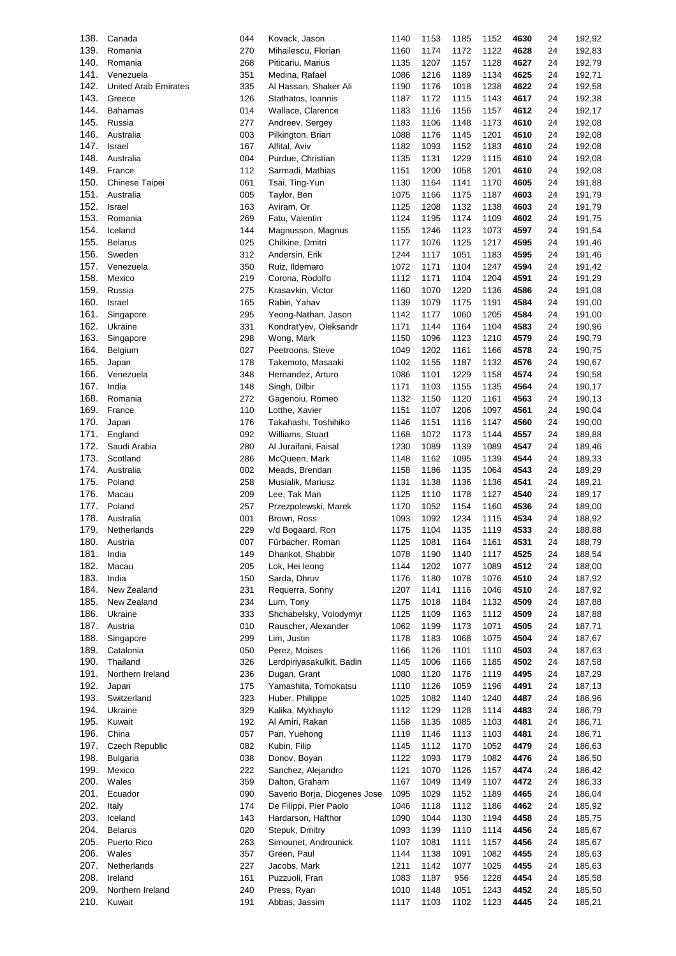| 138. | Canada                      | 044 | Kovack, Jason                | 1140 | 1153 | 1185 | 1152 | 4630 | 24 | 192,92 |
|------|-----------------------------|-----|------------------------------|------|------|------|------|------|----|--------|
| 139. | Romania                     | 270 | Mihailescu, Florian          | 1160 | 1174 | 1172 | 1122 | 4628 | 24 | 192,83 |
| 140. | Romania                     | 268 | Piticariu, Marius            | 1135 | 1207 | 1157 | 1128 | 4627 | 24 | 192,79 |
| 141. | Venezuela                   | 351 | Medina, Rafael               | 1086 | 1216 | 1189 | 1134 | 4625 | 24 | 192,71 |
| 142. | <b>United Arab Emirates</b> | 335 |                              | 1190 | 1176 | 1018 | 1238 | 4622 | 24 | 192,58 |
|      |                             |     | Al Hassan, Shaker Ali        |      |      |      |      |      |    |        |
| 143. | Greece                      | 126 | Stathatos, Ioannis           | 1187 | 1172 | 1115 | 1143 | 4617 | 24 | 192,38 |
| 144. | <b>Bahamas</b>              | 014 | Wallace, Clarence            | 1183 | 1116 | 1156 | 1157 | 4612 | 24 | 192,17 |
| 145. | Russia                      | 277 | Andreev, Sergey              | 1183 | 1106 | 1148 | 1173 | 4610 | 24 | 192,08 |
| 146. | Australia                   | 003 | Pilkington, Brian            | 1088 | 1176 | 1145 | 1201 | 4610 | 24 | 192,08 |
| 147. | Israel                      | 167 | Alfital, Aviv                | 1182 | 1093 | 1152 | 1183 | 4610 | 24 | 192,08 |
| 148. | Australia                   | 004 | Purdue, Christian            | 1135 | 1131 | 1229 | 1115 | 4610 | 24 |        |
|      |                             |     |                              |      |      |      |      |      |    | 192,08 |
| 149. | France                      | 112 | Sarmadi, Mathias             | 1151 | 1200 | 1058 | 1201 | 4610 | 24 | 192,08 |
| 150. | Chinese Taipei              | 061 | Tsai, Ting-Yun               | 1130 | 1164 | 1141 | 1170 | 4605 | 24 | 191,88 |
| 151. | Australia                   | 005 | Taylor, Ben                  | 1075 | 1166 | 1175 | 1187 | 4603 | 24 | 191,79 |
| 152. | Israel                      | 163 | Aviram, Or                   | 1125 | 1208 | 1132 | 1138 | 4603 | 24 | 191,79 |
| 153. | Romania                     | 269 | Fatu, Valentin               | 1124 | 1195 | 1174 | 1109 | 4602 | 24 | 191,75 |
| 154. | Iceland                     | 144 | Magnusson, Magnus            | 1155 | 1246 | 1123 | 1073 | 4597 | 24 | 191,54 |
|      |                             |     |                              |      |      |      |      |      |    |        |
| 155. | <b>Belarus</b>              | 025 | Chilkine, Dmitri             | 1177 | 1076 | 1125 | 1217 | 4595 | 24 | 191,46 |
| 156. | Sweden                      | 312 | Andersin, Erik               | 1244 | 1117 | 1051 | 1183 | 4595 | 24 | 191,46 |
| 157. | Venezuela                   | 350 | Ruiz, Ildemaro               | 1072 | 1171 | 1104 | 1247 | 4594 | 24 | 191,42 |
| 158. | Mexico                      | 219 | Corona, Rodolfo              | 1112 | 1171 | 1104 | 1204 | 4591 | 24 | 191,29 |
| 159. | Russia                      | 275 | Krasavkin, Victor            | 1160 | 1070 | 1220 | 1136 | 4586 | 24 | 191,08 |
| 160. | Israel                      | 165 | Rabin, Yahav                 | 1139 | 1079 | 1175 | 1191 | 4584 | 24 | 191,00 |
|      |                             |     |                              |      |      |      |      |      |    |        |
| 161. | Singapore                   | 295 | Yeong-Nathan, Jason          | 1142 | 1177 | 1060 | 1205 | 4584 | 24 | 191,00 |
| 162. | Ukraine                     | 331 | Kondrat'yev, Oleksandr       | 1171 | 1144 | 1164 | 1104 | 4583 | 24 | 190,96 |
| 163. | Singapore                   | 298 | Wong, Mark                   | 1150 | 1096 | 1123 | 1210 | 4579 | 24 | 190,79 |
| 164. | Belgium                     | 027 | Peetroons, Steve             | 1049 | 1202 | 1161 | 1166 | 4578 | 24 | 190,75 |
| 165. | Japan                       | 178 | Takemoto, Masaaki            | 1102 | 1155 | 1187 | 1132 | 4576 | 24 | 190,67 |
| 166. | Venezuela                   | 348 | Hernandez, Arturo            | 1086 | 1101 | 1229 | 1158 | 4574 | 24 | 190,58 |
|      |                             |     |                              |      |      |      |      |      |    |        |
| 167. | India                       | 148 | Singh, Dilbir                | 1171 | 1103 | 1155 | 1135 | 4564 | 24 | 190,17 |
| 168. | Romania                     | 272 | Gagenoiu, Romeo              | 1132 | 1150 | 1120 | 1161 | 4563 | 24 | 190,13 |
| 169. | France                      | 110 | Lotthe, Xavier               | 1151 | 1107 | 1206 | 1097 | 4561 | 24 | 190,04 |
| 170. | Japan                       | 176 | Takahashi, Toshihiko         | 1146 | 1151 | 1116 | 1147 | 4560 | 24 | 190,00 |
| 171. | England                     | 092 | Williams, Stuart             | 1168 | 1072 | 1173 | 1144 | 4557 | 24 | 189,88 |
| 172. | Saudi Arabia                |     | Al Juraifani, Faisal         |      |      |      |      | 4547 |    |        |
|      |                             | 280 |                              | 1230 | 1089 | 1139 | 1089 |      | 24 | 189,46 |
| 173. | Scotland                    | 286 | McQueen, Mark                | 1148 | 1162 | 1095 | 1139 | 4544 | 24 | 189,33 |
| 174. | Australia                   | 002 | Meads, Brendan               | 1158 | 1186 | 1135 | 1064 | 4543 | 24 | 189,29 |
| 175. | Poland                      | 258 | Musialik, Mariusz            | 1131 | 1138 | 1136 | 1136 | 4541 | 24 | 189,21 |
| 176. | Macau                       | 209 | Lee, Tak Man                 | 1125 | 1110 | 1178 | 1127 | 4540 | 24 | 189,17 |
| 177. | Poland                      | 257 | Przezpolewski, Marek         | 1170 | 1052 | 1154 | 1160 | 4536 | 24 | 189,00 |
| 178. |                             |     |                              |      |      |      |      |      |    |        |
|      | Australia                   | 001 | Brown, Ross                  | 1093 | 1092 | 1234 | 1115 | 4534 | 24 | 188,92 |
| 179. | Netherlands                 | 229 | v/d Bogaard, Ron             | 1175 | 1104 | 1135 | 1119 | 4533 | 24 | 188,88 |
| 180. | Austria                     | 007 | Fürbacher, Roman             | 1125 | 1081 | 1164 | 1161 | 4531 | 24 | 188,79 |
| 181. | India                       | 149 | Dhankot, Shabbir             | 1078 | 1190 | 1140 | 1117 | 4525 | 24 | 188,54 |
| 182. | Macau                       | 205 | Lok, Hei leong               | 1144 | 1202 | 1077 | 1089 | 4512 | 24 | 188,00 |
| 183. | India                       | 150 | Sarda, Dhruv                 | 1176 | 1180 | 1078 | 1076 | 4510 | 24 | 187,92 |
| 184. |                             |     | Requerra, Sonny              |      |      |      |      | 4510 |    |        |
|      | New Zealand                 | 231 |                              | 1207 | 1141 | 1116 | 1046 |      | 24 | 187,92 |
| 185. | New Zealand                 | 234 | Lum, Tony                    | 1175 | 1018 | 1184 | 1132 | 4509 | 24 | 187,88 |
| 186. | Ukraine                     | 333 | Shchabelsky, Volodymyr       | 1125 | 1109 | 1163 | 1112 | 4509 | 24 | 187,88 |
| 187. | Austria                     | 010 | Rauscher, Alexander          | 1062 | 1199 | 1173 | 1071 | 4505 | 24 | 187,71 |
| 188. | Singapore                   | 299 | Lim, Justin                  | 1178 | 1183 | 1068 | 1075 | 4504 | 24 | 187,67 |
| 189. | Catalonia                   | 050 | Perez, Moises                | 1166 | 1126 | 1101 | 1110 | 4503 | 24 | 187,63 |
| 190. | Thailand                    | 326 | Lerdpiriyasakulkit, Badin    | 1145 | 1006 | 1166 | 1185 | 4502 | 24 | 187,58 |
|      |                             |     |                              |      |      |      |      |      |    |        |
| 191. | Northern Ireland            | 236 | Dugan, Grant                 | 1080 | 1120 | 1176 | 1119 | 4495 | 24 | 187,29 |
| 192. | Japan                       | 175 | Yamashita, Tomokatsu         | 1110 | 1126 | 1059 | 1196 | 4491 | 24 | 187,13 |
| 193. | Switzerland                 | 323 | Huber, Philippe              | 1025 | 1082 | 1140 | 1240 | 4487 | 24 | 186,96 |
| 194. | Ukraine                     | 329 | Kalika, Mykhaylo             | 1112 | 1129 | 1128 | 1114 | 4483 | 24 | 186,79 |
| 195. | Kuwait                      | 192 | Al Amiri, Rakan              | 1158 | 1135 | 1085 | 1103 | 4481 | 24 | 186,71 |
| 196. |                             |     |                              |      |      |      |      |      |    |        |
|      | China                       | 057 | Pan, Yuehong                 | 1119 | 1146 | 1113 | 1103 | 4481 | 24 | 186,71 |
| 197. | <b>Czech Republic</b>       | 082 | Kubin, Filip                 | 1145 | 1112 | 1170 | 1052 | 4479 | 24 | 186,63 |
| 198. | <b>Bulgaria</b>             | 038 | Donov, Boyan                 | 1122 | 1093 | 1179 | 1082 | 4476 | 24 | 186,50 |
| 199. | Mexico                      | 222 | Sanchez, Alejandro           | 1121 | 1070 | 1126 | 1157 | 4474 | 24 | 186,42 |
| 200. | Wales                       | 359 | Dalton, Graham               | 1167 | 1049 | 1149 | 1107 | 4472 | 24 | 186,33 |
| 201. | Ecuador                     | 090 | Saverio Borja, Diogenes Jose | 1095 | 1029 | 1152 | 1189 | 4465 | 24 | 186,04 |
| 202. |                             |     |                              |      |      |      |      |      |    |        |
|      | Italy                       | 174 | De Filippi, Pier Paolo       | 1046 | 1118 | 1112 | 1186 | 4462 | 24 | 185,92 |
| 203. | Iceland                     | 143 | Hardarson, Hafthor           | 1090 | 1044 | 1130 | 1194 | 4458 | 24 | 185,75 |
| 204. | <b>Belarus</b>              | 020 | Stepuk, Dmitry               | 1093 | 1139 | 1110 | 1114 | 4456 | 24 | 185,67 |
| 205. | Puerto Rico                 | 263 | Simounet, Androunick         | 1107 | 1081 | 1111 | 1157 | 4456 | 24 | 185,67 |
| 206. | Wales                       | 357 | Green, Paul                  | 1144 | 1138 | 1091 | 1082 | 4455 | 24 | 185,63 |
| 207. | Netherlands                 | 227 | Jacobs, Mark                 | 1211 | 1142 | 1077 | 1025 | 4455 | 24 | 185,63 |
| 208. | Ireland                     |     |                              |      |      |      |      | 4454 |    |        |
|      |                             | 161 | Puzzuoli, Fran               | 1083 | 1187 | 956  | 1228 |      | 24 | 185,58 |
| 209. | Northern Ireland            | 240 | Press, Ryan                  | 1010 | 1148 | 1051 | 1243 | 4452 | 24 | 185,50 |
| 210. | Kuwait                      | 191 | Abbas, Jassim                | 1117 | 1103 | 1102 | 1123 | 4445 | 24 | 185,21 |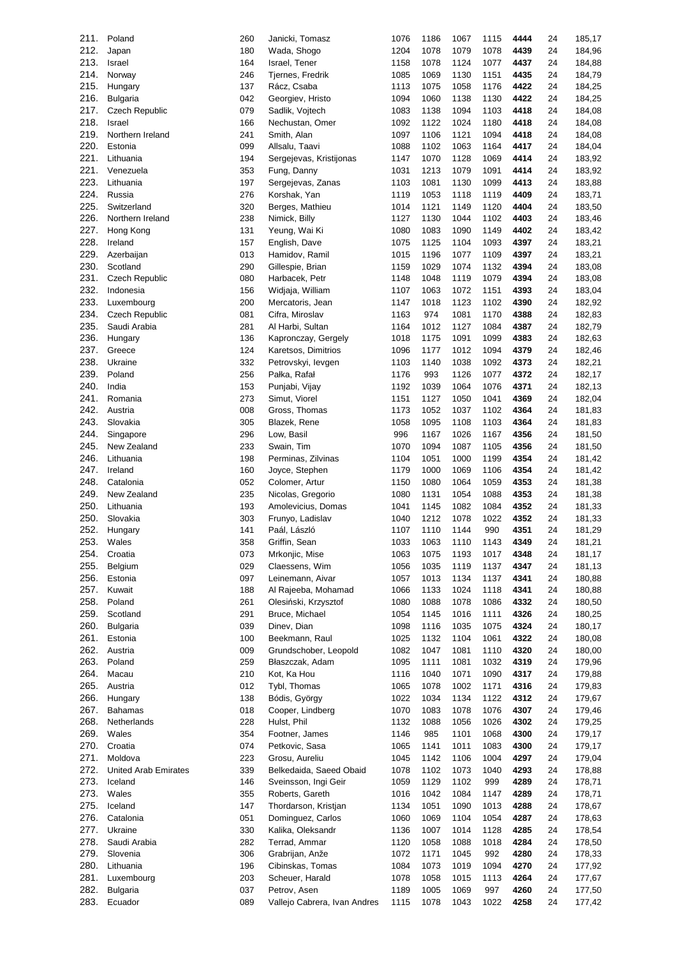| 211. | Poland                      | 260 | Janicki, Tomasz              | 1076 | 1186 | 1067 | 1115 | 4444 | 24 | 185,17 |
|------|-----------------------------|-----|------------------------------|------|------|------|------|------|----|--------|
| 212. | Japan                       | 180 | Wada, Shogo                  | 1204 | 1078 | 1079 | 1078 | 4439 | 24 | 184,96 |
| 213. | Israel                      | 164 | Israel, Tener                | 1158 | 1078 | 1124 | 1077 | 4437 | 24 | 184,88 |
| 214. | Norway                      | 246 | Tjernes, Fredrik             | 1085 | 1069 | 1130 | 1151 | 4435 | 24 | 184,79 |
| 215. | Hungary                     | 137 | Rácz, Csaba                  | 1113 | 1075 | 1058 | 1176 | 4422 | 24 | 184,25 |
| 216. | Bulgaria                    | 042 | Georgiev, Hristo             | 1094 | 1060 | 1138 | 1130 | 4422 | 24 | 184,25 |
| 217. | Czech Republic              | 079 | Sadlik, Vojtech              | 1083 | 1138 | 1094 | 1103 | 4418 | 24 | 184,08 |
| 218. | Israel                      | 166 | Nechustan, Omer              | 1092 | 1122 | 1024 | 1180 | 4418 | 24 | 184,08 |
| 219. | Northern Ireland            | 241 |                              | 1097 | 1106 | 1121 | 1094 | 4418 | 24 |        |
|      |                             |     | Smith, Alan                  |      |      |      |      |      |    | 184,08 |
| 220. | Estonia                     | 099 | Allsalu, Taavi               | 1088 | 1102 | 1063 | 1164 | 4417 | 24 | 184,04 |
| 221. | Lithuania                   | 194 | Sergejevas, Kristijonas      | 1147 | 1070 | 1128 | 1069 | 4414 | 24 | 183,92 |
| 221. | Venezuela                   | 353 | Fung, Danny                  | 1031 | 1213 | 1079 | 1091 | 4414 | 24 | 183,92 |
| 223. | Lithuania                   | 197 | Sergejevas, Zanas            | 1103 | 1081 | 1130 | 1099 | 4413 | 24 | 183,88 |
| 224. | Russia                      | 276 | Korshak, Yan                 | 1119 | 1053 | 1118 | 1119 | 4409 | 24 | 183,71 |
| 225. | Switzerland                 | 320 | Berges, Mathieu              | 1014 | 1121 | 1149 | 1120 | 4404 | 24 | 183,50 |
| 226. | Northern Ireland            | 238 | Nimick, Billy                | 1127 | 1130 | 1044 | 1102 | 4403 | 24 | 183,46 |
| 227. | Hong Kong                   | 131 | Yeung, Wai Ki                | 1080 | 1083 | 1090 | 1149 | 4402 | 24 | 183,42 |
| 228. | Ireland                     | 157 | English, Dave                | 1075 | 1125 | 1104 | 1093 | 4397 | 24 | 183,21 |
| 229. | Azerbaijan                  | 013 | Hamidov, Ramil               | 1015 | 1196 | 1077 | 1109 | 4397 | 24 | 183,21 |
| 230. | Scotland                    | 290 | Gillespie, Brian             | 1159 | 1029 | 1074 | 1132 | 4394 | 24 | 183,08 |
|      |                             |     |                              |      |      |      |      |      |    |        |
| 231. | <b>Czech Republic</b>       | 080 | Harbacek, Petr               | 1148 | 1048 | 1119 | 1079 | 4394 | 24 | 183,08 |
| 232. | Indonesia                   | 156 | Widjaja, William             | 1107 | 1063 | 1072 | 1151 | 4393 | 24 | 183,04 |
| 233. | Luxembourg                  | 200 | Mercatoris, Jean             | 1147 | 1018 | 1123 | 1102 | 4390 | 24 | 182,92 |
| 234. | <b>Czech Republic</b>       | 081 | Cifra, Miroslav              | 1163 | 974  | 1081 | 1170 | 4388 | 24 | 182,83 |
| 235. | Saudi Arabia                | 281 | Al Harbi, Sultan             | 1164 | 1012 | 1127 | 1084 | 4387 | 24 | 182,79 |
| 236. | Hungary                     | 136 | Kapronczay, Gergely          | 1018 | 1175 | 1091 | 1099 | 4383 | 24 | 182,63 |
| 237. | Greece                      | 124 | Karetsos, Dimitrios          | 1096 | 1177 | 1012 | 1094 | 4379 | 24 | 182,46 |
| 238. | Ukraine                     | 332 | Petrovskyi, levgen           | 1103 | 1140 | 1038 | 1092 | 4373 | 24 | 182,21 |
| 239. | Poland                      | 256 | Pałka, Rafał                 | 1176 | 993  | 1126 | 1077 | 4372 | 24 | 182,17 |
| 240. | India                       | 153 | Punjabi, Vijay               | 1192 | 1039 | 1064 | 1076 | 4371 | 24 | 182,13 |
| 241. | Romania                     | 273 | Simut, Viorel                | 1151 | 1127 | 1050 | 1041 | 4369 | 24 | 182,04 |
| 242. | Austria                     | 008 |                              |      | 1052 |      |      | 4364 |    |        |
|      |                             |     | Gross, Thomas                | 1173 |      | 1037 | 1102 |      | 24 | 181,83 |
| 243. | Slovakia                    | 305 | Blazek, Rene                 | 1058 | 1095 | 1108 | 1103 | 4364 | 24 | 181,83 |
| 244. | Singapore                   | 296 | Low, Basil                   | 996  | 1167 | 1026 | 1167 | 4356 | 24 | 181,50 |
| 245. | New Zealand                 | 233 | Swain, Tim                   | 1070 | 1094 | 1087 | 1105 | 4356 | 24 | 181,50 |
| 246. | Lithuania                   | 198 | Perminas, Zilvinas           | 1104 | 1051 | 1000 | 1199 | 4354 | 24 | 181,42 |
| 247. | Ireland                     | 160 | Joyce, Stephen               | 1179 | 1000 | 1069 | 1106 | 4354 | 24 | 181,42 |
| 248. | Catalonia                   | 052 | Colomer, Artur               | 1150 | 1080 | 1064 | 1059 | 4353 | 24 | 181,38 |
| 249. | New Zealand                 | 235 | Nicolas, Gregorio            | 1080 | 1131 | 1054 | 1088 | 4353 | 24 | 181,38 |
| 250. | Lithuania                   | 193 | Amolevicius, Domas           | 1041 | 1145 | 1082 | 1084 | 4352 | 24 | 181,33 |
| 250. | Slovakia                    | 303 | Frunyo, Ladislav             | 1040 | 1212 | 1078 | 1022 | 4352 | 24 | 181,33 |
| 252. | Hungary                     | 141 | Paál, László                 | 1107 | 1110 | 1144 | 990  | 4351 | 24 | 181,29 |
| 253. | Wales                       | 358 | Griffin, Sean                | 1033 | 1063 | 1110 | 1143 | 4349 | 24 | 181,21 |
| 254. | Croatia                     | 073 |                              | 1063 |      |      |      |      |    |        |
|      |                             |     | Mrkonjic, Mise               |      | 1075 | 1193 | 1017 | 4348 | 24 | 181,17 |
| 255. | Belgium                     | 029 | Claessens, Wim               | 1056 | 1035 | 1119 | 1137 | 4347 | 24 | 181,13 |
| 256. | Estonia                     | 097 | Leinemann, Aivar             | 1057 | 1013 | 1134 | 1137 | 4341 | 24 | 180,88 |
| 257. | Kuwait                      | 188 | Al Rajeeba, Mohamad          | 1066 | 1133 | 1024 | 1118 | 4341 | 24 | 180,88 |
| 258. | Poland                      | 261 | Olesiński, Krzysztof         | 1080 | 1088 | 1078 | 1086 | 4332 | 24 | 180,50 |
| 259. | Scotland                    | 291 | Bruce, Michael               | 1054 | 1145 | 1016 | 1111 | 4326 | 24 | 180,25 |
| 260. | <b>Bulgaria</b>             | 039 | Dinev, Dian                  | 1098 | 1116 | 1035 | 1075 | 4324 | 24 | 180,17 |
| 261. | Estonia                     | 100 | Beekmann, Raul               | 1025 | 1132 | 1104 | 1061 | 4322 | 24 | 180,08 |
| 262. | Austria                     | 009 | Grundschober, Leopold        | 1082 | 1047 | 1081 | 1110 | 4320 | 24 | 180,00 |
| 263. | Poland                      | 259 | Błaszczak, Adam              | 1095 | 1111 | 1081 | 1032 | 4319 | 24 | 179,96 |
| 264. | Macau                       | 210 | Kot, Ka Hou                  | 1116 | 1040 | 1071 | 1090 | 4317 | 24 | 179,88 |
| 265. | Austria                     | 012 | Tybl, Thomas                 | 1065 | 1078 | 1002 | 1171 | 4316 | 24 | 179,83 |
| 266. | Hungary                     | 138 | Bódis, György                | 1022 | 1034 | 1134 | 1122 | 4312 | 24 | 179,67 |
| 267. | <b>Bahamas</b>              | 018 | Cooper, Lindberg             | 1070 | 1083 | 1078 | 1076 | 4307 | 24 | 179,46 |
|      |                             |     |                              |      |      |      |      |      |    |        |
| 268. | Netherlands                 | 228 | Hulst, Phil                  | 1132 | 1088 | 1056 | 1026 | 4302 | 24 | 179,25 |
| 269. | Wales                       | 354 | Footner, James               | 1146 | 985  | 1101 | 1068 | 4300 | 24 | 179,17 |
| 270. | Croatia                     | 074 | Petkovic, Sasa               | 1065 | 1141 | 1011 | 1083 | 4300 | 24 | 179,17 |
| 271. | Moldova                     | 223 | Grosu, Aureliu               | 1045 | 1142 | 1106 | 1004 | 4297 | 24 | 179,04 |
| 272. | <b>United Arab Emirates</b> | 339 | Belkedaida, Saeed Obaid      | 1078 | 1102 | 1073 | 1040 | 4293 | 24 | 178,88 |
| 273. | Iceland                     | 146 | Sveinsson, Ingi Geir         | 1059 | 1129 | 1102 | 999  | 4289 | 24 | 178,71 |
| 273. | Wales                       | 355 | Roberts, Gareth              | 1016 | 1042 | 1084 | 1147 | 4289 | 24 | 178,71 |
| 275. | Iceland                     | 147 | Thordarson, Kristjan         | 1134 | 1051 | 1090 | 1013 | 4288 | 24 | 178,67 |
| 276. | Catalonia                   | 051 | Dominguez, Carlos            | 1060 | 1069 | 1104 | 1054 | 4287 | 24 | 178,63 |
| 277. | Ukraine                     | 330 | Kalika, Oleksandr            | 1136 | 1007 | 1014 | 1128 | 4285 | 24 | 178,54 |
| 278. | Saudi Arabia                | 282 | Terrad, Ammar                | 1120 | 1058 | 1088 | 1018 | 4284 | 24 | 178,50 |
| 279. | Slovenia                    | 306 | Grabrijan, Anže              | 1072 | 1171 | 1045 | 992  | 4280 | 24 | 178,33 |
| 280. | Lithuania                   | 196 | Cibinskas, Tomas             | 1084 | 1073 | 1019 | 1094 | 4270 | 24 | 177,92 |
| 281. |                             | 203 |                              |      |      |      |      | 4264 |    |        |
|      | Luxembourg                  |     | Scheuer, Harald              | 1078 | 1058 | 1015 | 1113 |      | 24 | 177,67 |
| 282. | <b>Bulgaria</b>             | 037 | Petrov, Asen                 | 1189 | 1005 | 1069 | 997  | 4260 | 24 | 177,50 |
| 283. | Ecuador                     | 089 | Vallejo Cabrera, Ivan Andres | 1115 | 1078 | 1043 | 1022 | 4258 | 24 | 177,42 |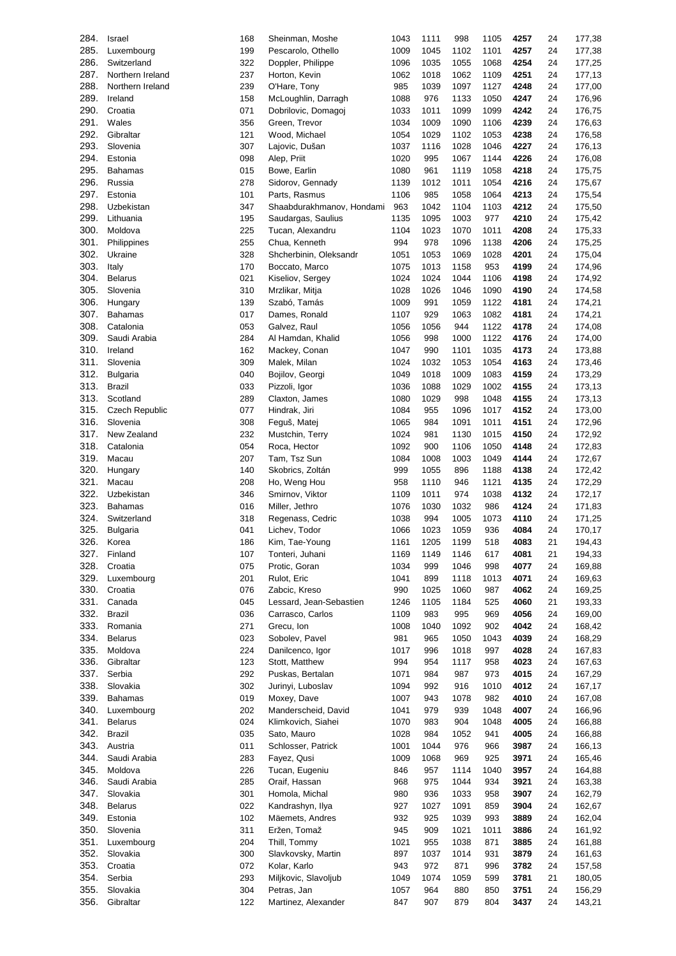| 284. | Israel           | 168 | Sheinman, Moshe           | 1043 | 1111 | 998  | 1105 | 4257 | 24 | 177,38 |
|------|------------------|-----|---------------------------|------|------|------|------|------|----|--------|
| 285. | Luxembourg       | 199 | Pescarolo, Othello        | 1009 | 1045 | 1102 | 1101 | 4257 | 24 | 177,38 |
|      |                  |     |                           |      |      |      |      |      |    |        |
| 286. | Switzerland      | 322 | Doppler, Philippe         | 1096 | 1035 | 1055 | 1068 | 4254 | 24 | 177,25 |
| 287. | Northern Ireland | 237 | Horton, Kevin             | 1062 | 1018 | 1062 | 1109 | 4251 | 24 | 177,13 |
| 288. | Northern Ireland | 239 | O'Hare, Tony              | 985  | 1039 | 1097 | 1127 | 4248 | 24 | 177,00 |
| 289. | Ireland          | 158 | McLoughlin, Darragh       | 1088 | 976  | 1133 | 1050 | 4247 | 24 | 176,96 |
|      |                  |     |                           |      |      |      |      |      |    |        |
| 290. | Croatia          | 071 | Dobrilovic, Domagoj       | 1033 | 1011 | 1099 | 1099 | 4242 | 24 | 176,75 |
| 291. | Wales            | 356 | Green, Trevor             | 1034 | 1009 | 1090 | 1106 | 4239 | 24 | 176,63 |
| 292. | Gibraltar        | 121 | Wood, Michael             | 1054 | 1029 | 1102 | 1053 | 4238 | 24 | 176,58 |
| 293. | Slovenia         | 307 | Lajovic, Dušan            | 1037 | 1116 | 1028 | 1046 | 4227 | 24 | 176,13 |
| 294. | Estonia          |     | Alep, Priit               | 1020 | 995  | 1067 | 1144 | 4226 |    | 176,08 |
|      |                  | 098 |                           |      |      |      |      |      | 24 |        |
| 295. | <b>Bahamas</b>   | 015 | Bowe, Earlin              | 1080 | 961  | 1119 | 1058 | 4218 | 24 | 175,75 |
| 296. | Russia           | 278 | Sidorov, Gennady          | 1139 | 1012 | 1011 | 1054 | 4216 | 24 | 175,67 |
| 297. | Estonia          | 101 | Parts, Rasmus             | 1106 | 985  | 1058 | 1064 | 4213 | 24 | 175,54 |
| 298. | Uzbekistan       | 347 | Shaabdurakhmanov, Hondami | 963  | 1042 | 1104 | 1103 | 4212 | 24 | 175,50 |
|      |                  |     |                           |      |      |      |      |      |    |        |
| 299. | Lithuania        | 195 | Saudargas, Saulius        | 1135 | 1095 | 1003 | 977  | 4210 | 24 | 175,42 |
| 300. | Moldova          | 225 | Tucan, Alexandru          | 1104 | 1023 | 1070 | 1011 | 4208 | 24 | 175,33 |
| 301. | Philippines      | 255 | Chua, Kenneth             | 994  | 978  | 1096 | 1138 | 4206 | 24 | 175,25 |
| 302. | Ukraine          | 328 | Shcherbinin, Oleksandr    | 1051 | 1053 | 1069 | 1028 | 4201 | 24 | 175,04 |
|      |                  |     |                           |      |      |      |      |      |    |        |
| 303. | Italy            | 170 | Boccato, Marco            | 1075 | 1013 | 1158 | 953  | 4199 | 24 | 174,96 |
| 304. | <b>Belarus</b>   | 021 | Kiseliov, Sergey          | 1024 | 1024 | 1044 | 1106 | 4198 | 24 | 174,92 |
| 305. | Slovenia         | 310 | Mrzlikar, Mitja           | 1028 | 1026 | 1046 | 1090 | 4190 | 24 | 174,58 |
| 306. | Hungary          | 139 | Szabó, Tamás              | 1009 | 991  | 1059 | 1122 | 4181 | 24 | 174,21 |
| 307. | <b>Bahamas</b>   | 017 | Dames, Ronald             | 1107 | 929  | 1063 | 1082 | 4181 | 24 | 174,21 |
|      |                  |     |                           |      |      |      |      |      |    |        |
| 308. | Catalonia        | 053 | Galvez, Raul              | 1056 | 1056 | 944  | 1122 | 4178 | 24 | 174,08 |
| 309. | Saudi Arabia     | 284 | Al Hamdan, Khalid         | 1056 | 998  | 1000 | 1122 | 4176 | 24 | 174,00 |
| 310. | Ireland          | 162 | Mackey, Conan             | 1047 | 990  | 1101 | 1035 | 4173 | 24 | 173,88 |
| 311. | Slovenia         | 309 | Malek, Milan              | 1024 | 1032 | 1053 | 1054 | 4163 | 24 | 173,46 |
|      |                  |     |                           |      |      |      |      |      |    |        |
| 312. | <b>Bulgaria</b>  | 040 | Bojilov, Georgi           | 1049 | 1018 | 1009 | 1083 | 4159 | 24 | 173,29 |
| 313. | Brazil           | 033 | Pizzoli, Igor             | 1036 | 1088 | 1029 | 1002 | 4155 | 24 | 173,13 |
| 313. | Scotland         | 289 | Claxton, James            | 1080 | 1029 | 998  | 1048 | 4155 | 24 | 173,13 |
| 315. | Czech Republic   | 077 | Hindrak, Jiri             | 1084 | 955  | 1096 | 1017 | 4152 | 24 | 173,00 |
|      |                  |     |                           |      |      |      |      |      |    |        |
| 316. | Slovenia         | 308 | Feguš, Matej              | 1065 | 984  | 1091 | 1011 | 4151 | 24 | 172,96 |
| 317. | New Zealand      | 232 | Mustchin, Terry           | 1024 | 981  | 1130 | 1015 | 4150 | 24 | 172,92 |
| 318. | Catalonia        | 054 | Roca, Hector              | 1092 | 900  | 1106 | 1050 | 4148 | 24 | 172,83 |
| 319. | Macau            | 207 | Tam, Tsz Sun              | 1084 | 1008 | 1003 | 1049 | 4144 | 24 | 172,67 |
| 320. | Hungary          | 140 | Skobrics, Zoltán          | 999  | 1055 | 896  | 1188 | 4138 | 24 | 172,42 |
|      |                  |     |                           |      |      |      |      |      |    |        |
| 321. | Macau            | 208 | Ho, Weng Hou              | 958  | 1110 | 946  | 1121 | 4135 | 24 | 172,29 |
| 322. | Uzbekistan       | 346 | Smirnov, Viktor           | 1109 | 1011 | 974  | 1038 | 4132 | 24 | 172,17 |
| 323. | <b>Bahamas</b>   | 016 | Miller, Jethro            | 1076 | 1030 | 1032 | 986  | 4124 | 24 | 171,83 |
| 324. | Switzerland      | 318 | Regenass, Cedric          | 1038 | 994  | 1005 | 1073 | 4110 | 24 | 171,25 |
|      |                  |     |                           |      |      |      |      |      |    |        |
| 325. | <b>Bulgaria</b>  | 041 | Lichev, Todor             | 1066 | 1023 | 1059 | 936  | 4084 | 24 | 170,17 |
| 326. | Korea            | 186 | Kim, Tae-Young            | 1161 | 1205 | 1199 | 518  | 4083 | 21 | 194,43 |
| 327. | Finland          | 107 | Tonteri, Juhani           | 1169 | 1149 | 1146 | 617  | 4081 | 21 | 194,33 |
| 328. | Croatia          | 075 | Protic, Goran             | 1034 | 999  | 1046 | 998  | 4077 | 24 | 169,88 |
| 329. | Luxembourg       | 201 | Rulot, Eric               | 1041 | 899  | 1118 | 1013 | 4071 | 24 | 169,63 |
|      |                  |     |                           |      |      |      |      |      |    |        |
| 330. | Croatia          | 076 | Zabcic, Kreso             | 990  | 1025 | 1060 | 987  | 4062 | 24 | 169,25 |
| 331. | Canada           | 045 | Lessard, Jean-Sebastien   | 1246 | 1105 | 1184 | 525  | 4060 | 21 | 193,33 |
| 332. | <b>Brazil</b>    | 036 | Carrasco, Carlos          | 1109 | 983  | 995  | 969  | 4056 | 24 | 169,00 |
| 333. | Romania          | 271 | Grecu, Ion                | 1008 | 1040 | 1092 | 902  | 4042 | 24 | 168,42 |
|      |                  |     |                           |      |      |      |      |      |    |        |
| 334. | <b>Belarus</b>   | 023 | Sobolev, Pavel            | 981  | 965  | 1050 | 1043 | 4039 | 24 | 168,29 |
| 335. | Moldova          | 224 | Danilcenco, Igor          | 1017 | 996  | 1018 | 997  | 4028 | 24 | 167,83 |
| 336. | Gibraltar        | 123 | Stott, Matthew            | 994  | 954  | 1117 | 958  | 4023 | 24 | 167,63 |
| 337. | Serbia           | 292 | Puskas, Bertalan          | 1071 | 984  | 987  | 973  | 4015 | 24 | 167,29 |
| 338. | Slovakia         | 302 | Jurinyi, Luboslav         | 1094 | 992  | 916  | 1010 | 4012 | 24 | 167,17 |
|      |                  |     |                           |      |      |      |      |      |    |        |
| 339. | <b>Bahamas</b>   | 019 | Moxey, Dave               | 1007 | 943  | 1078 | 982  | 4010 | 24 | 167,08 |
| 340. | Luxembourg       | 202 | Manderscheid, David       | 1041 | 979  | 939  | 1048 | 4007 | 24 | 166,96 |
| 341. | <b>Belarus</b>   | 024 | Klimkovich, Siahei        | 1070 | 983  | 904  | 1048 | 4005 | 24 | 166,88 |
| 342. | <b>Brazil</b>    | 035 | Sato, Mauro               | 1028 | 984  | 1052 | 941  | 4005 | 24 | 166,88 |
|      |                  |     | Schlosser, Patrick        |      |      |      |      |      |    |        |
| 343. | Austria          | 011 |                           | 1001 | 1044 | 976  | 966  | 3987 | 24 | 166,13 |
| 344. | Saudi Arabia     | 283 | Fayez, Qusi               | 1009 | 1068 | 969  | 925  | 3971 | 24 | 165,46 |
| 345. | Moldova          | 226 | Tucan, Eugeniu            | 846  | 957  | 1114 | 1040 | 3957 | 24 | 164,88 |
| 346. | Saudi Arabia     | 285 | Oraif, Hassan             | 968  | 975  | 1044 | 934  | 3921 | 24 | 163,38 |
| 347. | Slovakia         | 301 | Homola, Michal            | 980  | 936  | 1033 | 958  | 3907 | 24 | 162,79 |
|      |                  |     |                           |      |      |      |      |      |    |        |
| 348. | <b>Belarus</b>   | 022 | Kandrashyn, Ilya          | 927  | 1027 | 1091 | 859  | 3904 | 24 | 162,67 |
| 349. | Estonia          | 102 | Mäemets, Andres           | 932  | 925  | 1039 | 993  | 3889 | 24 | 162,04 |
| 350. | Slovenia         | 311 | Eržen, Tomaž              | 945  | 909  | 1021 | 1011 | 3886 | 24 | 161,92 |
| 351. | Luxembourg       | 204 | Thill, Tommy              | 1021 | 955  | 1038 | 871  | 3885 | 24 | 161,88 |
| 352. | Slovakia         | 300 | Slavkovsky, Martin        | 897  | 1037 | 1014 | 931  | 3879 | 24 | 161,63 |
|      |                  |     |                           |      |      |      |      |      |    |        |
| 353. | Croatia          | 072 | Kolar, Karlo              | 943  | 972  | 871  | 996  | 3782 | 24 | 157,58 |
| 354. | Serbia           | 293 | Miljkovic, Slavoljub      | 1049 | 1074 | 1059 | 599  | 3781 | 21 | 180,05 |
| 355. | Slovakia         | 304 | Petras, Jan               | 1057 | 964  | 880  | 850  | 3751 | 24 | 156,29 |
| 356. | Gibraltar        | 122 | Martinez, Alexander       | 847  | 907  | 879  | 804  | 3437 | 24 | 143,21 |
|      |                  |     |                           |      |      |      |      |      |    |        |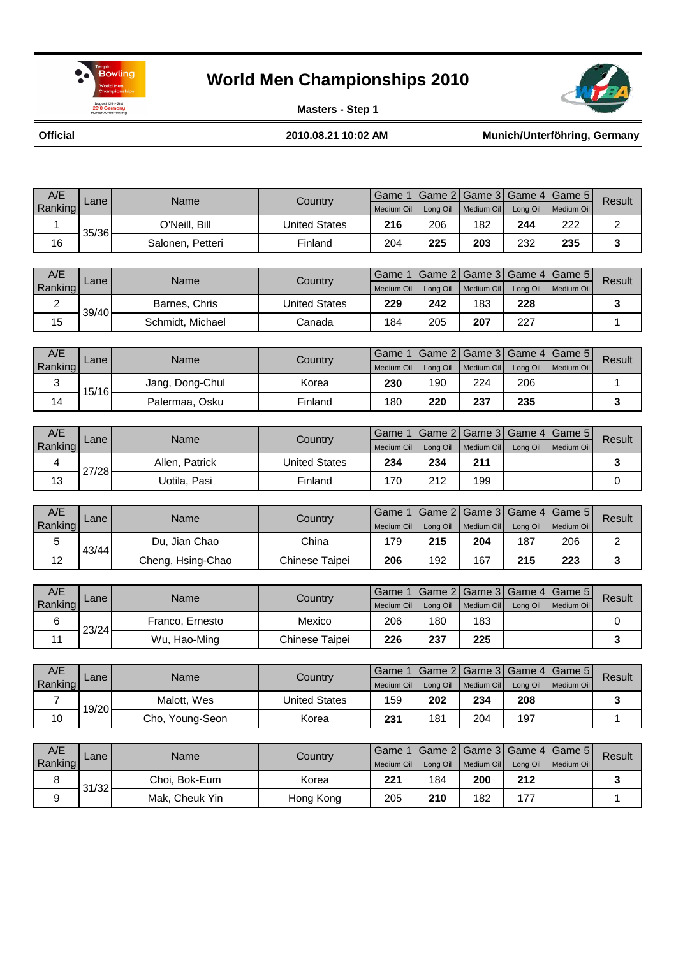

31/32

### **World Men Championships 2010**



**Masters - Step 1**

**Official**

**2010.08.21 10:02 AM Munich/Unterföhring, Germany**

| A/E            | Lane  | Name              | Country              | Game 1            | Game 2          | Game 3            | Game 4   | Game 5     | Result                  |
|----------------|-------|-------------------|----------------------|-------------------|-----------------|-------------------|----------|------------|-------------------------|
| Ranking        |       |                   |                      | <b>Medium Oil</b> | Long Oil        | Medium Oil        | Long Oil | Medium Oil |                         |
| 1              | 35/36 | O'Neill, Bill     | <b>United States</b> | 216               | 206             | 182               | 244      | 222        | $\overline{2}$          |
| 16             |       | Salonen, Petteri  | Finland              | 204               | 225             | 203               | 232      | 235        | 3                       |
|                |       |                   |                      |                   |                 |                   |          |            |                         |
| A/E            | Lane  | Name              | Country              | Game 1            | Game 2          | Game 3            | Game 4   | Game 5     | <b>Result</b>           |
| Ranking        |       |                   |                      | Medium Oil        | Long Oil        | Medium Oil        | Long Oil | Medium Oil |                         |
| $\overline{2}$ | 39/40 | Barnes, Chris     | <b>United States</b> | 229               | 242             | 183               | 228      |            | 3                       |
| 15             |       | Schmidt, Michael  | Canada               | 184               | 205             | 207               | 227      |            | 1                       |
|                |       |                   |                      |                   |                 |                   |          |            |                         |
| A/E            | Lane  | Name              | Country              | Game 1            | Game 2          | Game 3            | Game 4   | Game 5     | Result                  |
| Ranking        |       |                   |                      | Medium Oil        | Long Oil        | Medium Oil        | Long Oil | Medium Oil |                         |
| 3              | 15/16 | Jang, Dong-Chul   | Korea                | 230               | 190             | 224               | 206      |            | 1                       |
| 14             |       | Palermaa, Osku    | Finland              | 180               | 220             | 237               | 235      |            | $\mathbf{3}$            |
|                |       |                   |                      |                   |                 |                   |          |            |                         |
| A/E            | Lane  | Name              | Country              | Game 1            | Game 2          | Game 3            | Game 4   | Game 5     | Result                  |
| Ranking        |       |                   |                      | Medium Oil        | Long Oil        | Medium Oil        | Long Oil | Medium Oil |                         |
| 4              | 27/28 | Allen, Patrick    | <b>United States</b> | 234               | 234             | 211               |          |            | 3                       |
| 13             |       | Uotila, Pasi      | Finland              | 170               | 212             | 199               |          |            | 0                       |
|                |       |                   |                      |                   |                 |                   |          |            |                         |
| A/E            | Lane  | Name              | Country              | Game 1            | Game 2          | Game 3            | Game 4   | Game 5     | <b>Result</b>           |
| Ranking        |       |                   |                      | Medium Oil        | Long Oil        | Medium Oil        | Long Oil | Medium Oil |                         |
| 5              | 43/44 | Du, Jian Chao     | China                | 179               | 215             | 204               | 187      | 206        | $\overline{c}$          |
| 12             |       | Cheng, Hsing-Chao | Chinese Taipei       | 206               | 192             | 167               | 215      | 223        | 3                       |
|                |       |                   |                      |                   |                 |                   |          |            |                         |
| A/E            | Lane  | Name              | Country              | Game 1            | Game 2          | Game 3            | Game 4   | Game 5     | Result                  |
| Ranking<br>6   |       | Franco, Ernesto   | Mexico               | Medium Oil<br>206 | Long Oil<br>180 | Medium Oil<br>183 | Long Oil | Medium Oil | 0                       |
|                | 23/24 |                   |                      |                   |                 |                   |          |            |                         |
| 11             |       | Wu, Hao-Ming      | Chinese Taipei       | 226               | 237             | 225               |          |            | 3                       |
| A/E            |       |                   |                      | Game 1            | Game 2          | Game 3            | Game 4   | Game 5     |                         |
| Ranking        | Lane  | Name              | Country              | <b>Medium Oil</b> | Long Oil        | <b>Medium Oil</b> | Long Oil | Medium Oil | Result                  |
| $\overline{7}$ |       | Malott, Wes       | <b>United States</b> | 159               | 202             | 234               | 208      |            | $\mathbf 3$             |
| 10             | 19/20 | Cho, Young-Seon   | Korea                | 231               | 181             | 204               | 197      |            | 1                       |
|                |       |                   |                      |                   |                 |                   |          |            |                         |
| A/E            |       |                   |                      | Game 1            | Game 2          | Game 3            | Game 4   | Game 5     |                         |
| Ranking        | Lane  | Name              | Country              | Medium Oil        | Long Oil        | Medium Oil        | Long Oil | Medium Oil | Result                  |
| 8              |       | Choi, Bok-Eum     | Korea                | 221               | 184             | 200               | 212      |            | $\overline{\mathbf{3}}$ |

9 <sup>211</sup> Mak, Cheuk Yin | Hong Kong | 205 | 210 | 182 | 177 | | 1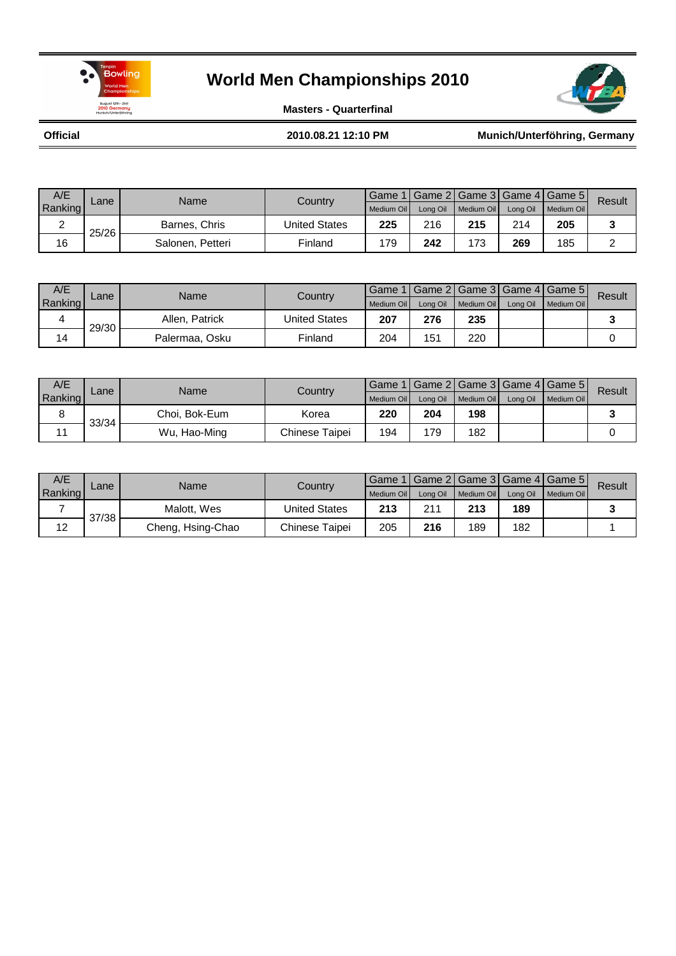



**Masters - Quarterfinal**

**Official**

**2010.08.21 12:10 PM Munich/Unterföhring, Germany**

| A/E     | Lane  | Name             | Countrv              | Game       |          |            |          | Game 2   Game 3   Game 4   Game 5 | Result |
|---------|-------|------------------|----------------------|------------|----------|------------|----------|-----------------------------------|--------|
| Ranking |       |                  |                      | Medium Oil | Lona Oil | Medium Oil | Long Oil | Medium Oil                        |        |
|         | 25/26 | Barnes, Chris    | <b>United States</b> | 225        | 216      | 215        | 214      | 205                               |        |
| 16      |       | Salonen, Petteri | Finland              | 179        | 242      | 173        | 269      | 185                               |        |

| A/E     | $\mathsf{cane}$ | Name           | Country              |            |     |                       |          | Game 1   Game 2   Game 3   Game 4   Game 5 | Result |
|---------|-----------------|----------------|----------------------|------------|-----|-----------------------|----------|--------------------------------------------|--------|
| Ranking |                 |                |                      | Medium Oil |     | Long Oil   Medium Oil | Long Oil | Medium Oil                                 |        |
|         | 29/30           | Allen, Patrick | <b>United States</b> | 207        | 276 | 235                   |          |                                            |        |
| 14      |                 | Palermaa, Osku | Finland              | 204        | 151 | 220                   |          |                                            |        |

| A/E     | ∠ane  | Name          | Country        | Game 1     |     |                       |          | Game 2   Game 3   Game 4   Game 5 | Result |
|---------|-------|---------------|----------------|------------|-----|-----------------------|----------|-----------------------------------|--------|
| Ranking |       |               |                | Medium Oil |     | Long Oil   Medium Oil | Long Oil | Medium Oil                        |        |
|         | 33/34 | Choi. Bok-Eum | Korea          | 220        | 204 | 198                   |          |                                   |        |
|         |       | Wu, Hao-Ming  | Chinese Taipei | 194        | 79  | 182                   |          |                                   |        |

| A/E     | Lane  | Name              | Country        |            |          |            |          | Game 1   Game 2   Game 3   Game 4   Game 5 | Result |
|---------|-------|-------------------|----------------|------------|----------|------------|----------|--------------------------------------------|--------|
| Ranking |       |                   |                | Medium Oil | Lona Oil | Medium Oil | Long Oil | Medium Oil                                 |        |
|         | 37/38 | Malott, Wes       | United States  | 213        | 211      | 213        | 189      |                                            |        |
| 12      |       | Cheng, Hsing-Chao | Chinese Taipei | 205        | 216      | 189        | 182      |                                            |        |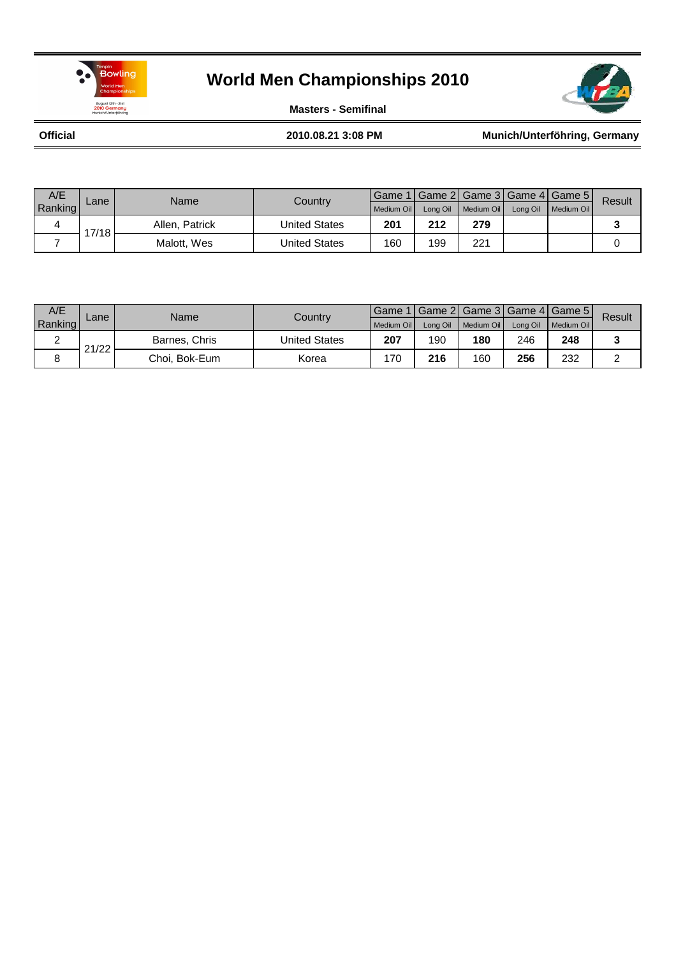



**Masters - Semifinal**

**Official**

**2010.08.21 3:08 PM Munich/Unterföhring, Germany**

| A/E     |       | Name           | Country<br>Lane |            |          |            |          |            | Game 1   Game 2   Game 3   Game 4   Game 5 | Result |
|---------|-------|----------------|-----------------|------------|----------|------------|----------|------------|--------------------------------------------|--------|
| Ranking |       |                |                 | Medium Oil | Long Oil | Medium Oil | Long Oil | Medium Oil |                                            |        |
|         | 17/18 | Allen. Patrick | United States   | 201        | 212      | 279        |          |            |                                            |        |
|         |       | Malott, Wes    | United States   | 160        | 199      | 221        |          |            |                                            |        |

| A/E      | Lane  | Name          | Country       | Game 1     |          |            |     | I Game 2I Game 3I Game 4I Game 5II | Result |
|----------|-------|---------------|---------------|------------|----------|------------|-----|------------------------------------|--------|
| Ranking  |       |               |               | Medium Oil | Long Oil | Medium Oil |     | Long Oil Medium Oil                |        |
| <u>_</u> | 21/22 | Barnes, Chris | United States | 207        | 190      | 180        | 246 | 248                                |        |
| 8        |       | Choi. Bok-Eum | Korea         | 170        | 216      | 160        | 256 | 232                                |        |